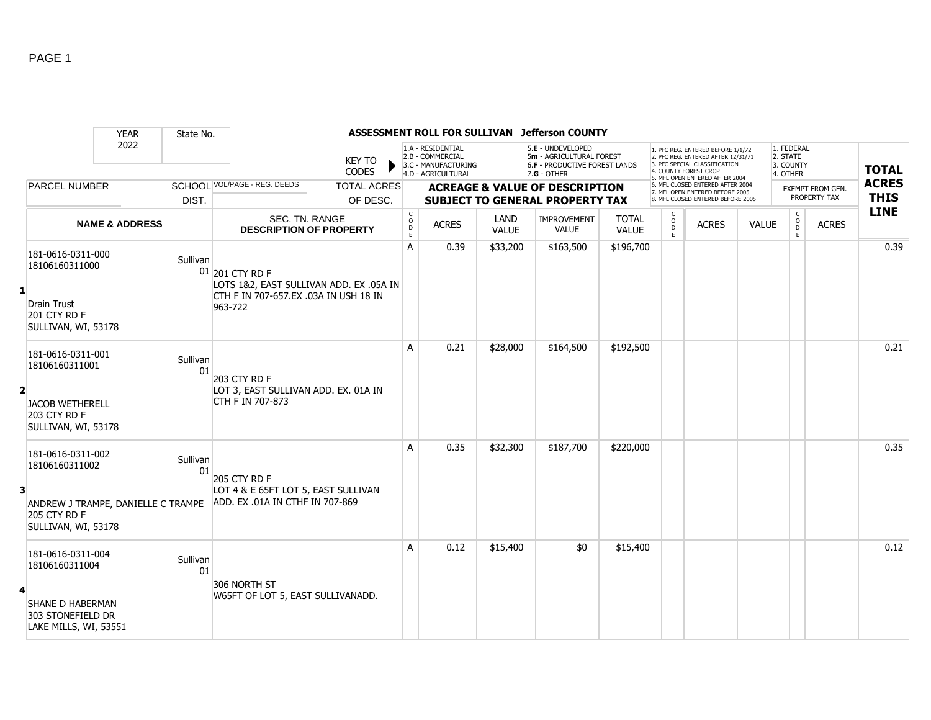|                |                                                                                                                  | <b>YEAR</b>               | State No.      |                                                                                                                |                                           |                                                                                    |                      | ASSESSMENT ROLL FOR SULLIVAN Jefferson COUNTY                                                          |                              |                   |                                                                                                                                                                     |              |                                                 |                         |                            |
|----------------|------------------------------------------------------------------------------------------------------------------|---------------------------|----------------|----------------------------------------------------------------------------------------------------------------|-------------------------------------------|------------------------------------------------------------------------------------|----------------------|--------------------------------------------------------------------------------------------------------|------------------------------|-------------------|---------------------------------------------------------------------------------------------------------------------------------------------------------------------|--------------|-------------------------------------------------|-------------------------|----------------------------|
|                |                                                                                                                  | 2022                      |                | <b>KEY TO</b><br><b>CODES</b>                                                                                  |                                           | 1.A - RESIDENTIAL<br>2.B - COMMERCIAL<br>3.C - MANUFACTURING<br>4.D - AGRICULTURAL |                      | 5.E - UNDEVELOPED<br>5m - AGRICULTURAL FOREST<br><b>6.F - PRODUCTIVE FOREST LANDS</b><br>$7.G - OTHER$ |                              |                   | 1. PFC REG. ENTERED BEFORE 1/1/72<br>2. PFC REG. ENTERED AFTER 12/31/71<br>3. PFC SPECIAL CLASSIFICATION<br>4. COUNTY FOREST CROP<br>5. MFL OPEN ENTERED AFTER 2004 |              | 1. FEDERAL<br>2. STATE<br>3. COUNTY<br>4. OTHER |                         | <b>TOTAL</b>               |
|                | <b>PARCEL NUMBER</b>                                                                                             |                           |                | SCHOOL VOL/PAGE - REG. DEEDS<br><b>TOTAL ACRES</b>                                                             |                                           |                                                                                    |                      | <b>ACREAGE &amp; VALUE OF DESCRIPTION</b>                                                              |                              |                   | 6. MFL CLOSED ENTERED AFTER 2004<br>7. MFL OPEN ENTERED BEFORE 2005                                                                                                 |              |                                                 | <b>EXEMPT FROM GEN.</b> | <b>ACRES</b>               |
|                |                                                                                                                  |                           | DIST.          | OF DESC.                                                                                                       |                                           |                                                                                    |                      | <b>SUBJECT TO GENERAL PROPERTY TAX</b>                                                                 |                              |                   | 8. MFL CLOSED ENTERED BEFORE 2005                                                                                                                                   |              |                                                 | PROPERTY TAX            | <b>THIS</b><br><b>LINE</b> |
|                |                                                                                                                  | <b>NAME &amp; ADDRESS</b> |                | SEC. TN. RANGE<br><b>DESCRIPTION OF PROPERTY</b>                                                               | $_{\rm o}^{\rm c}$<br>$\overline{D}$<br>E | <b>ACRES</b>                                                                       | LAND<br><b>VALUE</b> | <b>IMPROVEMENT</b><br><b>VALUE</b>                                                                     | <b>TOTAL</b><br><b>VALUE</b> | $\circ$<br>D<br>E | <b>ACRES</b>                                                                                                                                                        | <b>VALUE</b> | C<br>$\circ$<br>D<br>E                          | <b>ACRES</b>            |                            |
| $\mathbf{1}$   | 181-0616-0311-000<br>18106160311000<br><b>Drain Trust</b><br>201 CTY RD F<br>SULLIVAN, WI, 53178                 |                           | Sullivan       | 01 201 CTY RD F<br>LOTS 1&2, EAST SULLIVAN ADD. EX .05A IN<br>CTH F IN 707-657.EX .03A IN USH 18 IN<br>963-722 | A                                         | 0.39                                                                               | \$33,200             | \$163,500                                                                                              | \$196,700                    |                   |                                                                                                                                                                     |              |                                                 |                         | 0.39                       |
| $\overline{2}$ | 181-0616-0311-001<br>18106160311001<br><b>JACOB WETHERELL</b><br>203 CTY RD F<br>SULLIVAN, WI, 53178             |                           | Sullivan<br>01 | 203 CTY RD F<br>LOT 3, EAST SULLIVAN ADD. EX. 01A IN<br>CTH F IN 707-873                                       | A                                         | 0.21                                                                               | \$28,000             | \$164,500                                                                                              | \$192,500                    |                   |                                                                                                                                                                     |              |                                                 |                         | 0.21                       |
| 3              | 181-0616-0311-002<br>18106160311002<br>ANDREW J TRAMPE, DANIELLE C TRAMPE<br>205 CTY RD F<br>SULLIVAN, WI, 53178 |                           | Sullivan<br>01 | 205 CTY RD F<br>LOT 4 & E 65FT LOT 5, EAST SULLIVAN<br>ADD. EX .01A IN CTHF IN 707-869                         | A                                         | 0.35                                                                               | \$32,300             | \$187,700                                                                                              | \$220,000                    |                   |                                                                                                                                                                     |              |                                                 |                         | 0.35                       |
| 4              | 181-0616-0311-004<br>18106160311004<br>SHANE D HABERMAN<br>303 STONEFIELD DR<br>LAKE MILLS, WI, 53551            |                           | Sullivan<br>01 | 306 NORTH ST<br>W65FT OF LOT 5, EAST SULLIVANADD.                                                              | A                                         | 0.12                                                                               | \$15,400             | \$0                                                                                                    | \$15,400                     |                   |                                                                                                                                                                     |              |                                                 |                         | 0.12                       |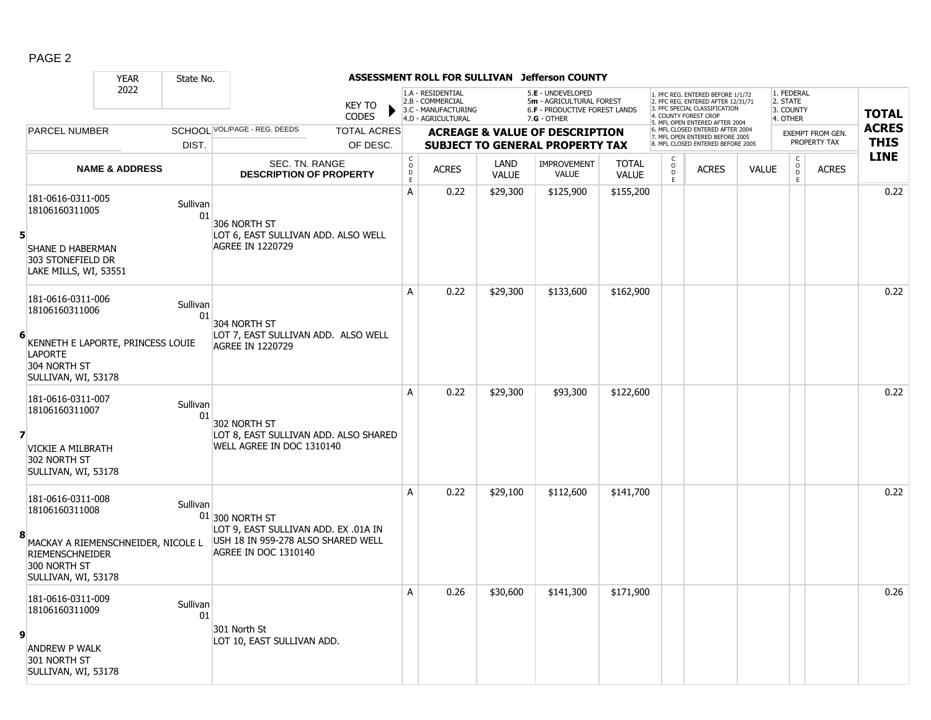|                         |                                                                                                              | <b>YEAR</b>                        | State No.      |                                                                                                                                |                               |                                                        |                                                                                    |                      | ASSESSMENT ROLL FOR SULLIVAN Jefferson COUNTY                                                        |                              |                          |                                                                                                                                                                  |              |                                                 |                                         |                             |
|-------------------------|--------------------------------------------------------------------------------------------------------------|------------------------------------|----------------|--------------------------------------------------------------------------------------------------------------------------------|-------------------------------|--------------------------------------------------------|------------------------------------------------------------------------------------|----------------------|------------------------------------------------------------------------------------------------------|------------------------------|--------------------------|------------------------------------------------------------------------------------------------------------------------------------------------------------------|--------------|-------------------------------------------------|-----------------------------------------|-----------------------------|
|                         |                                                                                                              | 2022                               |                |                                                                                                                                | <b>KEY TO</b><br><b>CODES</b> |                                                        | 1.A - RESIDENTIAL<br>2.B - COMMERCIAL<br>3.C - MANUFACTURING<br>4.D - AGRICULTURAL |                      | 5.E - UNDEVELOPED<br>5m - AGRICULTURAL FOREST<br><b>6.F - PRODUCTIVE FOREST LANDS</b><br>7.G - OTHER |                              |                          | 1. PFC REG. ENTERED BEFORE 1/1/72<br>2. PFC REG. ENTERED AFTER 12/31/71<br>3. PFC SPECIAL CLASSIFICATION<br>COUNTY FOREST CROE<br>5. MFL OPEN ENTERED AFTER 2004 |              | 1. FEDERAL<br>2. STATE<br>3. COUNTY<br>4. OTHER |                                         | <b>TOTAL</b>                |
|                         | <b>PARCEL NUMBER</b>                                                                                         |                                    |                | SCHOOL VOL/PAGE - REG. DEEDS                                                                                                   | <b>TOTAL ACRES</b>            |                                                        |                                                                                    |                      | <b>ACREAGE &amp; VALUE OF DESCRIPTION</b>                                                            |                              |                          | 6. MFL CLOSED ENTERED AFTER 2004<br>7. MFL OPEN ENTERED BEFORE 2005                                                                                              |              |                                                 | <b>EXEMPT FROM GEN.</b><br>PROPERTY TAX | <b>ACRES</b><br><b>THIS</b> |
|                         |                                                                                                              |                                    | DIST.          |                                                                                                                                | OF DESC.                      |                                                        |                                                                                    |                      | <b>SUBJECT TO GENERAL PROPERTY TAX</b>                                                               |                              |                          | 8. MFL CLOSED ENTERED BEFORE 2005                                                                                                                                |              | $\mathsf{C}$                                    |                                         | <b>LINE</b>                 |
|                         |                                                                                                              | <b>NAME &amp; ADDRESS</b>          |                | SEC. TN. RANGE<br><b>DESCRIPTION OF PROPERTY</b>                                                                               |                               | $\begin{matrix} 0 \\ 0 \\ D \end{matrix}$<br>$\bar{E}$ | <b>ACRES</b>                                                                       | LAND<br><b>VALUE</b> | <b>IMPROVEMENT</b><br><b>VALUE</b>                                                                   | <b>TOTAL</b><br><b>VALUE</b> | $\frac{c}{0}$<br>D.<br>E | <b>ACRES</b>                                                                                                                                                     | <b>VALUE</b> | $\mathsf{O}$<br>D<br>E                          | <b>ACRES</b>                            |                             |
| 5                       | 181-0616-0311-005<br>18106160311005<br><b>SHANE D HABERMAN</b><br>303 STONEFIELD DR<br>LAKE MILLS, WI, 53551 |                                    | Sullivan<br>01 | 306 NORTH ST<br>LOT 6, EAST SULLIVAN ADD. ALSO WELL<br><b>AGREE IN 1220729</b>                                                 |                               | A                                                      | 0.22                                                                               | \$29,300             | \$125,900                                                                                            | \$155,200                    |                          |                                                                                                                                                                  |              |                                                 |                                         | 0.22                        |
| 6                       | 181-0616-0311-006<br>18106160311006<br><b>LAPORTE</b><br>304 NORTH ST<br>SULLIVAN, WI, 53178                 | KENNETH E LAPORTE, PRINCESS LOUIE  | Sullivan<br>01 | 304 NORTH ST<br>LOT 7, EAST SULLIVAN ADD. ALSO WELL<br><b>AGREE IN 1220729</b>                                                 |                               | $\overline{A}$                                         | 0.22                                                                               | \$29,300             | \$133,600                                                                                            | \$162,900                    |                          |                                                                                                                                                                  |              |                                                 |                                         | 0.22                        |
| $\overline{\mathbf{z}}$ | 181-0616-0311-007<br>18106160311007<br>VICKIE A MILBRATH<br>302 NORTH ST<br>SULLIVAN, WI, 53178              |                                    | Sullivan<br>01 | 302 NORTH ST<br>LOT 8, EAST SULLIVAN ADD. ALSO SHARED<br>WELL AGREE IN DOC 1310140                                             |                               | Α                                                      | 0.22                                                                               | \$29,300             | \$93,300                                                                                             | \$122,600                    |                          |                                                                                                                                                                  |              |                                                 |                                         | 0.22                        |
| 8                       | 181-0616-0311-008<br>18106160311008<br><b>RIEMENSCHNEIDER</b><br>300 NORTH ST<br>SULLIVAN, WI, 53178         | MACKAY A RIEMENSCHNEIDER, NICOLE L | Sullivan       | $01$ 300 NORTH ST<br>LOT 9, EAST SULLIVAN ADD. EX .01A IN<br>USH 18 IN 959-278 ALSO SHARED WELL<br><b>AGREE IN DOC 1310140</b> |                               | Α                                                      | 0.22                                                                               | \$29,100             | \$112,600                                                                                            | \$141,700                    |                          |                                                                                                                                                                  |              |                                                 |                                         | 0.22                        |
| 9                       | 181-0616-0311-009<br>18106160311009<br><b>ANDREW P WALK</b><br>301 NORTH ST<br>SULLIVAN, WI, 53178           |                                    | Sullivan<br>01 | 301 North St<br>LOT 10, EAST SULLIVAN ADD.                                                                                     |                               | А                                                      | 0.26                                                                               | \$30,600             | \$141,300                                                                                            | \$171,900                    |                          |                                                                                                                                                                  |              |                                                 |                                         | 0.26                        |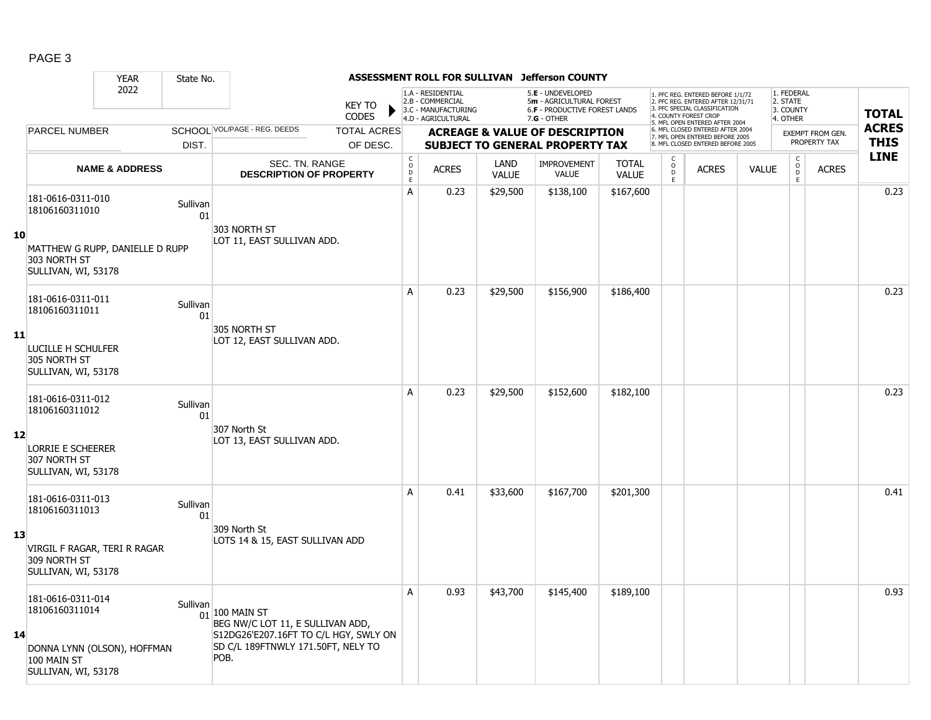|    |                                                                        | <b>YEAR</b>               | State No.      |                                                                                                                                                |                               |                                            | ASSESSMENT ROLL FOR SULLIVAN                                                       |                      | <b>Jefferson COUNTY</b>                                                                                |                              |                         |                                                                                                                                                                     |              |                                                 |                                         |                             |
|----|------------------------------------------------------------------------|---------------------------|----------------|------------------------------------------------------------------------------------------------------------------------------------------------|-------------------------------|--------------------------------------------|------------------------------------------------------------------------------------|----------------------|--------------------------------------------------------------------------------------------------------|------------------------------|-------------------------|---------------------------------------------------------------------------------------------------------------------------------------------------------------------|--------------|-------------------------------------------------|-----------------------------------------|-----------------------------|
|    |                                                                        | 2022                      |                |                                                                                                                                                | <b>KEY TO</b><br><b>CODES</b> |                                            | 1.A - RESIDENTIAL<br>2.B - COMMERCIAL<br>3.C - MANUFACTURING<br>4.D - AGRICULTURAL |                      | 5.E - UNDEVELOPED<br>5m - AGRICULTURAL FOREST<br><b>6.F - PRODUCTIVE FOREST LANDS</b><br>$7.G - OTHER$ |                              |                         | 1. PFC REG. ENTERED BEFORE 1/1/72<br>2. PFC REG. ENTERED AFTER 12/31/71<br>3. PFC SPECIAL CLASSIFICATION<br>4. COUNTY FOREST CROP<br>5. MFL OPEN ENTERED AFTER 2004 |              | 1. FEDERAL<br>2. STATE<br>3. COUNTY<br>4. OTHER |                                         | <b>TOTAL</b>                |
|    | PARCEL NUMBER                                                          |                           |                | SCHOOL VOL/PAGE - REG. DEEDS                                                                                                                   | <b>TOTAL ACRES</b>            |                                            |                                                                                    |                      | <b>ACREAGE &amp; VALUE OF DESCRIPTION</b>                                                              |                              |                         | 6. MFL CLOSED ENTERED AFTER 2004<br>7. MFL OPEN ENTERED BEFORE 2005<br>8. MFL CLOSED ENTERED BEFORE 2005                                                            |              |                                                 | <b>EXEMPT FROM GEN.</b><br>PROPERTY TAX | <b>ACRES</b><br><b>THIS</b> |
|    |                                                                        |                           | DIST.          |                                                                                                                                                | OF DESC.                      |                                            |                                                                                    |                      | <b>SUBJECT TO GENERAL PROPERTY TAX</b>                                                                 |                              | C                       |                                                                                                                                                                     |              | $\mathsf{C}$                                    |                                         | <b>LINE</b>                 |
|    |                                                                        | <b>NAME &amp; ADDRESS</b> |                | SEC. TN. RANGE<br><b>DESCRIPTION OF PROPERTY</b>                                                                                               |                               | $\begin{array}{c} C \\ O \\ E \end{array}$ | <b>ACRES</b>                                                                       | LAND<br><b>VALUE</b> | <b>IMPROVEMENT</b><br><b>VALUE</b>                                                                     | <b>TOTAL</b><br><b>VALUE</b> | $_{\rm D}^{\rm O}$<br>E | <b>ACRES</b>                                                                                                                                                        | <b>VALUE</b> | $_{\rm D}^{\rm O}$<br>E                         | <b>ACRES</b>                            |                             |
|    | 181-0616-0311-010<br>18106160311010                                    |                           | Sullivan<br>01 |                                                                                                                                                |                               | A                                          | 0.23                                                                               | \$29,500             | \$138,100                                                                                              | \$167,600                    |                         |                                                                                                                                                                     |              |                                                 |                                         | 0.23                        |
| 10 | MATTHEW G RUPP, DANIELLE D RUPP<br>303 NORTH ST<br>SULLIVAN, WI, 53178 |                           |                | 303 NORTH ST<br>LOT 11, EAST SULLIVAN ADD.                                                                                                     |                               |                                            |                                                                                    |                      |                                                                                                        |                              |                         |                                                                                                                                                                     |              |                                                 |                                         |                             |
|    | 181-0616-0311-011<br>18106160311011                                    |                           | Sullivan<br>01 |                                                                                                                                                |                               | A                                          | 0.23                                                                               | \$29,500             | \$156,900                                                                                              | \$186,400                    |                         |                                                                                                                                                                     |              |                                                 |                                         | 0.23                        |
| 11 | LUCILLE H SCHULFER<br>305 NORTH ST<br>SULLIVAN, WI, 53178              |                           |                | 305 NORTH ST<br>LOT 12, EAST SULLIVAN ADD.                                                                                                     |                               |                                            |                                                                                    |                      |                                                                                                        |                              |                         |                                                                                                                                                                     |              |                                                 |                                         |                             |
|    | 181-0616-0311-012<br>18106160311012                                    |                           | Sullivan<br>01 |                                                                                                                                                |                               | A                                          | 0.23                                                                               | \$29,500             | \$152,600                                                                                              | \$182,100                    |                         |                                                                                                                                                                     |              |                                                 |                                         | 0.23                        |
| 12 | <b>LORRIE E SCHEERER</b><br>307 NORTH ST<br>SULLIVAN, WI, 53178        |                           |                | 307 North St<br>LOT 13, EAST SULLIVAN ADD.                                                                                                     |                               |                                            |                                                                                    |                      |                                                                                                        |                              |                         |                                                                                                                                                                     |              |                                                 |                                         |                             |
|    | 181-0616-0311-013<br>18106160311013                                    |                           | Sullivan<br>01 |                                                                                                                                                |                               | A                                          | 0.41                                                                               | \$33,600             | \$167,700                                                                                              | \$201,300                    |                         |                                                                                                                                                                     |              |                                                 |                                         | 0.41                        |
| 13 | VIRGIL F RAGAR, TERI R RAGAR<br>309 NORTH ST<br>SULLIVAN, WI, 53178    |                           |                | 309 North St<br>LOTS 14 & 15, EAST SULLIVAN ADD                                                                                                |                               |                                            |                                                                                    |                      |                                                                                                        |                              |                         |                                                                                                                                                                     |              |                                                 |                                         |                             |
| 14 | 181-0616-0311-014<br>18106160311014                                    |                           | Sullivan       | $01$ <sup>100</sup> MAIN ST<br>BEG NW/C LOT 11, E SULLIVAN ADD,<br>S12DG26'E207.16FT TO C/L HGY, SWLY ON<br>SD C/L 189FTNWLY 171.50FT, NELY TO |                               | A                                          | 0.93                                                                               | \$43,700             | \$145,400                                                                                              | \$189,100                    |                         |                                                                                                                                                                     |              |                                                 |                                         | 0.93                        |
|    | DONNA LYNN (OLSON), HOFFMAN<br>100 MAIN ST<br>SULLIVAN, WI, 53178      |                           |                | POB.                                                                                                                                           |                               |                                            |                                                                                    |                      |                                                                                                        |                              |                         |                                                                                                                                                                     |              |                                                 |                                         |                             |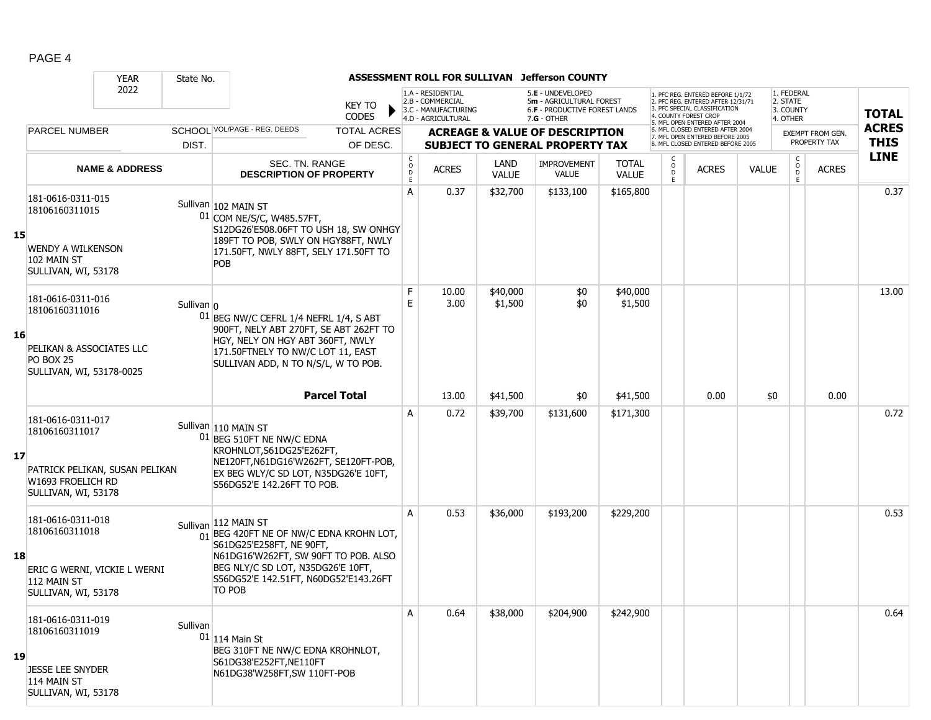|    |                                                                                                                   | <b>YEAR</b>               | State No.    |                                                                                                                                                                                                                                         |                                            | <b>ASSESSMENT ROLL FOR SULLIVAN</b>                                                |                             | <b>Jefferson COUNTY</b>                                                                         |                              |             |                                                                                                                                   |              |                                                 |                  |              |
|----|-------------------------------------------------------------------------------------------------------------------|---------------------------|--------------|-----------------------------------------------------------------------------------------------------------------------------------------------------------------------------------------------------------------------------------------|--------------------------------------------|------------------------------------------------------------------------------------|-----------------------------|-------------------------------------------------------------------------------------------------|------------------------------|-------------|-----------------------------------------------------------------------------------------------------------------------------------|--------------|-------------------------------------------------|------------------|--------------|
|    |                                                                                                                   | 2022                      |              | <b>KEY TO</b><br><b>CODES</b>                                                                                                                                                                                                           |                                            | 1.A - RESIDENTIAL<br>2.B - COMMERCIAL<br>3.C - MANUFACTURING<br>4.D - AGRICULTURAL |                             | 5.E - UNDEVELOPED<br>5m - AGRICULTURAL FOREST<br>6.F - PRODUCTIVE FOREST LANDS<br>$7.G - OTHER$ |                              |             | 1. PFC REG. ENTERED BEFORE 1/1/72<br>2. PFC REG. ENTERED AFTER 12/31/71<br>3. PFC SPECIAL CLASSIFICATION<br>4. COUNTY FOREST CROP |              | 1. FEDERAL<br>2. STATE<br>3. COUNTY<br>4. OTHER |                  | <b>TOTAL</b> |
|    | <b>PARCEL NUMBER</b>                                                                                              |                           |              | SCHOOL VOL/PAGE - REG. DEEDS<br><b>TOTAL ACRES</b>                                                                                                                                                                                      |                                            |                                                                                    |                             | <b>ACREAGE &amp; VALUE OF DESCRIPTION</b>                                                       |                              |             | 5. MFL OPEN ENTERED AFTER 2004<br>6. MFL CLOSED ENTERED AFTER 2004                                                                |              |                                                 | EXEMPT FROM GEN. | <b>ACRES</b> |
|    |                                                                                                                   |                           | DIST.        | OF DESC.                                                                                                                                                                                                                                |                                            |                                                                                    |                             | <b>SUBJECT TO GENERAL PROPERTY TAX</b>                                                          |                              |             | 7. MFL OPEN ENTERED BEFORE 2005<br>8. MFL CLOSED ENTERED BEFORE 2005                                                              |              |                                                 | PROPERTY TAX     | <b>THIS</b>  |
|    |                                                                                                                   | <b>NAME &amp; ADDRESS</b> |              | SEC. TN. RANGE<br><b>DESCRIPTION OF PROPERTY</b>                                                                                                                                                                                        | $\begin{array}{c} C \\ 0 \\ E \end{array}$ | <b>ACRES</b>                                                                       | <b>LAND</b><br><b>VALUE</b> | <b>IMPROVEMENT</b><br>VALUE                                                                     | <b>TOTAL</b><br><b>VALUE</b> | 0<br>D<br>E | <b>ACRES</b>                                                                                                                      | <b>VALUE</b> | $\mathsf{C}$<br>$\circ$<br>D<br>E               | <b>ACRES</b>     | <b>LINE</b>  |
| 15 | 181-0616-0311-015<br>18106160311015<br><b>WENDY A WILKENSON</b><br>102 MAIN ST<br>SULLIVAN, WI, 53178             |                           |              | Sullivan 102 MAIN ST<br>01 COM NE/S/C, W485.57FT,<br>S12DG26'E508.06FT TO USH 18, SW ONHGY<br>189FT TO POB, SWLY ON HGY88FT, NWLY<br>171.50FT, NWLY 88FT, SELY 171.50FT TO<br>POB                                                       | A                                          | 0.37                                                                               | \$32,700                    | \$133,100                                                                                       | \$165,800                    |             |                                                                                                                                   |              |                                                 |                  | 0.37         |
| 16 | 181-0616-0311-016<br>18106160311016<br>PELIKAN & ASSOCIATES LLC<br><b>PO BOX 25</b><br>SULLIVAN, WI, 53178-0025   |                           | Sullivan $0$ | 01 BEG NW/C CEFRL 1/4 NEFRL 1/4, S ABT<br>900FT, NELY ABT 270FT, SE ABT 262FT TO<br>HGY, NELY ON HGY ABT 360FT, NWLY<br>171.50FTNELY TO NW/C LOT 11, EAST<br>SULLIVAN ADD, N TO N/S/L, W TO POB.                                        | F<br>E                                     | 10.00<br>3.00                                                                      | \$40,000<br>\$1,500         | \$0<br>\$0                                                                                      | \$40,000<br>\$1,500          |             |                                                                                                                                   |              |                                                 |                  | 13.00        |
|    |                                                                                                                   |                           |              | <b>Parcel Total</b>                                                                                                                                                                                                                     |                                            | 13.00                                                                              | \$41,500                    | \$0                                                                                             | \$41,500                     |             | 0.00                                                                                                                              | \$0          |                                                 | 0.00             |              |
| 17 | 181-0616-0311-017<br>18106160311017<br>PATRICK PELIKAN, SUSAN PELIKAN<br>W1693 FROELICH RD<br>SULLIVAN, WI, 53178 |                           |              | Sullivan 110 MAIN ST<br>01 BEG 510FT NE NW/C EDNA<br>KROHNLOT, S61DG25'E262FT,<br>NE120FT, N61DG16'W262FT, SE120FT-POB,<br>EX BEG WLY/C SD LOT, N35DG26'E 10FT,<br>S56DG52'E 142.26FT TO POB.                                           | A                                          | 0.72                                                                               | \$39,700                    | \$131,600                                                                                       | \$171,300                    |             |                                                                                                                                   |              |                                                 |                  | 0.72         |
| 18 | 181-0616-0311-018<br>18106160311018<br>ERIC G WERNI, VICKIE L WERNI<br>112 MAIN ST<br>SULLIVAN, WI, 53178         |                           |              | Sullivan 112 MAIN ST<br>$\frac{1}{01}$ BEG 420FT NE OF NW/C EDNA KROHN LOT,<br>S61DG25'E258FT, NE 90FT,<br>N61DG16'W262FT, SW 90FT TO POB. ALSO<br>BEG NLY/C SD LOT, N35DG26'E 10FT,<br>S56DG52'E 142.51FT, N60DG52'E143.26FT<br>TO POB | A                                          | 0.53                                                                               | \$36,000                    | \$193,200                                                                                       | \$229,200                    |             |                                                                                                                                   |              |                                                 |                  | 0.53         |
| 19 | 181-0616-0311-019<br>18106160311019<br><b>JESSE LEE SNYDER</b><br>114 MAIN ST<br>SULLIVAN, WI, 53178              |                           | Sullivan     | $01$ 114 Main St<br>BEG 310FT NE NW/C EDNA KROHNLOT,<br>S61DG38'E252FT, NE110FT<br>N61DG38'W258FT, SW 110FT-POB                                                                                                                         | Α                                          | 0.64                                                                               | \$38,000                    | \$204,900                                                                                       | \$242,900                    |             |                                                                                                                                   |              |                                                 |                  | 0.64         |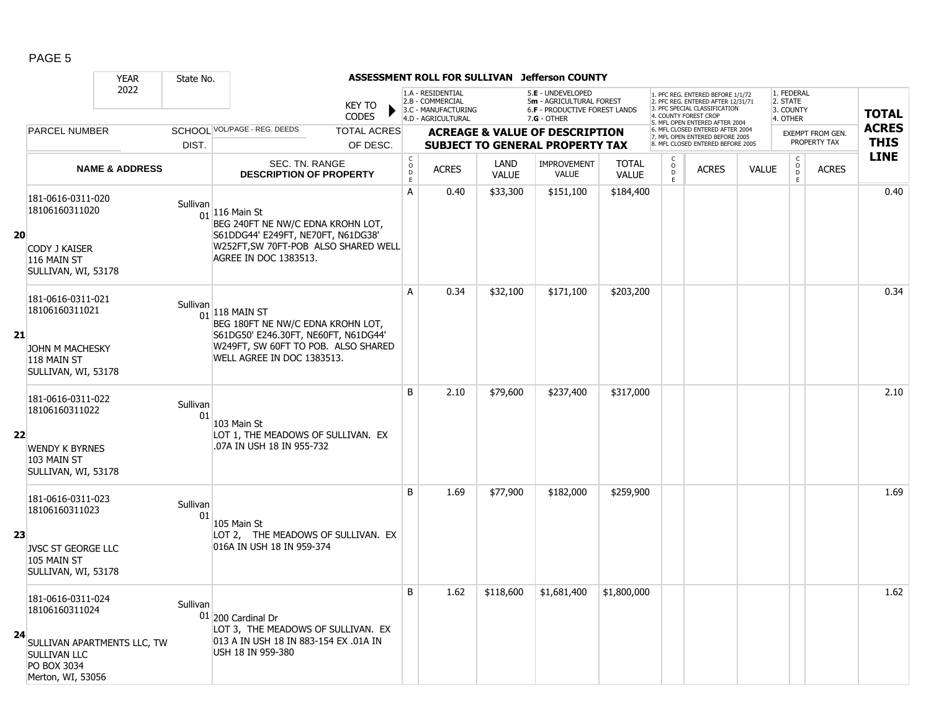|    |                                                                                                        | <b>YEAR</b>                 | State No.      |                                                                                                                                                                    |                                                                                    |                      | ASSESSMENT ROLL FOR SULLIVAN Jefferson COUNTY                                                        |                       |                             |                                                                                                                                  |              |                                                          |                  |              |
|----|--------------------------------------------------------------------------------------------------------|-----------------------------|----------------|--------------------------------------------------------------------------------------------------------------------------------------------------------------------|------------------------------------------------------------------------------------|----------------------|------------------------------------------------------------------------------------------------------|-----------------------|-----------------------------|----------------------------------------------------------------------------------------------------------------------------------|--------------|----------------------------------------------------------|------------------|--------------|
|    |                                                                                                        | 2022                        |                | <b>KEY TO</b><br><b>CODES</b>                                                                                                                                      | 1.A - RESIDENTIAL<br>2.B - COMMERCIAL<br>3.C - MANUFACTURING<br>4.D - AGRICULTURAL |                      | 5.E - UNDEVELOPED<br>5m - AGRICULTURAL FOREST<br><b>6.F - PRODUCTIVE FOREST LANDS</b><br>7.G - OTHER |                       |                             | . PFC REG. ENTERED BEFORE 1/1/72<br>2. PFC REG. ENTERED AFTER 12/31/71<br>3. PFC SPECIAL CLASSIFICATION<br>4. COUNTY FOREST CROP |              | 1. FEDERAL<br>2. STATE<br>3. COUNTY<br>4. OTHER          |                  | <b>TOTAL</b> |
|    | PARCEL NUMBER                                                                                          |                             |                | SCHOOL VOL/PAGE - REG. DEEDS<br><b>TOTAL ACRES</b>                                                                                                                 |                                                                                    |                      | <b>ACREAGE &amp; VALUE OF DESCRIPTION</b>                                                            |                       |                             | 5. MFL OPEN ENTERED AFTER 2004<br>6. MFL CLOSED ENTERED AFTER 2004<br>7. MFL OPEN ENTERED BEFORE 2005                            |              |                                                          | EXEMPT FROM GEN. | <b>ACRES</b> |
|    |                                                                                                        |                             | DIST.          | OF DESC.                                                                                                                                                           |                                                                                    |                      | <b>SUBJECT TO GENERAL PROPERTY TAX</b>                                                               |                       |                             | 8. MFL CLOSED ENTERED BEFORE 2005                                                                                                |              |                                                          | PROPERTY TAX     | <b>THIS</b>  |
|    |                                                                                                        | <b>NAME &amp; ADDRESS</b>   |                | SEC. TN. RANGE<br><b>DESCRIPTION OF PROPERTY</b>                                                                                                                   | $\begin{array}{c} C \\ O \\ E \end{array}$<br><b>ACRES</b>                         | LAND<br><b>VALUE</b> | <b>IMPROVEMENT</b><br><b>VALUE</b>                                                                   | <b>TOTAL</b><br>VALUE | C<br>$\mathsf{o}$<br>D<br>E | <b>ACRES</b>                                                                                                                     | <b>VALUE</b> | $\begin{matrix} 0 \\ 0 \\ D \end{matrix}$<br>$\mathsf E$ | <b>ACRES</b>     | <b>LINE</b>  |
| 20 | 181-0616-0311-020<br>18106160311020<br>CODY J KAISER<br>116 MAIN ST<br>SULLIVAN, WI, 53178             |                             | Sullivan       | $01$ 116 Main St<br>BEG 240FT NE NW/C EDNA KROHN LOT,<br>S61DDG44' E249FT, NE70FT, N61DG38'<br>W252FT, SW 70FT-POB ALSO SHARED WELL<br>AGREE IN DOC 1383513.       | A<br>0.40                                                                          | \$33,300             | \$151,100                                                                                            | \$184,400             |                             |                                                                                                                                  |              |                                                          |                  | 0.40         |
| 21 | 181-0616-0311-021<br>18106160311021<br>JOHN M MACHESKY<br>118 MAIN ST<br>SULLIVAN, WI, 53178           |                             | Sullivan       | $01$ 118 MAIN ST<br>BEG 180FT NE NW/C EDNA KROHN LOT,<br>S61DG50' E246.30FT, NE60FT, N61DG44'<br>W249FT, SW 60FT TO POB. ALSO SHARED<br>WELL AGREE IN DOC 1383513. | A<br>0.34                                                                          | \$32,100             | \$171,100                                                                                            | \$203,200             |                             |                                                                                                                                  |              |                                                          |                  | 0.34         |
| 22 | 181-0616-0311-022<br>18106160311022<br><b>WENDY K BYRNES</b><br>103 MAIN ST<br>SULLIVAN, WI, 53178     |                             | Sullivan<br>01 | 103 Main St<br>LOT 1, THE MEADOWS OF SULLIVAN. EX<br>.07A IN USH 18 IN 955-732                                                                                     | B<br>2.10                                                                          | \$79,600             | \$237,400                                                                                            | \$317,000             |                             |                                                                                                                                  |              |                                                          |                  | 2.10         |
| 23 | 181-0616-0311-023<br>18106160311023<br><b>JVSC ST GEORGE LLC</b><br>105 MAIN ST<br>SULLIVAN, WI, 53178 |                             | Sullivan<br>01 | 105 Main St<br>LOT 2, THE MEADOWS OF SULLIVAN. EX<br>016A IN USH 18 IN 959-374                                                                                     | B<br>1.69                                                                          | \$77,900             | \$182,000                                                                                            | \$259,900             |                             |                                                                                                                                  |              |                                                          |                  | 1.69         |
| 24 | 181-0616-0311-024<br>18106160311024<br><b>SULLIVAN LLC</b><br>PO BOX 3034<br>Merton, WI, 53056         | SULLIVAN APARTMENTS LLC, TW | Sullivan       | 01 200 Cardinal Dr<br>LOT 3, THE MEADOWS OF SULLIVAN. EX<br>013 A IN USH 18 IN 883-154 EX .01A IN<br>USH 18 IN 959-380                                             | B<br>1.62                                                                          | \$118,600            | \$1,681,400                                                                                          | \$1,800,000           |                             |                                                                                                                                  |              |                                                          |                  | 1.62         |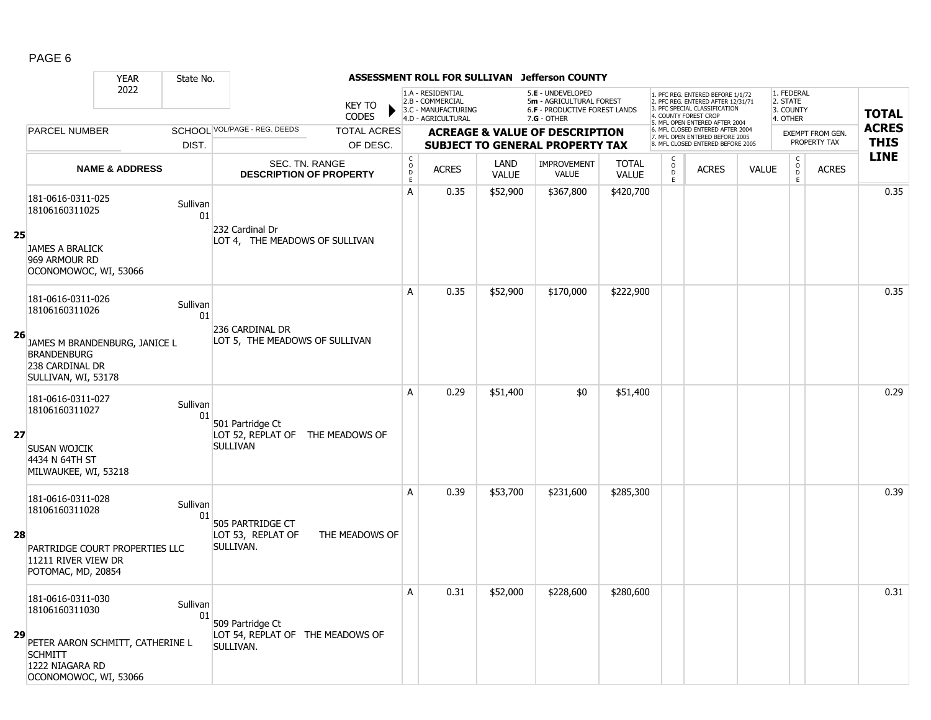|    |                                                                                                | <b>YEAR</b>               | State No.      |                                                                         |                               |                                                |                                                                                    |                      | ASSESSMENT ROLL FOR SULLIVAN Jefferson COUNTY                                                        |                              |                                       |                                                                                                                                                                    |              |                                                 |                         |              |
|----|------------------------------------------------------------------------------------------------|---------------------------|----------------|-------------------------------------------------------------------------|-------------------------------|------------------------------------------------|------------------------------------------------------------------------------------|----------------------|------------------------------------------------------------------------------------------------------|------------------------------|---------------------------------------|--------------------------------------------------------------------------------------------------------------------------------------------------------------------|--------------|-------------------------------------------------|-------------------------|--------------|
|    |                                                                                                | 2022                      |                |                                                                         | <b>KEY TO</b><br><b>CODES</b> |                                                | 1.A - RESIDENTIAL<br>2.B - COMMERCIAL<br>3.C - MANUFACTURING<br>4.D - AGRICULTURAL |                      | 5.E - UNDEVELOPED<br>5m - AGRICULTURAL FOREST<br><b>6.F - PRODUCTIVE FOREST LANDS</b><br>7.G - OTHER |                              |                                       | . PFC REG. ENTERED BEFORE 1/1/72<br>2. PFC REG. ENTERED AFTER 12/31/71<br>3. PFC SPECIAL CLASSIFICATION<br>4. COUNTY FOREST CROP<br>5. MFL OPEN ENTERED AFTER 2004 |              | 1. FEDERAL<br>2. STATE<br>3. COUNTY<br>4. OTHER |                         | <b>TOTAL</b> |
|    | <b>PARCEL NUMBER</b>                                                                           |                           |                | SCHOOL VOL/PAGE - REG. DEEDS                                            | <b>TOTAL ACRES</b>            |                                                |                                                                                    |                      | <b>ACREAGE &amp; VALUE OF DESCRIPTION</b>                                                            |                              |                                       | 6. MFL CLOSED ENTERED AFTER 2004<br>7. MFL OPEN ENTERED BEFORE 2005                                                                                                |              |                                                 | <b>EXEMPT FROM GEN.</b> | <b>ACRES</b> |
|    |                                                                                                |                           | DIST.          |                                                                         | OF DESC.                      |                                                |                                                                                    |                      | <b>SUBJECT TO GENERAL PROPERTY TAX</b>                                                               |                              |                                       | 8 MFL CLOSED ENTERED BEFORE 2005                                                                                                                                   |              |                                                 | PROPERTY TAX            | <b>THIS</b>  |
|    |                                                                                                | <b>NAME &amp; ADDRESS</b> |                | SEC. TN. RANGE<br><b>DESCRIPTION OF PROPERTY</b>                        |                               | $\begin{matrix} C \\ O \\ D \end{matrix}$<br>E | <b>ACRES</b>                                                                       | LAND<br><b>VALUE</b> | <b>IMPROVEMENT</b><br><b>VALUE</b>                                                                   | <b>TOTAL</b><br><b>VALUE</b> | C<br>$\mathsf{o}\,$<br>D<br>$\bar{E}$ | <b>ACRES</b>                                                                                                                                                       | <b>VALUE</b> | $\rm _o^C$<br>D<br>E                            | <b>ACRES</b>            | <b>LINE</b>  |
|    | 181-0616-0311-025<br>18106160311025                                                            |                           | Sullivan<br>01 |                                                                         |                               | A                                              | 0.35                                                                               | \$52,900             | \$367,800                                                                                            | \$420,700                    |                                       |                                                                                                                                                                    |              |                                                 |                         | 0.35         |
| 25 | <b>JAMES A BRALICK</b><br>969 ARMOUR RD<br>OCONOMOWOC, WI, 53066                               |                           |                | 232 Cardinal Dr<br>LOT 4, THE MEADOWS OF SULLIVAN                       |                               |                                                |                                                                                    |                      |                                                                                                      |                              |                                       |                                                                                                                                                                    |              |                                                 |                         |              |
|    | 181-0616-0311-026<br>18106160311026                                                            |                           | Sullivan<br>01 |                                                                         |                               | A                                              | 0.35                                                                               | \$52,900             | \$170,000                                                                                            | \$222,900                    |                                       |                                                                                                                                                                    |              |                                                 |                         | 0.35         |
| 26 | JAMES M BRANDENBURG, JANICE L<br><b>BRANDENBURG</b><br>238 CARDINAL DR<br>SULLIVAN, WI, 53178  |                           |                | 236 CARDINAL DR<br>LOT 5, THE MEADOWS OF SULLIVAN                       |                               |                                                |                                                                                    |                      |                                                                                                      |                              |                                       |                                                                                                                                                                    |              |                                                 |                         |              |
|    | 181-0616-0311-027<br>18106160311027                                                            |                           | Sullivan<br>01 |                                                                         |                               | A                                              | 0.29                                                                               | \$51,400             | \$0                                                                                                  | \$51,400                     |                                       |                                                                                                                                                                    |              |                                                 |                         | 0.29         |
| 27 | SUSAN WOJCIK<br>4434 N 64TH ST<br>MILWAUKEE, WI, 53218                                         |                           |                | 501 Partridge Ct<br>LOT 52, REPLAT OF THE MEADOWS OF<br><b>SULLIVAN</b> |                               |                                                |                                                                                    |                      |                                                                                                      |                              |                                       |                                                                                                                                                                    |              |                                                 |                         |              |
|    | 181-0616-0311-028<br>18106160311028                                                            |                           | Sullivan<br>01 | 505 PARTRIDGE CT                                                        |                               | А                                              | 0.39                                                                               | \$53,700             | \$231,600                                                                                            | \$285,300                    |                                       |                                                                                                                                                                    |              |                                                 |                         | 0.39         |
| 28 | PARTRIDGE COURT PROPERTIES LLC<br>11211 RIVER VIEW DR<br>POTOMAC, MD, 20854                    |                           |                | LOT 53, REPLAT OF<br>SULLIVAN.                                          | THE MEADOWS OF                |                                                |                                                                                    |                      |                                                                                                      |                              |                                       |                                                                                                                                                                    |              |                                                 |                         |              |
|    | 181-0616-0311-030<br>18106160311030                                                            |                           | Sullivan<br>01 | 509 Partridge Ct                                                        |                               | A                                              | 0.31                                                                               | \$52,000             | \$228,600                                                                                            | \$280,600                    |                                       |                                                                                                                                                                    |              |                                                 |                         | 0.31         |
| 29 | PETER AARON SCHMITT, CATHERINE L<br><b>SCHMITT</b><br>1222 NIAGARA RD<br>OCONOMOWOC, WI, 53066 |                           |                | LOT 54, REPLAT OF THE MEADOWS OF<br>SULLIVAN.                           |                               |                                                |                                                                                    |                      |                                                                                                      |                              |                                       |                                                                                                                                                                    |              |                                                 |                         |              |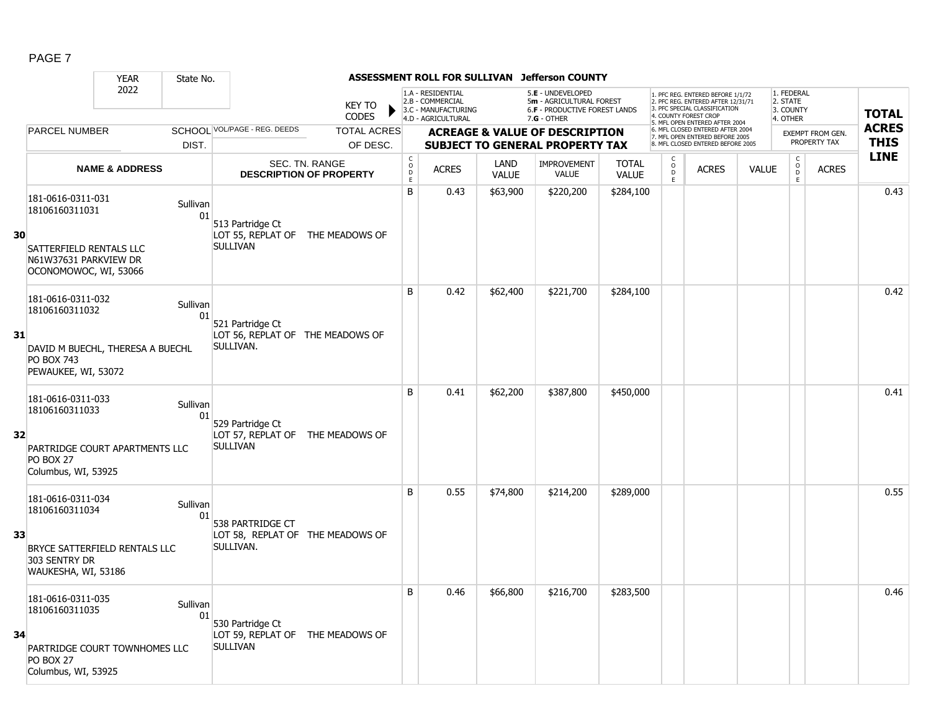|    |                                                                                                                     | <b>YEAR</b>               | State No.      |                                                                         |                                                  |                                |                                                                                    |                      | ASSESSMENT ROLL FOR SULLIVAN Jefferson COUNTY                                                        |                              |                                              |                                                                                                                                                                    |              |                                                          |                         |                            |
|----|---------------------------------------------------------------------------------------------------------------------|---------------------------|----------------|-------------------------------------------------------------------------|--------------------------------------------------|--------------------------------|------------------------------------------------------------------------------------|----------------------|------------------------------------------------------------------------------------------------------|------------------------------|----------------------------------------------|--------------------------------------------------------------------------------------------------------------------------------------------------------------------|--------------|----------------------------------------------------------|-------------------------|----------------------------|
|    |                                                                                                                     | 2022                      |                |                                                                         | <b>KEY TO</b><br><b>CODES</b>                    |                                | 1.A - RESIDENTIAL<br>2.B - COMMERCIAL<br>3.C - MANUFACTURING<br>4.D - AGRICULTURAL |                      | 5.E - UNDEVELOPED<br>5m - AGRICULTURAL FOREST<br><b>6.F - PRODUCTIVE FOREST LANDS</b><br>7.G - OTHER |                              |                                              | 1. PFC REG. ENTERED BEFORE 1/1/72<br>2. PFC REG. ENTERED AFTER 12/31/71<br>3 PEC SPECIAL CLASSIFICATION<br>4. COUNTY FOREST CROF<br>5. MFL OPEN ENTERED AFTER 2004 |              | 1. FEDERAL<br>2. STATE<br>3. COUNTY<br>4. OTHER          |                         | <b>TOTAL</b>               |
|    | <b>PARCEL NUMBER</b>                                                                                                |                           |                | SCHOOL VOL/PAGE - REG. DEEDS                                            | <b>TOTAL ACRES</b>                               |                                |                                                                                    |                      | <b>ACREAGE &amp; VALUE OF DESCRIPTION</b>                                                            |                              |                                              | 6. MFL CLOSED ENTERED AFTER 2004<br>7. MFL OPEN ENTERED BEFORE 2005                                                                                                |              |                                                          | <b>EXEMPT FROM GEN.</b> | <b>ACRES</b>               |
|    |                                                                                                                     |                           | DIST.          |                                                                         | OF DESC.                                         |                                |                                                                                    |                      | <b>SUBJECT TO GENERAL PROPERTY TAX</b>                                                               |                              |                                              | <b>B. MFL CLOSED ENTERED BEFORE 2005</b>                                                                                                                           |              |                                                          | PROPERTY TAX            | <b>THIS</b><br><b>LINE</b> |
|    |                                                                                                                     | <b>NAME &amp; ADDRESS</b> |                |                                                                         | SEC. TN. RANGE<br><b>DESCRIPTION OF PROPERTY</b> | $\rm _o^C$<br>$\mathsf D$<br>E | <b>ACRES</b>                                                                       | LAND<br><b>VALUE</b> | <b>IMPROVEMENT</b><br><b>VALUE</b>                                                                   | <b>TOTAL</b><br><b>VALUE</b> | $\begin{array}{c}\n0 \\ 0 \\ E\n\end{array}$ | <b>ACRES</b>                                                                                                                                                       | <b>VALUE</b> | $\begin{matrix} 0 \\ 0 \\ D \end{matrix}$<br>$\mathsf E$ | <b>ACRES</b>            |                            |
| 30 | 181-0616-0311-031<br>18106160311031<br>SATTERFIELD RENTALS LLC<br>N61W37631 PARKVIEW DR<br>OCONOMOWOC, WI, 53066    |                           | Sullivan<br>01 | 513 Partridge Ct<br>LOT 55, REPLAT OF THE MEADOWS OF<br><b>SULLIVAN</b> |                                                  | $\overline{B}$                 | 0.43                                                                               | \$63,900             | \$220,200                                                                                            | \$284,100                    |                                              |                                                                                                                                                                    |              |                                                          |                         | 0.43                       |
| 31 | 181-0616-0311-032<br>18106160311032<br>DAVID M BUECHL, THERESA A BUECHL<br><b>PO BOX 743</b><br>PEWAUKEE, WI, 53072 |                           | Sullivan<br>01 | 521 Partridge Ct<br>LOT 56, REPLAT OF THE MEADOWS OF<br>SULLIVAN.       |                                                  | B                              | 0.42                                                                               | \$62,400             | \$221,700                                                                                            | \$284,100                    |                                              |                                                                                                                                                                    |              |                                                          |                         | 0.42                       |
| 32 | 181-0616-0311-033<br>18106160311033<br>PARTRIDGE COURT APARTMENTS LLC<br><b>PO BOX 27</b><br>Columbus, WI, 53925    |                           | Sullivan<br>01 | 529 Partridge Ct<br>LOT 57, REPLAT OF THE MEADOWS OF<br><b>SULLIVAN</b> |                                                  | B                              | 0.41                                                                               | \$62,200             | \$387,800                                                                                            | \$450,000                    |                                              |                                                                                                                                                                    |              |                                                          |                         | 0.41                       |
| 33 | 181-0616-0311-034<br>18106160311034<br>BRYCE SATTERFIELD RENTALS LLC<br>303 SENTRY DR<br>WAUKESHA, WI, 53186        |                           | Sullivan<br>01 | 538 PARTRIDGE CT<br>LOT 58, REPLAT OF THE MEADOWS OF<br>SULLIVAN.       |                                                  | B                              | 0.55                                                                               | \$74,800             | \$214,200                                                                                            | \$289,000                    |                                              |                                                                                                                                                                    |              |                                                          |                         | 0.55                       |
| 34 | 181-0616-0311-035<br>18106160311035<br>PARTRIDGE COURT TOWNHOMES LLC<br><b>PO BOX 27</b><br>Columbus, WI, 53925     |                           | Sullivan<br>01 | 530 Partridge Ct<br>LOT 59, REPLAT OF THE MEADOWS OF<br><b>SULLIVAN</b> |                                                  | B                              | 0.46                                                                               | \$66,800             | \$216,700                                                                                            | \$283,500                    |                                              |                                                                                                                                                                    |              |                                                          |                         | 0.46                       |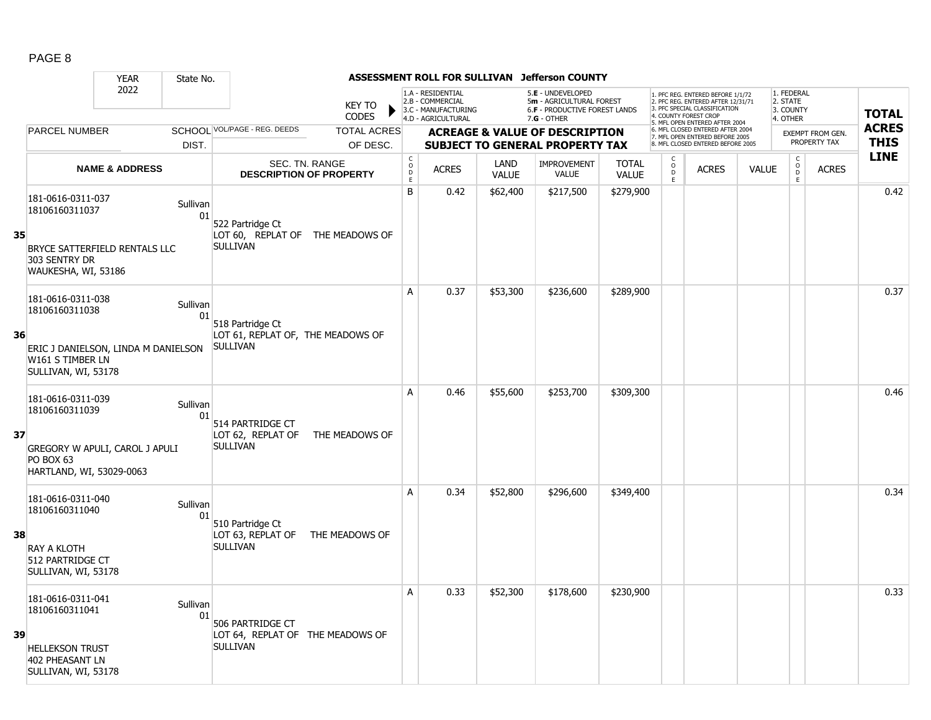|    |                                                                                | <b>YEAR</b>               | State No.      |                                                      |                               |                                            | <b>ASSESSMENT ROLL FOR SULLIVAN</b>                                                |                      | <b>Jefferson COUNTY</b>                                                                         |                              |                                                 |                                                                                                                                   |              |                                                 |                         |              |
|----|--------------------------------------------------------------------------------|---------------------------|----------------|------------------------------------------------------|-------------------------------|--------------------------------------------|------------------------------------------------------------------------------------|----------------------|-------------------------------------------------------------------------------------------------|------------------------------|-------------------------------------------------|-----------------------------------------------------------------------------------------------------------------------------------|--------------|-------------------------------------------------|-------------------------|--------------|
|    |                                                                                | 2022                      |                |                                                      | <b>KEY TO</b><br><b>CODES</b> |                                            | 1.A - RESIDENTIAL<br>2.B - COMMERCIAL<br>3.C - MANUFACTURING<br>4.D - AGRICULTURAL |                      | 5.E - UNDEVELOPED<br>5m - AGRICULTURAL FOREST<br>6.F - PRODUCTIVE FOREST LANDS<br>$7.G - OTHER$ |                              |                                                 | 1. PFC REG. ENTERED BEFORE 1/1/72<br>2. PFC REG. ENTERED AFTER 12/31/71<br>3. PFC SPECIAL CLASSIFICATION<br>4. COUNTY FOREST CROP |              | 1. FEDERAL<br>2. STATE<br>3. COUNTY<br>4. OTHER |                         | <b>TOTAL</b> |
|    | <b>PARCEL NUMBER</b>                                                           |                           |                | SCHOOL VOL/PAGE - REG. DEEDS                         | <b>TOTAL ACRES</b>            |                                            |                                                                                    |                      | <b>ACREAGE &amp; VALUE OF DESCRIPTION</b>                                                       |                              |                                                 | 5. MFL OPEN ENTERED AFTER 2004<br>6. MFL CLOSED ENTERED AFTER 2004<br>7. MFL OPEN ENTERED BEFORE 2005                             |              |                                                 | <b>EXEMPT FROM GEN.</b> | <b>ACRES</b> |
|    |                                                                                |                           | DIST.          |                                                      | OF DESC.                      |                                            |                                                                                    |                      | <b>SUBJECT TO GENERAL PROPERTY TAX</b>                                                          |                              |                                                 | 8 MFL CLOSED ENTERED BEFORE 2005                                                                                                  |              |                                                 | PROPERTY TAX            | <b>THIS</b>  |
|    |                                                                                | <b>NAME &amp; ADDRESS</b> |                | SEC. TN. RANGE<br><b>DESCRIPTION OF PROPERTY</b>     |                               | $\begin{array}{c} C \\ O \\ E \end{array}$ | <b>ACRES</b>                                                                       | LAND<br><b>VALUE</b> | <b>IMPROVEMENT</b><br>VALUE                                                                     | <b>TOTAL</b><br><b>VALUE</b> | $\begin{matrix} 0 \\ 0 \\ 0 \end{matrix}$<br>Ē. | <b>ACRES</b>                                                                                                                      | <b>VALUE</b> | $\mathsf{C}$<br>$\mathsf{O}$<br>D<br>E.         | <b>ACRES</b>            | <b>LINE</b>  |
|    | 181-0616-0311-037<br>18106160311037                                            |                           | Sullivan<br>01 | 522 Partridge Ct                                     |                               | B                                          | 0.42                                                                               | \$62,400             | \$217,500                                                                                       | \$279,900                    |                                                 |                                                                                                                                   |              |                                                 |                         | 0.42         |
| 35 | BRYCE SATTERFIELD RENTALS LLC<br>303 SENTRY DR<br>WAUKESHA, WI, 53186          |                           |                | LOT 60, REPLAT OF THE MEADOWS OF<br><b>SULLIVAN</b>  |                               |                                            |                                                                                    |                      |                                                                                                 |                              |                                                 |                                                                                                                                   |              |                                                 |                         |              |
|    | 181-0616-0311-038<br>18106160311038                                            |                           | Sullivan<br>01 | 518 Partridge Ct                                     |                               | A                                          | 0.37                                                                               | \$53,300             | \$236,600                                                                                       | \$289,900                    |                                                 |                                                                                                                                   |              |                                                 |                         | 0.37         |
| 36 | ERIC J DANIELSON, LINDA M DANIELSON<br>W161 S TIMBER LN<br>SULLIVAN, WI, 53178 |                           |                | LOT 61, REPLAT OF, THE MEADOWS OF<br><b>SULLIVAN</b> |                               |                                            |                                                                                    |                      |                                                                                                 |                              |                                                 |                                                                                                                                   |              |                                                 |                         |              |
|    | 181-0616-0311-039<br>18106160311039                                            |                           | Sullivan<br>01 | 514 PARTRIDGE CT                                     |                               | A                                          | 0.46                                                                               | \$55,600             | \$253,700                                                                                       | \$309,300                    |                                                 |                                                                                                                                   |              |                                                 |                         | 0.46         |
| 37 | GREGORY W APULI, CAROL J APULI<br>PO BOX 63<br>HARTLAND, WI, 53029-0063        |                           |                | LOT 62, REPLAT OF<br><b>SULLIVAN</b>                 | THE MEADOWS OF                |                                            |                                                                                    |                      |                                                                                                 |                              |                                                 |                                                                                                                                   |              |                                                 |                         |              |
|    | 181-0616-0311-040<br>18106160311040                                            |                           | Sullivan<br>01 | 510 Partridge Ct                                     |                               | A                                          | 0.34                                                                               | \$52,800             | \$296,600                                                                                       | \$349,400                    |                                                 |                                                                                                                                   |              |                                                 |                         | 0.34         |
| 38 | <b>RAY A KLOTH</b><br>512 PARTRIDGE CT<br>SULLIVAN, WI, 53178                  |                           |                | LOT 63, REPLAT OF<br><b>SULLIVAN</b>                 | THE MEADOWS OF                |                                            |                                                                                    |                      |                                                                                                 |                              |                                                 |                                                                                                                                   |              |                                                 |                         |              |
|    | 181-0616-0311-041<br>18106160311041                                            |                           | Sullivan<br>01 | 506 PARTRIDGE CT                                     |                               | А                                          | 0.33                                                                               | \$52,300             | \$178,600                                                                                       | \$230,900                    |                                                 |                                                                                                                                   |              |                                                 |                         | 0.33         |
| 39 | <b>HELLEKSON TRUST</b><br>402 PHEASANT LN<br>SULLIVAN, WI, 53178               |                           |                | LOT 64, REPLAT OF THE MEADOWS OF<br><b>SULLIVAN</b>  |                               |                                            |                                                                                    |                      |                                                                                                 |                              |                                                 |                                                                                                                                   |              |                                                 |                         |              |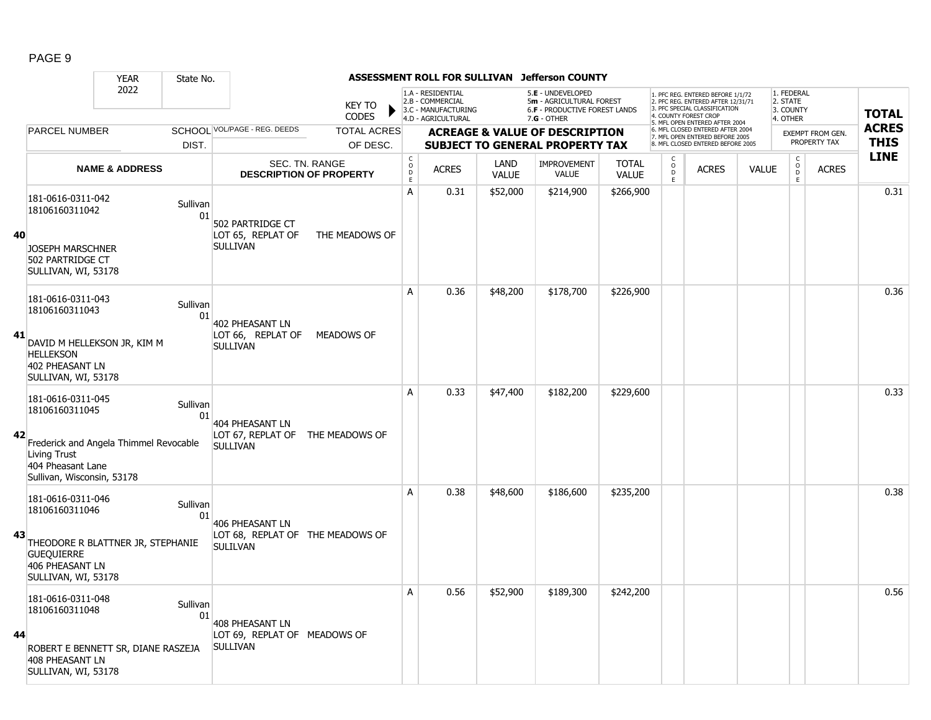|    |                                                                    | <b>YEAR</b>                            | State No.      |                                                     |                                                  |                                            | <b>ASSESSMENT ROLL FOR SULLIVAN</b>                                                |                      | <b>Jefferson COUNTY</b>                                                                         |                              |                          |                                                                                                                                                                     |              |                                                 |                  |              |
|----|--------------------------------------------------------------------|----------------------------------------|----------------|-----------------------------------------------------|--------------------------------------------------|--------------------------------------------|------------------------------------------------------------------------------------|----------------------|-------------------------------------------------------------------------------------------------|------------------------------|--------------------------|---------------------------------------------------------------------------------------------------------------------------------------------------------------------|--------------|-------------------------------------------------|------------------|--------------|
|    |                                                                    | 2022                                   |                |                                                     | <b>KEY TO</b><br><b>CODES</b>                    |                                            | 1.A - RESIDENTIAL<br>2.B - COMMERCIAL<br>3.C - MANUFACTURING<br>4.D - AGRICULTURAL |                      | 5.E - UNDEVELOPED<br>5m - AGRICULTURAL FOREST<br>6.F - PRODUCTIVE FOREST LANDS<br>$7.G - OTHER$ |                              |                          | 1. PFC REG. ENTERED BEFORE 1/1/72<br>2. PFC REG. ENTERED AFTER 12/31/71<br>3. PFC SPECIAL CLASSIFICATION<br>4. COUNTY FOREST CROE<br>5. MFL OPEN ENTERED AFTER 2004 |              | 1. FEDERAL<br>2. STATE<br>3. COUNTY<br>4. OTHER |                  | <b>TOTAL</b> |
|    | <b>PARCEL NUMBER</b>                                               |                                        |                | SCHOOL VOL/PAGE - REG. DEEDS                        | <b>TOTAL ACRES</b>                               |                                            |                                                                                    |                      | <b>ACREAGE &amp; VALUE OF DESCRIPTION</b>                                                       |                              |                          | 6. MFL CLOSED ENTERED AFTER 2004<br>7. MFL OPEN ENTERED BEFORE 2005                                                                                                 |              |                                                 | EXEMPT FROM GEN. | <b>ACRES</b> |
|    |                                                                    |                                        | DIST.          |                                                     | OF DESC.                                         |                                            |                                                                                    |                      | <b>SUBJECT TO GENERAL PROPERTY TAX</b>                                                          |                              |                          | 8. MFL CLOSED ENTERED BEFORE 2005                                                                                                                                   |              |                                                 | PROPERTY TAX     | <b>THIS</b>  |
|    |                                                                    | <b>NAME &amp; ADDRESS</b>              |                |                                                     | SEC. TN. RANGE<br><b>DESCRIPTION OF PROPERTY</b> | $\begin{array}{c} C \\ O \\ E \end{array}$ | <b>ACRES</b>                                                                       | LAND<br><b>VALUE</b> | <b>IMPROVEMENT</b><br>VALUE                                                                     | <b>TOTAL</b><br><b>VALUE</b> | C<br>$\overline{0}$<br>E | <b>ACRES</b>                                                                                                                                                        | <b>VALUE</b> | $\mathsf{C}$<br>$\circ$<br>D<br>E               | <b>ACRES</b>     | <b>LINE</b>  |
|    | 181-0616-0311-042<br>18106160311042                                |                                        | Sullivan<br>01 | 502 PARTRIDGE CT                                    |                                                  | A                                          | 0.31                                                                               | \$52,000             | \$214,900                                                                                       | \$266,900                    |                          |                                                                                                                                                                     |              |                                                 |                  | 0.31         |
| 40 | <b>JOSEPH MARSCHNER</b><br>502 PARTRIDGE CT<br>SULLIVAN, WI, 53178 |                                        |                | LOT 65, REPLAT OF<br><b>SULLIVAN</b>                | THE MEADOWS OF                                   |                                            |                                                                                    |                      |                                                                                                 |                              |                          |                                                                                                                                                                     |              |                                                 |                  |              |
|    | 181-0616-0311-043<br>18106160311043                                |                                        | Sullivan<br>01 | 402 PHEASANT LN                                     |                                                  | A                                          | 0.36                                                                               | \$48,200             | \$178,700                                                                                       | \$226,900                    |                          |                                                                                                                                                                     |              |                                                 |                  | 0.36         |
| 41 | <b>HELLEKSON</b><br>402 PHEASANT LN<br>SULLIVAN, WI, 53178         | DAVID M HELLEKSON JR, KIM M            |                | LOT 66, REPLAT OF<br><b>SULLIVAN</b>                | MEADOWS OF                                       |                                            |                                                                                    |                      |                                                                                                 |                              |                          |                                                                                                                                                                     |              |                                                 |                  |              |
|    | 181-0616-0311-045<br>18106160311045                                |                                        | Sullivan<br>01 | <b>404 PHEASANT LN</b>                              |                                                  | A                                          | 0.33                                                                               | \$47,400             | \$182,200                                                                                       | \$229,600                    |                          |                                                                                                                                                                     |              |                                                 |                  | 0.33         |
| 42 | Living Trust<br>404 Pheasant Lane<br>Sullivan, Wisconsin, 53178    | Frederick and Angela Thimmel Revocable |                | LOT 67, REPLAT OF THE MEADOWS OF<br><b>SULLIVAN</b> |                                                  |                                            |                                                                                    |                      |                                                                                                 |                              |                          |                                                                                                                                                                     |              |                                                 |                  |              |
|    | 181-0616-0311-046<br>18106160311046                                |                                        | Sullivan<br>01 | <b>406 PHEASANT LN</b>                              |                                                  | A                                          | 0.38                                                                               | \$48,600             | \$186,600                                                                                       | \$235,200                    |                          |                                                                                                                                                                     |              |                                                 |                  | 0.38         |
| 43 | <b>GUEQUIERRE</b><br>406 PHEASANT LN<br>SULLIVAN, WI, 53178        | THEODORE R BLATTNER JR, STEPHANIE      |                | LOT 68, REPLAT OF THE MEADOWS OF<br><b>SULILVAN</b> |                                                  |                                            |                                                                                    |                      |                                                                                                 |                              |                          |                                                                                                                                                                     |              |                                                 |                  |              |
| 44 | 181-0616-0311-048<br>18106160311048                                |                                        | Sullivan<br>01 | 408 PHEASANT LN                                     |                                                  | A                                          | 0.56                                                                               | \$52,900             | \$189,300                                                                                       | \$242,200                    |                          |                                                                                                                                                                     |              |                                                 |                  | 0.56         |
|    | 408 PHEASANT LN<br>SULLIVAN, WI, 53178                             | ROBERT E BENNETT SR, DIANE RASZEJA     |                | LOT 69, REPLAT OF MEADOWS OF<br><b>SULLIVAN</b>     |                                                  |                                            |                                                                                    |                      |                                                                                                 |                              |                          |                                                                                                                                                                     |              |                                                 |                  |              |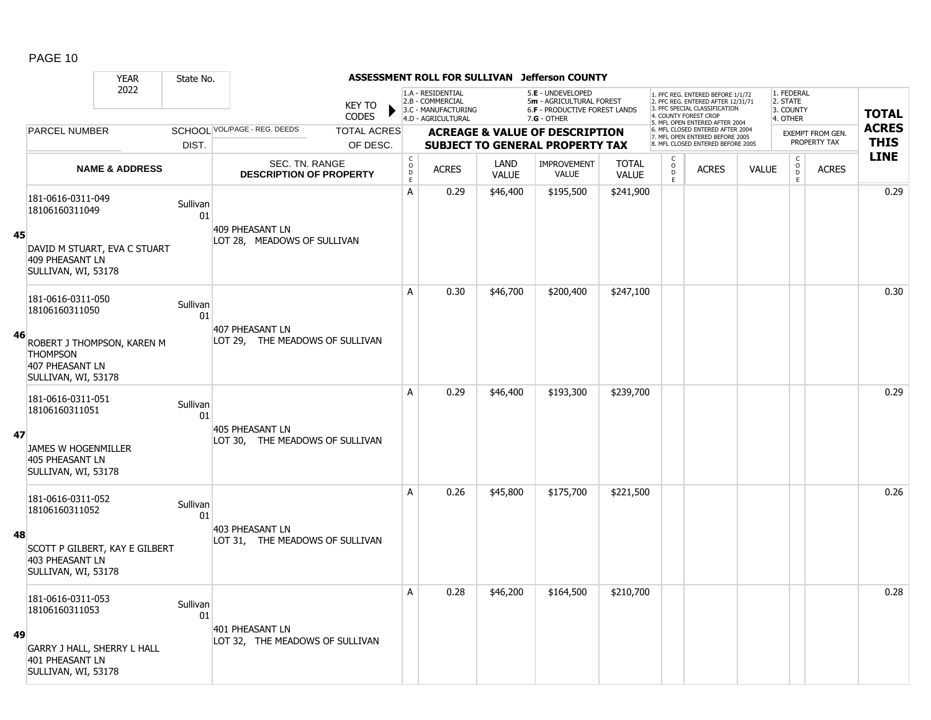|    |                                                                                                | <b>YEAR</b>               | State No.      |                                                    |                               |                                            |                                                                                    |                             | ASSESSMENT ROLL FOR SULLIVAN Jefferson COUNTY                                                          |                              |                          |                                                                                                                                                                     |              |                                                         |                                         |                             |
|----|------------------------------------------------------------------------------------------------|---------------------------|----------------|----------------------------------------------------|-------------------------------|--------------------------------------------|------------------------------------------------------------------------------------|-----------------------------|--------------------------------------------------------------------------------------------------------|------------------------------|--------------------------|---------------------------------------------------------------------------------------------------------------------------------------------------------------------|--------------|---------------------------------------------------------|-----------------------------------------|-----------------------------|
|    |                                                                                                | 2022                      |                |                                                    | <b>KEY TO</b><br><b>CODES</b> |                                            | 1.A - RESIDENTIAL<br>2.B - COMMERCIAL<br>3.C - MANUFACTURING<br>4.D - AGRICULTURAL |                             | 5.E - UNDEVELOPED<br>5m - AGRICULTURAL FOREST<br><b>6.F - PRODUCTIVE FOREST LANDS</b><br>$7.G - OTHER$ |                              |                          | 1. PFC REG. ENTERED BEFORE 1/1/72<br>2. PFC REG. ENTERED AFTER 12/31/71<br>3. PFC SPECIAL CLASSIFICATION<br>4. COUNTY FOREST CROP<br>5. MFL OPEN ENTERED AFTER 2004 |              | 1. FEDERAL<br>2. STATE<br>3. COUNTY<br>4. OTHER         |                                         | <b>TOTAL</b>                |
|    | PARCEL NUMBER                                                                                  |                           |                | SCHOOL VOL/PAGE - REG. DEEDS                       | <b>TOTAL ACRES</b>            |                                            |                                                                                    |                             | <b>ACREAGE &amp; VALUE OF DESCRIPTION</b>                                                              |                              |                          | 6. MFL CLOSED ENTERED AFTER 2004<br>7. MFL OPEN ENTERED BEFORE 2005                                                                                                 |              |                                                         | <b>EXEMPT FROM GEN.</b><br>PROPERTY TAX | <b>ACRES</b><br><b>THIS</b> |
|    |                                                                                                |                           | DIST.          |                                                    | OF DESC.                      |                                            |                                                                                    |                             | <b>SUBJECT TO GENERAL PROPERTY TAX</b>                                                                 |                              |                          | 8. MFL CLOSED ENTERED BEFORE 2005                                                                                                                                   |              |                                                         |                                         | <b>LINE</b>                 |
|    |                                                                                                | <b>NAME &amp; ADDRESS</b> |                | SEC. TN. RANGE<br><b>DESCRIPTION OF PROPERTY</b>   |                               | $\begin{array}{c} C \\ O \\ E \end{array}$ | <b>ACRES</b>                                                                       | <b>LAND</b><br><b>VALUE</b> | <b>IMPROVEMENT</b><br><b>VALUE</b>                                                                     | <b>TOTAL</b><br><b>VALUE</b> | $_{\rm D}^{\rm O}$<br>F. | <b>ACRES</b>                                                                                                                                                        | <b>VALUE</b> | $\begin{smallmatrix} C\\O\\O\\D \end{smallmatrix}$<br>E | <b>ACRES</b>                            |                             |
|    | 181-0616-0311-049<br>18106160311049                                                            |                           | Sullivan<br>01 |                                                    |                               | A                                          | 0.29                                                                               | \$46,400                    | \$195,500                                                                                              | \$241,900                    |                          |                                                                                                                                                                     |              |                                                         |                                         | 0.29                        |
| 45 | DAVID M STUART, EVA C STUART<br>409 PHEASANT LN<br>SULLIVAN, WI, 53178                         |                           |                | 409 PHEASANT LN<br>LOT 28, MEADOWS OF SULLIVAN     |                               |                                            |                                                                                    |                             |                                                                                                        |                              |                          |                                                                                                                                                                     |              |                                                         |                                         |                             |
|    | 181-0616-0311-050<br>18106160311050                                                            |                           | Sullivan<br>01 |                                                    |                               | A                                          | 0.30                                                                               | \$46,700                    | \$200,400                                                                                              | \$247,100                    |                          |                                                                                                                                                                     |              |                                                         |                                         | 0.30                        |
| 46 | ROBERT J THOMPSON, KAREN M<br><b>THOMPSON</b><br><b>407 PHEASANT LN</b><br>SULLIVAN, WI, 53178 |                           |                | 407 PHEASANT LN<br>LOT 29, THE MEADOWS OF SULLIVAN |                               |                                            |                                                                                    |                             |                                                                                                        |                              |                          |                                                                                                                                                                     |              |                                                         |                                         |                             |
|    | 181-0616-0311-051<br>18106160311051                                                            |                           | Sullivan<br>01 |                                                    |                               | A                                          | 0.29                                                                               | \$46,400                    | \$193,300                                                                                              | \$239,700                    |                          |                                                                                                                                                                     |              |                                                         |                                         | 0.29                        |
| 47 | JAMES W HOGENMILLER<br><b>405 PHEASANT LN</b><br>SULLIVAN, WI, 53178                           |                           |                | 405 PHEASANT LN<br>LOT 30, THE MEADOWS OF SULLIVAN |                               |                                            |                                                                                    |                             |                                                                                                        |                              |                          |                                                                                                                                                                     |              |                                                         |                                         |                             |
|    | 181-0616-0311-052<br>18106160311052                                                            |                           | Sullivan<br>01 |                                                    |                               | A                                          | 0.26                                                                               | \$45,800                    | \$175,700                                                                                              | \$221,500                    |                          |                                                                                                                                                                     |              |                                                         |                                         | 0.26                        |
| 48 | SCOTT P GILBERT, KAY E GILBERT<br>403 PHEASANT LN<br>SULLIVAN, WI, 53178                       |                           |                | 403 PHEASANT LN<br>LOT 31, THE MEADOWS OF SULLIVAN |                               |                                            |                                                                                    |                             |                                                                                                        |                              |                          |                                                                                                                                                                     |              |                                                         |                                         |                             |
|    | 181-0616-0311-053<br>18106160311053                                                            |                           | Sullivan<br>01 |                                                    |                               | A                                          | 0.28                                                                               | \$46,200                    | \$164,500                                                                                              | \$210,700                    |                          |                                                                                                                                                                     |              |                                                         |                                         | 0.28                        |
| 49 | GARRY J HALL, SHERRY L HALL<br>401 PHEASANT LN<br>SULLIVAN, WI, 53178                          |                           |                | 401 PHEASANT LN<br>LOT 32, THE MEADOWS OF SULLIVAN |                               |                                            |                                                                                    |                             |                                                                                                        |                              |                          |                                                                                                                                                                     |              |                                                         |                                         |                             |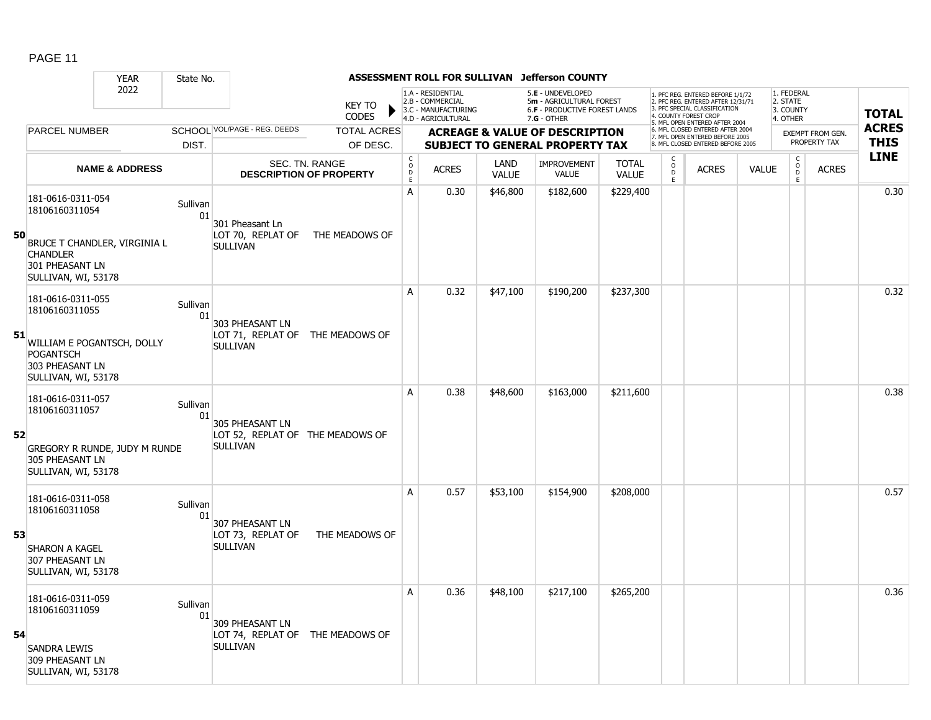|    |                                                                                                                                  | <b>YEAR</b>               | State No.      |                                                                        |                                                  |                                                | ASSESSMENT ROLL FOR SULLIVAN                                                       |                      | <b>Jefferson COUNTY</b>                                                                                |                              |                                          |                                                                                                                                                                    |              |                                                 |                                  |                             |
|----|----------------------------------------------------------------------------------------------------------------------------------|---------------------------|----------------|------------------------------------------------------------------------|--------------------------------------------------|------------------------------------------------|------------------------------------------------------------------------------------|----------------------|--------------------------------------------------------------------------------------------------------|------------------------------|------------------------------------------|--------------------------------------------------------------------------------------------------------------------------------------------------------------------|--------------|-------------------------------------------------|----------------------------------|-----------------------------|
|    |                                                                                                                                  | 2022                      |                |                                                                        | <b>KEY TO</b><br><b>CODES</b>                    |                                                | 1.A - RESIDENTIAL<br>2.B - COMMERCIAL<br>3.C - MANUFACTURING<br>4.D - AGRICULTURAL |                      | 5.E - UNDEVELOPED<br>5m - AGRICULTURAL FOREST<br><b>6.F - PRODUCTIVE FOREST LANDS</b><br>$7.G - OTHER$ |                              |                                          | 1. PFC REG. ENTERED BEFORE 1/1/72<br>2. PFC REG. ENTERED AFTER 12/31/71<br>3 PEC SPECIAL CLASSIFICATION<br>4. COUNTY FOREST CROP<br>5. MFL OPEN ENTERED AFTER 2004 |              | 1. FEDERAL<br>2. STATE<br>3. COUNTY<br>4. OTHER |                                  | <b>TOTAL</b>                |
|    | <b>PARCEL NUMBER</b>                                                                                                             |                           | DIST.          | SCHOOL VOL/PAGE - REG. DEEDS                                           | <b>TOTAL ACRES</b><br>OF DESC.                   |                                                |                                                                                    |                      | <b>ACREAGE &amp; VALUE OF DESCRIPTION</b><br><b>SUBJECT TO GENERAL PROPERTY TAX</b>                    |                              |                                          | 6. MFL CLOSED ENTERED AFTER 2004<br>7. MFL OPEN ENTERED BEFORE 2005<br>8. MFL CLOSED ENTERED BEFORE 2005                                                           |              |                                                 | EXEMPT FROM GEN.<br>PROPERTY TAX | <b>ACRES</b><br><b>THIS</b> |
|    |                                                                                                                                  | <b>NAME &amp; ADDRESS</b> |                |                                                                        | SEC. TN. RANGE<br><b>DESCRIPTION OF PROPERTY</b> | $\begin{matrix} 0 \\ 0 \\ D \end{matrix}$<br>E | <b>ACRES</b>                                                                       | LAND<br><b>VALUE</b> | <b>IMPROVEMENT</b><br><b>VALUE</b>                                                                     | <b>TOTAL</b><br><b>VALUE</b> | $\overset{\circ}{\phantom{\circ}}$<br>E. | <b>ACRES</b>                                                                                                                                                       | <b>VALUE</b> | $\mathsf C$<br>$\overline{D}$                   | <b>ACRES</b>                     | <b>LINE</b>                 |
| 50 | 181-0616-0311-054<br>18106160311054<br>BRUCE T CHANDLER, VIRGINIA L<br><b>CHANDLER</b><br>301 PHEASANT LN<br>SULLIVAN, WI, 53178 |                           | Sullivan<br>01 | 301 Pheasant Ln<br>LOT 70, REPLAT OF<br><b>SULLIVAN</b>                | THE MEADOWS OF                                   | A                                              | 0.30                                                                               | \$46,800             | \$182,600                                                                                              | \$229,400                    |                                          |                                                                                                                                                                    |              | E                                               |                                  | 0.30                        |
| 51 | 181-0616-0311-055<br>18106160311055<br>WILLIAM E POGANTSCH, DOLLY<br><b>POGANTSCH</b><br>303 PHEASANT LN<br>SULLIVAN, WI, 53178  |                           | Sullivan<br>01 | 303 PHEASANT LN<br>LOT 71, REPLAT OF THE MEADOWS OF<br><b>SULLIVAN</b> |                                                  | A                                              | 0.32                                                                               | \$47,100             | \$190,200                                                                                              | \$237,300                    |                                          |                                                                                                                                                                    |              |                                                 |                                  | 0.32                        |
| 52 | 181-0616-0311-057<br>18106160311057<br>GREGORY R RUNDE, JUDY M RUNDE<br>305 PHEASANT LN<br>SULLIVAN, WI, 53178                   |                           | Sullivan<br>01 | 305 PHEASANT LN<br>LOT 52, REPLAT OF THE MEADOWS OF<br><b>SULLIVAN</b> |                                                  | A                                              | 0.38                                                                               | \$48,600             | \$163,000                                                                                              | \$211,600                    |                                          |                                                                                                                                                                    |              |                                                 |                                  | 0.38                        |
| 53 | 181-0616-0311-058<br>18106160311058<br><b>SHARON A KAGEL</b><br>307 PHEASANT LN<br>SULLIVAN, WI, 53178                           |                           | Sullivan<br>01 | 307 PHEASANT LN<br>LOT 73, REPLAT OF<br><b>SULLIVAN</b>                | THE MEADOWS OF                                   | A                                              | 0.57                                                                               | \$53,100             | \$154,900                                                                                              | \$208,000                    |                                          |                                                                                                                                                                    |              |                                                 |                                  | 0.57                        |
| 54 | 181-0616-0311-059<br>18106160311059<br><b>SANDRA LEWIS</b><br>309 PHEASANT LN<br>SULLIVAN, WI, 53178                             |                           | Sullivan<br>01 | 309 PHEASANT LN<br>LOT 74, REPLAT OF THE MEADOWS OF<br><b>SULLIVAN</b> |                                                  | A                                              | 0.36                                                                               | \$48,100             | \$217,100                                                                                              | \$265,200                    |                                          |                                                                                                                                                                    |              |                                                 |                                  | 0.36                        |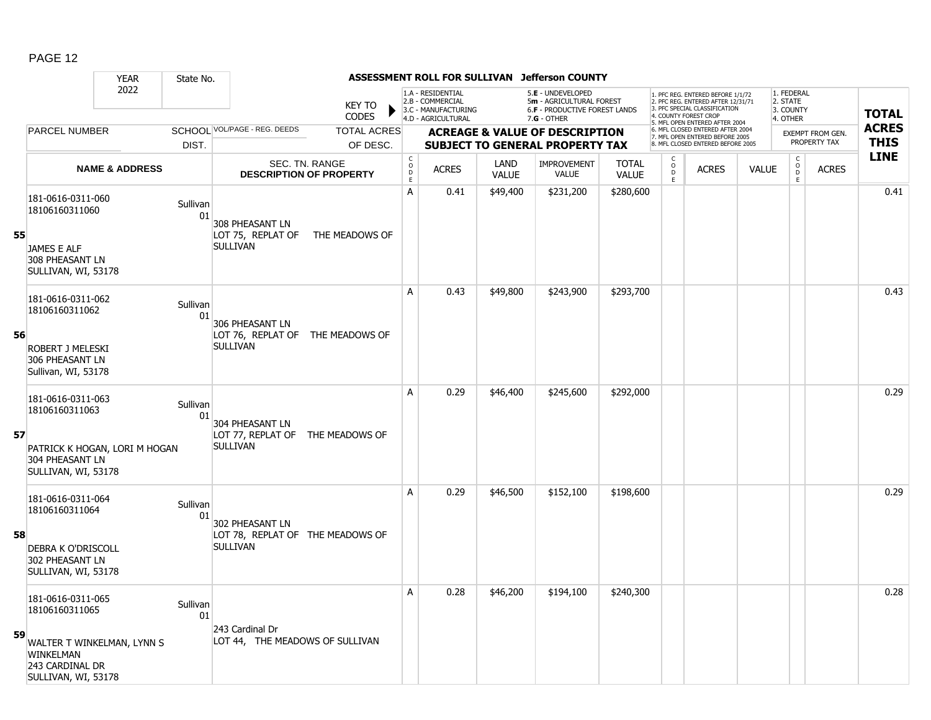|    |                                                                                                     | <b>YEAR</b>               | State No.      |                                                                        |                                                  |                                                 |                                                                                    |                      | ASSESSMENT ROLL FOR SULLIVAN Jefferson COUNTY                                                   |                              |                         |                                                                                                                                                                     |              |                                                 |                         |                             |
|----|-----------------------------------------------------------------------------------------------------|---------------------------|----------------|------------------------------------------------------------------------|--------------------------------------------------|-------------------------------------------------|------------------------------------------------------------------------------------|----------------------|-------------------------------------------------------------------------------------------------|------------------------------|-------------------------|---------------------------------------------------------------------------------------------------------------------------------------------------------------------|--------------|-------------------------------------------------|-------------------------|-----------------------------|
|    |                                                                                                     | 2022                      |                |                                                                        | <b>KEY TO</b><br><b>CODES</b>                    |                                                 | 1.A - RESIDENTIAL<br>2.B - COMMERCIAL<br>3.C - MANUFACTURING<br>4.D - AGRICULTURAL |                      | 5.E - UNDEVELOPED<br>5m - AGRICULTURAL FOREST<br>6.F - PRODUCTIVE FOREST LANDS<br>$7.G - OTHER$ |                              |                         | PFC REG. ENTERED BEFORE 1/1/72<br>2. PFC REG. ENTERED AFTER 12/31/71<br><b>3 PEC SPECIAL CLASSIFICATION</b><br>COUNTY FOREST CROP<br>5. MFL OPEN ENTERED AFTER 2004 |              | 1. FEDERAL<br>2. STATE<br>3. COUNTY<br>4. OTHER |                         | <b>TOTAL</b>                |
|    | PARCEL NUMBER                                                                                       |                           |                | SCHOOL VOL/PAGE - REG. DEEDS                                           | <b>TOTAL ACRES</b>                               |                                                 |                                                                                    |                      | <b>ACREAGE &amp; VALUE OF DESCRIPTION</b>                                                       |                              |                         | 6. MFL CLOSED ENTERED AFTER 2004<br>7. MFL OPEN ENTERED BEFORE 2005                                                                                                 |              |                                                 | <b>EXEMPT FROM GEN.</b> | <b>ACRES</b><br><b>THIS</b> |
|    |                                                                                                     |                           | DIST.          |                                                                        | OF DESC.                                         |                                                 |                                                                                    |                      | <b>SUBJECT TO GENERAL PROPERTY TAX</b>                                                          |                              |                         | 8. MFL CLOSED ENTERED BEFORE 2005                                                                                                                                   |              |                                                 | PROPERTY TAX            | <b>LINE</b>                 |
|    |                                                                                                     | <b>NAME &amp; ADDRESS</b> |                |                                                                        | SEC. TN. RANGE<br><b>DESCRIPTION OF PROPERTY</b> | $\begin{array}{c} C \\ O \\ D \\ E \end{array}$ | <b>ACRES</b>                                                                       | LAND<br><b>VALUE</b> | IMPROVEMENT<br><b>VALUE</b>                                                                     | <b>TOTAL</b><br><b>VALUE</b> | $_{\rm D}^{\rm O}$<br>E | <b>ACRES</b>                                                                                                                                                        | <b>VALUE</b> | $\begin{matrix} 0 \\ 0 \\ 0 \end{matrix}$<br>E  | <b>ACRES</b>            |                             |
| 55 | 181-0616-0311-060<br>18106160311060<br>JAMES E ALF<br>308 PHEASANT LN<br>SULLIVAN, WI, 53178        |                           | Sullivan<br>01 | 308 PHEASANT LN<br>LOT 75, REPLAT OF<br><b>SULLIVAN</b>                | THE MEADOWS OF                                   | A                                               | 0.41                                                                               | \$49,400             | \$231,200                                                                                       | \$280,600                    |                         |                                                                                                                                                                     |              |                                                 |                         | 0.41                        |
| 56 | 181-0616-0311-062<br>18106160311062<br><b>ROBERT J MELESKI</b>                                      |                           | Sullivan<br>01 | 306 PHEASANT LN<br>LOT 76, REPLAT OF THE MEADOWS OF<br><b>SULLIVAN</b> |                                                  | A                                               | 0.43                                                                               | \$49,800             | \$243,900                                                                                       | \$293,700                    |                         |                                                                                                                                                                     |              |                                                 |                         | 0.43                        |
|    | 306 PHEASANT LN<br>Sullivan, WI, 53178<br>181-0616-0311-063<br>18106160311063                       |                           | Sullivan<br>01 |                                                                        |                                                  | A                                               | 0.29                                                                               | \$46,400             | \$245,600                                                                                       | \$292,000                    |                         |                                                                                                                                                                     |              |                                                 |                         | 0.29                        |
| 57 | PATRICK K HOGAN, LORI M HOGAN<br>304 PHEASANT LN<br>SULLIVAN, WI, 53178                             |                           |                | 304 PHEASANT LN<br>LOT 77, REPLAT OF THE MEADOWS OF<br><b>SULLIVAN</b> |                                                  |                                                 |                                                                                    |                      |                                                                                                 |                              |                         |                                                                                                                                                                     |              |                                                 |                         |                             |
| 58 | 181-0616-0311-064<br>18106160311064<br><b>DEBRA K O'DRISCOLL</b>                                    |                           | Sullivan<br>01 | 302 PHEASANT LN<br>LOT 78, REPLAT OF THE MEADOWS OF<br><b>SULLIVAN</b> |                                                  | A                                               | 0.29                                                                               | \$46,500             | \$152,100                                                                                       | \$198,600                    |                         |                                                                                                                                                                     |              |                                                 |                         | 0.29                        |
|    | 302 PHEASANT LN<br>SULLIVAN, WI, 53178<br>181-0616-0311-065                                         |                           |                |                                                                        |                                                  | A                                               | 0.28                                                                               | \$46,200             | \$194,100                                                                                       | \$240,300                    |                         |                                                                                                                                                                     |              |                                                 |                         | 0.28                        |
| 59 | 18106160311065<br>WALTER T WINKELMAN, LYNN S<br>WINKELMAN<br>243 CARDINAL DR<br>SULLIVAN, WI, 53178 |                           | Sullivan<br>01 | 243 Cardinal Dr<br>LOT 44, THE MEADOWS OF SULLIVAN                     |                                                  |                                                 |                                                                                    |                      |                                                                                                 |                              |                         |                                                                                                                                                                     |              |                                                 |                         |                             |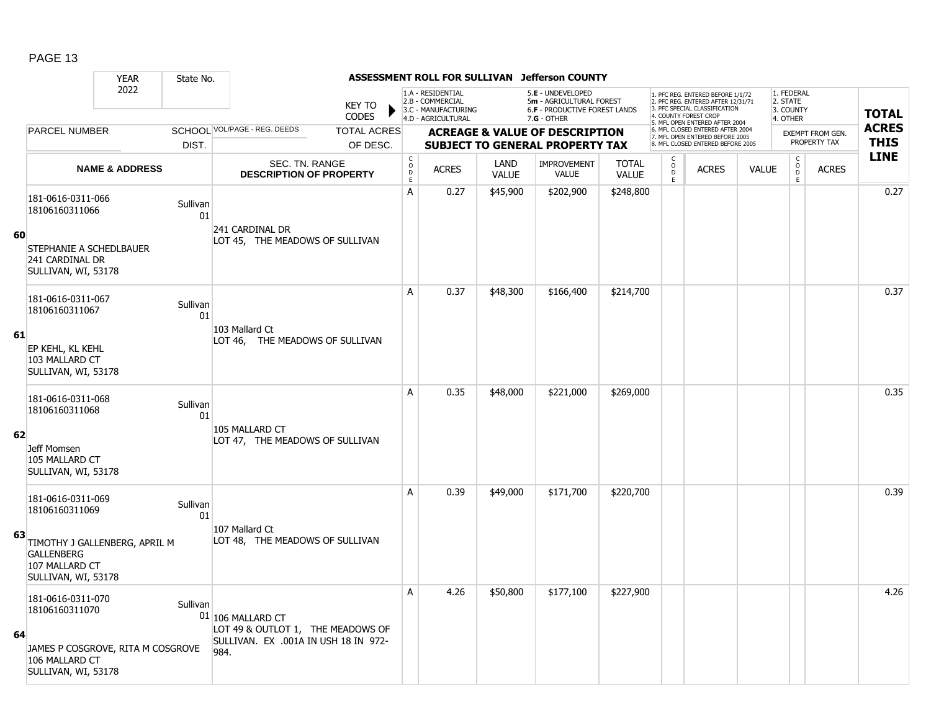|    |                                                                                                                   | <b>YEAR</b>               | State No.      |                                                                                                        |                               |                                            |                                                                                    |                      | ASSESSMENT ROLL FOR SULLIVAN Jefferson COUNTY                                                          |                       |                                    |                                                                                                                                                                     |              |                                                           |                         |              |
|----|-------------------------------------------------------------------------------------------------------------------|---------------------------|----------------|--------------------------------------------------------------------------------------------------------|-------------------------------|--------------------------------------------|------------------------------------------------------------------------------------|----------------------|--------------------------------------------------------------------------------------------------------|-----------------------|------------------------------------|---------------------------------------------------------------------------------------------------------------------------------------------------------------------|--------------|-----------------------------------------------------------|-------------------------|--------------|
|    |                                                                                                                   | 2022                      |                |                                                                                                        | <b>KEY TO</b><br><b>CODES</b> |                                            | 1.A - RESIDENTIAL<br>2.B - COMMERCIAL<br>3.C - MANUFACTURING<br>4.D - AGRICULTURAL |                      | 5.E - UNDEVELOPED<br>5m - AGRICULTURAL FOREST<br><b>6.F - PRODUCTIVE FOREST LANDS</b><br>$7.G - OTHER$ |                       |                                    | 1. PFC REG. ENTERED BEFORE 1/1/72<br>2. PFC REG. ENTERED AFTER 12/31/71<br>3. PFC SPECIAL CLASSIFICATION<br>4. COUNTY FOREST CROP<br>5. MFL OPEN ENTERED AFTER 2004 |              | 1. FEDERAL<br>2. STATE<br>3. COUNTY<br>4. OTHER           |                         | <b>TOTAL</b> |
|    | <b>PARCEL NUMBER</b>                                                                                              |                           |                | SCHOOL VOL/PAGE - REG. DEEDS                                                                           | <b>TOTAL ACRES</b>            |                                            |                                                                                    |                      | <b>ACREAGE &amp; VALUE OF DESCRIPTION</b>                                                              |                       |                                    | 6. MFL CLOSED ENTERED AFTER 2004<br>7. MFL OPEN ENTERED BEFORE 2005                                                                                                 |              |                                                           | <b>EXEMPT FROM GEN.</b> | <b>ACRES</b> |
|    |                                                                                                                   |                           | DIST.          |                                                                                                        | OF DESC.                      |                                            |                                                                                    |                      | <b>SUBJECT TO GENERAL PROPERTY TAX</b>                                                                 |                       |                                    | 8. MFL CLOSED ENTERED BEFORE 2005                                                                                                                                   |              |                                                           | PROPERTY TAX            | <b>THIS</b>  |
|    |                                                                                                                   | <b>NAME &amp; ADDRESS</b> |                | SEC. TN. RANGE<br><b>DESCRIPTION OF PROPERTY</b>                                                       |                               | $\begin{array}{c} C \\ 0 \\ E \end{array}$ | <b>ACRES</b>                                                                       | LAND<br><b>VALUE</b> | <b>IMPROVEMENT</b><br><b>VALUE</b>                                                                     | <b>TOTAL</b><br>VALUE | C<br>$\mathsf{o}$<br>$\frac{D}{E}$ | <b>ACRES</b>                                                                                                                                                        | <b>VALUE</b> | $\mathsf C$<br>$\begin{array}{c} 0 \\ D \\ E \end{array}$ | <b>ACRES</b>            | <b>LINE</b>  |
|    | 181-0616-0311-066<br>18106160311066                                                                               |                           | Sullivan<br>01 |                                                                                                        |                               | A                                          | 0.27                                                                               | \$45,900             | \$202,900                                                                                              | \$248,800             |                                    |                                                                                                                                                                     |              |                                                           |                         | 0.27         |
| 60 | STEPHANIE A SCHEDLBAUER<br>241 CARDINAL DR<br>SULLIVAN, WI, 53178                                                 |                           |                | 241 CARDINAL DR<br>LOT 45, THE MEADOWS OF SULLIVAN                                                     |                               |                                            |                                                                                    |                      |                                                                                                        |                       |                                    |                                                                                                                                                                     |              |                                                           |                         |              |
|    | 181-0616-0311-067<br>18106160311067                                                                               |                           | Sullivan<br>01 |                                                                                                        |                               | A                                          | 0.37                                                                               | \$48,300             | \$166,400                                                                                              | \$214,700             |                                    |                                                                                                                                                                     |              |                                                           |                         | 0.37         |
| 61 | EP KEHL, KL KEHL<br>103 MALLARD CT<br>SULLIVAN, WI, 53178                                                         |                           |                | 103 Mallard Ct<br>LOT 46, THE MEADOWS OF SULLIVAN                                                      |                               |                                            |                                                                                    |                      |                                                                                                        |                       |                                    |                                                                                                                                                                     |              |                                                           |                         |              |
|    | 181-0616-0311-068<br>18106160311068                                                                               |                           | Sullivan<br>01 |                                                                                                        |                               | A                                          | 0.35                                                                               | \$48,000             | \$221,000                                                                                              | \$269,000             |                                    |                                                                                                                                                                     |              |                                                           |                         | 0.35         |
| 62 | Jeff Momsen<br>105 MALLARD CT<br>SULLIVAN, WI, 53178                                                              |                           |                | 105 MALLARD CT<br>LOT 47, THE MEADOWS OF SULLIVAN                                                      |                               |                                            |                                                                                    |                      |                                                                                                        |                       |                                    |                                                                                                                                                                     |              |                                                           |                         |              |
|    | 181-0616-0311-069<br>18106160311069                                                                               |                           | Sullivan<br>01 |                                                                                                        |                               | A                                          | 0.39                                                                               | \$49,000             | \$171,700                                                                                              | \$220,700             |                                    |                                                                                                                                                                     |              |                                                           |                         | 0.39         |
| 63 | TIMOTHY J GALLENBERG, APRIL M<br><b>GALLENBERG</b><br>107 MALLARD CT<br>SULLIVAN, WI, 53178                       |                           |                | 107 Mallard Ct<br>LOT 48, THE MEADOWS OF SULLIVAN                                                      |                               |                                            |                                                                                    |                      |                                                                                                        |                       |                                    |                                                                                                                                                                     |              |                                                           |                         |              |
| 64 | 181-0616-0311-070<br>18106160311070<br>JAMES P COSGROVE, RITA M COSGROVE<br>106 MALLARD CT<br>SULLIVAN, WI, 53178 |                           | Sullivan       | 01 106 MALLARD CT<br>LOT 49 & OUTLOT 1, THE MEADOWS OF<br>SULLIVAN. EX .001A IN USH 18 IN 972-<br>984. |                               | A                                          | 4.26                                                                               | \$50,800             | \$177,100                                                                                              | \$227,900             |                                    |                                                                                                                                                                     |              |                                                           |                         | 4.26         |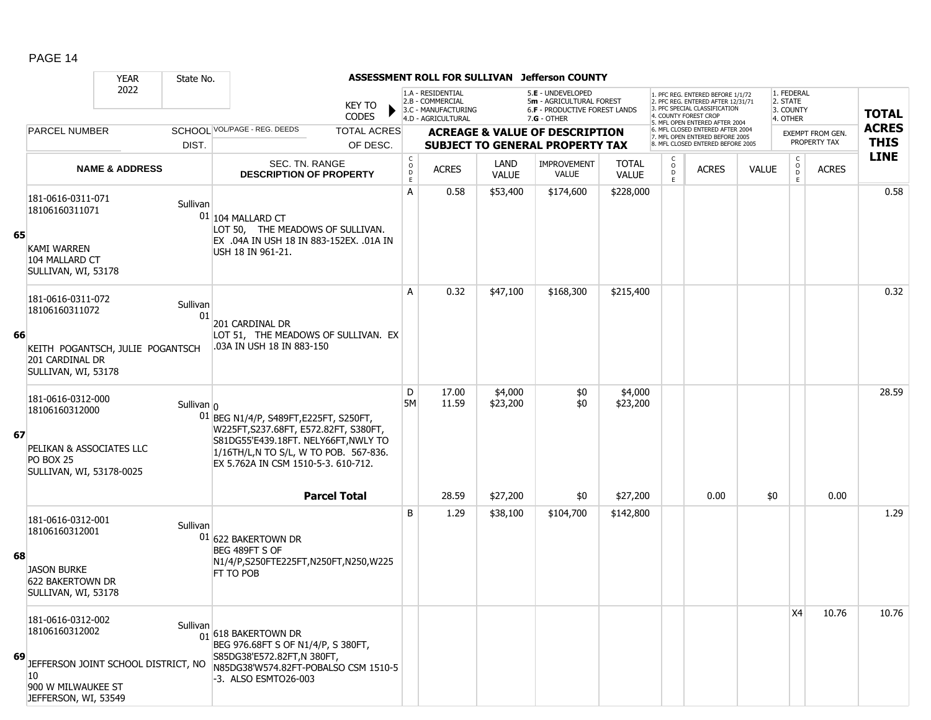|    |                                                                                                                                | <b>YEAR</b>               | State No.      |                                                                                                                                                                                                         |                                            | ASSESSMENT ROLL FOR SULLIVAN                                                       |                             | <b>Jefferson COUNTY</b>                                                                         |                              |             |                                                                                                                                   |              |                                                 |                  |              |
|----|--------------------------------------------------------------------------------------------------------------------------------|---------------------------|----------------|---------------------------------------------------------------------------------------------------------------------------------------------------------------------------------------------------------|--------------------------------------------|------------------------------------------------------------------------------------|-----------------------------|-------------------------------------------------------------------------------------------------|------------------------------|-------------|-----------------------------------------------------------------------------------------------------------------------------------|--------------|-------------------------------------------------|------------------|--------------|
|    |                                                                                                                                | 2022                      |                | <b>KEY TO</b><br><b>CODES</b>                                                                                                                                                                           |                                            | 1.A - RESIDENTIAL<br>2.B - COMMERCIAL<br>3.C - MANUFACTURING<br>4.D - AGRICULTURAL |                             | 5.E - UNDEVELOPED<br>5m - AGRICULTURAL FOREST<br>6.F - PRODUCTIVE FOREST LANDS<br>$7.G - OTHER$ |                              |             | 1. PFC REG. ENTERED BEFORE 1/1/72<br>2. PFC REG. ENTERED AFTER 12/31/71<br>3. PFC SPECIAL CLASSIFICATION<br>4. COUNTY FOREST CROP |              | 1. FEDERAL<br>2. STATE<br>3. COUNTY<br>4. OTHER |                  | <b>TOTAL</b> |
|    | <b>PARCEL NUMBER</b>                                                                                                           |                           |                | SCHOOL VOL/PAGE - REG. DEEDS<br><b>TOTAL ACRES</b>                                                                                                                                                      |                                            |                                                                                    |                             | <b>ACREAGE &amp; VALUE OF DESCRIPTION</b>                                                       |                              |             | 5. MFL OPEN ENTERED AFTER 2004<br>6. MFL CLOSED ENTERED AFTER 2004                                                                |              |                                                 | EXEMPT FROM GEN. | <b>ACRES</b> |
|    |                                                                                                                                |                           | DIST.          | OF DESC.                                                                                                                                                                                                |                                            |                                                                                    |                             | <b>SUBJECT TO GENERAL PROPERTY TAX</b>                                                          |                              |             | 7. MFL OPEN ENTERED BEFORE 2005<br>8. MFL CLOSED ENTERED BEFORE 2005                                                              |              |                                                 | PROPERTY TAX     | <b>THIS</b>  |
|    |                                                                                                                                | <b>NAME &amp; ADDRESS</b> |                | SEC. TN. RANGE<br><b>DESCRIPTION OF PROPERTY</b>                                                                                                                                                        | $\begin{array}{c} C \\ 0 \\ E \end{array}$ | <b>ACRES</b>                                                                       | <b>LAND</b><br><b>VALUE</b> | <b>IMPROVEMENT</b><br>VALUE                                                                     | <b>TOTAL</b><br><b>VALUE</b> | 0<br>D<br>E | <b>ACRES</b>                                                                                                                      | <b>VALUE</b> | $\mathsf{C}$<br>$\circ$<br>D<br>E               | <b>ACRES</b>     | <b>LINE</b>  |
| 65 | 181-0616-0311-071<br>18106160311071<br><b>KAMI WARREN</b><br>104 MALLARD CT<br>SULLIVAN, WI, 53178                             |                           | Sullivan       | $01 104$ MALLARD CT<br>LOT 50, THE MEADOWS OF SULLIVAN.<br>EX .04A IN USH 18 IN 883-152EX. .01A IN<br>USH 18 IN 961-21.                                                                                 | A                                          | 0.58                                                                               | \$53,400                    | \$174,600                                                                                       | \$228,000                    |             |                                                                                                                                   |              |                                                 |                  | 0.58         |
|    | 181-0616-0311-072<br>18106160311072                                                                                            |                           | Sullivan<br>01 | 201 CARDINAL DR                                                                                                                                                                                         | A                                          | 0.32                                                                               | \$47,100                    | \$168,300                                                                                       | \$215,400                    |             |                                                                                                                                   |              |                                                 |                  | 0.32         |
| 66 | KEITH POGANTSCH, JULIE POGANTSCH<br>201 CARDINAL DR<br>SULLIVAN, WI, 53178                                                     |                           |                | LOT 51, THE MEADOWS OF SULLIVAN. EX<br>.03A IN USH 18 IN 883-150                                                                                                                                        |                                            |                                                                                    |                             |                                                                                                 |                              |             |                                                                                                                                   |              |                                                 |                  |              |
| 67 | 181-0616-0312-000<br>18106160312000<br>PELIKAN & ASSOCIATES LLC<br>PO BOX 25<br>SULLIVAN, WI, 53178-0025                       |                           | Sullivan $0$   | 01 BEG N1/4/P, S489FT, E225FT, S250FT,<br>W225FT, S237.68FT, E572.82FT, S380FT,<br>S81DG55'E439.18FT. NELY66FT, NWLY TO<br>1/16TH/L,N TO S/L, W TO POB. 567-836.<br>EX 5.762A IN CSM 1510-5-3. 610-712. | D<br><b>5M</b>                             | 17.00<br>11.59                                                                     | \$4,000<br>\$23,200         | \$0<br>\$0                                                                                      | \$4,000<br>\$23,200          |             |                                                                                                                                   |              |                                                 |                  | 28.59        |
|    |                                                                                                                                |                           |                | <b>Parcel Total</b>                                                                                                                                                                                     |                                            | 28.59                                                                              | \$27,200                    | \$0                                                                                             | \$27,200                     |             | 0.00                                                                                                                              | \$0          |                                                 | 0.00             |              |
| 68 | 181-0616-0312-001<br>18106160312001<br><b>JASON BURKE</b><br><b>622 BAKERTOWN DR</b><br>SULLIVAN, WI, 53178                    |                           | Sullivan       | 01 622 BAKERTOWN DR<br>BEG 489FT S OF<br>N1/4/P,S250FTE225FT,N250FT,N250,W225<br>FT TO POB                                                                                                              | B                                          | 1.29                                                                               | \$38,100                    | \$104,700                                                                                       | \$142,800                    |             |                                                                                                                                   |              |                                                 |                  | 1.29         |
| 69 | 181-0616-0312-002<br>18106160312002<br>JEFFERSON JOINT SCHOOL DISTRICT, NO<br>10<br>900 W MILWAUKEE ST<br>JEFFERSON, WI, 53549 |                           | Sullivan       | $\frac{1}{01}$ 618 BAKERTOWN DR<br>BEG 976.68FT S OF N1/4/P, S 380FT,<br>S85DG38'E572.82FT,N 380FT,<br>N85DG38'W574.82FT-POBALSO CSM 1510-5<br>-3. ALSO ESMTO26-003                                     |                                            |                                                                                    |                             |                                                                                                 |                              |             |                                                                                                                                   |              | X4                                              | 10.76            | 10.76        |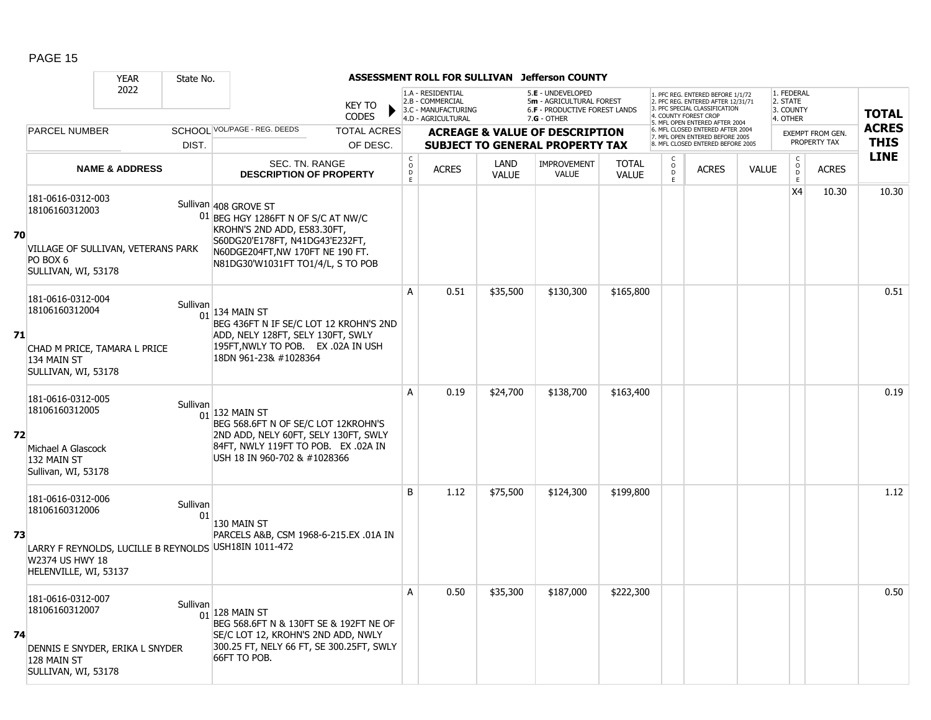|    |                                                                                                                 | <b>YEAR</b>               | State No.      |                                                                                                                                                                                                          |                                   |                                                                                    |                      | ASSESSMENT ROLL FOR SULLIVAN Jefferson COUNTY                                                        |                              |                     |                                                                                                                                                                     |              |                                                 |                         |                            |
|----|-----------------------------------------------------------------------------------------------------------------|---------------------------|----------------|----------------------------------------------------------------------------------------------------------------------------------------------------------------------------------------------------------|-----------------------------------|------------------------------------------------------------------------------------|----------------------|------------------------------------------------------------------------------------------------------|------------------------------|---------------------|---------------------------------------------------------------------------------------------------------------------------------------------------------------------|--------------|-------------------------------------------------|-------------------------|----------------------------|
|    |                                                                                                                 | 2022                      |                | <b>KEY TO</b><br><b>CODES</b>                                                                                                                                                                            |                                   | 1.A - RESIDENTIAL<br>2.B - COMMERCIAL<br>3.C - MANUFACTURING<br>4.D - AGRICULTURAL |                      | 5.E - UNDEVELOPED<br>5m - AGRICULTURAL FOREST<br><b>6.F - PRODUCTIVE FOREST LANDS</b><br>7.G - OTHER |                              |                     | 1. PFC REG. ENTERED BEFORE 1/1/72<br>2. PFC REG. ENTERED AFTER 12/31/71<br>3. PFC SPECIAL CLASSIFICATION<br>4. COUNTY FOREST CROP<br>5. MFL OPEN ENTERED AFTER 2004 |              | 1. FEDERAL<br>2. STATE<br>3. COUNTY<br>4. OTHER |                         | <b>TOTAL</b>               |
|    | <b>PARCEL NUMBER</b>                                                                                            |                           |                | SCHOOL VOL/PAGE - REG. DEEDS<br><b>TOTAL ACRES</b>                                                                                                                                                       |                                   |                                                                                    |                      | <b>ACREAGE &amp; VALUE OF DESCRIPTION</b>                                                            |                              |                     | 6. MFL CLOSED ENTERED AFTER 2004<br>7. MFL OPEN ENTERED BEFORE 2005                                                                                                 |              |                                                 | <b>EXEMPT FROM GEN.</b> | <b>ACRES</b>               |
|    |                                                                                                                 |                           | DIST.          | OF DESC.                                                                                                                                                                                                 |                                   |                                                                                    |                      | <b>SUBJECT TO GENERAL PROPERTY TAX</b>                                                               |                              |                     | 8. MFL CLOSED ENTERED BEFORE 2005                                                                                                                                   |              |                                                 | PROPERTY TAX            | <b>THIS</b><br><b>LINE</b> |
|    |                                                                                                                 | <b>NAME &amp; ADDRESS</b> |                | SEC. TN. RANGE<br><b>DESCRIPTION OF PROPERTY</b>                                                                                                                                                         | $\mathsf{C}$<br>$\circ$<br>D<br>E | <b>ACRES</b>                                                                       | LAND<br><b>VALUE</b> | <b>IMPROVEMENT</b><br><b>VALUE</b>                                                                   | <b>TOTAL</b><br><b>VALUE</b> | $\overline{0}$<br>E | <b>ACRES</b>                                                                                                                                                        | <b>VALUE</b> | $\begin{array}{c} C \\ O \\ D \\ E \end{array}$ | <b>ACRES</b>            |                            |
| 70 | 181-0616-0312-003<br>18106160312003<br>VILLAGE OF SULLIVAN, VETERANS PARK<br>PO BOX 6<br>SULLIVAN, WI, 53178    |                           |                | Sullivan 408 GROVE ST<br>$01$ BEG HGY 1286FT N OF S/C AT NW/C<br>KROHN'S 2ND ADD, E583.30FT,<br>S60DG20'E178FT, N41DG43'E232FT,<br>N60DGE204FT, NW 170FT NE 190 FT.<br>N81DG30'W1031FT TO1/4/L, S TO POB |                                   |                                                                                    |                      |                                                                                                      |                              |                     |                                                                                                                                                                     |              | X4                                              | 10.30                   | 10.30                      |
| 71 | 181-0616-0312-004<br>18106160312004<br>CHAD M PRICE, TAMARA L PRICE<br>134 MAIN ST<br>SULLIVAN, WI, 53178       |                           | Sullivan       | $01$ 134 MAIN ST<br>BEG 436FT N IF SE/C LOT 12 KROHN'S 2ND<br>ADD, NELY 128FT, SELY 130FT, SWLY<br>195FT, NWLY TO POB. EX .02A IN USH<br>18DN 961-23& #1028364                                           | A                                 | 0.51                                                                               | \$35,500             | \$130,300                                                                                            | \$165,800                    |                     |                                                                                                                                                                     |              |                                                 |                         | 0.51                       |
| 72 | 181-0616-0312-005<br>18106160312005<br>Michael A Glascock<br>132 MAIN ST<br>Sullivan, WI, 53178                 |                           | Sullivan       | $01$ 132 MAIN ST<br>BEG 568.6FT N OF SE/C LOT 12KROHN'S<br>2ND ADD, NELY 60FT, SELY 130FT, SWLY<br>84FT, NWLY 119FT TO POB. EX .02A IN<br>USH 18 IN 960-702 & #1028366                                   | A                                 | 0.19                                                                               | \$24,700             | \$138,700                                                                                            | \$163,400                    |                     |                                                                                                                                                                     |              |                                                 |                         | 0.19                       |
| 73 | 181-0616-0312-006<br>18106160312006<br>W2374 US HWY 18<br>HELENVILLE, WI, 53137                                 |                           | Sullivan<br>01 | 130 MAIN ST<br>PARCELS A&B, CSM 1968-6-215.EX .01A IN<br>LARRY F REYNOLDS, LUCILLE B REYNOLDS USH18IN 1011-472                                                                                           | B                                 | 1.12                                                                               | \$75,500             | \$124,300                                                                                            | \$199,800                    |                     |                                                                                                                                                                     |              |                                                 |                         | 1.12                       |
| 74 | 181-0616-0312-007<br>18106160312007<br>DENNIS E SNYDER, ERIKA L SNYDER<br>$ 128$ Main St<br>SULLIVAN, WI, 53178 |                           | Sullivan       | $\frac{1}{01}$ 128 MAIN ST<br>BEG 568.6FT N & 130FT SE & 192FT NE OF<br>SE/C LOT 12, KROHN'S 2ND ADD, NWLY<br>300.25 FT, NELY 66 FT, SE 300.25FT, SWLY<br>66FT TO POB.                                   | A                                 | 0.50                                                                               | \$35,300             | \$187,000                                                                                            | \$222,300                    |                     |                                                                                                                                                                     |              |                                                 |                         | 0.50                       |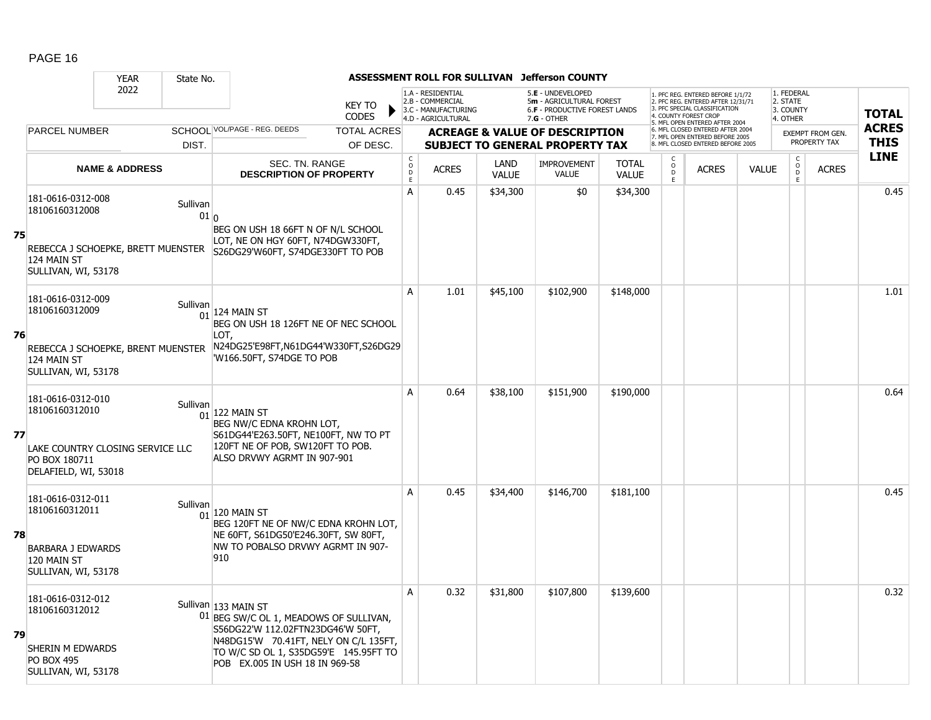|    |                                                                                                                  | <b>YEAR</b>               | State No.                   |                                                                                                                                                                                                                         |                      |                                                                                    |                      | ASSESSMENT ROLL FOR SULLIVAN Jefferson COUNTY                                                        |                              |                     |                                                                                                                                                                  |              |                                                 |                                         |                             |
|----|------------------------------------------------------------------------------------------------------------------|---------------------------|-----------------------------|-------------------------------------------------------------------------------------------------------------------------------------------------------------------------------------------------------------------------|----------------------|------------------------------------------------------------------------------------|----------------------|------------------------------------------------------------------------------------------------------|------------------------------|---------------------|------------------------------------------------------------------------------------------------------------------------------------------------------------------|--------------|-------------------------------------------------|-----------------------------------------|-----------------------------|
|    |                                                                                                                  | 2022                      |                             | <b>KEY TO</b><br><b>CODES</b>                                                                                                                                                                                           |                      | 1.A - RESIDENTIAL<br>2.B - COMMERCIAL<br>3.C - MANUFACTURING<br>4.D - AGRICULTURAL |                      | 5.E - UNDEVELOPED<br>5m - AGRICULTURAL FOREST<br><b>6.F - PRODUCTIVE FOREST LANDS</b><br>7.G - OTHER |                              |                     | 1. PFC REG. ENTERED BEFORE 1/1/72<br>2. PFC REG. ENTERED AFTER 12/31/71<br>3. PFC SPECIAL CLASSIFICATION<br>COUNTY FOREST CROI<br>5. MFL OPEN ENTERED AFTER 2004 |              | 1. FEDERAL<br>2. STATE<br>3. COUNTY<br>4. OTHER |                                         | <b>TOTAL</b>                |
|    | <b>PARCEL NUMBER</b>                                                                                             |                           | DIST.                       | SCHOOL VOL/PAGE - REG. DEEDS<br><b>TOTAL ACRES</b><br>OF DESC.                                                                                                                                                          |                      |                                                                                    |                      | <b>ACREAGE &amp; VALUE OF DESCRIPTION</b><br><b>SUBJECT TO GENERAL PROPERTY TAX</b>                  |                              |                     | 6. MFL CLOSED ENTERED AFTER 2004<br>7. MFL OPEN ENTERED BEFORE 2005<br>8. MFL CLOSED ENTERED BEFORE 2005                                                         |              |                                                 | <b>EXEMPT FROM GEN.</b><br>PROPERTY TAX | <b>ACRES</b><br><b>THIS</b> |
|    |                                                                                                                  | <b>NAME &amp; ADDRESS</b> |                             | SEC. TN. RANGE<br><b>DESCRIPTION OF PROPERTY</b>                                                                                                                                                                        | $\rm _o^c$<br>D<br>E | <b>ACRES</b>                                                                       | LAND<br><b>VALUE</b> | <b>IMPROVEMENT</b><br><b>VALUE</b>                                                                   | <b>TOTAL</b><br><b>VALUE</b> | $\overline{0}$<br>E | <b>ACRES</b>                                                                                                                                                     | <b>VALUE</b> | $\begin{matrix} 0 \\ 0 \\ 0 \end{matrix}$<br>E  | <b>ACRES</b>                            | <b>LINE</b>                 |
| 75 | 181-0616-0312-008<br>18106160312008<br>REBECCA J SCHOEPKE, BRETT MUENSTER<br>124 MAIN ST<br>SULLIVAN, WI, 53178  |                           | Sullivan<br>01 <sub>0</sub> | BEG ON USH 18 66FT N OF N/L SCHOOL<br>LOT, NE ON HGY 60FT, N74DGW330FT,<br>S26DG29'W60FT, S74DGE330FT TO POB                                                                                                            | A                    | 0.45                                                                               | \$34,300             | \$0                                                                                                  | \$34,300                     |                     |                                                                                                                                                                  |              |                                                 |                                         | 0.45                        |
| 76 | 181-0616-0312-009<br>18106160312009<br>REBECCA J SCHOEPKE, BRENT MUENSTER<br>124 MAIN ST<br>SULLIVAN, WI, 53178  |                           | Sullivan<br>01              | $124$ Main St<br>BEG ON USH 18 126FT NE OF NEC SCHOOL<br>LOT.<br>N24DG25'E98FT, N61DG44'W330FT, S26DG29<br>'W166.50FT, S74DGE TO POB                                                                                    | A                    | 1.01                                                                               | \$45,100             | \$102,900                                                                                            | \$148,000                    |                     |                                                                                                                                                                  |              |                                                 |                                         | 1.01                        |
| 77 | 181-0616-0312-010<br>18106160312010<br>LAKE COUNTRY CLOSING SERVICE LLC<br>PO BOX 180711<br>DELAFIELD, WI, 53018 |                           | Sullivan                    | $01$ 122 MAIN ST<br>BEG NW/C EDNA KROHN LOT,<br>S61DG44'E263.50FT, NE100FT, NW TO PT<br>120FT NE OF POB, SW120FT TO POB.<br>ALSO DRVWY AGRMT IN 907-901                                                                 | A                    | 0.64                                                                               | \$38,100             | \$151,900                                                                                            | \$190,000                    |                     |                                                                                                                                                                  |              |                                                 |                                         | 0.64                        |
| 78 | 181-0616-0312-011<br>18106160312011<br><b>BARBARA J EDWARDS</b><br>120 MAIN ST<br>SULLIVAN, WI, 53178            |                           | Sullivan<br>01              | 120 MAIN ST<br>BEG 120FT NE OF NW/C EDNA KROHN LOT,<br>NE 60FT, S61DG50'E246.30FT, SW 80FT,<br>NW TO POBALSO DRVWY AGRMT IN 907-<br>910                                                                                 | A                    | 0.45                                                                               | \$34,400             | \$146,700                                                                                            | \$181,100                    |                     |                                                                                                                                                                  |              |                                                 |                                         | 0.45                        |
| 79 | 181-0616-0312-012<br>18106160312012<br>SHERIN M EDWARDS<br><b>PO BOX 495</b><br>SULLIVAN, WI, 53178              |                           |                             | Sullivan 133 MAIN ST<br>01 BEG SW/C OL 1, MEADOWS OF SULLIVAN,<br>S56DG22'W 112.02FTN23DG46'W 50FT,<br>N48DG15'W 70.41FT, NELY ON C/L 135FT,<br>TO W/C SD OL 1, S35DG59'E 145.95FT TO<br>POB EX.005 IN USH 18 IN 969-58 | A                    | 0.32                                                                               | \$31,800             | \$107,800                                                                                            | \$139,600                    |                     |                                                                                                                                                                  |              |                                                 |                                         | 0.32                        |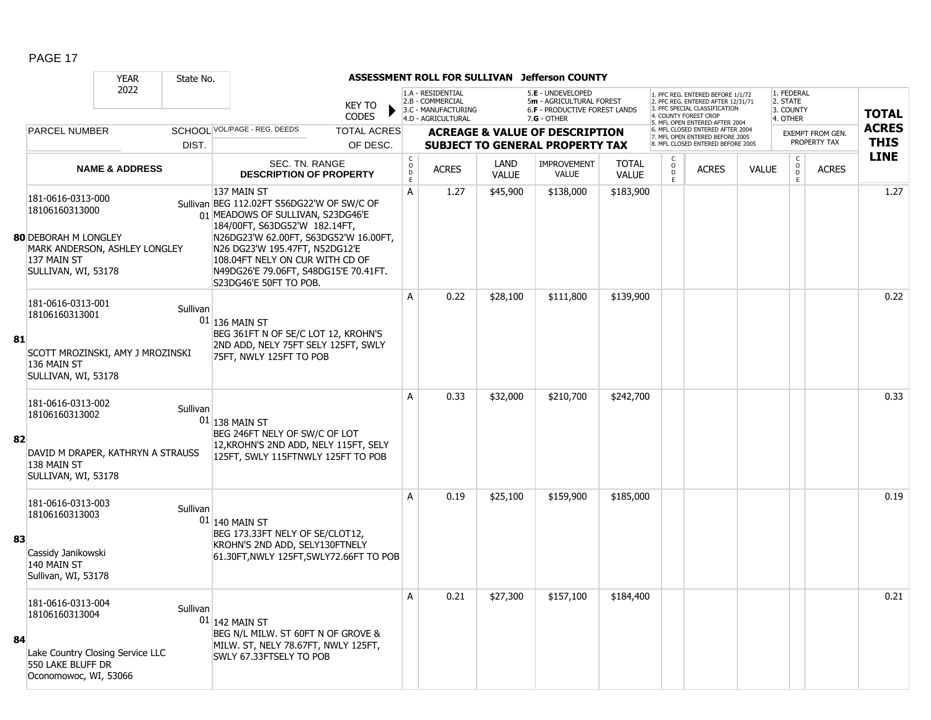|    |                                                                                                                                           | <b>YEAR</b>               | State No. |                                                                                                                                                                                                                                                                                                                  |                                     |                                                                                    |                      | ASSESSMENT ROLL FOR SULLIVAN Jefferson COUNTY                                                        |                              |                                         |                                                                                                                                                                     |              |                                                 |                         |                            |
|----|-------------------------------------------------------------------------------------------------------------------------------------------|---------------------------|-----------|------------------------------------------------------------------------------------------------------------------------------------------------------------------------------------------------------------------------------------------------------------------------------------------------------------------|-------------------------------------|------------------------------------------------------------------------------------|----------------------|------------------------------------------------------------------------------------------------------|------------------------------|-----------------------------------------|---------------------------------------------------------------------------------------------------------------------------------------------------------------------|--------------|-------------------------------------------------|-------------------------|----------------------------|
|    |                                                                                                                                           | 2022                      |           | <b>KEY TO</b><br><b>CODES</b>                                                                                                                                                                                                                                                                                    |                                     | 1.A - RESIDENTIAL<br>2.B - COMMERCIAL<br>3.C - MANUFACTURING<br>4.D - AGRICULTURAL |                      | 5.E - UNDEVELOPED<br>5m - AGRICULTURAL FOREST<br><b>6.F - PRODUCTIVE FOREST LANDS</b><br>7.G - OTHER |                              |                                         | 1. PFC REG. ENTERED BEFORE 1/1/72<br>2. PFC REG. ENTERED AFTER 12/31/71<br>3. PFC SPECIAL CLASSIFICATION<br>4. COUNTY FOREST CROP<br>5. MFL OPEN ENTERED AFTER 2004 |              | 1. FEDERAL<br>2. STATE<br>3. COUNTY<br>4. OTHER |                         | <b>TOTAL</b>               |
|    | <b>PARCEL NUMBER</b>                                                                                                                      |                           |           | SCHOOL VOL/PAGE - REG. DEEDS<br><b>TOTAL ACRES</b>                                                                                                                                                                                                                                                               |                                     |                                                                                    |                      | <b>ACREAGE &amp; VALUE OF DESCRIPTION</b>                                                            |                              |                                         | 6. MFL CLOSED ENTERED AFTER 2004<br>7. MFL OPEN ENTERED BEFORE 2005                                                                                                 |              |                                                 | <b>EXEMPT FROM GEN.</b> | <b>ACRES</b>               |
|    |                                                                                                                                           |                           | DIST.     | OF DESC.                                                                                                                                                                                                                                                                                                         |                                     |                                                                                    |                      | <b>SUBJECT TO GENERAL PROPERTY TAX</b>                                                               |                              |                                         | 8. MFL CLOSED ENTERED BEFORE 2005                                                                                                                                   |              |                                                 | PROPERTY TAX            | <b>THIS</b><br><b>LINE</b> |
|    |                                                                                                                                           | <b>NAME &amp; ADDRESS</b> |           | SEC. TN. RANGE<br><b>DESCRIPTION OF PROPERTY</b>                                                                                                                                                                                                                                                                 | $\mathsf{C}$<br>$\overline{D}$<br>E | <b>ACRES</b>                                                                       | LAND<br><b>VALUE</b> | <b>IMPROVEMENT</b><br><b>VALUE</b>                                                                   | <b>TOTAL</b><br><b>VALUE</b> | $\overset{\mathsf{O}}{\mathsf{D}}$<br>E | <b>ACRES</b>                                                                                                                                                        | <b>VALUE</b> | $\begin{matrix} 0 \\ 0 \end{matrix}$<br>E       | <b>ACRES</b>            |                            |
|    | 181-0616-0313-000<br>18106160313000<br><b>80 DEBORAH M LONGLEY</b><br>MARK ANDERSON, ASHLEY LONGLEY<br>137 MAIN ST<br>SULLIVAN, WI, 53178 |                           |           | 137 MAIN ST<br>Sullivan BEG 112.02FT S56DG22'W OF SW/C OF<br>01 MEADOWS OF SULLIVAN, S23DG46'E<br>184/00FT, S63DG52'W 182.14FT,<br>N26DG23'W 62.00FT, S63DG52'W 16.00FT,<br>N26 DG23'W 195.47FT, N52DG12'E<br>108.04FT NELY ON CUR WITH CD OF<br>N49DG26'E 79.06FT, S48DG15'E 70.41FT.<br>S23DG46'E 50FT TO POB. | A                                   | 1.27                                                                               | \$45,900             | \$138,000                                                                                            | \$183,900                    |                                         |                                                                                                                                                                     |              |                                                 |                         | 1.27                       |
| 81 | 181-0616-0313-001<br>18106160313001<br>SCOTT MROZINSKI, AMY J MROZINSKI<br>136 MAIN ST<br>SULLIVAN, WI, 53178                             |                           | Sullivan  | 01 136 MAIN ST<br>BEG 361FT N OF SE/C LOT 12, KROHN'S<br>2ND ADD, NELY 75FT SELY 125FT, SWLY<br>75FT, NWLY 125FT TO POB                                                                                                                                                                                          | $\mathsf{A}$                        | 0.22                                                                               | \$28,100             | \$111,800                                                                                            | \$139,900                    |                                         |                                                                                                                                                                     |              |                                                 |                         | 0.22                       |
| 82 | 181-0616-0313-002<br>18106160313002<br>DAVID M DRAPER, KATHRYN A STRAUSS<br>138 MAIN ST<br>SULLIVAN, WI, 53178                            |                           | Sullivan  | $01$ 138 MAIN ST<br>BEG 246FT NELY OF SW/C OF LOT<br>12, KROHN'S 2ND ADD, NELY 115FT, SELY<br>125FT, SWLY 115FTNWLY 125FT TO POB                                                                                                                                                                                 | A                                   | 0.33                                                                               | \$32,000             | \$210,700                                                                                            | \$242,700                    |                                         |                                                                                                                                                                     |              |                                                 |                         | 0.33                       |
| 83 | 181-0616-0313-003<br>18106160313003<br>Cassidy Janikowski<br>140 MAIN ST<br>Sullivan, WI, 53178                                           |                           | Sullivan  | $01$ 140 MAIN ST<br>BEG 173.33FT NELY OF SE/CLOT12,<br>KROHN'S 2ND ADD, SELY130FTNELY<br>61.30FT, NWLY 125FT, SWLY72.66FT TO POB                                                                                                                                                                                 | A                                   | 0.19                                                                               | \$25,100             | \$159,900                                                                                            | \$185,000                    |                                         |                                                                                                                                                                     |              |                                                 |                         | 0.19                       |
| 84 | 181-0616-0313-004<br>18106160313004<br>Lake Country Closing Service LLC<br>550 LAKE BLUFF DR<br>Oconomowoc, WI, 53066                     |                           | Sullivan  | $01$ 142 MAIN ST<br>BEG N/L MILW. ST 60FT N OF GROVE &<br>MILW. ST, NELY 78.67FT, NWLY 125FT,<br>SWLY 67.33FTSELY TO POB                                                                                                                                                                                         | $\overline{A}$                      | 0.21                                                                               | \$27,300             | \$157,100                                                                                            | \$184,400                    |                                         |                                                                                                                                                                     |              |                                                 |                         | 0.21                       |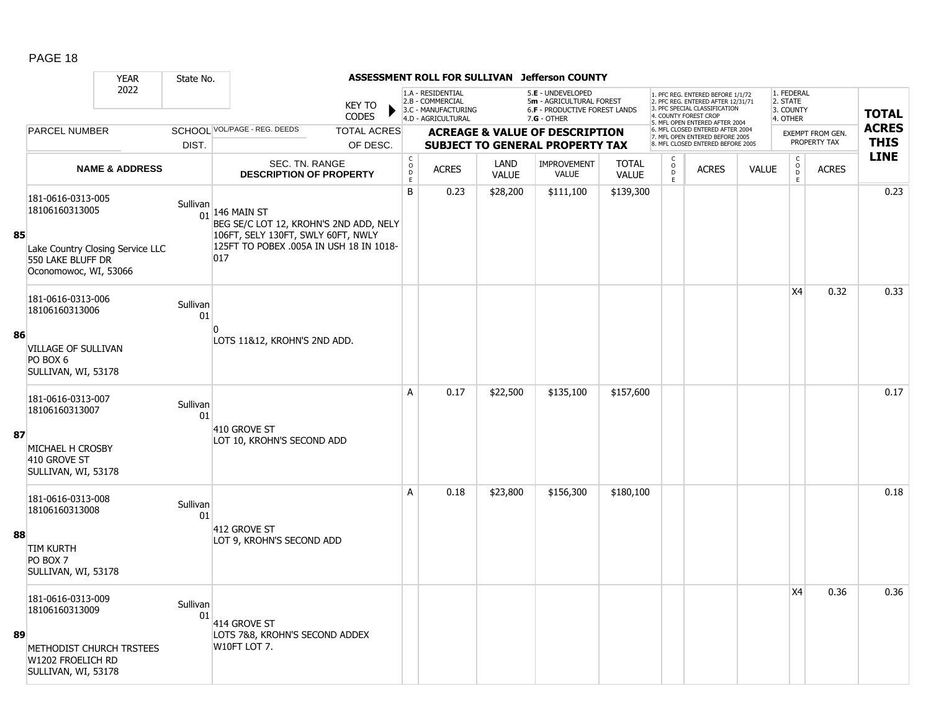|    |                                                                                                                       | <b>YEAR</b>               | State No.      |                                                                                                                                                  |                               |                                            |                                                                                    |                             | ASSESSMENT ROLL FOR SULLIVAN Jefferson COUNTY                                                   |                              |                                          |                                                                                                                                                                     |              |                                                 |                                  |                             |
|----|-----------------------------------------------------------------------------------------------------------------------|---------------------------|----------------|--------------------------------------------------------------------------------------------------------------------------------------------------|-------------------------------|--------------------------------------------|------------------------------------------------------------------------------------|-----------------------------|-------------------------------------------------------------------------------------------------|------------------------------|------------------------------------------|---------------------------------------------------------------------------------------------------------------------------------------------------------------------|--------------|-------------------------------------------------|----------------------------------|-----------------------------|
|    |                                                                                                                       | 2022                      |                |                                                                                                                                                  | <b>KEY TO</b><br><b>CODES</b> |                                            | 1.A - RESIDENTIAL<br>2.B - COMMERCIAL<br>3.C - MANUFACTURING<br>4.D - AGRICULTURAL |                             | 5.E - UNDEVELOPED<br>5m - AGRICULTURAL FOREST<br>6.F - PRODUCTIVE FOREST LANDS<br>$7.G - OTHER$ |                              |                                          | 1. PFC REG. ENTERED BEFORE 1/1/72<br>2. PFC REG. ENTERED AFTER 12/31/71<br>3. PFC SPECIAL CLASSIFICATION<br>4. COUNTY FOREST CROP<br>5. MFL OPEN ENTERED AFTER 2004 |              | 1. FEDERAL<br>2. STATE<br>3. COUNTY<br>4. OTHER |                                  | <b>TOTAL</b>                |
|    | <b>PARCEL NUMBER</b>                                                                                                  |                           |                | SCHOOL VOL/PAGE - REG. DEEDS                                                                                                                     | <b>TOTAL ACRES</b>            |                                            |                                                                                    |                             | <b>ACREAGE &amp; VALUE OF DESCRIPTION</b>                                                       |                              |                                          | 6. MFL CLOSED ENTERED AFTER 2004<br>7. MFL OPEN ENTERED BEFORE 2005                                                                                                 |              |                                                 | EXEMPT FROM GEN.<br>PROPERTY TAX | <b>ACRES</b><br><b>THIS</b> |
|    |                                                                                                                       |                           | DIST.          |                                                                                                                                                  | OF DESC.                      |                                            |                                                                                    |                             | <b>SUBJECT TO GENERAL PROPERTY TAX</b>                                                          |                              | C                                        | 8. MFL CLOSED ENTERED BEFORE 2005                                                                                                                                   |              |                                                 |                                  | <b>LINE</b>                 |
|    |                                                                                                                       | <b>NAME &amp; ADDRESS</b> |                | SEC. TN. RANGE<br><b>DESCRIPTION OF PROPERTY</b>                                                                                                 |                               | $\begin{array}{c} C \\ O \\ E \end{array}$ | <b>ACRES</b>                                                                       | <b>LAND</b><br><b>VALUE</b> | <b>IMPROVEMENT</b><br>VALUE                                                                     | <b>TOTAL</b><br><b>VALUE</b> | $\overset{\mathsf{O}}{\mathsf{D}}$<br>F. | <b>ACRES</b>                                                                                                                                                        | <b>VALUE</b> | $\begin{matrix} 0 \\ 0 \\ D \end{matrix}$<br>E  | <b>ACRES</b>                     |                             |
| 85 | 181-0616-0313-005<br>18106160313005<br>Lake Country Closing Service LLC<br>550 LAKE BLUFF DR<br>Oconomowoc, WI, 53066 |                           | Sullivan       | 01 146 MAIN ST<br>BEG SE/C LOT 12, KROHN'S 2ND ADD, NELY<br>106FT, SELY 130FT, SWLY 60FT, NWLY<br>125FT TO POBEX .005A IN USH 18 IN 1018-<br>017 |                               | B                                          | 0.23                                                                               | \$28,200                    | \$111,100                                                                                       | \$139,300                    |                                          |                                                                                                                                                                     |              |                                                 |                                  | 0.23                        |
|    | 181-0616-0313-006<br>18106160313006                                                                                   |                           | Sullivan<br>01 |                                                                                                                                                  |                               |                                            |                                                                                    |                             |                                                                                                 |                              |                                          |                                                                                                                                                                     |              | X4                                              | 0.32                             | 0.33                        |
| 86 | <b>VILLAGE OF SULLIVAN</b><br>PO BOX 6<br>SULLIVAN, WI, 53178                                                         |                           |                | LOTS 11&12, KROHN'S 2ND ADD.                                                                                                                     |                               |                                            |                                                                                    |                             |                                                                                                 |                              |                                          |                                                                                                                                                                     |              |                                                 |                                  |                             |
|    | 181-0616-0313-007<br>18106160313007                                                                                   |                           | Sullivan<br>01 | 410 GROVE ST                                                                                                                                     |                               | A                                          | 0.17                                                                               | \$22,500                    | \$135,100                                                                                       | \$157,600                    |                                          |                                                                                                                                                                     |              |                                                 |                                  | 0.17                        |
| 87 | MICHAEL H CROSBY<br>410 GROVE ST<br>SULLIVAN, WI, 53178                                                               |                           |                | LOT 10, KROHN'S SECOND ADD                                                                                                                       |                               |                                            |                                                                                    |                             |                                                                                                 |                              |                                          |                                                                                                                                                                     |              |                                                 |                                  |                             |
|    | 181-0616-0313-008<br>18106160313008                                                                                   |                           | Sullivan<br>01 |                                                                                                                                                  |                               | A                                          | 0.18                                                                               | \$23,800                    | \$156,300                                                                                       | \$180,100                    |                                          |                                                                                                                                                                     |              |                                                 |                                  | 0.18                        |
| 88 | <b>TIM KURTH</b><br>PO BOX 7<br>SULLIVAN, WI, 53178                                                                   |                           |                | 412 GROVE ST<br>LOT 9, KROHN'S SECOND ADD                                                                                                        |                               |                                            |                                                                                    |                             |                                                                                                 |                              |                                          |                                                                                                                                                                     |              |                                                 |                                  |                             |
| 89 | 181-0616-0313-009<br>18106160313009                                                                                   |                           | Sullivan<br>01 | 414 GROVE ST<br>LOTS 7&8, KROHN'S SECOND ADDEX<br>W10FT LOT 7.                                                                                   |                               |                                            |                                                                                    |                             |                                                                                                 |                              |                                          |                                                                                                                                                                     |              | X4                                              | 0.36                             | 0.36                        |
|    | METHODIST CHURCH TRSTEES<br>W1202 FROELICH RD<br>SULLIVAN, WI, 53178                                                  |                           |                |                                                                                                                                                  |                               |                                            |                                                                                    |                             |                                                                                                 |                              |                                          |                                                                                                                                                                     |              |                                                 |                                  |                             |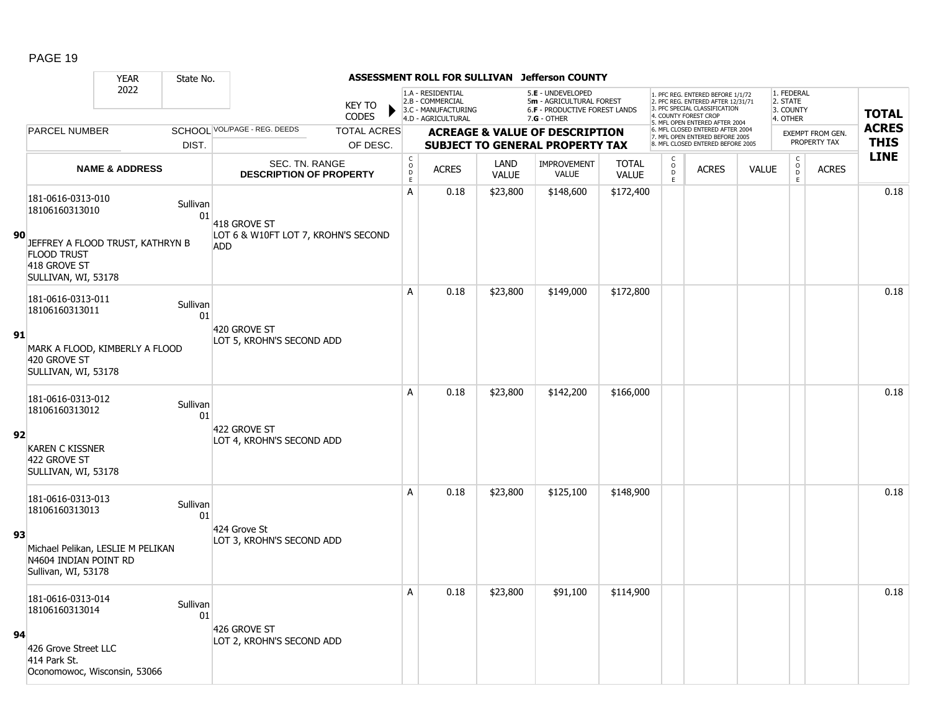|    |                                                                                               | <b>YEAR</b>               | State No.      |                                                   |                               |                                            | ASSESSMENT ROLL FOR SULLIVAN                                                       |                      | <b>Jefferson COUNTY</b>                                                                                |                              |                         |                                                                                                                                                                     |              |                                                 |                                         |                             |
|----|-----------------------------------------------------------------------------------------------|---------------------------|----------------|---------------------------------------------------|-------------------------------|--------------------------------------------|------------------------------------------------------------------------------------|----------------------|--------------------------------------------------------------------------------------------------------|------------------------------|-------------------------|---------------------------------------------------------------------------------------------------------------------------------------------------------------------|--------------|-------------------------------------------------|-----------------------------------------|-----------------------------|
|    |                                                                                               | 2022                      |                |                                                   | <b>KEY TO</b><br><b>CODES</b> |                                            | 1.A - RESIDENTIAL<br>2.B - COMMERCIAL<br>3.C - MANUFACTURING<br>4.D - AGRICULTURAL |                      | 5.E - UNDEVELOPED<br>5m - AGRICULTURAL FOREST<br><b>6.F - PRODUCTIVE FOREST LANDS</b><br>$7.G - OTHER$ |                              |                         | 1. PFC REG. ENTERED BEFORE 1/1/72<br>2. PFC REG. ENTERED AFTER 12/31/71<br>3. PFC SPECIAL CLASSIFICATION<br>4. COUNTY FOREST CROP<br>5. MFL OPEN ENTERED AFTER 2004 |              | 1. FEDERAL<br>2. STATE<br>3. COUNTY<br>4. OTHER |                                         | <b>TOTAL</b>                |
|    | PARCEL NUMBER                                                                                 |                           |                | SCHOOL VOL/PAGE - REG. DEEDS                      | <b>TOTAL ACRES</b>            |                                            |                                                                                    |                      | <b>ACREAGE &amp; VALUE OF DESCRIPTION</b>                                                              |                              |                         | 6. MFL CLOSED ENTERED AFTER 2004<br>7. MFL OPEN ENTERED BEFORE 2005<br>8 MFL CLOSED ENTERED BEEORE 2005                                                             |              |                                                 | <b>EXEMPT FROM GEN.</b><br>PROPERTY TAX | <b>ACRES</b><br><b>THIS</b> |
|    |                                                                                               |                           | DIST.          |                                                   | OF DESC.                      |                                            |                                                                                    |                      | <b>SUBJECT TO GENERAL PROPERTY TAX</b>                                                                 |                              | C                       |                                                                                                                                                                     |              | $\mathsf{C}$                                    |                                         | <b>LINE</b>                 |
|    |                                                                                               | <b>NAME &amp; ADDRESS</b> |                | SEC. TN. RANGE<br><b>DESCRIPTION OF PROPERTY</b>  |                               | $\begin{array}{c} C \\ O \\ E \end{array}$ | <b>ACRES</b>                                                                       | LAND<br><b>VALUE</b> | <b>IMPROVEMENT</b><br><b>VALUE</b>                                                                     | <b>TOTAL</b><br><b>VALUE</b> | $_{\rm D}^{\rm O}$<br>E | <b>ACRES</b>                                                                                                                                                        | <b>VALUE</b> | $_{\rm D}^{\rm O}$<br>E                         | <b>ACRES</b>                            |                             |
|    | 181-0616-0313-010<br>18106160313010                                                           |                           | Sullivan<br>01 | 418 GROVE ST                                      |                               | A                                          | 0.18                                                                               | \$23,800             | \$148,600                                                                                              | \$172,400                    |                         |                                                                                                                                                                     |              |                                                 |                                         | 0.18                        |
| 90 | JEFFREY A FLOOD TRUST, KATHRYN B<br><b>FLOOD TRUST</b><br>418 GROVE ST<br>SULLIVAN, WI, 53178 |                           |                | LOT 6 & W10FT LOT 7, KROHN'S SECOND<br><b>ADD</b> |                               |                                            |                                                                                    |                      |                                                                                                        |                              |                         |                                                                                                                                                                     |              |                                                 |                                         |                             |
|    | 181-0616-0313-011<br>18106160313011                                                           |                           | Sullivan<br>01 |                                                   |                               | A                                          | 0.18                                                                               | \$23,800             | \$149,000                                                                                              | \$172,800                    |                         |                                                                                                                                                                     |              |                                                 |                                         | 0.18                        |
| 91 | MARK A FLOOD, KIMBERLY A FLOOD<br>420 GROVE ST<br>SULLIVAN, WI, 53178                         |                           |                | 420 GROVE ST<br>LOT 5, KROHN'S SECOND ADD         |                               |                                            |                                                                                    |                      |                                                                                                        |                              |                         |                                                                                                                                                                     |              |                                                 |                                         |                             |
|    | 181-0616-0313-012<br>18106160313012                                                           |                           | Sullivan<br>01 |                                                   |                               | A                                          | 0.18                                                                               | \$23,800             | \$142,200                                                                                              | \$166,000                    |                         |                                                                                                                                                                     |              |                                                 |                                         | 0.18                        |
| 92 | <b>KAREN C KISSNER</b><br>422 GROVE ST<br>SULLIVAN, WI, 53178                                 |                           |                | 422 GROVE ST<br>LOT 4, KROHN'S SECOND ADD         |                               |                                            |                                                                                    |                      |                                                                                                        |                              |                         |                                                                                                                                                                     |              |                                                 |                                         |                             |
|    | 181-0616-0313-013<br>18106160313013                                                           |                           | Sullivan<br>01 |                                                   |                               | A                                          | 0.18                                                                               | \$23,800             | \$125,100                                                                                              | \$148,900                    |                         |                                                                                                                                                                     |              |                                                 |                                         | 0.18                        |
| 93 | Michael Pelikan, LESLIE M PELIKAN<br>N4604 INDIAN POINT RD<br>Sullivan, WI, 53178             |                           |                | 424 Grove St<br>LOT 3, KROHN'S SECOND ADD         |                               |                                            |                                                                                    |                      |                                                                                                        |                              |                         |                                                                                                                                                                     |              |                                                 |                                         |                             |
|    | 181-0616-0313-014<br>18106160313014                                                           |                           | Sullivan<br>01 |                                                   |                               | A                                          | 0.18                                                                               | \$23,800             | \$91,100                                                                                               | \$114,900                    |                         |                                                                                                                                                                     |              |                                                 |                                         | 0.18                        |
| 94 | 426 Grove Street LLC<br>414 Park St.<br>Oconomowoc, Wisconsin, 53066                          |                           |                | 426 GROVE ST<br>LOT 2, KROHN'S SECOND ADD         |                               |                                            |                                                                                    |                      |                                                                                                        |                              |                         |                                                                                                                                                                     |              |                                                 |                                         |                             |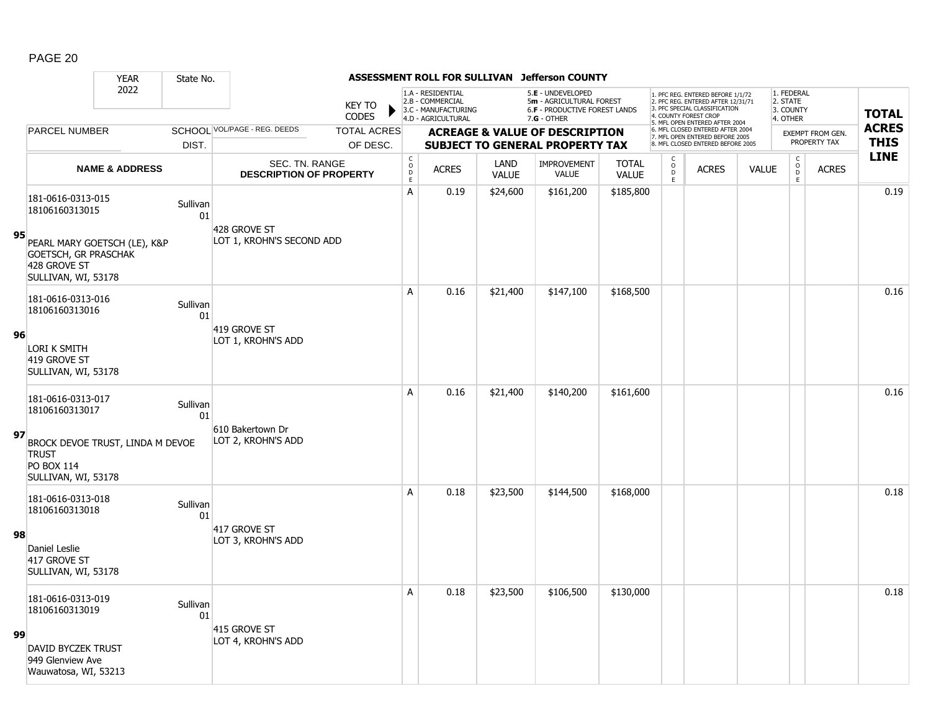|    |                                                                                              | <b>YEAR</b>               | State No.      |                                                  |                               |                                            |                                                                                    |                      | ASSESSMENT ROLL FOR SULLIVAN Jefferson COUNTY                                                          |                              |                  |                                                                                                                                                                     |              |                                                 |                         |              |
|----|----------------------------------------------------------------------------------------------|---------------------------|----------------|--------------------------------------------------|-------------------------------|--------------------------------------------|------------------------------------------------------------------------------------|----------------------|--------------------------------------------------------------------------------------------------------|------------------------------|------------------|---------------------------------------------------------------------------------------------------------------------------------------------------------------------|--------------|-------------------------------------------------|-------------------------|--------------|
|    |                                                                                              | 2022                      |                |                                                  | <b>KEY TO</b><br><b>CODES</b> |                                            | 1.A - RESIDENTIAL<br>2.B - COMMERCIAL<br>3.C - MANUFACTURING<br>4.D - AGRICULTURAL |                      | 5.E - UNDEVELOPED<br>5m - AGRICULTURAL FOREST<br><b>6.F - PRODUCTIVE FOREST LANDS</b><br>$7.G - OTHER$ |                              |                  | 1. PFC REG. ENTERED BEFORE 1/1/72<br>2. PFC REG. ENTERED AFTER 12/31/71<br>3. PFC SPECIAL CLASSIFICATION<br>4. COUNTY FOREST CROP<br>5. MFL OPEN ENTERED AFTER 2004 |              | 1. FEDERAL<br>2. STATE<br>3. COUNTY<br>4. OTHER |                         | <b>TOTAL</b> |
|    | <b>PARCEL NUMBER</b>                                                                         |                           |                | SCHOOL VOL/PAGE - REG. DEEDS                     | <b>TOTAL ACRES</b>            |                                            |                                                                                    |                      | <b>ACREAGE &amp; VALUE OF DESCRIPTION</b>                                                              |                              |                  | 6. MFL CLOSED ENTERED AFTER 2004<br>7. MFL OPEN ENTERED BEFORE 2005                                                                                                 |              |                                                 | <b>EXEMPT FROM GEN.</b> | <b>ACRES</b> |
|    |                                                                                              |                           | DIST.          |                                                  | OF DESC.                      |                                            |                                                                                    |                      | <b>SUBJECT TO GENERAL PROPERTY TAX</b>                                                                 |                              |                  | 8. MFL CLOSED ENTERED BEFORE 2005                                                                                                                                   |              |                                                 | PROPERTY TAX            | <b>THIS</b>  |
|    |                                                                                              | <b>NAME &amp; ADDRESS</b> |                | SEC. TN. RANGE<br><b>DESCRIPTION OF PROPERTY</b> |                               | $\begin{array}{c} C \\ O \\ E \end{array}$ | <b>ACRES</b>                                                                       | LAND<br><b>VALUE</b> | <b>IMPROVEMENT</b><br><b>VALUE</b>                                                                     | <b>TOTAL</b><br><b>VALUE</b> | C<br>D<br>E<br>E | <b>ACRES</b>                                                                                                                                                        | <b>VALUE</b> | $\begin{matrix} 0 \\ 0 \\ D \end{matrix}$<br>E  | <b>ACRES</b>            | <b>LINE</b>  |
|    | 181-0616-0313-015<br>18106160313015                                                          |                           | Sullivan<br>01 |                                                  |                               | A                                          | 0.19                                                                               | \$24,600             | \$161,200                                                                                              | \$185,800                    |                  |                                                                                                                                                                     |              |                                                 |                         | 0.19         |
| 95 | PEARL MARY GOETSCH (LE), K&P<br>GOETSCH, GR PRASCHAK<br>428 GROVE ST<br>SULLIVAN, WI, 53178  |                           |                | 428 GROVE ST<br>LOT 1, KROHN'S SECOND ADD        |                               |                                            |                                                                                    |                      |                                                                                                        |                              |                  |                                                                                                                                                                     |              |                                                 |                         |              |
|    | 181-0616-0313-016<br>18106160313016                                                          |                           | Sullivan<br>01 |                                                  |                               | A                                          | 0.16                                                                               | \$21,400             | \$147,100                                                                                              | \$168,500                    |                  |                                                                                                                                                                     |              |                                                 |                         | 0.16         |
| 96 | <b>LORI K SMITH</b><br>419 GROVE ST<br>SULLIVAN, WI, 53178                                   |                           |                | 419 GROVE ST<br>LOT 1, KROHN'S ADD               |                               |                                            |                                                                                    |                      |                                                                                                        |                              |                  |                                                                                                                                                                     |              |                                                 |                         |              |
|    | 181-0616-0313-017<br>18106160313017                                                          |                           | Sullivan<br>01 |                                                  |                               | A                                          | 0.16                                                                               | \$21,400             | \$140,200                                                                                              | \$161,600                    |                  |                                                                                                                                                                     |              |                                                 |                         | 0.16         |
| 97 | BROCK DEVOE TRUST, LINDA M DEVOE<br><b>TRUST</b><br><b>PO BOX 114</b><br>SULLIVAN, WI, 53178 |                           |                | 610 Bakertown Dr<br>LOT 2, KROHN'S ADD           |                               |                                            |                                                                                    |                      |                                                                                                        |                              |                  |                                                                                                                                                                     |              |                                                 |                         |              |
|    | 181-0616-0313-018<br>18106160313018                                                          |                           | Sullivan<br>01 |                                                  |                               | A                                          | 0.18                                                                               | \$23,500             | \$144,500                                                                                              | \$168,000                    |                  |                                                                                                                                                                     |              |                                                 |                         | 0.18         |
| 98 | Daniel Leslie<br>417 GROVE ST<br>SULLIVAN, WI, 53178                                         |                           |                | 417 GROVE ST<br>LOT 3, KROHN'S ADD               |                               |                                            |                                                                                    |                      |                                                                                                        |                              |                  |                                                                                                                                                                     |              |                                                 |                         |              |
|    | 181-0616-0313-019<br>18106160313019                                                          |                           | Sullivan<br>01 |                                                  |                               | A                                          | 0.18                                                                               | \$23,500             | \$106,500                                                                                              | \$130,000                    |                  |                                                                                                                                                                     |              |                                                 |                         | 0.18         |
| 99 | <b>DAVID BYCZEK TRUST</b><br>949 Glenview Ave<br>Wauwatosa, WI, 53213                        |                           |                | 415 GROVE ST<br>LOT 4, KROHN'S ADD               |                               |                                            |                                                                                    |                      |                                                                                                        |                              |                  |                                                                                                                                                                     |              |                                                 |                         |              |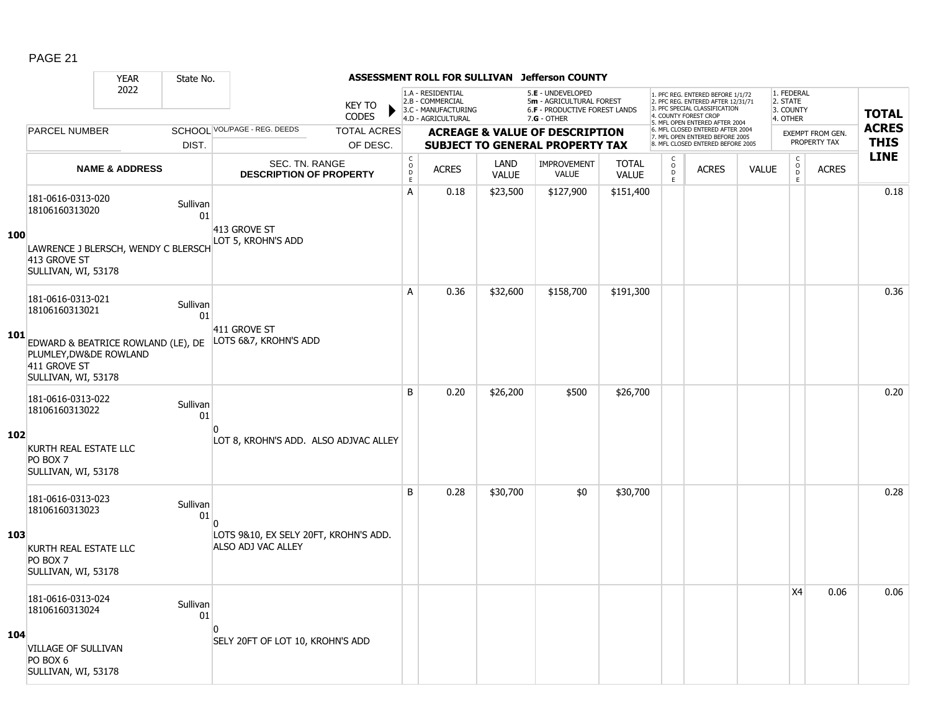|     |                                                                                                     | <b>YEAR</b>               | State No.      |                                                             |                                        |                                                                                    |                      | ASSESSMENT ROLL FOR SULLIVAN Jefferson COUNTY                                                   |                              |                       |                                                                                                                                            |              |                                                 |                                         |                             |
|-----|-----------------------------------------------------------------------------------------------------|---------------------------|----------------|-------------------------------------------------------------|----------------------------------------|------------------------------------------------------------------------------------|----------------------|-------------------------------------------------------------------------------------------------|------------------------------|-----------------------|--------------------------------------------------------------------------------------------------------------------------------------------|--------------|-------------------------------------------------|-----------------------------------------|-----------------------------|
|     |                                                                                                     | 2022                      |                | <b>KEY TO</b><br><b>CODES</b>                               | ▶                                      | 1.A - RESIDENTIAL<br>2.B - COMMERCIAL<br>3.C - MANUFACTURING<br>4.D - AGRICULTURAL |                      | 5.E - UNDEVELOPED<br>5m - AGRICULTURAL FOREST<br>6.F - PRODUCTIVE FOREST LANDS<br>$7.G - OTHER$ |                              | 4. COUNTY FOREST CROP | 1. PFC REG. ENTERED BEFORE 1/1/72<br>2. PFC REG. ENTERED AFTER 12/31/71<br>3. PFC SPECIAL CLASSIFICATION<br>5. MFL OPEN ENTERED AFTER 2004 |              | 1. FEDERAL<br>2. STATE<br>3. COUNTY<br>4. OTHER |                                         | <b>TOTAL</b>                |
|     | <b>PARCEL NUMBER</b>                                                                                |                           |                | SCHOOL VOL/PAGE - REG. DEEDS<br><b>TOTAL ACRES</b>          |                                        |                                                                                    |                      | <b>ACREAGE &amp; VALUE OF DESCRIPTION</b>                                                       |                              |                       | 6. MFL CLOSED ENTERED AFTER 2004<br>7. MFL OPEN ENTERED BEFORE 2005<br>8. MFL CLOSED ENTERED BEFORE 2005                                   |              |                                                 | <b>EXEMPT FROM GEN.</b><br>PROPERTY TAX | <b>ACRES</b><br><b>THIS</b> |
|     |                                                                                                     |                           | DIST.          | OF DESC.                                                    |                                        |                                                                                    |                      | <b>SUBJECT TO GENERAL PROPERTY TAX</b>                                                          |                              | C                     |                                                                                                                                            |              | $\mathsf C$                                     |                                         | <b>LINE</b>                 |
|     |                                                                                                     | <b>NAME &amp; ADDRESS</b> |                | SEC. TN. RANGE<br><b>DESCRIPTION OF PROPERTY</b>            | $_{\rm o}^{\rm c}$<br>$\mathsf D$<br>E | <b>ACRES</b>                                                                       | LAND<br><b>VALUE</b> | <b>IMPROVEMENT</b><br><b>VALUE</b>                                                              | <b>TOTAL</b><br><b>VALUE</b> | $\circ$<br>D<br>E.    | <b>ACRES</b>                                                                                                                               | <b>VALUE</b> | $\mathsf{o}$<br>D<br>E                          | <b>ACRES</b>                            |                             |
|     | 181-0616-0313-020<br>18106160313020                                                                 |                           | Sullivan<br>01 |                                                             | A                                      | 0.18                                                                               | \$23,500             | \$127,900                                                                                       | \$151,400                    |                       |                                                                                                                                            |              |                                                 |                                         | 0.18                        |
| 100 | LAWRENCE J BLERSCH, WENDY C BLERSCH<br>413 GROVE ST<br>SULLIVAN, WI, 53178                          |                           |                | 413 GROVE ST<br>LOT 5, KROHN'S ADD                          |                                        |                                                                                    |                      |                                                                                                 |                              |                       |                                                                                                                                            |              |                                                 |                                         |                             |
|     | 181-0616-0313-021<br>18106160313021                                                                 |                           | Sullivan<br>01 |                                                             | A                                      | 0.36                                                                               | \$32,600             | \$158,700                                                                                       | \$191,300                    |                       |                                                                                                                                            |              |                                                 |                                         | 0.36                        |
| 101 | EDWARD & BEATRICE ROWLAND (LE), DE<br>PLUMLEY, DW&DE ROWLAND<br>411 GROVE ST<br>SULLIVAN, WI, 53178 |                           |                | 411 GROVE ST<br>LOTS 6&7, KROHN'S ADD                       |                                        |                                                                                    |                      |                                                                                                 |                              |                       |                                                                                                                                            |              |                                                 |                                         |                             |
|     | 181-0616-0313-022<br>18106160313022                                                                 |                           | Sullivan<br>01 |                                                             | B                                      | 0.20                                                                               | \$26,200             | \$500                                                                                           | \$26,700                     |                       |                                                                                                                                            |              |                                                 |                                         | 0.20                        |
| 102 | KURTH REAL ESTATE LLC<br>PO BOX 7<br>SULLIVAN, WI, 53178                                            |                           |                | LOT 8, KROHN'S ADD. ALSO ADJVAC ALLEY                       |                                        |                                                                                    |                      |                                                                                                 |                              |                       |                                                                                                                                            |              |                                                 |                                         |                             |
|     | 181-0616-0313-023<br>18106160313023                                                                 |                           | Sullivan<br>01 |                                                             | B                                      | 0.28                                                                               | \$30,700             | \$0                                                                                             | \$30,700                     |                       |                                                                                                                                            |              |                                                 |                                         | 0.28                        |
| 103 | KURTH REAL ESTATE LLC<br>PO BOX 7<br>SULLIVAN, WI, 53178                                            |                           |                | LOTS 9&10, EX SELY 20FT, KROHN'S ADD.<br>ALSO ADJ VAC ALLEY |                                        |                                                                                    |                      |                                                                                                 |                              |                       |                                                                                                                                            |              |                                                 |                                         |                             |
|     | 181-0616-0313-024<br>18106160313024                                                                 |                           | Sullivan<br>01 |                                                             |                                        |                                                                                    |                      |                                                                                                 |                              |                       |                                                                                                                                            |              | X <sub>4</sub>                                  | 0.06                                    | 0.06                        |
| 104 | <b>VILLAGE OF SULLIVAN</b><br>PO BOX 6<br>SULLIVAN, WI, 53178                                       |                           |                | <sup>0</sup><br>SELY 20FT OF LOT 10, KROHN'S ADD            |                                        |                                                                                    |                      |                                                                                                 |                              |                       |                                                                                                                                            |              |                                                 |                                         |                             |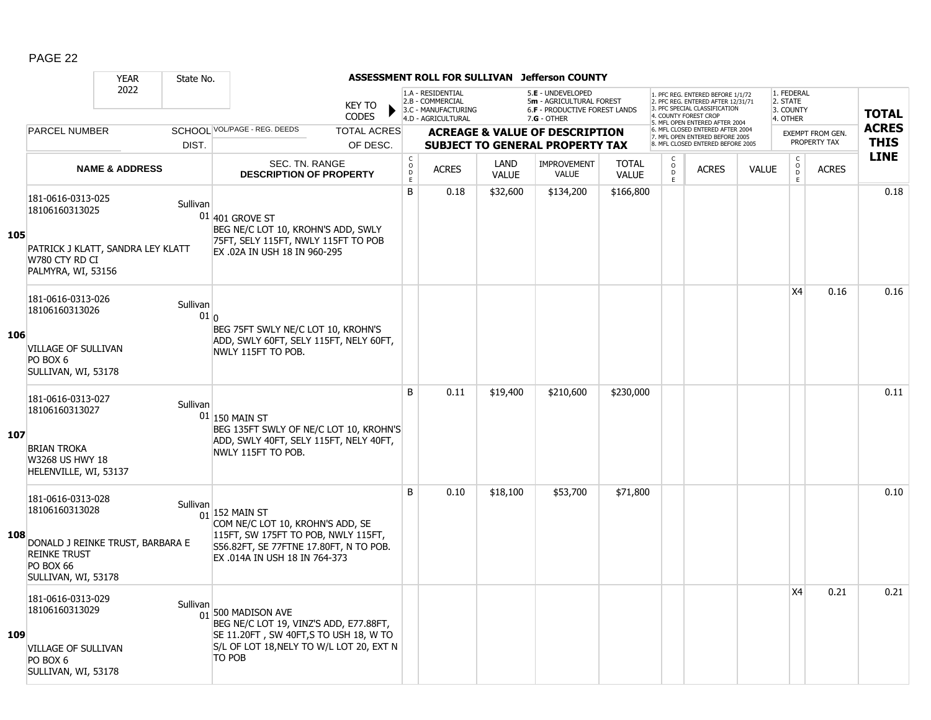|     |                                                                                                                                           | <b>YEAR</b>               | State No.                   |                                                                                                                                                                                   |                             |                                                                                    |                             | ASSESSMENT ROLL FOR SULLIVAN Jefferson COUNTY                                                   |                              |                           |                                                                                                                                   |              |                                                          |                         |              |
|-----|-------------------------------------------------------------------------------------------------------------------------------------------|---------------------------|-----------------------------|-----------------------------------------------------------------------------------------------------------------------------------------------------------------------------------|-----------------------------|------------------------------------------------------------------------------------|-----------------------------|-------------------------------------------------------------------------------------------------|------------------------------|---------------------------|-----------------------------------------------------------------------------------------------------------------------------------|--------------|----------------------------------------------------------|-------------------------|--------------|
|     |                                                                                                                                           | 2022                      |                             | <b>KEY TO</b><br><b>CODES</b>                                                                                                                                                     |                             | 1.A - RESIDENTIAL<br>2.B - COMMERCIAL<br>3.C - MANUFACTURING<br>4.D - AGRICULTURAL |                             | 5.E - UNDEVELOPED<br>5m - AGRICULTURAL FOREST<br>6.F - PRODUCTIVE FOREST LANDS<br>$7.G - OTHER$ |                              |                           | 1. PFC REG. ENTERED BEFORE 1/1/72<br>2. PFC REG. ENTERED AFTER 12/31/71<br>3. PFC SPECIAL CLASSIFICATION<br>4. COUNTY FOREST CROP |              | 1. FEDERAL<br>2. STATE<br>3. COUNTY<br>4. OTHER          |                         | <b>TOTAL</b> |
|     | <b>PARCEL NUMBER</b>                                                                                                                      |                           |                             | SCHOOL VOL/PAGE - REG. DEEDS<br><b>TOTAL ACRES</b>                                                                                                                                |                             |                                                                                    |                             | <b>ACREAGE &amp; VALUE OF DESCRIPTION</b>                                                       |                              |                           | 5. MFL OPEN ENTERED AFTER 2004<br>6. MFL CLOSED ENTERED AFTER 2004<br>7. MFL OPEN ENTERED BEFORE 2005                             |              |                                                          | <b>EXEMPT FROM GEN.</b> | <b>ACRES</b> |
|     |                                                                                                                                           |                           | DIST.                       | OF DESC.                                                                                                                                                                          |                             |                                                                                    |                             | <b>SUBJECT TO GENERAL PROPERTY TAX</b>                                                          |                              |                           | 8. MFL CLOSED ENTERED BEFORE 2005                                                                                                 |              |                                                          | PROPERTY TAX            | <b>THIS</b>  |
|     |                                                                                                                                           | <b>NAME &amp; ADDRESS</b> |                             | SEC. TN. RANGE<br><b>DESCRIPTION OF PROPERTY</b>                                                                                                                                  | $\rm _c^C$<br>$\frac{D}{E}$ | <b>ACRES</b>                                                                       | <b>LAND</b><br><b>VALUE</b> | <b>IMPROVEMENT</b><br><b>VALUE</b>                                                              | <b>TOTAL</b><br><b>VALUE</b> | C<br>$\overline{0}$<br>E. | <b>ACRES</b>                                                                                                                      | <b>VALUE</b> | $\begin{matrix} 0 \\ 0 \\ 0 \end{matrix}$<br>$\mathsf E$ | <b>ACRES</b>            | <b>LINE</b>  |
| 105 | 181-0616-0313-025<br>18106160313025<br>PATRICK J KLATT, SANDRA LEY KLATT<br>W780 CTY RD CI<br>PALMYRA, WI, 53156                          |                           | Sullivan                    | $01$ 401 GROVE ST<br>BEG NE/C LOT 10, KROHN'S ADD, SWLY<br>75FT, SELY 115FT, NWLY 115FT TO POB<br>EX .02A IN USH 18 IN 960-295                                                    | B                           | 0.18                                                                               | \$32,600                    | \$134,200                                                                                       | \$166,800                    |                           |                                                                                                                                   |              |                                                          |                         | 0.18         |
|     | 181-0616-0313-026<br>18106160313026                                                                                                       |                           | Sullivan<br>01 <sub>0</sub> |                                                                                                                                                                                   |                             |                                                                                    |                             |                                                                                                 |                              |                           |                                                                                                                                   |              | X <sub>4</sub>                                           | 0.16                    | 0.16         |
| 106 | <b>VILLAGE OF SULLIVAN</b><br>PO BOX 6<br>SULLIVAN, WI, 53178                                                                             |                           |                             | BEG 75FT SWLY NE/C LOT 10, KROHN'S<br>ADD, SWLY 60FT, SELY 115FT, NELY 60FT,<br>NWLY 115FT TO POB.                                                                                |                             |                                                                                    |                             |                                                                                                 |                              |                           |                                                                                                                                   |              |                                                          |                         |              |
| 107 | 181-0616-0313-027<br>18106160313027<br><b>BRIAN TROKA</b><br>W3268 US HWY 18<br>HELENVILLE, WI, 53137                                     |                           | Sullivan                    | $01$ 150 MAIN ST<br>BEG 135FT SWLY OF NE/C LOT 10, KROHN'S<br>ADD, SWLY 40FT, SELY 115FT, NELY 40FT,<br>NWLY 115FT TO POB.                                                        | B                           | 0.11                                                                               | \$19,400                    | \$210,600                                                                                       | \$230,000                    |                           |                                                                                                                                   |              |                                                          |                         | 0.11         |
| 108 | 181-0616-0313-028<br>18106160313028<br>DONALD J REINKE TRUST, BARBARA E<br><b>REINKE TRUST</b><br><b>PO BOX 66</b><br>SULLIVAN, WI, 53178 |                           | Sullivan                    | $01$ <sup>152</sup> MAIN ST<br>COM NE/C LOT 10, KROHN'S ADD, SE<br>115FT, SW 175FT TO POB, NWLY 115FT,<br>S56.82FT, SE 77FTNE 17.80FT, N TO POB.<br>EX .014A IN USH 18 IN 764-373 | B                           | 0.10                                                                               | \$18,100                    | \$53,700                                                                                        | \$71,800                     |                           |                                                                                                                                   |              |                                                          |                         | 0.10         |
| 109 | 181-0616-0313-029<br>18106160313029<br><b>VILLAGE OF SULLIVAN</b><br>PO BOX 6<br>SULLIVAN, WI, 53178                                      |                           | Sullivan                    | $01$ 500 MADISON AVE<br>BEG NE/C LOT 19, VINZ'S ADD, E77.88FT,<br>SE 11.20FT, SW 40FT, S TO USH 18, W TO<br>S/L OF LOT 18, NELY TO W/L LOT 20, EXT N<br>TO POB                    |                             |                                                                                    |                             |                                                                                                 |                              |                           |                                                                                                                                   |              | X4                                                       | 0.21                    | 0.21         |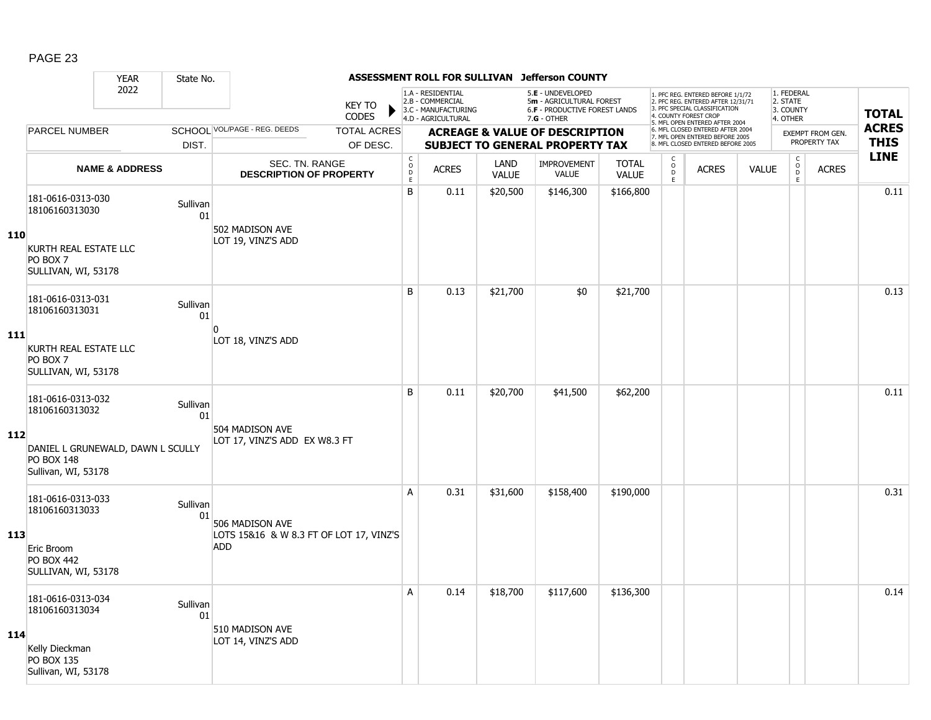|     |                                                                               | <b>YEAR</b>               | State No.      |                                                         |                               |                                     |                                                                                    |                      | ASSESSMENT ROLL FOR SULLIVAN Jefferson COUNTY                                                 |                              |                               |                                                                                                                                                                     |              |                                                 |                         |              |
|-----|-------------------------------------------------------------------------------|---------------------------|----------------|---------------------------------------------------------|-------------------------------|-------------------------------------|------------------------------------------------------------------------------------|----------------------|-----------------------------------------------------------------------------------------------|------------------------------|-------------------------------|---------------------------------------------------------------------------------------------------------------------------------------------------------------------|--------------|-------------------------------------------------|-------------------------|--------------|
|     |                                                                               | 2022                      |                |                                                         | <b>KEY TO</b><br><b>CODES</b> |                                     | 1.A - RESIDENTIAL<br>2.B - COMMERCIAL<br>3.C - MANUFACTURING<br>4.D - AGRICULTURAL |                      | 5.E - UNDEVELOPED<br>5m - AGRICULTURAL FOREST<br>6.F - PRODUCTIVE FOREST LANDS<br>7.G - OTHER |                              |                               | 1. PFC REG. ENTERED BEFORE 1/1/72<br>2. PFC REG. ENTERED AFTER 12/31/71<br>3. PFC SPECIAL CLASSIFICATION<br>4. COUNTY FOREST CROP<br>5. MFL OPEN ENTERED AFTER 2004 |              | 1. FEDERAL<br>2. STATE<br>3. COUNTY<br>4. OTHER |                         | <b>TOTAL</b> |
|     | <b>PARCEL NUMBER</b>                                                          |                           |                | SCHOOL VOL/PAGE - REG. DEEDS                            | <b>TOTAL ACRES</b>            |                                     |                                                                                    |                      | <b>ACREAGE &amp; VALUE OF DESCRIPTION</b>                                                     |                              |                               | 6. MFL CLOSED ENTERED AFTER 2004<br>7. MFL OPEN ENTERED BEFORE 2005                                                                                                 |              |                                                 | <b>EXEMPT FROM GEN.</b> | <b>ACRES</b> |
|     |                                                                               |                           | DIST.          |                                                         | OF DESC.                      |                                     |                                                                                    |                      | <b>SUBJECT TO GENERAL PROPERTY TAX</b>                                                        |                              |                               | 8. MFL CLOSED ENTERED BEFORE 2005                                                                                                                                   |              |                                                 | PROPERTY TAX            | <b>THIS</b>  |
|     |                                                                               | <b>NAME &amp; ADDRESS</b> |                | <b>SEC. TN. RANGE</b><br><b>DESCRIPTION OF PROPERTY</b> |                               | $_{\rm o}^{\rm c}$<br>$\frac{D}{E}$ | <b>ACRES</b>                                                                       | LAND<br><b>VALUE</b> | <b>IMPROVEMENT</b><br><b>VALUE</b>                                                            | <b>TOTAL</b><br><b>VALUE</b> | $_{\rm o}^{\rm c}$<br>D<br>E. | <b>ACRES</b>                                                                                                                                                        | <b>VALUE</b> | $\begin{matrix} 0 \\ 0 \\ D \end{matrix}$<br>E  | <b>ACRES</b>            | <b>LINE</b>  |
| 110 | 181-0616-0313-030<br>18106160313030                                           |                           | Sullivan<br>01 | 502 MADISON AVE                                         |                               | B                                   | 0.11                                                                               | \$20,500             | \$146,300                                                                                     | \$166,800                    |                               |                                                                                                                                                                     |              |                                                 |                         | 0.11         |
|     | KURTH REAL ESTATE LLC<br>PO BOX 7<br>SULLIVAN, WI, 53178                      |                           |                | LOT 19, VINZ'S ADD                                      |                               |                                     |                                                                                    |                      |                                                                                               |                              |                               |                                                                                                                                                                     |              |                                                 |                         |              |
|     | 181-0616-0313-031<br>18106160313031                                           |                           | Sullivan<br>01 |                                                         |                               | B                                   | 0.13                                                                               | \$21,700             | \$0                                                                                           | \$21,700                     |                               |                                                                                                                                                                     |              |                                                 |                         | 0.13         |
| 111 | KURTH REAL ESTATE LLC<br>PO BOX 7<br>SULLIVAN, WI, 53178                      |                           |                | $\Omega$<br>LOT 18, VINZ'S ADD                          |                               |                                     |                                                                                    |                      |                                                                                               |                              |                               |                                                                                                                                                                     |              |                                                 |                         |              |
|     | 181-0616-0313-032<br>18106160313032                                           |                           | Sullivan<br>01 |                                                         |                               | B                                   | 0.11                                                                               | \$20,700             | \$41,500                                                                                      | \$62,200                     |                               |                                                                                                                                                                     |              |                                                 |                         | 0.11         |
| 112 | DANIEL L GRUNEWALD, DAWN L SCULLY<br><b>PO BOX 148</b><br>Sullivan, WI, 53178 |                           |                | 504 MADISON AVE<br>LOT 17, VINZ'S ADD EX W8.3 FT        |                               |                                     |                                                                                    |                      |                                                                                               |                              |                               |                                                                                                                                                                     |              |                                                 |                         |              |
|     | 181-0616-0313-033<br>18106160313033                                           |                           | Sullivan<br>01 | 506 MADISON AVE                                         |                               | A                                   | 0.31                                                                               | \$31,600             | \$158,400                                                                                     | \$190,000                    |                               |                                                                                                                                                                     |              |                                                 |                         | 0.31         |
| 113 | Eric Broom<br><b>PO BOX 442</b><br>SULLIVAN, WI, 53178                        |                           |                | LOTS 15&16 & W 8.3 FT OF LOT 17, VINZ'S<br><b>ADD</b>   |                               |                                     |                                                                                    |                      |                                                                                               |                              |                               |                                                                                                                                                                     |              |                                                 |                         |              |
|     | 181-0616-0313-034<br>18106160313034                                           |                           | Sullivan<br>01 |                                                         |                               | A                                   | 0.14                                                                               | \$18,700             | \$117,600                                                                                     | \$136,300                    |                               |                                                                                                                                                                     |              |                                                 |                         | 0.14         |
| 114 | Kelly Dieckman<br><b>PO BOX 135</b><br>Sullivan, WI, 53178                    |                           |                | 510 MADISON AVE<br>LOT 14, VINZ'S ADD                   |                               |                                     |                                                                                    |                      |                                                                                               |                              |                               |                                                                                                                                                                     |              |                                                 |                         |              |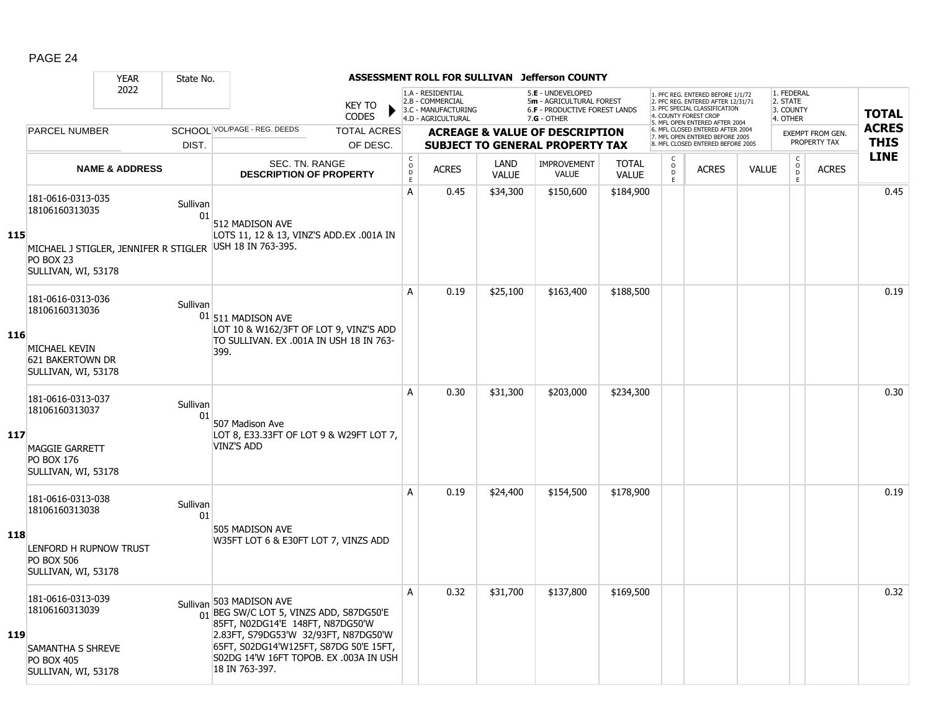|     |                                                                           | <b>YEAR</b>               | State No.      |                                                                                                                                                             |                                |                                                                                    |                      | ASSESSMENT ROLL FOR SULLIVAN Jefferson COUNTY                                                          |                              |                                            |                                                                                                                                  |              |                                                          |                         |              |
|-----|---------------------------------------------------------------------------|---------------------------|----------------|-------------------------------------------------------------------------------------------------------------------------------------------------------------|--------------------------------|------------------------------------------------------------------------------------|----------------------|--------------------------------------------------------------------------------------------------------|------------------------------|--------------------------------------------|----------------------------------------------------------------------------------------------------------------------------------|--------------|----------------------------------------------------------|-------------------------|--------------|
|     |                                                                           | 2022                      |                | <b>KEY TO</b><br><b>CODES</b>                                                                                                                               |                                | 1.A - RESIDENTIAL<br>2.B - COMMERCIAL<br>3.C - MANUFACTURING<br>4.D - AGRICULTURAL |                      | 5.E - UNDEVELOPED<br>5m - AGRICULTURAL FOREST<br><b>6.F - PRODUCTIVE FOREST LANDS</b><br>$7.G - OTHER$ |                              |                                            | . PFC REG. ENTERED BEFORE 1/1/72<br>2. PFC REG. ENTERED AFTER 12/31/71<br>3. PFC SPECIAL CLASSIFICATION<br>4. COUNTY FOREST CROP |              | 1. FEDERAL<br>2. STATE<br>3. COUNTY<br>4. OTHER          |                         | <b>TOTAL</b> |
|     | <b>PARCEL NUMBER</b>                                                      |                           |                | SCHOOL VOL/PAGE - REG. DEEDS<br><b>TOTAL ACRES</b>                                                                                                          |                                |                                                                                    |                      | <b>ACREAGE &amp; VALUE OF DESCRIPTION</b>                                                              |                              |                                            | 5. MFL OPEN ENTERED AFTER 2004<br>6. MFL CLOSED ENTERED AFTER 2004                                                               |              |                                                          | <b>EXEMPT FROM GEN.</b> | <b>ACRES</b> |
|     |                                                                           |                           | DIST.          | OF DESC.                                                                                                                                                    |                                |                                                                                    |                      | <b>SUBJECT TO GENERAL PROPERTY TAX</b>                                                                 |                              |                                            | 7. MFL OPEN ENTERED BEFORE 2005<br>8. MFL CLOSED ENTERED BEFORE 2005                                                             |              |                                                          | PROPERTY TAX            | <b>THIS</b>  |
|     |                                                                           | <b>NAME &amp; ADDRESS</b> |                | SEC. TN. RANGE<br><b>DESCRIPTION OF PROPERTY</b>                                                                                                            | $\frac{c}{0}$<br>$\frac{D}{E}$ | <b>ACRES</b>                                                                       | LAND<br><b>VALUE</b> | <b>IMPROVEMENT</b><br><b>VALUE</b>                                                                     | <b>TOTAL</b><br><b>VALUE</b> | $\begin{array}{c} C \\ 0 \\ E \end{array}$ | <b>ACRES</b>                                                                                                                     | <b>VALUE</b> | $\begin{matrix} 0 \\ 0 \\ D \end{matrix}$<br>$\mathsf E$ | <b>ACRES</b>            | <b>LINE</b>  |
|     | 181-0616-0313-035<br>18106160313035                                       |                           | Sullivan<br>01 | 512 MADISON AVE                                                                                                                                             | A                              | 0.45                                                                               | \$34,300             | \$150,600                                                                                              | \$184,900                    |                                            |                                                                                                                                  |              |                                                          |                         | 0.45         |
| 115 | MICHAEL J STIGLER, JENNIFER R STIGLER<br>PO BOX 23<br>SULLIVAN, WI, 53178 |                           |                | LOTS 11, 12 & 13, VINZ'S ADD.EX .001A IN<br>USH 18 IN 763-395.                                                                                              |                                |                                                                                    |                      |                                                                                                        |                              |                                            |                                                                                                                                  |              |                                                          |                         |              |
|     | 181-0616-0313-036<br>18106160313036                                       |                           | Sullivan       | 01 511 MADISON AVE<br>LOT 10 & W162/3FT OF LOT 9, VINZ'S ADD                                                                                                | A                              | 0.19                                                                               | \$25,100             | \$163,400                                                                                              | \$188,500                    |                                            |                                                                                                                                  |              |                                                          |                         | 0.19         |
| 116 | MICHAEL KEVIN<br>621 BAKERTOWN DR<br>SULLIVAN, WI, 53178                  |                           |                | TO SULLIVAN. EX .001A IN USH 18 IN 763-<br>399.                                                                                                             |                                |                                                                                    |                      |                                                                                                        |                              |                                            |                                                                                                                                  |              |                                                          |                         |              |
|     | 181-0616-0313-037<br>18106160313037                                       |                           | Sullivan<br>01 | 507 Madison Ave                                                                                                                                             | A                              | 0.30                                                                               | \$31,300             | \$203,000                                                                                              | \$234,300                    |                                            |                                                                                                                                  |              |                                                          |                         | 0.30         |
| 117 | MAGGIE GARRETT<br><b>PO BOX 176</b><br>SULLIVAN, WI, 53178                |                           |                | LOT 8, E33.33FT OF LOT 9 & W29FT LOT 7,<br><b>VINZ'S ADD</b>                                                                                                |                                |                                                                                    |                      |                                                                                                        |                              |                                            |                                                                                                                                  |              |                                                          |                         |              |
|     | 181-0616-0313-038<br>18106160313038                                       |                           | Sullivan<br>01 |                                                                                                                                                             | А                              | 0.19                                                                               | \$24,400             | \$154,500                                                                                              | \$178,900                    |                                            |                                                                                                                                  |              |                                                          |                         | 0.19         |
| 118 | LENFORD H RUPNOW TRUST<br><b>PO BOX 506</b><br>SULLIVAN, WI, 53178        |                           |                | 505 MADISON AVE<br>W35FT LOT 6 & E30FT LOT 7, VINZS ADD                                                                                                     |                                |                                                                                    |                      |                                                                                                        |                              |                                            |                                                                                                                                  |              |                                                          |                         |              |
| 119 | 181-0616-0313-039<br>18106160313039                                       |                           |                | Sullivan 503 MADISON AVE<br>$\frac{1}{01}$ BEG SW/C LOT 5, VINZS ADD, S87DG50'E<br>85FT, N02DG14'E 148FT, N87DG50'W<br>2.83FT, S79DG53'W 32/93FT, N87DG50'W | Α                              | 0.32                                                                               | \$31,700             | \$137,800                                                                                              | \$169,500                    |                                            |                                                                                                                                  |              |                                                          |                         | 0.32         |
|     | SAMANTHA S SHREVE<br><b>PO BOX 405</b><br>SULLIVAN, WI, 53178             |                           |                | 65FT, S02DG14'W125FT, S87DG 50'E 15FT,<br>S02DG 14'W 16FT TOPOB. EX .003A IN USH<br>18 IN 763-397.                                                          |                                |                                                                                    |                      |                                                                                                        |                              |                                            |                                                                                                                                  |              |                                                          |                         |              |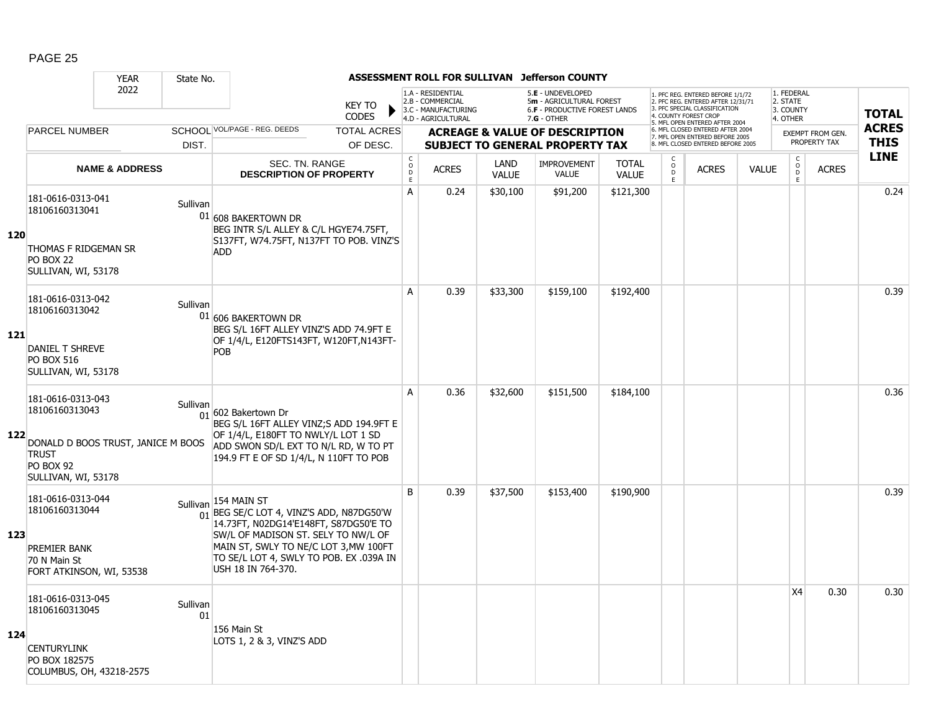|     |                                                                                                        | <b>YEAR</b>                        | State No.      |                                                                                                                                                                                                                                                                        |                                                 |                                                                                    |                      | ASSESSMENT ROLL FOR SULLIVAN Jefferson COUNTY                                                          |                              |                                    |                                                                                                                                   |              |                                                 |                         |              |
|-----|--------------------------------------------------------------------------------------------------------|------------------------------------|----------------|------------------------------------------------------------------------------------------------------------------------------------------------------------------------------------------------------------------------------------------------------------------------|-------------------------------------------------|------------------------------------------------------------------------------------|----------------------|--------------------------------------------------------------------------------------------------------|------------------------------|------------------------------------|-----------------------------------------------------------------------------------------------------------------------------------|--------------|-------------------------------------------------|-------------------------|--------------|
|     |                                                                                                        | 2022                               |                | <b>KEY TO</b><br><b>CODES</b>                                                                                                                                                                                                                                          |                                                 | 1.A - RESIDENTIAL<br>2.B - COMMERCIAL<br>3.C - MANUFACTURING<br>4.D - AGRICULTURAL |                      | 5.E - UNDEVELOPED<br>5m - AGRICULTURAL FOREST<br><b>6.F - PRODUCTIVE FOREST LANDS</b><br>$7.G - OTHER$ |                              |                                    | 1. PFC REG. ENTERED BEFORE 1/1/72<br>2. PFC REG. ENTERED AFTER 12/31/71<br>3. PFC SPECIAL CLASSIFICATION<br>4. COUNTY FOREST CROP |              | 1. FEDERAL<br>2. STATE<br>3. COUNTY<br>4. OTHER |                         | <b>TOTAL</b> |
|     | <b>PARCEL NUMBER</b>                                                                                   |                                    |                | SCHOOL VOL/PAGE - REG. DEEDS<br><b>TOTAL ACRES</b>                                                                                                                                                                                                                     |                                                 |                                                                                    |                      | <b>ACREAGE &amp; VALUE OF DESCRIPTION</b>                                                              |                              |                                    | 5. MFL OPEN ENTERED AFTER 2004<br>6. MFL CLOSED ENTERED AFTER 2004                                                                |              |                                                 | <b>EXEMPT FROM GEN.</b> | <b>ACRES</b> |
|     |                                                                                                        |                                    | DIST.          | OF DESC.                                                                                                                                                                                                                                                               |                                                 |                                                                                    |                      | <b>SUBJECT TO GENERAL PROPERTY TAX</b>                                                                 |                              |                                    | 7. MFL OPEN ENTERED BEFORE 2005<br>8. MFL CLOSED ENTERED BEFORE 2005                                                              |              |                                                 | PROPERTY TAX            | <b>THIS</b>  |
|     |                                                                                                        | <b>NAME &amp; ADDRESS</b>          |                | <b>SEC. TN. RANGE</b><br><b>DESCRIPTION OF PROPERTY</b>                                                                                                                                                                                                                | $_{\rm o}^{\rm c}$<br>$\mathsf{D}_{\mathsf{E}}$ | <b>ACRES</b>                                                                       | LAND<br><b>VALUE</b> | <b>IMPROVEMENT</b><br><b>VALUE</b>                                                                     | <b>TOTAL</b><br><b>VALUE</b> | C<br>$\overline{O}$<br>$\mathsf E$ | <b>ACRES</b>                                                                                                                      | <b>VALUE</b> | $\begin{matrix} 0 \\ 0 \\ D \end{matrix}$<br>E  | <b>ACRES</b>            | <b>LINE</b>  |
| 120 | 181-0616-0313-041<br>18106160313041<br>THOMAS F RIDGEMAN SR<br><b>PO BOX 22</b><br>SULLIVAN, WI, 53178 |                                    | Sullivan       | 01 608 BAKERTOWN DR<br>BEG INTR S/L ALLEY & C/L HGYE74.75FT,<br>S137FT, W74.75FT, N137FT TO POB. VINZ'S<br><b>ADD</b>                                                                                                                                                  | $\overline{A}$                                  | 0.24                                                                               | \$30,100             | \$91,200                                                                                               | \$121,300                    |                                    |                                                                                                                                   |              |                                                 |                         | 0.24         |
| 121 | 181-0616-0313-042<br>18106160313042<br>DANIEL T SHREVE<br><b>PO BOX 516</b><br>SULLIVAN, WI, 53178     |                                    | Sullivan       | 01 606 BAKERTOWN DR<br>BEG S/L 16FT ALLEY VINZ'S ADD 74.9FT E<br>OF 1/4/L, E120FTS143FT, W120FT, N143FT-<br>POB                                                                                                                                                        | A                                               | 0.39                                                                               | \$33,300             | \$159,100                                                                                              | \$192,400                    |                                    |                                                                                                                                   |              |                                                 |                         | 0.39         |
| 122 | 181-0616-0313-043<br>18106160313043<br><b>TRUST</b><br><b>PO BOX 92</b><br>SULLIVAN, WI, 53178         | DONALD D BOOS TRUST, JANICE M BOOS | Sullivan       | $_{01}$ 602 Bakertown Dr<br>BEG S/L 16FT ALLEY VINZ;S ADD 194.9FT E<br>OF 1/4/L, E180FT TO NWLY/L LOT 1 SD<br>ADD SWON SD/L EXT TO N/L RD, W TO PT<br>194.9 FT E OF SD 1/4/L, N 110FT TO POB                                                                           | A                                               | 0.36                                                                               | \$32,600             | \$151,500                                                                                              | \$184,100                    |                                    |                                                                                                                                   |              |                                                 |                         | 0.36         |
| 123 | 181-0616-0313-044<br>18106160313044<br>PREMIER BANK<br>70 N Main St<br>FORT ATKINSON, WI, 53538        |                                    |                | Sullivan 154 MAIN ST<br>$\frac{1}{01}$ BEG SE/C LOT 4, VINZ'S ADD, N87DG50'W<br>14.73FT, N02DG14'E148FT, S87DG50'E TO<br>SW/L OF MADISON ST. SELY TO NW/L OF<br>MAIN ST, SWLY TO NE/C LOT 3, MW 100FT<br>TO SE/L LOT 4, SWLY TO POB. EX .039A IN<br>USH 18 IN 764-370. | B                                               | 0.39                                                                               | \$37,500             | \$153,400                                                                                              | \$190,900                    |                                    |                                                                                                                                   |              |                                                 |                         | 0.39         |
| 124 | 181-0616-0313-045<br>18106160313045<br><b>CENTURYLINK</b><br>PO BOX 182575<br>COLUMBUS, OH, 43218-2575 |                                    | Sullivan<br>01 | 156 Main St<br>LOTS 1, 2 & 3, VINZ'S ADD                                                                                                                                                                                                                               |                                                 |                                                                                    |                      |                                                                                                        |                              |                                    |                                                                                                                                   |              | X4                                              | 0.30                    | 0.30         |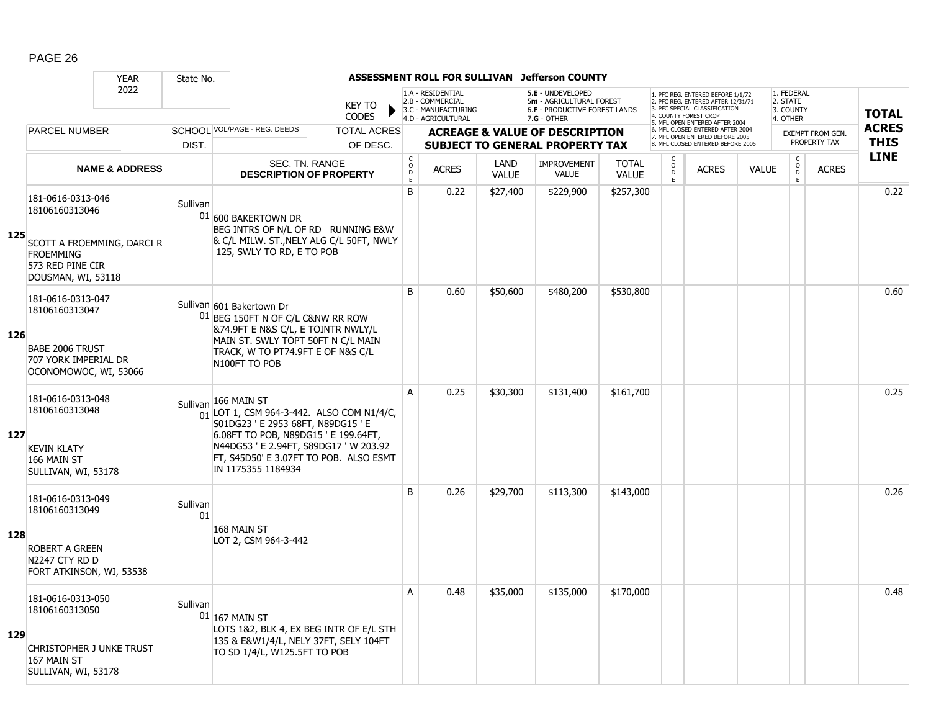|     |                                                                                          | <b>YEAR</b>               | State No.      |                                                                                                                                                |                                        |                                                                                    |                      | ASSESSMENT ROLL FOR SULLIVAN Jefferson COUNTY                                                          |                              |                              |                                                                                                                                   |              |                                                         |                         |              |
|-----|------------------------------------------------------------------------------------------|---------------------------|----------------|------------------------------------------------------------------------------------------------------------------------------------------------|----------------------------------------|------------------------------------------------------------------------------------|----------------------|--------------------------------------------------------------------------------------------------------|------------------------------|------------------------------|-----------------------------------------------------------------------------------------------------------------------------------|--------------|---------------------------------------------------------|-------------------------|--------------|
|     |                                                                                          | 2022                      |                | <b>KEY TO</b><br><b>CODES</b>                                                                                                                  |                                        | 1.A - RESIDENTIAL<br>2.B - COMMERCIAL<br>3.C - MANUFACTURING<br>4.D - AGRICULTURAL |                      | 5.E - UNDEVELOPED<br>5m - AGRICULTURAL FOREST<br><b>6.F - PRODUCTIVE FOREST LANDS</b><br>$7.G - OTHER$ |                              |                              | 1. PFC REG. ENTERED BEFORE 1/1/72<br>2. PFC REG. ENTERED AFTER 12/31/71<br>3. PFC SPECIAL CLASSIFICATION<br>4. COUNTY FOREST CROP |              | 1. FEDERAL<br>2. STATE<br>3. COUNTY<br>4. OTHER         |                         | <b>TOTAL</b> |
|     | <b>PARCEL NUMBER</b>                                                                     |                           |                | SCHOOI VOL/PAGE - REG. DEEDS<br><b>TOTAL ACRES</b>                                                                                             |                                        |                                                                                    |                      | <b>ACREAGE &amp; VALUE OF DESCRIPTION</b>                                                              |                              |                              | 5. MFL OPEN ENTERED AFTER 2004<br>6. MFL CLOSED ENTERED AFTER 2004<br>7. MFL OPEN ENTERED BEFORE 2005                             |              |                                                         | <b>EXEMPT FROM GEN.</b> | <b>ACRES</b> |
|     |                                                                                          |                           | DIST.          | OF DESC.                                                                                                                                       |                                        |                                                                                    |                      | <b>SUBJECT TO GENERAL PROPERTY TAX</b>                                                                 |                              |                              | 8. MFL CLOSED ENTERED BEFORE 2005                                                                                                 |              |                                                         | PROPERTY TAX            | <b>THIS</b>  |
|     |                                                                                          | <b>NAME &amp; ADDRESS</b> |                | <b>SEC. TN. RANGE</b><br><b>DESCRIPTION OF PROPERTY</b>                                                                                        | $_{\rm o}^{\rm c}$<br>$\mathsf D$<br>E | <b>ACRES</b>                                                                       | LAND<br><b>VALUE</b> | <b>IMPROVEMENT</b><br>VALUE                                                                            | <b>TOTAL</b><br><b>VALUE</b> | C<br>$_{\rm D}^{\rm O}$<br>E | <b>ACRES</b>                                                                                                                      | <b>VALUE</b> | $\mathsf{C}$<br>$\overset{\mathsf{O}}{\mathsf{D}}$<br>E | <b>ACRES</b>            | LINE         |
| 125 | 181-0616-0313-046<br>18106160313046                                                      |                           | Sullivan       | 01 600 BAKERTOWN DR<br>BEG INTRS OF N/L OF RD RUNNING E&W                                                                                      | B                                      | 0.22                                                                               | \$27,400             | \$229,900                                                                                              | \$257,300                    |                              |                                                                                                                                   |              |                                                         |                         | 0.22         |
|     | SCOTT A FROEMMING, DARCI R<br><b>FROEMMING</b><br>573 RED PINE CIR<br>DOUSMAN, WI, 53118 |                           |                | & C/L MILW. ST., NELY ALG C/L 50FT, NWLY<br>125, SWLY TO RD, E TO POB                                                                          |                                        |                                                                                    |                      |                                                                                                        |                              |                              |                                                                                                                                   |              |                                                         |                         |              |
|     | 181-0616-0313-047<br>18106160313047                                                      |                           |                | Sullivan 601 Bakertown Dr<br>01 BEG 150FT N OF C/L C&NW RR ROW<br>&74.9FT E N&S C/L, E TOINTR NWLY/L                                           | <sub>B</sub>                           | 0.60                                                                               | \$50,600             | \$480,200                                                                                              | \$530,800                    |                              |                                                                                                                                   |              |                                                         |                         | 0.60         |
| 126 | <b>BABE 2006 TRUST</b><br>707 YORK IMPERIAL DR<br>OCONOMOWOC, WI, 53066                  |                           |                | MAIN ST. SWLY TOPT 50FT N C/L MAIN<br>TRACK, W TO PT74.9FT E OF N&S C/L<br>N100FT TO POB                                                       |                                        |                                                                                    |                      |                                                                                                        |                              |                              |                                                                                                                                   |              |                                                         |                         |              |
|     | 181-0616-0313-048<br>18106160313048                                                      |                           |                | Sullivan 166 MAIN ST<br>$\frac{1}{01}$ LOT 1, CSM 964-3-442. ALSO COM N1/4/C,<br>S01DG23 ' E 2953 68FT, N89DG15 ' E                            | A                                      | 0.25                                                                               | \$30,300             | \$131,400                                                                                              | \$161,700                    |                              |                                                                                                                                   |              |                                                         |                         | 0.25         |
| 127 | <b>KEVIN KLATY</b><br>166 MAIN ST<br>SULLIVAN, WI, 53178                                 |                           |                | 6.08FT TO POB, N89DG15 ' E 199.64FT,<br>N44DG53 ' E 2.94FT, S89DG17 ' W 203.92<br>FT, S45D50' E 3.07FT TO POB. ALSO ESMT<br>IN 1175355 1184934 |                                        |                                                                                    |                      |                                                                                                        |                              |                              |                                                                                                                                   |              |                                                         |                         |              |
|     | 181-0616-0313-049<br>18106160313049                                                      |                           | Sullivan<br>01 |                                                                                                                                                | B                                      | 0.26                                                                               | \$29,700             | \$113,300                                                                                              | \$143,000                    |                              |                                                                                                                                   |              |                                                         |                         | 0.26         |
| 128 | <b>ROBERT A GREEN</b><br>N2247 CTY RD D<br>FORT ATKINSON, WI, 53538                      |                           |                | 168 MAIN ST<br>LOT 2, CSM 964-3-442                                                                                                            |                                        |                                                                                    |                      |                                                                                                        |                              |                              |                                                                                                                                   |              |                                                         |                         |              |
| 129 | 181-0616-0313-050<br>18106160313050                                                      |                           | Sullivan       | $01$ 167 MAIN ST<br>LOTS 1&2, BLK 4, EX BEG INTR OF E/L STH                                                                                    | A                                      | 0.48                                                                               | \$35,000             | \$135,000                                                                                              | \$170,000                    |                              |                                                                                                                                   |              |                                                         |                         | 0.48         |
|     | CHRISTOPHER J UNKE TRUST<br>167 MAIN ST<br>SULLIVAN, WI, 53178                           |                           |                | 135 & E&W1/4/L, NELY 37FT, SELY 104FT<br>TO SD 1/4/L, W125.5FT TO POB                                                                          |                                        |                                                                                    |                      |                                                                                                        |                              |                              |                                                                                                                                   |              |                                                         |                         |              |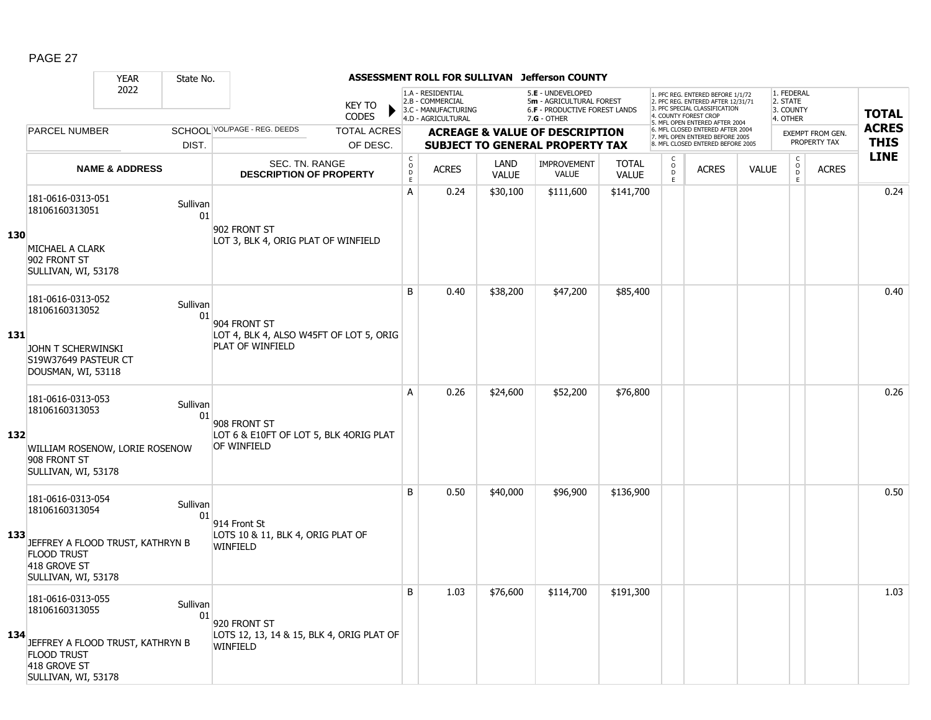|     |                                                                  | <b>YEAR</b>                      | State No.      |                                                             |                               |                              |                                                                                    |                      | ASSESSMENT ROLL FOR SULLIVAN Jefferson COUNTY                                                 |                              |                                        |                                                                                                                                                                    |              |                                                 |                  |              |
|-----|------------------------------------------------------------------|----------------------------------|----------------|-------------------------------------------------------------|-------------------------------|------------------------------|------------------------------------------------------------------------------------|----------------------|-----------------------------------------------------------------------------------------------|------------------------------|----------------------------------------|--------------------------------------------------------------------------------------------------------------------------------------------------------------------|--------------|-------------------------------------------------|------------------|--------------|
|     |                                                                  | 2022                             |                |                                                             | <b>KEY TO</b><br><b>CODES</b> |                              | 1.A - RESIDENTIAL<br>2.B - COMMERCIAL<br>3.C - MANUFACTURING<br>4.D - AGRICULTURAL |                      | 5.E - UNDEVELOPED<br>5m - AGRICULTURAL FOREST<br>6.F - PRODUCTIVE FOREST LANDS<br>7.G - OTHER |                              |                                        | . PFC REG. ENTERED BEFORE 1/1/72<br>2. PFC REG. ENTERED AFTER 12/31/71<br>3. PFC SPECIAL CLASSIFICATION<br>4. COUNTY FOREST CROP<br>5. MFL OPEN ENTERED AFTER 2004 |              | 1. FEDERAL<br>2. STATE<br>3. COUNTY<br>4. OTHER |                  | <b>TOTAL</b> |
|     | <b>PARCEL NUMBER</b>                                             |                                  |                | SCHOOL VOL/PAGE - REG. DEEDS                                | <b>TOTAL ACRES</b>            |                              |                                                                                    |                      | <b>ACREAGE &amp; VALUE OF DESCRIPTION</b>                                                     |                              |                                        | 6. MFL CLOSED ENTERED AFTER 2004<br>7. MFL OPEN ENTERED BEFORE 2005                                                                                                |              |                                                 | EXEMPT FROM GEN. | <b>ACRES</b> |
|     |                                                                  |                                  | DIST.          |                                                             | OF DESC.                      |                              |                                                                                    |                      | <b>SUBJECT TO GENERAL PROPERTY TAX</b>                                                        |                              |                                        | 8. MFL CLOSED ENTERED BEFORE 2005                                                                                                                                  |              |                                                 | PROPERTY TAX     | <b>THIS</b>  |
|     |                                                                  | <b>NAME &amp; ADDRESS</b>        |                | <b>SEC. TN. RANGE</b><br><b>DESCRIPTION OF PROPERTY</b>     |                               | $_{\rm o}^{\rm c}$<br>D<br>Ē | <b>ACRES</b>                                                                       | LAND<br><b>VALUE</b> | <b>IMPROVEMENT</b><br><b>VALUE</b>                                                            | <b>TOTAL</b><br><b>VALUE</b> | $\mathsf C$<br>$\mathsf{o}$<br>D<br>E. | <b>ACRES</b>                                                                                                                                                       | <b>VALUE</b> | $_{\rm o}^{\rm c}$<br>D<br>E.                   | <b>ACRES</b>     | <b>LINE</b>  |
|     | 181-0616-0313-051<br>18106160313051                              |                                  | Sullivan<br>01 | 902 FRONT ST                                                |                               | A                            | 0.24                                                                               | \$30,100             | \$111,600                                                                                     | \$141,700                    |                                        |                                                                                                                                                                    |              |                                                 |                  | 0.24         |
| 130 | MICHAEL A CLARK<br>902 FRONT ST<br>SULLIVAN, WI, 53178           |                                  |                | LOT 3, BLK 4, ORIG PLAT OF WINFIELD                         |                               |                              |                                                                                    |                      |                                                                                               |                              |                                        |                                                                                                                                                                    |              |                                                 |                  |              |
|     | 181-0616-0313-052<br>18106160313052                              |                                  | Sullivan<br>01 | 904 FRONT ST                                                |                               | B                            | 0.40                                                                               | \$38,200             | \$47,200                                                                                      | \$85,400                     |                                        |                                                                                                                                                                    |              |                                                 |                  | 0.40         |
| 131 | JOHN T SCHERWINSKI<br>S19W37649 PASTEUR CT<br>DOUSMAN, WI, 53118 |                                  |                | LOT 4, BLK 4, ALSO W45FT OF LOT 5, ORIG<br>PLAT OF WINFIELD |                               |                              |                                                                                    |                      |                                                                                               |                              |                                        |                                                                                                                                                                    |              |                                                 |                  |              |
| 132 | 181-0616-0313-053<br>18106160313053                              |                                  | Sullivan<br>01 | 908 FRONT ST<br>LOT 6 & E10FT OF LOT 5, BLK 4ORIG PLAT      |                               | A                            | 0.26                                                                               | \$24,600             | \$52,200                                                                                      | \$76,800                     |                                        |                                                                                                                                                                    |              |                                                 |                  | 0.26         |
|     | 908 FRONT ST<br>SULLIVAN, WI, 53178                              | WILLIAM ROSENOW, LORIE ROSENOW   |                | OF WINFIELD                                                 |                               |                              |                                                                                    |                      |                                                                                               |                              |                                        |                                                                                                                                                                    |              |                                                 |                  |              |
|     | 181-0616-0313-054<br>18106160313054                              |                                  | Sullivan<br>01 | 914 Front St                                                |                               | B                            | 0.50                                                                               | \$40,000             | \$96,900                                                                                      | \$136,900                    |                                        |                                                                                                                                                                    |              |                                                 |                  | 0.50         |
| 133 | <b>FLOOD TRUST</b><br>418 GROVE ST<br>SULLIVAN, WI, 53178        | JEFFREY A FLOOD TRUST, KATHRYN B |                | LOTS 10 & 11, BLK 4, ORIG PLAT OF<br><b>WINFIELD</b>        |                               |                              |                                                                                    |                      |                                                                                               |                              |                                        |                                                                                                                                                                    |              |                                                 |                  |              |
|     | 181-0616-0313-055<br>18106160313055                              |                                  | Sullivan<br>01 | 920 FRONT ST                                                |                               | B                            | 1.03                                                                               | \$76,600             | \$114,700                                                                                     | \$191,300                    |                                        |                                                                                                                                                                    |              |                                                 |                  | 1.03         |
| 134 | <b>FLOOD TRUST</b><br>418 GROVE ST<br>SULLIVAN, WI, 53178        | JEFFREY A FLOOD TRUST, KATHRYN B |                | LOTS 12, 13, 14 & 15, BLK 4, ORIG PLAT OF<br>WINFIELD       |                               |                              |                                                                                    |                      |                                                                                               |                              |                                        |                                                                                                                                                                    |              |                                                 |                  |              |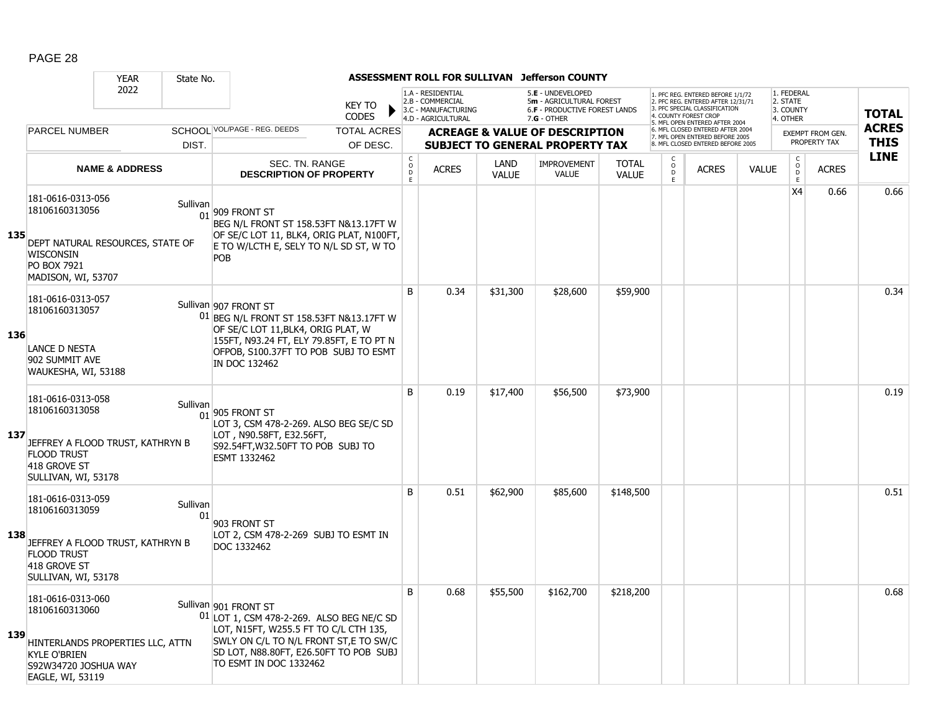|     |                                                                                                        | <b>YEAR</b><br>State No.                     |                                                                                                                                                                                                                           |                               |                                         |                                                                                    |                      | ASSESSMENT ROLL FOR SULLIVAN Jefferson COUNTY                                                   |                              |                                                |                                                                                                                                                                     |              |                                                 |                                         |                             |
|-----|--------------------------------------------------------------------------------------------------------|----------------------------------------------|---------------------------------------------------------------------------------------------------------------------------------------------------------------------------------------------------------------------------|-------------------------------|-----------------------------------------|------------------------------------------------------------------------------------|----------------------|-------------------------------------------------------------------------------------------------|------------------------------|------------------------------------------------|---------------------------------------------------------------------------------------------------------------------------------------------------------------------|--------------|-------------------------------------------------|-----------------------------------------|-----------------------------|
|     |                                                                                                        | 2022                                         |                                                                                                                                                                                                                           | <b>KEY TO</b><br><b>CODES</b> |                                         | 1.A - RESIDENTIAL<br>2.B - COMMERCIAL<br>3.C - MANUFACTURING<br>4.D - AGRICULTURAL |                      | 5.E - UNDEVELOPED<br>5m - AGRICULTURAL FOREST<br>6.F - PRODUCTIVE FOREST LANDS<br>$7.G - OTHER$ |                              |                                                | 1. PFC REG. ENTERED BEFORE 1/1/72<br>2. PFC REG. ENTERED AFTER 12/31/71<br>3. PFC SPECIAL CLASSIFICATION<br>4. COUNTY FOREST CROP<br>5. MFL OPEN ENTERED AFTER 2004 |              | 1. FEDERAL<br>2. STATE<br>3. COUNTY<br>4. OTHER |                                         | <b>TOTAL</b>                |
|     | <b>PARCEL NUMBER</b>                                                                                   |                                              | SCHOOL VOL/PAGE - REG. DEEDS                                                                                                                                                                                              | <b>TOTAL ACRES</b>            |                                         |                                                                                    |                      | <b>ACREAGE &amp; VALUE OF DESCRIPTION</b>                                                       |                              |                                                | 6. MFL CLOSED ENTERED AFTER 2004<br>7. MFL OPEN ENTERED BEFORE 2005<br>8. MFL CLOSED ENTERED BEFORE 2005                                                            |              |                                                 | <b>EXEMPT FROM GEN.</b><br>PROPERTY TAX | <b>ACRES</b><br><b>THIS</b> |
|     |                                                                                                        | DIST.                                        |                                                                                                                                                                                                                           | OF DESC.                      |                                         |                                                                                    |                      | <b>SUBJECT TO GENERAL PROPERTY TAX</b>                                                          |                              |                                                |                                                                                                                                                                     |              |                                                 |                                         | <b>LINE</b>                 |
|     |                                                                                                        | <b>NAME &amp; ADDRESS</b>                    | <b>SEC. TN. RANGE</b><br><b>DESCRIPTION OF PROPERTY</b>                                                                                                                                                                   |                               | $_{\rm o}^{\rm c}$<br>$\mathsf D$<br>F. | <b>ACRES</b>                                                                       | LAND<br><b>VALUE</b> | <b>IMPROVEMENT</b><br><b>VALUE</b>                                                              | <b>TOTAL</b><br><b>VALUE</b> | $\begin{matrix} 0 \\ 0 \\ 0 \end{matrix}$<br>E | <b>ACRES</b>                                                                                                                                                        | <b>VALUE</b> | $\begin{array}{c} C \\ 0 \\ E \end{array}$      | <b>ACRES</b>                            |                             |
| 135 | 181-0616-0313-056<br>18106160313056<br>WISCONSIN<br><b>PO BOX 7921</b><br>MADISON, WI, 53707           | Sullivan<br>DEPT NATURAL RESOURCES, STATE OF | 01 909 FRONT ST<br>BEG N/L FRONT ST 158.53FT N&13.17FT W<br>OF SE/C LOT 11, BLK4, ORIG PLAT, N100FT,<br>E TO W/LCTH E, SELY TO N/L SD ST, W TO<br>POB                                                                     |                               |                                         |                                                                                    |                      |                                                                                                 |                              |                                                |                                                                                                                                                                     |              | X4                                              | 0.66                                    | 0.66                        |
| 136 | 181-0616-0313-057<br>18106160313057<br>LANCE D NESTA<br>902 SUMMIT AVE<br>WAUKESHA, WI, 53188          |                                              | Sullivan 907 FRONT ST<br>01 BEG N/L FRONT ST 158.53FT N&13.17FT W<br>OF SE/C LOT 11, BLK4, ORIG PLAT, W<br>155FT, N93.24 FT, ELY 79.85FT, E TO PT N<br>OFPOB, S100.37FT TO POB SUBJ TO ESMT<br>IN DOC 132462              |                               | B                                       | 0.34                                                                               | \$31,300             | \$28,600                                                                                        | \$59,900                     |                                                |                                                                                                                                                                     |              |                                                 |                                         | 0.34                        |
| 137 | 181-0616-0313-058<br>18106160313058<br><b>FLOOD TRUST</b><br>418 GROVE ST<br>SULLIVAN, WI, 53178       | Sullivan<br>JEFFREY A FLOOD TRUST, KATHRYN B | $\frac{1}{01}$ 905 FRONT ST<br>LOT 3, CSM 478-2-269. ALSO BEG SE/C SD<br>LOT, N90.58FT, E32.56FT,<br>S92.54FT, W32.50FT TO POB SUBJ TO<br>ESMT 1332462                                                                    |                               | B                                       | 0.19                                                                               | \$17,400             | \$56,500                                                                                        | \$73,900                     |                                                |                                                                                                                                                                     |              |                                                 |                                         | 0.19                        |
| 138 | 181-0616-0313-059<br>18106160313059<br><b>FLOOD TRUST</b><br>418 GROVE ST<br>SULLIVAN, WI, 53178       | Sullivan<br>JEFFREY A FLOOD TRUST, KATHRYN B | 01<br>903 FRONT ST<br>LOT 2, CSM 478-2-269 SUBJ TO ESMT IN<br>DOC 1332462                                                                                                                                                 |                               | B                                       | 0.51                                                                               | \$62,900             | \$85,600                                                                                        | \$148,500                    |                                                |                                                                                                                                                                     |              |                                                 |                                         | 0.51                        |
| 139 | 181-0616-0313-060<br>18106160313060<br><b>KYLE O'BRIEN</b><br>S92W34720 JOSHUA WAY<br>EAGLE, WI, 53119 | HINTERLANDS PROPERTIES LLC, ATTN             | Sullivan 901 FRONT ST<br>01 LOT 1, CSM 478-2-269. ALSO BEG NE/C SD<br>LOT, N15FT, W255.5 FT TO C/L CTH 135,<br>SWLY ON C/L TO N/L FRONT ST, E TO SW/C<br>SD LOT, N88.80FT, E26.50FT TO POB SUBJ<br>TO ESMT IN DOC 1332462 |                               | B                                       | 0.68                                                                               | \$55,500             | \$162,700                                                                                       | \$218,200                    |                                                |                                                                                                                                                                     |              |                                                 |                                         | 0.68                        |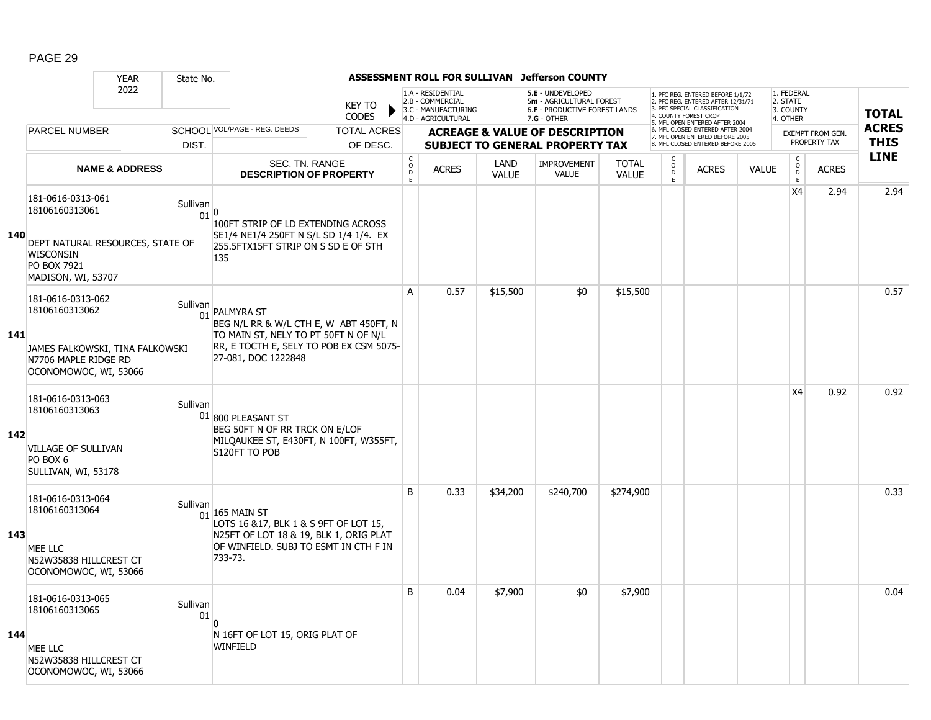|     |                                                                                                      | <b>YEAR</b>                      | State No.        |                                                                                                                                                       |                               |                                         |                                                                                    |                      | ASSESSMENT ROLL FOR SULLIVAN Jefferson COUNTY                                                          |                              |                                                |                                                                                                                                                                     |              |                                                 |                         |              |
|-----|------------------------------------------------------------------------------------------------------|----------------------------------|------------------|-------------------------------------------------------------------------------------------------------------------------------------------------------|-------------------------------|-----------------------------------------|------------------------------------------------------------------------------------|----------------------|--------------------------------------------------------------------------------------------------------|------------------------------|------------------------------------------------|---------------------------------------------------------------------------------------------------------------------------------------------------------------------|--------------|-------------------------------------------------|-------------------------|--------------|
|     |                                                                                                      | 2022                             |                  |                                                                                                                                                       | <b>KEY TO</b><br><b>CODES</b> |                                         | 1.A - RESIDENTIAL<br>2.B - COMMERCIAL<br>3.C - MANUFACTURING<br>4.D - AGRICULTURAL |                      | 5.E - UNDEVELOPED<br>5m - AGRICULTURAL FOREST<br><b>6.F - PRODUCTIVE FOREST LANDS</b><br>$7.G - OTHER$ |                              |                                                | 1. PFC REG. ENTERED BEFORE 1/1/72<br>2. PFC REG. ENTERED AFTER 12/31/71<br>3. PFC SPECIAL CLASSIFICATION<br>4. COUNTY FOREST CROP<br>5. MFL OPEN ENTERED AFTER 2004 |              | 1. FEDERAL<br>2. STATE<br>3. COUNTY<br>4. OTHER |                         | <b>TOTAL</b> |
|     | <b>PARCEL NUMBER</b>                                                                                 |                                  |                  | SCHOOL VOL/PAGE - REG. DEEDS                                                                                                                          | <b>TOTAL ACRES</b>            |                                         |                                                                                    |                      | <b>ACREAGE &amp; VALUE OF DESCRIPTION</b>                                                              |                              |                                                | 6. MFL CLOSED ENTERED AFTER 2004<br>7. MFL OPEN ENTERED BEFORE 2005                                                                                                 |              |                                                 | <b>EXEMPT FROM GEN.</b> | <b>ACRES</b> |
|     |                                                                                                      |                                  | DIST.            |                                                                                                                                                       | OF DESC.                      |                                         |                                                                                    |                      | <b>SUBJECT TO GENERAL PROPERTY TAX</b>                                                                 |                              |                                                | 8. MFL CLOSED ENTERED BEFORE 2005                                                                                                                                   |              |                                                 | PROPERTY TAX            | <b>THIS</b>  |
|     |                                                                                                      | <b>NAME &amp; ADDRESS</b>        |                  | <b>SEC. TN. RANGE</b><br><b>DESCRIPTION OF PROPERTY</b>                                                                                               |                               | $_{\rm o}^{\rm c}$<br>$\mathsf D$<br>E. | <b>ACRES</b>                                                                       | LAND<br><b>VALUE</b> | <b>IMPROVEMENT</b><br><b>VALUE</b>                                                                     | <b>TOTAL</b><br><b>VALUE</b> | $\begin{matrix} 0 \\ 0 \\ 0 \end{matrix}$<br>E | <b>ACRES</b>                                                                                                                                                        | <b>VALUE</b> | $\begin{array}{c} C \\ O \\ E \end{array}$      | <b>ACRES</b>            | <b>LINE</b>  |
| 140 | 181-0616-0313-061<br>18106160313061<br>WISCONSIN                                                     | DEPT NATURAL RESOURCES, STATE OF | Sullivan<br>01 0 | 100FT STRIP OF LD EXTENDING ACROSS<br>SE1/4 NE1/4 250FT N S/L SD 1/4 1/4. EX<br>255.5FTX15FT STRIP ON S SD E OF STH<br>135                            |                               |                                         |                                                                                    |                      |                                                                                                        |                              |                                                |                                                                                                                                                                     |              | X4                                              | 2.94                    | 2.94         |
|     | <b>PO BOX 7921</b><br>MADISON, WI, 53707                                                             |                                  |                  |                                                                                                                                                       |                               |                                         |                                                                                    |                      |                                                                                                        |                              |                                                |                                                                                                                                                                     |              |                                                 |                         |              |
| 141 | 181-0616-0313-062<br>18106160313062                                                                  | Sullivan                         |                  | 01 PALMYRA ST<br>BEG N/L RR & W/L CTH E, W ABT 450FT, N<br>TO MAIN ST, NELY TO PT 50FT N OF N/L                                                       |                               | A                                       | 0.57                                                                               | \$15,500             | \$0                                                                                                    | \$15,500                     |                                                |                                                                                                                                                                     |              |                                                 |                         | 0.57         |
|     | N7706 MAPLE RIDGE RD<br>OCONOMOWOC, WI, 53066                                                        | JAMES FALKOWSKI, TINA FALKOWSKI  |                  | RR, E TOCTH E, SELY TO POB EX CSM 5075-<br>27-081, DOC 1222848                                                                                        |                               |                                         |                                                                                    |                      |                                                                                                        |                              |                                                |                                                                                                                                                                     |              |                                                 |                         |              |
| 142 | 181-0616-0313-063<br>18106160313063<br><b>VILLAGE OF SULLIVAN</b><br>PO BOX 6<br>SULLIVAN, WI, 53178 | Sullivan                         |                  | 01 800 PLEASANT ST<br>BEG 50FT N OF RR TRCK ON E/LOF<br>MILQAUKEE ST, E430FT, N 100FT, W355FT,<br>S120FT TO POB                                       |                               |                                         |                                                                                    |                      |                                                                                                        |                              |                                                |                                                                                                                                                                     |              | <b>X4</b>                                       | 0.92                    | 0.92         |
| 143 | 181-0616-0313-064<br>18106160313064<br>MEE LLC<br>N52W35838 HILLCREST CT<br>OCONOMOWOC, WI, 53066    | Sullivan                         | 01               | $165$ Main St<br>LOTS 16 & 17, BLK 1 & S 9FT OF LOT 15,<br>N25FT OF LOT 18 & 19, BLK 1, ORIG PLAT<br>OF WINFIELD. SUBJ TO ESMT IN CTH F IN<br>733-73. |                               | B                                       | 0.33                                                                               | \$34,200             | \$240,700                                                                                              | \$274,900                    |                                                |                                                                                                                                                                     |              |                                                 |                         | 0.33         |
| 144 | 181-0616-0313-065<br>18106160313065<br>MEE LLC<br>N52W35838 HILLCREST CT<br>OCONOMOWOC, WI, 53066    |                                  | Sullivan<br>01   | N 16FT OF LOT 15, ORIG PLAT OF<br>WINFIELD                                                                                                            |                               | B                                       | 0.04                                                                               | \$7,900              | \$0                                                                                                    | \$7,900                      |                                                |                                                                                                                                                                     |              |                                                 |                         | 0.04         |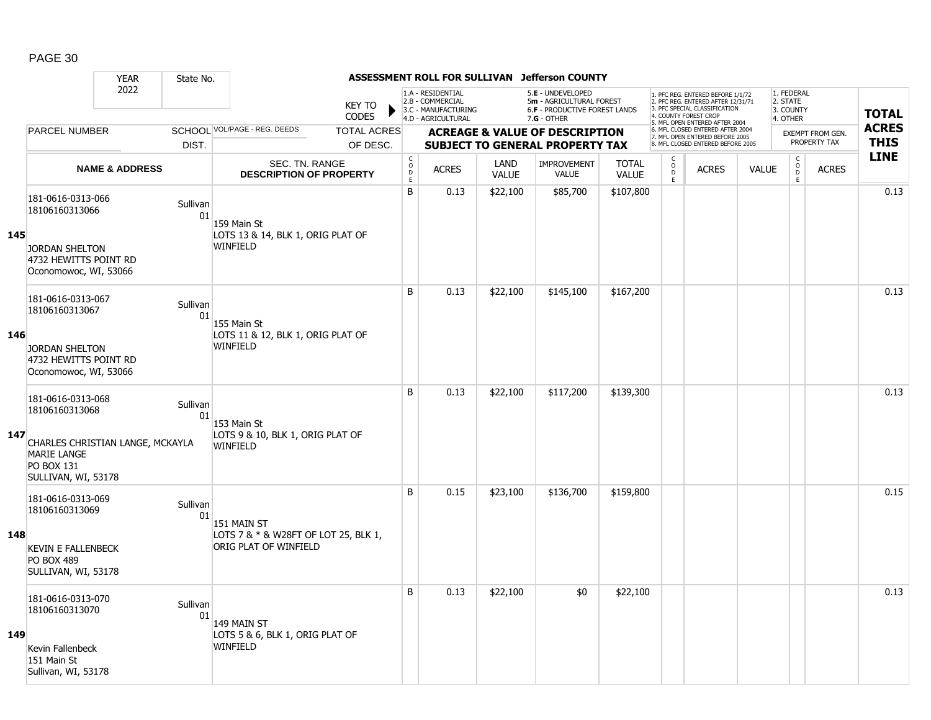|     |                                                                                                    | <b>YEAR</b>                  | State No.      |                                                               |                                    |                              |                                                                                    |                      | ASSESSMENT ROLL FOR SULLIVAN Jefferson COUNTY                                                   |                              |                       |                                                                                                                                            |              |                                                 |                  |              |
|-----|----------------------------------------------------------------------------------------------------|------------------------------|----------------|---------------------------------------------------------------|------------------------------------|------------------------------|------------------------------------------------------------------------------------|----------------------|-------------------------------------------------------------------------------------------------|------------------------------|-----------------------|--------------------------------------------------------------------------------------------------------------------------------------------|--------------|-------------------------------------------------|------------------|--------------|
|     |                                                                                                    | 2022<br><b>PARCEL NUMBER</b> |                |                                                               | <b>KEY TO</b><br>▶<br><b>CODES</b> |                              | 1.A - RESIDENTIAL<br>2.B - COMMERCIAL<br>3.C - MANUFACTURING<br>4.D - AGRICULTURAL |                      | 5.E - UNDEVELOPED<br>5m - AGRICULTURAL FOREST<br>6.F - PRODUCTIVE FOREST LANDS<br>$7.G - OTHER$ |                              | 4. COUNTY FOREST CROP | 1. PFC REG. ENTERED BEFORE 1/1/72<br>2. PFC REG. ENTERED AFTER 12/31/71<br>3. PFC SPECIAL CLASSIFICATION<br>5. MFL OPEN ENTERED AFTER 2004 |              | 1. FEDERAL<br>2. STATE<br>3. COUNTY<br>4. OTHER |                  | <b>TOTAL</b> |
|     |                                                                                                    |                              |                | SCHOOL VOL/PAGE - REG. DEEDS                                  | <b>TOTAL ACRES</b>                 |                              |                                                                                    |                      | <b>ACREAGE &amp; VALUE OF DESCRIPTION</b>                                                       |                              |                       | 6. MFL CLOSED ENTERED AFTER 2004<br>7. MFL OPEN ENTERED BEFORE 2005                                                                        |              |                                                 | EXEMPT FROM GEN. | <b>ACRES</b> |
|     |                                                                                                    |                              | DIST.          |                                                               | OF DESC.                           |                              |                                                                                    |                      | <b>SUBJECT TO GENERAL PROPERTY TAX</b>                                                          |                              |                       | 8. MFL CLOSED ENTERED BEFORE 2005                                                                                                          |              |                                                 | PROPERTY TAX     | <b>THIS</b>  |
|     |                                                                                                    | <b>NAME &amp; ADDRESS</b>    |                | SEC. TN. RANGE<br><b>DESCRIPTION OF PROPERTY</b>              |                                    | $_{\rm o}^{\rm c}$<br>D<br>Ē | <b>ACRES</b>                                                                       | LAND<br><b>VALUE</b> | <b>IMPROVEMENT</b><br><b>VALUE</b>                                                              | <b>TOTAL</b><br><b>VALUE</b> | $\rm _o^C$<br>D<br>E  | <b>ACRES</b>                                                                                                                               | <b>VALUE</b> | $_{\rm o}^{\rm c}$<br>D<br>E.                   | <b>ACRES</b>     | <b>LINE</b>  |
| 145 | 181-0616-0313-066<br>18106160313066                                                                |                              | Sullivan<br>01 | 159 Main St                                                   |                                    | B                            | 0.13                                                                               | \$22,100             | \$85,700                                                                                        | \$107,800                    |                       |                                                                                                                                            |              |                                                 |                  | 0.13         |
|     | <b>JORDAN SHELTON</b><br>4732 HEWITTS POINT RD<br>Oconomowoc, WI, 53066                            |                              |                | LOTS 13 & 14, BLK 1, ORIG PLAT OF<br>WINFIELD                 |                                    |                              |                                                                                    |                      |                                                                                                 |                              |                       |                                                                                                                                            |              |                                                 |                  |              |
|     | 181-0616-0313-067<br>18106160313067                                                                |                              | Sullivan<br>01 | 155 Main St                                                   |                                    | B                            | 0.13                                                                               | \$22,100             | \$145,100                                                                                       | \$167,200                    |                       |                                                                                                                                            |              |                                                 |                  | 0.13         |
| 146 | <b>JORDAN SHELTON</b><br>4732 HEWITTS POINT RD<br>Oconomowoc, WI, 53066                            |                              |                | LOTS 11 & 12, BLK 1, ORIG PLAT OF<br><b>WINFIELD</b>          |                                    |                              |                                                                                    |                      |                                                                                                 |                              |                       |                                                                                                                                            |              |                                                 |                  |              |
|     | 181-0616-0313-068<br>18106160313068                                                                |                              | Sullivan<br>01 | 153 Main St                                                   |                                    | B                            | 0.13                                                                               | \$22,100             | \$117,200                                                                                       | \$139,300                    |                       |                                                                                                                                            |              |                                                 |                  | 0.13         |
| 147 | CHARLES CHRISTIAN LANGE, MCKAYLA<br><b>MARIE LANGE</b><br><b>PO BOX 131</b><br>SULLIVAN, WI, 53178 |                              |                | LOTS 9 & 10, BLK 1, ORIG PLAT OF<br><b>WINFIELD</b>           |                                    |                              |                                                                                    |                      |                                                                                                 |                              |                       |                                                                                                                                            |              |                                                 |                  |              |
|     | 181-0616-0313-069<br>18106160313069                                                                |                              | Sullivan<br>01 | 151 MAIN ST                                                   |                                    | B                            | 0.15                                                                               | \$23,100             | \$136,700                                                                                       | \$159,800                    |                       |                                                                                                                                            |              |                                                 |                  | 0.15         |
| 148 | <b>KEVIN E FALLENBECK</b><br><b>PO BOX 489</b><br>SULLIVAN, WI, 53178                              |                              |                | LOTS 7 & * & W28FT OF LOT 25, BLK 1,<br>ORIG PLAT OF WINFIELD |                                    |                              |                                                                                    |                      |                                                                                                 |                              |                       |                                                                                                                                            |              |                                                 |                  |              |
|     | 181-0616-0313-070<br>18106160313070                                                                |                              | Sullivan<br>01 | 149 MAIN ST                                                   |                                    | B                            | 0.13                                                                               | \$22,100             | \$0                                                                                             | \$22,100                     |                       |                                                                                                                                            |              |                                                 |                  | 0.13         |
| 149 | Kevin Fallenbeck<br>151 Main St<br>Sullivan, WI, 53178                                             |                              |                | LOTS 5 & 6, BLK 1, ORIG PLAT OF<br><b>WINFIELD</b>            |                                    |                              |                                                                                    |                      |                                                                                                 |                              |                       |                                                                                                                                            |              |                                                 |                  |              |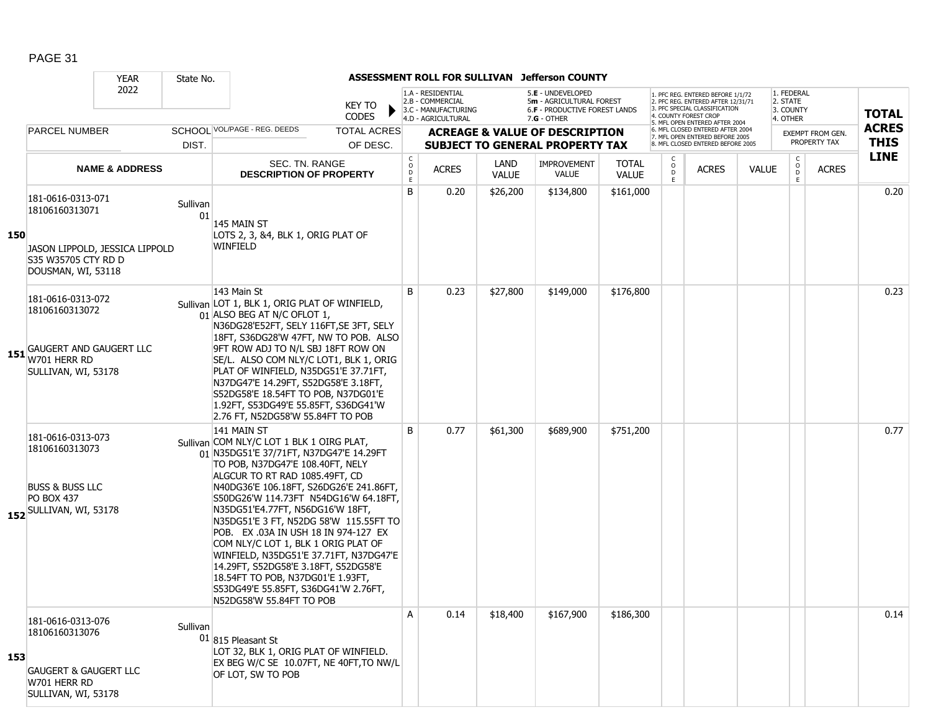|     |                                                                                                                    | <b>YEAR</b>               | State No.      |                                                                                                                                                                                                                                                                                                                                                                                                                                                                                                                                                                                                                       |                               |                                        |                                                                                    |                             | ASSESSMENT ROLL FOR SULLIVAN Jefferson COUNTY                                                   |                              |                                         |                                                                                                                                   |              |                                                 |                  |              |
|-----|--------------------------------------------------------------------------------------------------------------------|---------------------------|----------------|-----------------------------------------------------------------------------------------------------------------------------------------------------------------------------------------------------------------------------------------------------------------------------------------------------------------------------------------------------------------------------------------------------------------------------------------------------------------------------------------------------------------------------------------------------------------------------------------------------------------------|-------------------------------|----------------------------------------|------------------------------------------------------------------------------------|-----------------------------|-------------------------------------------------------------------------------------------------|------------------------------|-----------------------------------------|-----------------------------------------------------------------------------------------------------------------------------------|--------------|-------------------------------------------------|------------------|--------------|
|     |                                                                                                                    | 2022                      |                |                                                                                                                                                                                                                                                                                                                                                                                                                                                                                                                                                                                                                       | <b>KEY TO</b><br><b>CODES</b> |                                        | 1.A - RESIDENTIAL<br>2.B - COMMERCIAL<br>3.C - MANUFACTURING<br>4.D - AGRICULTURAL |                             | 5.E - UNDEVELOPED<br>5m - AGRICULTURAL FOREST<br>6.F - PRODUCTIVE FOREST LANDS<br>$7.G - OTHER$ |                              |                                         | 1. PFC REG. ENTERED BEFORE 1/1/72<br>2. PFC REG. ENTERED AFTER 12/31/71<br>3. PFC SPECIAL CLASSIFICATION<br>4. COUNTY FOREST CROP |              | 1. FEDERAL<br>2. STATE<br>3. COUNTY<br>4. OTHER |                  | <b>TOTAL</b> |
|     | <b>PARCEL NUMBER</b>                                                                                               |                           |                | SCHOOL VOL/PAGE - REG. DEEDS                                                                                                                                                                                                                                                                                                                                                                                                                                                                                                                                                                                          | <b>TOTAL ACRES</b>            |                                        |                                                                                    |                             | <b>ACREAGE &amp; VALUE OF DESCRIPTION</b>                                                       |                              |                                         | 5. MFL OPEN ENTERED AFTER 2004<br>6. MFL CLOSED ENTERED AFTER 2004<br>7. MFL OPEN ENTERED BEFORE 2005                             |              |                                                 | EXEMPT FROM GEN. | <b>ACRES</b> |
|     |                                                                                                                    |                           | DIST.          |                                                                                                                                                                                                                                                                                                                                                                                                                                                                                                                                                                                                                       | OF DESC.                      |                                        |                                                                                    |                             | <b>SUBJECT TO GENERAL PROPERTY TAX</b>                                                          |                              |                                         | 8. MFL CLOSED ENTERED BEFORE 2005                                                                                                 |              |                                                 | PROPERTY TAX     | <b>THIS</b>  |
|     |                                                                                                                    | <b>NAME &amp; ADDRESS</b> |                | SEC. TN. RANGE<br><b>DESCRIPTION OF PROPERTY</b>                                                                                                                                                                                                                                                                                                                                                                                                                                                                                                                                                                      |                               | $\mathsf{C}$<br>$\mathsf{o}$<br>D<br>E | <b>ACRES</b>                                                                       | <b>LAND</b><br><b>VALUE</b> | <b>IMPROVEMENT</b><br><b>VALUE</b>                                                              | <b>TOTAL</b><br><b>VALUE</b> | $\mathsf{C}$<br>$_{\rm D}^{\rm O}$<br>F | <b>ACRES</b>                                                                                                                      | <b>VALUE</b> | $\rm _o^C$<br>E.                                | <b>ACRES</b>     | <b>LINE</b>  |
| 150 | 181-0616-0313-071<br>18106160313071<br>JASON LIPPOLD, JESSICA LIPPOLD<br>S35 W35705 CTY RD D<br>DOUSMAN, WI, 53118 |                           | Sullivan<br>01 | 145 MAIN ST<br>LOTS 2, 3, &4, BLK 1, ORIG PLAT OF<br>WINFIELD                                                                                                                                                                                                                                                                                                                                                                                                                                                                                                                                                         |                               | B                                      | 0.20                                                                               | \$26,200                    | \$134,800                                                                                       | \$161,000                    |                                         |                                                                                                                                   |              |                                                 |                  | 0.20         |
|     | 181-0616-0313-072<br>18106160313072<br><b>151</b> GAUGERT AND GAUGERT LLC<br>W701 HERR RD<br>SULLIVAN, WI, 53178   |                           |                | 143 Main St<br>Sullivan LOT 1, BLK 1, ORIG PLAT OF WINFIELD,<br>01 ALSO BEG AT N/C OFLOT 1,<br>N36DG28'E52FT, SELY 116FT, SE 3FT, SELY<br>18FT, S36DG28'W 47FT, NW TO POB. ALSO<br>9FT ROW ADJ TO N/L SBJ 18FT ROW ON<br>SE/L. ALSO COM NLY/C LOT1, BLK 1, ORIG<br>PLAT OF WINFIELD, N35DG51'E 37.71FT,<br>N37DG47'E 14.29FT, S52DG58'E 3.18FT,<br>S52DG58'E 18.54FT TO POB, N37DG01'E<br>1.92FT, S53DG49'E 55.85FT, S36DG41'W<br>2.76 FT, N52DG58'W 55.84FT TO POB                                                                                                                                                   |                               | B                                      | 0.23                                                                               | \$27,800                    | \$149,000                                                                                       | \$176,800                    |                                         |                                                                                                                                   |              |                                                 |                  | 0.23         |
|     | 181-0616-0313-073<br>18106160313073<br><b>BUSS &amp; BUSS LLC</b><br><b>PO BOX 437</b><br>152 SULLIVAN, WI, 53178  |                           |                | 141 MAIN ST<br>Sullivan COM NLY/C LOT 1 BLK 1 OIRG PLAT,<br>01 N35DG51'E 37/71FT, N37DG47'E 14.29FT<br>TO POB, N37DG47'E 108.40FT, NELY<br>ALGCUR TO RT RAD 1085.49FT, CD<br>N40DG36'E 106.18FT, S26DG26'E 241.86FT,<br>S50DG26'W 114.73FT N54DG16'W 64.18FT,<br>N35DG51'E4.77FT, N56DG16'W 18FT,<br>N35DG51'E 3 FT, N52DG 58'W 115.55FT TO<br>POB. EX .03A IN USH 18 IN 974-127 EX<br>COM NLY/C LOT 1, BLK 1 ORIG PLAT OF<br>WINFIELD, N35DG51'E 37.71FT, N37DG47'E<br>14.29FT, S52DG58'E 3.18FT, S52DG58'E<br>18.54FT TO POB, N37DG01'E 1.93FT,<br>S53DG49'E 55.85FT, S36DG41'W 2.76FT,<br>N52DG58'W 55.84FT TO POB |                               | B                                      | 0.77                                                                               | \$61,300                    | \$689,900                                                                                       | \$751,200                    |                                         |                                                                                                                                   |              |                                                 |                  | 0.77         |
| 153 | 181-0616-0313-076<br>18106160313076<br><b>GAUGERT &amp; GAUGERT LLC</b><br>W701 HERR RD<br>SULLIVAN, WI, 53178     |                           | Sullivan       | $01 815$ Pleasant St<br>LOT 32, BLK 1, ORIG PLAT OF WINFIELD.<br>EX BEG W/C SE 10.07FT, NE 40FT, TO NW/L<br>OF LOT, SW TO POB                                                                                                                                                                                                                                                                                                                                                                                                                                                                                         |                               | A                                      | 0.14                                                                               | \$18,400                    | \$167,900                                                                                       | \$186,300                    |                                         |                                                                                                                                   |              |                                                 |                  | 0.14         |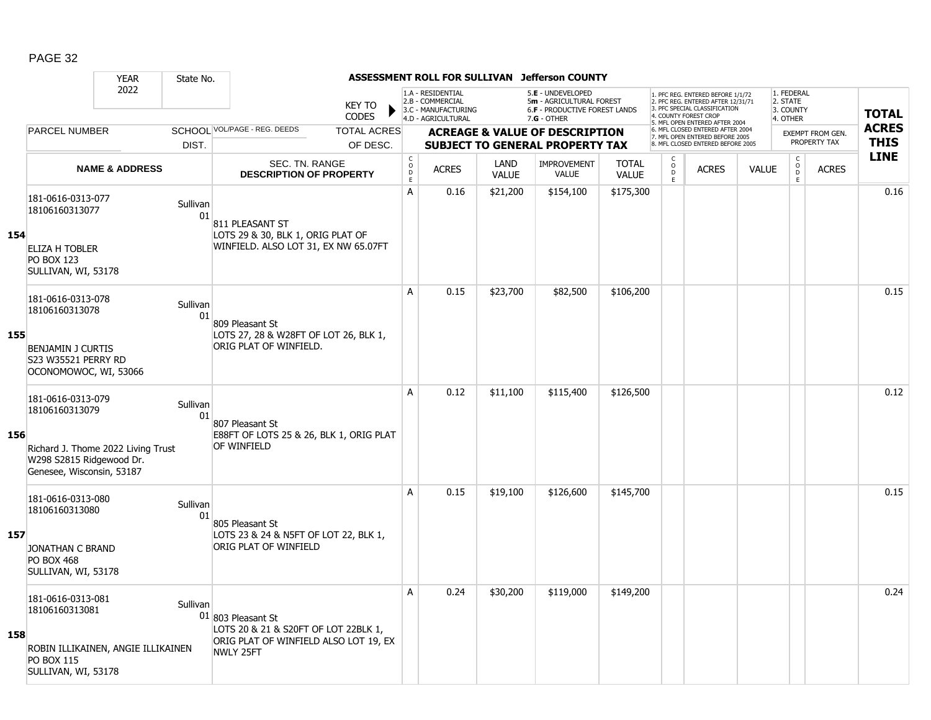|     |                                                                           | <b>YEAR</b>                        | State No.      |                                                                                                       |                                                 |                                                                                    |                             | ASSESSMENT ROLL FOR SULLIVAN Jefferson COUNTY                                                   |                              |                                                 |                                                                                                                                   |              |                                                 |                  |              |
|-----|---------------------------------------------------------------------------|------------------------------------|----------------|-------------------------------------------------------------------------------------------------------|-------------------------------------------------|------------------------------------------------------------------------------------|-----------------------------|-------------------------------------------------------------------------------------------------|------------------------------|-------------------------------------------------|-----------------------------------------------------------------------------------------------------------------------------------|--------------|-------------------------------------------------|------------------|--------------|
|     |                                                                           | 2022                               |                | <b>KEY TO</b><br><b>CODES</b>                                                                         |                                                 | 1.A - RESIDENTIAL<br>2.B - COMMERCIAL<br>3.C - MANUFACTURING<br>4.D - AGRICULTURAL |                             | 5.E - UNDEVELOPED<br>5m - AGRICULTURAL FOREST<br>6.F - PRODUCTIVE FOREST LANDS<br>$7.G - OTHER$ |                              |                                                 | 1. PFC REG. ENTERED BEFORE 1/1/72<br>2. PFC REG. ENTERED AFTER 12/31/71<br>3. PFC SPECIAL CLASSIFICATION<br>4. COUNTY FOREST CROP |              | 1. FEDERAL<br>2. STATE<br>3. COUNTY<br>4. OTHER |                  | <b>TOTAL</b> |
|     | <b>PARCEL NUMBER</b>                                                      |                                    |                | SCHOOL VOL/PAGE - REG. DEEDS<br><b>TOTAL ACRES</b>                                                    |                                                 |                                                                                    |                             | <b>ACREAGE &amp; VALUE OF DESCRIPTION</b>                                                       |                              |                                                 | 5. MFL OPEN ENTERED AFTER 2004<br>6. MFL CLOSED ENTERED AFTER 2004                                                                |              |                                                 | EXEMPT FROM GEN. | <b>ACRES</b> |
|     |                                                                           |                                    | DIST.          | OF DESC.                                                                                              |                                                 |                                                                                    |                             | <b>SUBJECT TO GENERAL PROPERTY TAX</b>                                                          |                              |                                                 | 7. MFL OPEN ENTERED BEFORE 2005<br>8. MFL CLOSED ENTERED BEFORE 2005                                                              |              |                                                 | PROPERTY TAX     | <b>THIS</b>  |
|     |                                                                           | <b>NAME &amp; ADDRESS</b>          |                | SEC. TN. RANGE<br><b>DESCRIPTION OF PROPERTY</b>                                                      | $_{\rm o}^{\rm c}$<br>$\mathsf{D}_{\mathsf{E}}$ | <b>ACRES</b>                                                                       | <b>LAND</b><br><b>VALUE</b> | <b>IMPROVEMENT</b><br><b>VALUE</b>                                                              | <b>TOTAL</b><br><b>VALUE</b> | $\begin{matrix} 0 \\ 0 \\ D \end{matrix}$<br>E. | <b>ACRES</b>                                                                                                                      | <b>VALUE</b> | $\begin{matrix} 0 \\ 0 \\ 0 \end{matrix}$<br>E  | <b>ACRES</b>     | <b>LINE</b>  |
|     | 181-0616-0313-077<br>18106160313077                                       |                                    | Sullivan<br>01 | 811 PLEASANT ST                                                                                       | А                                               | 0.16                                                                               | \$21,200                    | \$154,100                                                                                       | \$175,300                    |                                                 |                                                                                                                                   |              |                                                 |                  | 0.16         |
| 154 | ELIZA H TOBLER<br><b>PO BOX 123</b><br>SULLIVAN, WI, 53178                |                                    |                | LOTS 29 & 30, BLK 1, ORIG PLAT OF<br>WINFIELD. ALSO LOT 31, EX NW 65.07FT                             |                                                 |                                                                                    |                             |                                                                                                 |                              |                                                 |                                                                                                                                   |              |                                                 |                  |              |
|     | 181-0616-0313-078<br>18106160313078                                       |                                    | Sullivan<br>01 | 809 Pleasant St                                                                                       | A                                               | 0.15                                                                               | \$23,700                    | \$82,500                                                                                        | \$106,200                    |                                                 |                                                                                                                                   |              |                                                 |                  | 0.15         |
| 155 | <b>BENJAMIN J CURTIS</b><br>S23 W35521 PERRY RD<br>OCONOMOWOC, WI, 53066  |                                    |                | LOTS 27, 28 & W28FT OF LOT 26, BLK 1,<br>ORIG PLAT OF WINFIELD.                                       |                                                 |                                                                                    |                             |                                                                                                 |                              |                                                 |                                                                                                                                   |              |                                                 |                  |              |
|     | 181-0616-0313-079<br>18106160313079                                       |                                    | Sullivan<br>01 | 807 Pleasant St                                                                                       | A                                               | 0.12                                                                               | \$11,100                    | \$115,400                                                                                       | \$126,500                    |                                                 |                                                                                                                                   |              |                                                 |                  | 0.12         |
| 156 | W298 S2815 Ridgewood Dr.<br>Genesee, Wisconsin, 53187                     | Richard J. Thome 2022 Living Trust |                | E88FT OF LOTS 25 & 26, BLK 1, ORIG PLAT<br>OF WINFIELD                                                |                                                 |                                                                                    |                             |                                                                                                 |                              |                                                 |                                                                                                                                   |              |                                                 |                  |              |
|     | 181-0616-0313-080<br>18106160313080                                       |                                    | Sullivan<br>01 | 805 Pleasant St                                                                                       | A                                               | 0.15                                                                               | \$19,100                    | \$126,600                                                                                       | \$145,700                    |                                                 |                                                                                                                                   |              |                                                 |                  | 0.15         |
| 157 | JONATHAN C BRAND<br><b>PO BOX 468</b><br>SULLIVAN, WI, 53178              |                                    |                | LOTS 23 & 24 & N5FT OF LOT 22, BLK 1,<br>ORIG PLAT OF WINFIELD                                        |                                                 |                                                                                    |                             |                                                                                                 |                              |                                                 |                                                                                                                                   |              |                                                 |                  |              |
| 158 | 181-0616-0313-081<br>18106160313081<br>ROBIN ILLIKAINEN, ANGIE ILLIKAINEN |                                    | Sullivan       | $01$ 803 Pleasant St<br>LOTS 20 & 21 & S20FT OF LOT 22BLK 1,<br>ORIG PLAT OF WINFIELD ALSO LOT 19, EX | A                                               | 0.24                                                                               | \$30,200                    | \$119,000                                                                                       | \$149,200                    |                                                 |                                                                                                                                   |              |                                                 |                  | 0.24         |
|     | <b>PO BOX 115</b><br>SULLIVAN, WI, 53178                                  |                                    |                | NWLY 25FT                                                                                             |                                                 |                                                                                    |                             |                                                                                                 |                              |                                                 |                                                                                                                                   |              |                                                 |                  |              |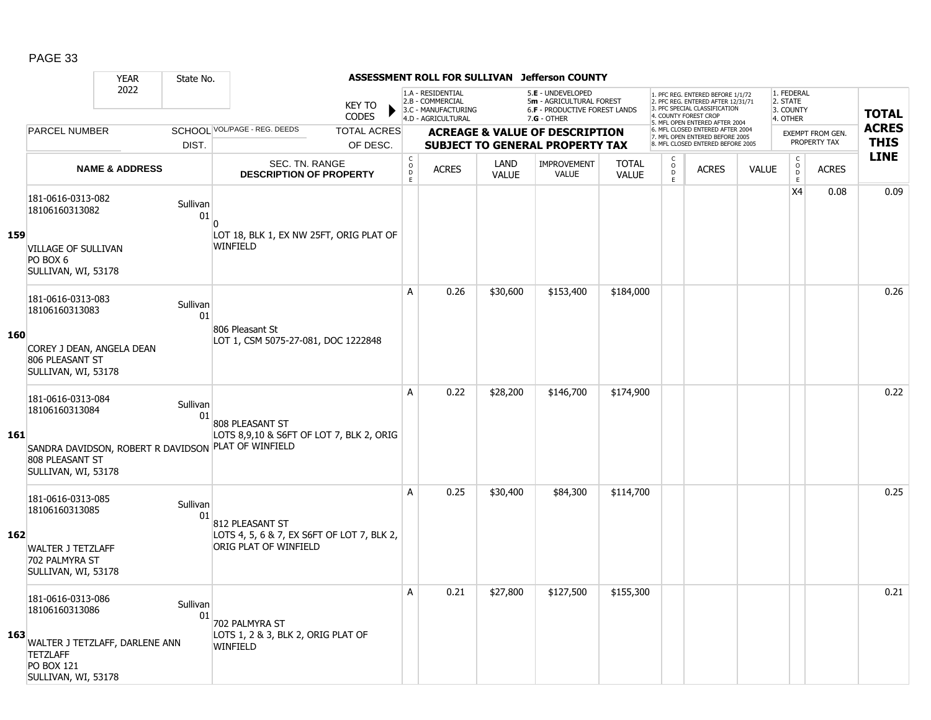|            |                                                                                                                                      | <b>YEAR</b>               | State No.      |                                                                                                                    |                              |                                                                                    |                      | ASSESSMENT ROLL FOR SULLIVAN Jefferson COUNTY                                                   |                              |                                         |                                                                                                                                   |              |                                                 |                                                          |                         |                            |
|------------|--------------------------------------------------------------------------------------------------------------------------------------|---------------------------|----------------|--------------------------------------------------------------------------------------------------------------------|------------------------------|------------------------------------------------------------------------------------|----------------------|-------------------------------------------------------------------------------------------------|------------------------------|-----------------------------------------|-----------------------------------------------------------------------------------------------------------------------------------|--------------|-------------------------------------------------|----------------------------------------------------------|-------------------------|----------------------------|
|            | 2022<br><b>PARCEL NUMBER</b>                                                                                                         |                           |                | <b>KEY TO</b><br><b>CODES</b>                                                                                      |                              | 1.A - RESIDENTIAL<br>2.B - COMMERCIAL<br>3.C - MANUFACTURING<br>4.D - AGRICULTURAL |                      | 5.E - UNDEVELOPED<br>5m - AGRICULTURAL FOREST<br>6.F - PRODUCTIVE FOREST LANDS<br>$7.G - OTHER$ |                              |                                         | 1. PFC REG. ENTERED BEFORE 1/1/72<br>2. PFC REG. ENTERED AFTER 12/31/71<br>3. PFC SPECIAL CLASSIFICATION<br>4. COUNTY FOREST CROP |              | 1. FEDERAL<br>2. STATE<br>3. COUNTY<br>4. OTHER |                                                          |                         | <b>TOTAL</b>               |
|            |                                                                                                                                      |                           |                | SCHOOL VOL/PAGE - REG. DEEDS<br><b>TOTAL ACRES</b>                                                                 |                              |                                                                                    |                      | <b>ACREAGE &amp; VALUE OF DESCRIPTION</b>                                                       |                              |                                         | 5. MFL OPEN ENTERED AFTER 2004<br>6. MFL CLOSED ENTERED AFTER 2004<br>7. MFL OPEN ENTERED BEFORE 2005                             |              |                                                 |                                                          | <b>EXEMPT FROM GEN.</b> | <b>ACRES</b>               |
|            |                                                                                                                                      |                           | DIST.          | OF DESC.                                                                                                           |                              |                                                                                    |                      | <b>SUBJECT TO GENERAL PROPERTY TAX</b>                                                          |                              |                                         | 8. MFL CLOSED ENTERED BEFORE 2005                                                                                                 |              |                                                 |                                                          | PROPERTY TAX            | <b>THIS</b><br><b>LINE</b> |
|            |                                                                                                                                      | <b>NAME &amp; ADDRESS</b> |                | <b>SEC. TN. RANGE</b><br><b>DESCRIPTION OF PROPERTY</b>                                                            | $_{\rm o}^{\rm c}$<br>D<br>E | <b>ACRES</b>                                                                       | LAND<br><b>VALUE</b> | <b>IMPROVEMENT</b><br><b>VALUE</b>                                                              | <b>TOTAL</b><br><b>VALUE</b> | C<br>$\overline{0}$<br>$\mathsf D$<br>E | <b>ACRES</b>                                                                                                                      | <b>VALUE</b> |                                                 | $\begin{matrix} 0 \\ 0 \\ D \end{matrix}$<br>$\mathsf E$ | <b>ACRES</b>            |                            |
|            | 181-0616-0313-082<br>18106160313082                                                                                                  |                           | Sullivan<br>01 |                                                                                                                    |                              |                                                                                    |                      |                                                                                                 |                              |                                         |                                                                                                                                   |              |                                                 | X <sub>4</sub>                                           | 0.08                    | 0.09                       |
| 159        | <b>VILLAGE OF SULLIVAN</b><br>PO BOX 6<br>SULLIVAN, WI, 53178                                                                        |                           |                | LOT 18, BLK 1, EX NW 25FT, ORIG PLAT OF<br><b>WINFIELD</b>                                                         |                              |                                                                                    |                      |                                                                                                 |                              |                                         |                                                                                                                                   |              |                                                 |                                                          |                         |                            |
|            | 181-0616-0313-083<br>18106160313083                                                                                                  |                           | Sullivan<br>01 |                                                                                                                    | A                            | 0.26                                                                               | \$30,600             | \$153,400                                                                                       | \$184,000                    |                                         |                                                                                                                                   |              |                                                 |                                                          |                         | 0.26                       |
| <b>160</b> | COREY J DEAN, ANGELA DEAN<br>806 PLEASANT ST<br>SULLIVAN, WI, 53178                                                                  |                           |                | 806 Pleasant St<br>LOT 1, CSM 5075-27-081, DOC 1222848                                                             |                              |                                                                                    |                      |                                                                                                 |                              |                                         |                                                                                                                                   |              |                                                 |                                                          |                         |                            |
| 161        | 181-0616-0313-084<br>18106160313084<br>808 PLEASANT ST<br>SULLIVAN, WI, 53178                                                        |                           | Sullivan<br>01 | 808 PLEASANT ST<br>LOTS 8,9,10 & S6FT OF LOT 7, BLK 2, ORIG<br>SANDRA DAVIDSON, ROBERT R DAVIDSON PLAT OF WINFIELD | A                            | 0.22                                                                               | \$28,200             | \$146,700                                                                                       | \$174,900                    |                                         |                                                                                                                                   |              |                                                 |                                                          |                         | 0.22                       |
| 162        | 181-0616-0313-085<br>18106160313085<br><b>WALTER J TETZLAFF</b><br>702 PALMYRA ST<br>SULLIVAN, WI, 53178                             |                           | Sullivan<br>01 | 812 PLEASANT ST<br>LOTS 4, 5, 6 & 7, EX S6FT OF LOT 7, BLK 2,<br>ORIG PLAT OF WINFIELD                             | A                            | 0.25                                                                               | \$30,400             | \$84,300                                                                                        | \$114,700                    |                                         |                                                                                                                                   |              |                                                 |                                                          |                         | 0.25                       |
| 163        | 181-0616-0313-086<br>18106160313086<br>WALTER J TETZLAFF, DARLENE ANN<br><b>TETZLAFF</b><br><b>PO BOX 121</b><br>SULLIVAN, WI, 53178 |                           | Sullivan<br>01 | 702 PALMYRA ST<br>LOTS 1, 2 & 3, BLK 2, ORIG PLAT OF<br>WINFIELD                                                   | Α                            | 0.21                                                                               | \$27,800             | \$127,500                                                                                       | \$155,300                    |                                         |                                                                                                                                   |              |                                                 |                                                          |                         | 0.21                       |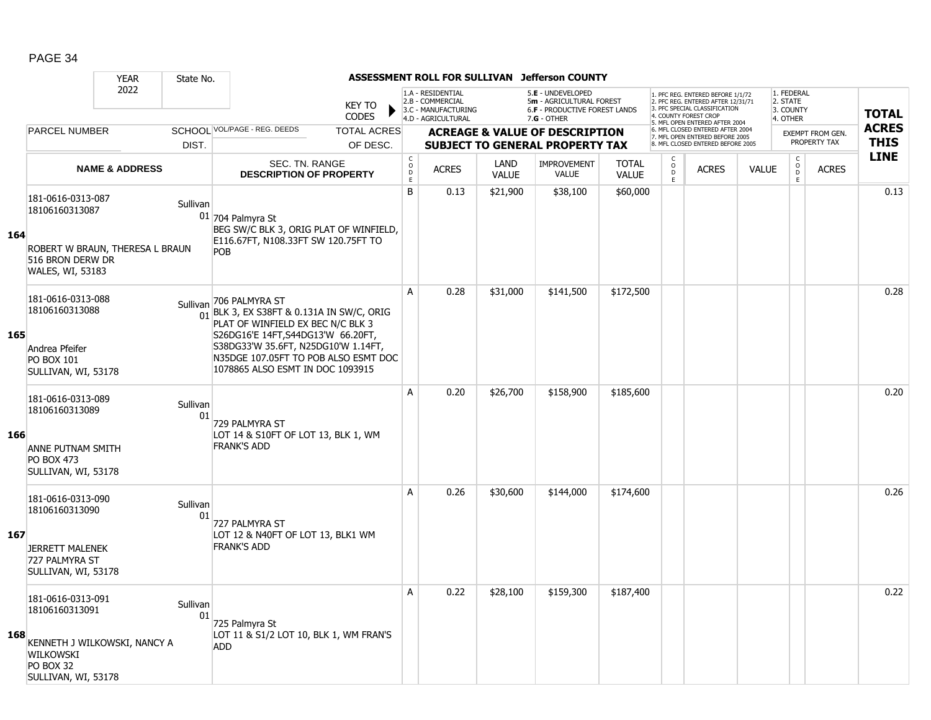|     |                                                                                                                             | <b>YEAR</b>               | State No.      |                                                                                                                                                                                                                                                                       |                               |                                     |                                                                                    |                      | ASSESSMENT ROLL FOR SULLIVAN Jefferson COUNTY                                                   |                              |                                                 |                                                                                                                                                                     |              |                                                          |                         |              |
|-----|-----------------------------------------------------------------------------------------------------------------------------|---------------------------|----------------|-----------------------------------------------------------------------------------------------------------------------------------------------------------------------------------------------------------------------------------------------------------------------|-------------------------------|-------------------------------------|------------------------------------------------------------------------------------|----------------------|-------------------------------------------------------------------------------------------------|------------------------------|-------------------------------------------------|---------------------------------------------------------------------------------------------------------------------------------------------------------------------|--------------|----------------------------------------------------------|-------------------------|--------------|
|     |                                                                                                                             | 2022                      |                |                                                                                                                                                                                                                                                                       | <b>KEY TO</b><br><b>CODES</b> |                                     | 1.A - RESIDENTIAL<br>2.B - COMMERCIAL<br>3.C - MANUFACTURING<br>4.D - AGRICULTURAL |                      | 5.E - UNDEVELOPED<br>5m - AGRICULTURAL FOREST<br>6.F - PRODUCTIVE FOREST LANDS<br>$7.G - OTHER$ |                              |                                                 | 1. PFC REG. ENTERED BEFORE 1/1/72<br>2. PFC REG. ENTERED AFTER 12/31/71<br>3. PFC SPECIAL CLASSIFICATION<br>4. COUNTY FOREST CROP<br>5. MFL OPEN ENTERED AFTER 2004 |              | 1. FEDERAL<br>2. STATE<br>3. COUNTY<br>4. OTHER          |                         | <b>TOTAL</b> |
|     | <b>PARCEL NUMBER</b>                                                                                                        |                           |                | SCHOOL VOL/PAGE - REG. DEEDS                                                                                                                                                                                                                                          | <b>TOTAL ACRES</b>            |                                     |                                                                                    |                      | <b>ACREAGE &amp; VALUE OF DESCRIPTION</b>                                                       |                              |                                                 | 6. MFL CLOSED ENTERED AFTER 2004<br>7. MFL OPEN ENTERED BEFORE 2005                                                                                                 |              |                                                          | <b>EXEMPT FROM GEN.</b> | <b>ACRES</b> |
|     |                                                                                                                             |                           | DIST.          |                                                                                                                                                                                                                                                                       | OF DESC.                      |                                     |                                                                                    |                      | <b>SUBJECT TO GENERAL PROPERTY TAX</b>                                                          |                              |                                                 | 8. MFL CLOSED ENTERED BEFORE 2005                                                                                                                                   |              |                                                          | PROPERTY TAX            | <b>THIS</b>  |
|     |                                                                                                                             | <b>NAME &amp; ADDRESS</b> |                | SEC. TN. RANGE<br><b>DESCRIPTION OF PROPERTY</b>                                                                                                                                                                                                                      |                               | $_{\rm o}^{\rm c}$<br>$\frac{D}{E}$ | <b>ACRES</b>                                                                       | LAND<br><b>VALUE</b> | <b>IMPROVEMENT</b><br>VALUE                                                                     | <b>TOTAL</b><br><b>VALUE</b> | $\begin{array}{c} C \\ O \\ D \\ E \end{array}$ | <b>ACRES</b>                                                                                                                                                        | <b>VALUE</b> | $\begin{matrix} 0 \\ 0 \\ D \end{matrix}$<br>$\mathsf E$ | <b>ACRES</b>            | <b>LINE</b>  |
| 164 | 181-0616-0313-087<br>18106160313087<br>ROBERT W BRAUN, THERESA L BRAUN<br>516 BRON DERW DR<br>WALES, WI, 53183              |                           | Sullivan       | $01$ 704 Palmyra St<br>BEG SW/C BLK 3, ORIG PLAT OF WINFIELD,<br>E116.67FT, N108.33FT SW 120.75FT TO<br>POB                                                                                                                                                           |                               | B                                   | 0.13                                                                               | \$21,900             | \$38,100                                                                                        | \$60,000                     |                                                 |                                                                                                                                                                     |              |                                                          |                         | 0.13         |
| 165 | 181-0616-0313-088<br>18106160313088<br>Andrea Pfeifer<br><b>PO BOX 101</b><br>SULLIVAN, WI, 53178                           |                           | Sullivan       | 706 PALMYRA ST<br>$\frac{1}{01}$ BLK 3, EX S38FT & 0.131A IN SW/C, ORIG<br>PLAT OF WINFIELD EX BEC N/C BLK 3<br>S26DG16'E 14FT, S44DG13'W 66.20FT,<br>S38DG33'W 35.6FT, N25DG10'W 1.14FT,<br>N35DGE 107.05FT TO POB ALSO ESMT DOC<br>1078865 ALSO ESMT IN DOC 1093915 |                               | $\overline{A}$                      | 0.28                                                                               | \$31,000             | \$141,500                                                                                       | \$172,500                    |                                                 |                                                                                                                                                                     |              |                                                          |                         | 0.28         |
| 166 | 181-0616-0313-089<br>18106160313089<br>ANNE PUTNAM SMITH<br><b>PO BOX 473</b><br>SULLIVAN, WI, 53178                        |                           | Sullivan<br>01 | 729 PALMYRA ST<br>LOT 14 & S10FT OF LOT 13, BLK 1, WM<br><b>FRANK'S ADD</b>                                                                                                                                                                                           |                               | A                                   | 0.20                                                                               | \$26,700             | \$158,900                                                                                       | \$185,600                    |                                                 |                                                                                                                                                                     |              |                                                          |                         | 0.20         |
| 167 | 181-0616-0313-090<br>18106160313090<br><b>JERRETT MALENEK</b><br>727 PALMYRA ST<br>SULLIVAN, WI, 53178                      |                           | Sullivan<br>01 | 727 PALMYRA ST<br>LOT 12 & N40FT OF LOT 13, BLK1 WM<br><b>FRANK'S ADD</b>                                                                                                                                                                                             |                               | A                                   | 0.26                                                                               | \$30,600             | \$144,000                                                                                       | \$174,600                    |                                                 |                                                                                                                                                                     |              |                                                          |                         | 0.26         |
| 168 | 181-0616-0313-091<br>18106160313091<br>KENNETH J WILKOWSKI, NANCY A<br>WILKOWSKI<br><b>PO BOX 32</b><br>SULLIVAN, WI, 53178 |                           | Sullivan<br>01 | 725 Palmyra St<br>LOT 11 & S1/2 LOT 10, BLK 1, WM FRAN'S<br><b>ADD</b>                                                                                                                                                                                                |                               | Α                                   | 0.22                                                                               | \$28,100             | \$159,300                                                                                       | \$187,400                    |                                                 |                                                                                                                                                                     |              |                                                          |                         | 0.22         |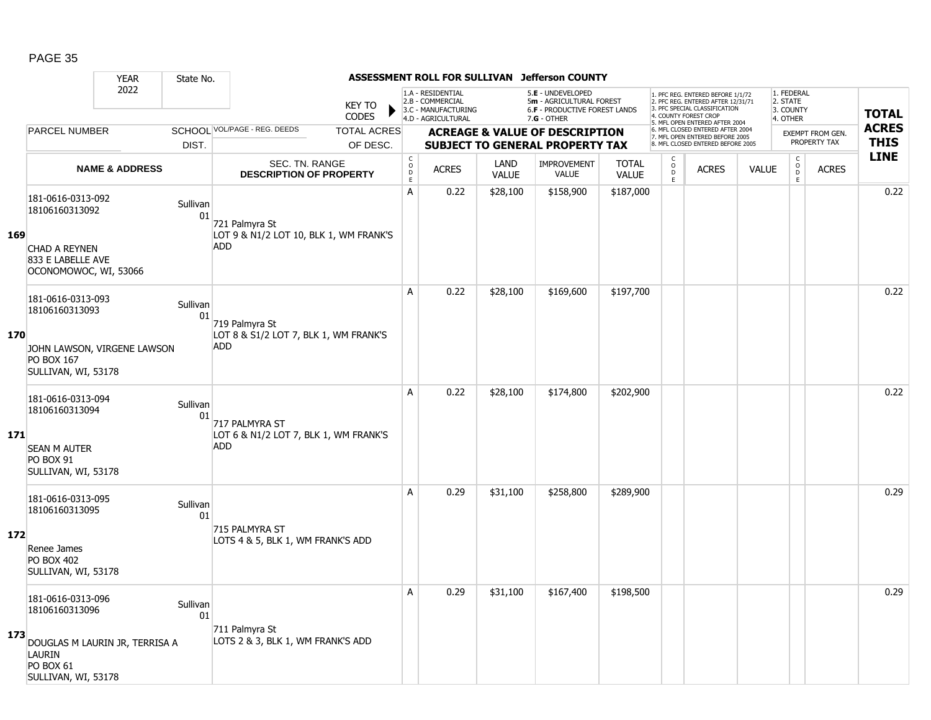|     |                                                                                            | <b>YEAR</b>               | State No.      |                                                                       |                               |                                                 |                                                                                    |                      | ASSESSMENT ROLL FOR SULLIVAN Jefferson COUNTY                                                   |                              |                                   |                                                                                                                                                                     |              |                                                 |                         |                            |
|-----|--------------------------------------------------------------------------------------------|---------------------------|----------------|-----------------------------------------------------------------------|-------------------------------|-------------------------------------------------|------------------------------------------------------------------------------------|----------------------|-------------------------------------------------------------------------------------------------|------------------------------|-----------------------------------|---------------------------------------------------------------------------------------------------------------------------------------------------------------------|--------------|-------------------------------------------------|-------------------------|----------------------------|
|     |                                                                                            | 2022                      |                |                                                                       | <b>KEY TO</b><br><b>CODES</b> |                                                 | 1.A - RESIDENTIAL<br>2.B - COMMERCIAL<br>3.C - MANUFACTURING<br>4.D - AGRICULTURAL |                      | 5.E - UNDEVELOPED<br>5m - AGRICULTURAL FOREST<br>6.F - PRODUCTIVE FOREST LANDS<br>$7.G - OTHER$ |                              |                                   | 1. PFC REG. ENTERED BEFORE 1/1/72<br>2. PFC REG. ENTERED AFTER 12/31/71<br>3. PFC SPECIAL CLASSIFICATION<br>4. COUNTY FOREST CROP<br>5. MFL OPEN ENTERED AFTER 2004 |              | 1. FEDERAL<br>2. STATE<br>3. COUNTY<br>4. OTHER |                         | <b>TOTAL</b>               |
|     | <b>PARCEL NUMBER</b>                                                                       |                           |                | SCHOOL VOL/PAGE - REG. DEEDS                                          | <b>TOTAL ACRES</b>            |                                                 |                                                                                    |                      | <b>ACREAGE &amp; VALUE OF DESCRIPTION</b>                                                       |                              |                                   | 6. MFL CLOSED ENTERED AFTER 2004<br>7. MFL OPEN ENTERED BEFORE 2005                                                                                                 |              |                                                 | <b>EXEMPT FROM GEN.</b> | <b>ACRES</b>               |
|     |                                                                                            |                           | DIST.          |                                                                       | OF DESC.                      |                                                 |                                                                                    |                      | <b>SUBJECT TO GENERAL PROPERTY TAX</b>                                                          |                              |                                   | 8. MFL CLOSED ENTERED BEFORE 2005                                                                                                                                   |              |                                                 | PROPERTY TAX            | <b>THIS</b><br><b>LINE</b> |
|     |                                                                                            | <b>NAME &amp; ADDRESS</b> |                | SEC. TN. RANGE<br><b>DESCRIPTION OF PROPERTY</b>                      |                               | $_{\rm o}^{\rm c}$<br>$\mathsf{D}_{\mathsf{E}}$ | <b>ACRES</b>                                                                       | LAND<br><b>VALUE</b> | <b>IMPROVEMENT</b><br><b>VALUE</b>                                                              | <b>TOTAL</b><br><b>VALUE</b> | $\frac{c}{0}$<br>$\mathsf D$<br>E | <b>ACRES</b>                                                                                                                                                        | <b>VALUE</b> | $\begin{matrix} 0 \\ 0 \end{matrix}$<br>E       | <b>ACRES</b>            |                            |
| 169 | 181-0616-0313-092<br>18106160313092                                                        |                           | Sullivan<br>01 | 721 Palmyra St<br>LOT 9 & N1/2 LOT 10, BLK 1, WM FRANK'S              |                               | A                                               | 0.22                                                                               | \$28,100             | \$158,900                                                                                       | \$187,000                    |                                   |                                                                                                                                                                     |              |                                                 |                         | 0.22                       |
|     | CHAD A REYNEN<br>833 E LABELLE AVE<br>OCONOMOWOC, WI, 53066                                |                           |                | <b>ADD</b>                                                            |                               |                                                 |                                                                                    |                      |                                                                                                 |                              |                                   |                                                                                                                                                                     |              |                                                 |                         |                            |
|     | 181-0616-0313-093<br>18106160313093                                                        |                           | Sullivan<br>01 | 719 Palmyra St                                                        |                               | A                                               | 0.22                                                                               | \$28,100             | \$169,600                                                                                       | \$197,700                    |                                   |                                                                                                                                                                     |              |                                                 |                         | 0.22                       |
| 170 | JOHN LAWSON, VIRGENE LAWSON<br>PO BOX 167<br>SULLIVAN, WI, 53178                           |                           |                | LOT 8 & S1/2 LOT 7, BLK 1, WM FRANK'S<br><b>ADD</b>                   |                               |                                                 |                                                                                    |                      |                                                                                                 |                              |                                   |                                                                                                                                                                     |              |                                                 |                         |                            |
| 171 | 181-0616-0313-094<br>18106160313094<br><b>SEAN M AUTER</b><br><b>PO BOX 91</b>             |                           | Sullivan<br>01 | 717 PALMYRA ST<br>LOT 6 & N1/2 LOT 7, BLK 1, WM FRANK'S<br><b>ADD</b> |                               | A                                               | 0.22                                                                               | \$28,100             | \$174,800                                                                                       | \$202,900                    |                                   |                                                                                                                                                                     |              |                                                 |                         | 0.22                       |
|     | SULLIVAN, WI, 53178                                                                        |                           |                |                                                                       |                               |                                                 |                                                                                    |                      |                                                                                                 |                              |                                   |                                                                                                                                                                     |              |                                                 |                         |                            |
|     | 181-0616-0313-095<br>18106160313095                                                        |                           | Sullivan<br>01 |                                                                       |                               | A                                               | 0.29                                                                               | \$31,100             | \$258,800                                                                                       | \$289,900                    |                                   |                                                                                                                                                                     |              |                                                 |                         | 0.29                       |
| 172 | Renee James<br><b>PO BOX 402</b><br>SULLIVAN, WI, 53178                                    |                           |                | 715 PALMYRA ST<br>LOTS 4 & 5, BLK 1, WM FRANK'S ADD                   |                               |                                                 |                                                                                    |                      |                                                                                                 |                              |                                   |                                                                                                                                                                     |              |                                                 |                         |                            |
|     | 181-0616-0313-096<br>18106160313096                                                        |                           | Sullivan<br>01 |                                                                       |                               | A                                               | 0.29                                                                               | \$31,100             | \$167,400                                                                                       | \$198,500                    |                                   |                                                                                                                                                                     |              |                                                 |                         | 0.29                       |
| 173 | DOUGLAS M LAURIN JR, TERRISA A<br><b>LAURIN</b><br><b>PO BOX 61</b><br>SULLIVAN, WI, 53178 |                           |                | 711 Palmyra St<br>LOTS 2 & 3, BLK 1, WM FRANK'S ADD                   |                               |                                                 |                                                                                    |                      |                                                                                                 |                              |                                   |                                                                                                                                                                     |              |                                                 |                         |                            |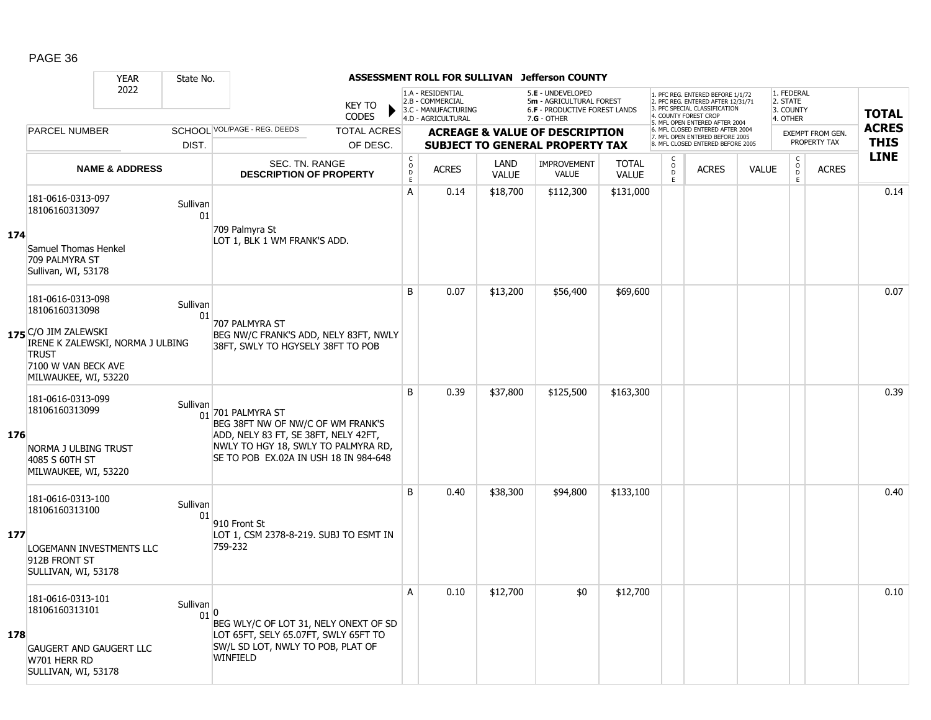|     |                                                                                                                         | <b>YEAR</b>               | State No.        |                                                                                                                                                                                            |                               |                                        |                                                                                    |                      | ASSESSMENT ROLL FOR SULLIVAN Jefferson COUNTY                                                 |                              |                               |                                                                                                                                                                     |              |                                                 |                                         |                             |
|-----|-------------------------------------------------------------------------------------------------------------------------|---------------------------|------------------|--------------------------------------------------------------------------------------------------------------------------------------------------------------------------------------------|-------------------------------|----------------------------------------|------------------------------------------------------------------------------------|----------------------|-----------------------------------------------------------------------------------------------|------------------------------|-------------------------------|---------------------------------------------------------------------------------------------------------------------------------------------------------------------|--------------|-------------------------------------------------|-----------------------------------------|-----------------------------|
|     |                                                                                                                         | 2022                      |                  |                                                                                                                                                                                            | <b>KEY TO</b><br><b>CODES</b> |                                        | 1.A - RESIDENTIAL<br>2.B - COMMERCIAL<br>3.C - MANUFACTURING<br>4.D - AGRICULTURAL |                      | 5.E - UNDEVELOPED<br>5m - AGRICULTURAL FOREST<br>6.F - PRODUCTIVE FOREST LANDS<br>7.G - OTHER |                              |                               | 1. PFC REG. ENTERED BEFORE 1/1/72<br>2. PFC REG. ENTERED AFTER 12/31/71<br>3. PFC SPECIAL CLASSIFICATION<br>4. COUNTY FOREST CROP<br>5. MFL OPEN ENTERED AFTER 2004 |              | 1. FEDERAL<br>2. STATE<br>3. COUNTY<br>4. OTHER |                                         | <b>TOTAL</b>                |
|     | <b>PARCEL NUMBER</b>                                                                                                    |                           |                  | SCHOOL VOL/PAGE - REG. DEEDS                                                                                                                                                               | <b>TOTAL ACRES</b>            |                                        |                                                                                    |                      | <b>ACREAGE &amp; VALUE OF DESCRIPTION</b>                                                     |                              |                               | 6. MFL CLOSED ENTERED AFTER 2004<br>7. MFL OPEN ENTERED BEFORE 2005<br>8. MFL CLOSED ENTERED BEFORE 2005                                                            |              |                                                 | <b>EXEMPT FROM GEN.</b><br>PROPERTY TAX | <b>ACRES</b><br><b>THIS</b> |
|     |                                                                                                                         |                           | DIST.            |                                                                                                                                                                                            | OF DESC.                      |                                        |                                                                                    |                      | <b>SUBJECT TO GENERAL PROPERTY TAX</b>                                                        |                              | C                             |                                                                                                                                                                     |              |                                                 |                                         | <b>LINE</b>                 |
|     |                                                                                                                         | <b>NAME &amp; ADDRESS</b> |                  | <b>SEC. TN. RANGE</b><br><b>DESCRIPTION OF PROPERTY</b>                                                                                                                                    |                               | $_{\rm o}^{\rm c}$<br>$\mathsf D$<br>E | <b>ACRES</b>                                                                       | LAND<br><b>VALUE</b> | <b>IMPROVEMENT</b><br><b>VALUE</b>                                                            | <b>TOTAL</b><br><b>VALUE</b> | $_\mathrm{D}^\mathrm{O}$<br>E | <b>ACRES</b>                                                                                                                                                        | <b>VALUE</b> | $\begin{matrix} 0 \\ 0 \end{matrix}$<br>E       | <b>ACRES</b>                            |                             |
|     | 181-0616-0313-097<br>18106160313097                                                                                     |                           | Sullivan<br>01   | 709 Palmyra St                                                                                                                                                                             |                               | A                                      | 0.14                                                                               | \$18,700             | \$112,300                                                                                     | \$131,000                    |                               |                                                                                                                                                                     |              |                                                 |                                         | 0.14                        |
| 174 | Samuel Thomas Henkel<br>709 PALMYRA ST<br>Sullivan, WI, 53178                                                           |                           |                  | LOT 1, BLK 1 WM FRANK'S ADD.                                                                                                                                                               |                               |                                        |                                                                                    |                      |                                                                                               |                              |                               |                                                                                                                                                                     |              |                                                 |                                         |                             |
|     | 181-0616-0313-098<br>18106160313098                                                                                     |                           | Sullivan<br>01   | 707 PALMYRA ST                                                                                                                                                                             |                               | B                                      | 0.07                                                                               | \$13,200             | \$56,400                                                                                      | \$69,600                     |                               |                                                                                                                                                                     |              |                                                 |                                         | 0.07                        |
|     | 175 C/O JIM ZALEWSKI<br>IRENE K ZALEWSKI, NORMA J ULBING<br><b>TRUST</b><br>7100 W VAN BECK AVE<br>MILWAUKEE, WI, 53220 |                           |                  | BEG NW/C FRANK'S ADD, NELY 83FT, NWLY<br>38FT, SWLY TO HGYSELY 38FT TO POB                                                                                                                 |                               |                                        |                                                                                    |                      |                                                                                               |                              |                               |                                                                                                                                                                     |              |                                                 |                                         |                             |
| 176 | 181-0616-0313-099<br>18106160313099<br>NORMA J ULBING TRUST<br>4085 S 60TH ST<br>MILWAUKEE, WI, 53220                   |                           | Sullivan         | $\frac{1}{01}$ 701 PALMYRA ST<br>BEG 38FT NW OF NW/C OF WM FRANK'S<br>ADD, NELY 83 FT, SE 38FT, NELY 42FT,<br>NWLY TO HGY 18, SWLY TO PALMYRA RD,<br>SE TO POB EX.02A IN USH 18 IN 984-648 |                               | B                                      | 0.39                                                                               | \$37,800             | \$125,500                                                                                     | \$163,300                    |                               |                                                                                                                                                                     |              |                                                 |                                         | 0.39                        |
|     | 181-0616-0313-100<br>18106160313100                                                                                     |                           | Sullivan<br>01   | 910 Front St                                                                                                                                                                               |                               | B                                      | 0.40                                                                               | \$38,300             | \$94,800                                                                                      | \$133,100                    |                               |                                                                                                                                                                     |              |                                                 |                                         | 0.40                        |
| 177 | LOGEMANN INVESTMENTS LLC<br>912B FRONT ST<br>SULLIVAN, WI, 53178                                                        |                           |                  | LOT 1, CSM 2378-8-219. SUBJ TO ESMT IN<br>759-232                                                                                                                                          |                               |                                        |                                                                                    |                      |                                                                                               |                              |                               |                                                                                                                                                                     |              |                                                 |                                         |                             |
| 178 | 181-0616-0313-101<br>18106160313101                                                                                     |                           | Sullivan<br>01 0 | BEG WLY/C OF LOT 31, NELY ONEXT OF SD<br>LOT 65FT, SELY 65.07FT, SWLY 65FT TO                                                                                                              |                               | A                                      | 0.10                                                                               | \$12,700             | \$0                                                                                           | \$12,700                     |                               |                                                                                                                                                                     |              |                                                 |                                         | 0.10                        |
|     | <b>GAUGERT AND GAUGERT LLC</b><br>W701 HERR RD<br>SULLIVAN, WI, 53178                                                   |                           |                  | SW/L SD LOT, NWLY TO POB, PLAT OF<br><b>WINFIELD</b>                                                                                                                                       |                               |                                        |                                                                                    |                      |                                                                                               |                              |                               |                                                                                                                                                                     |              |                                                 |                                         |                             |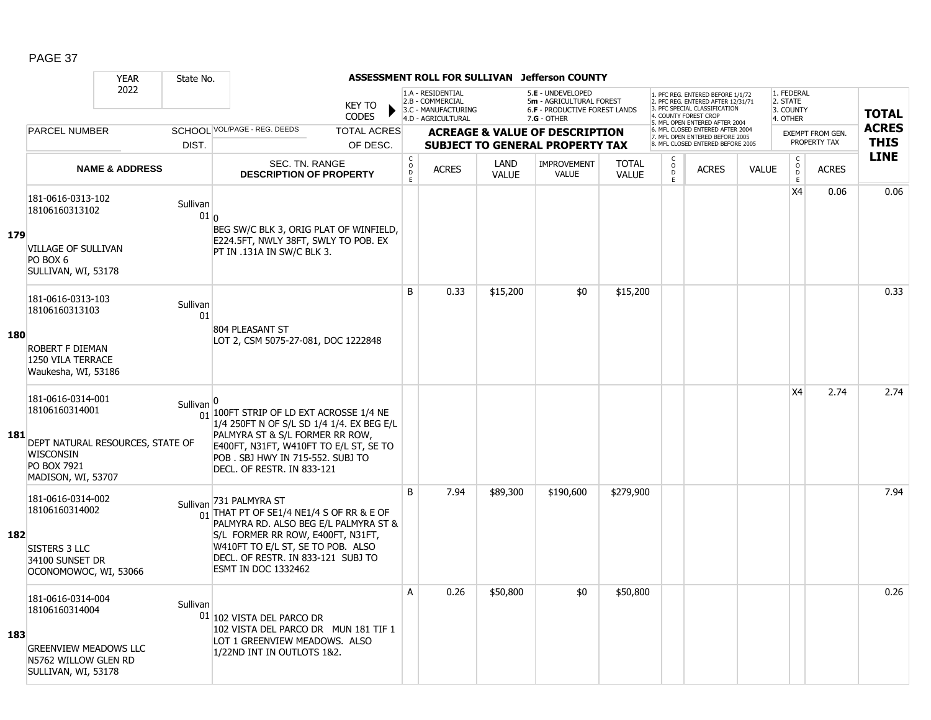|     |                                                                                                                                  | <b>YEAR</b>               | State No.           |                                                                                                                                                                                                                                                                        |                                               |                                                                                    |                      | ASSESSMENT ROLL FOR SULLIVAN Jefferson COUNTY                                                          |                              |                               |                                                                                                                                            |              |                                                         |                                         |                             |
|-----|----------------------------------------------------------------------------------------------------------------------------------|---------------------------|---------------------|------------------------------------------------------------------------------------------------------------------------------------------------------------------------------------------------------------------------------------------------------------------------|-----------------------------------------------|------------------------------------------------------------------------------------|----------------------|--------------------------------------------------------------------------------------------------------|------------------------------|-------------------------------|--------------------------------------------------------------------------------------------------------------------------------------------|--------------|---------------------------------------------------------|-----------------------------------------|-----------------------------|
|     |                                                                                                                                  | 2022                      |                     | <b>KEY TO</b><br><b>CODES</b>                                                                                                                                                                                                                                          |                                               | 1.A - RESIDENTIAL<br>2.B - COMMERCIAL<br>3.C - MANUFACTURING<br>4.D - AGRICULTURAL |                      | 5.E - UNDEVELOPED<br>5m - AGRICULTURAL FOREST<br><b>6.F - PRODUCTIVE FOREST LANDS</b><br>$7.G - OTHER$ |                              |                               | 1. PFC REG. ENTERED BEFORE 1/1/72<br>2. PFC REG. ENTERED AFTER 12/31/71<br>3. PFC SPECIAL CLASSIFICATION<br>4. COUNTY FOREST CROP          |              | 1. FEDERAL<br>2. STATE<br>3. COUNTY<br>4. OTHER         |                                         | <b>TOTAL</b>                |
|     | <b>PARCEL NUMBER</b>                                                                                                             |                           | DIST.               | SCHOOL VOL/PAGE - REG. DEEDS<br><b>TOTAL ACRES</b><br>OF DESC.                                                                                                                                                                                                         |                                               |                                                                                    |                      | <b>ACREAGE &amp; VALUE OF DESCRIPTION</b><br><b>SUBJECT TO GENERAL PROPERTY TAX</b>                    |                              |                               | 5. MFL OPEN ENTERED AFTER 2004<br>6. MFL CLOSED ENTERED AFTER 2004<br>7. MFL OPEN ENTERED BEFORE 2005<br>8. MFL CLOSED ENTERED BEFORE 2005 |              |                                                         | <b>EXEMPT FROM GEN.</b><br>PROPERTY TAX | <b>ACRES</b><br><b>THIS</b> |
|     |                                                                                                                                  | <b>NAME &amp; ADDRESS</b> |                     | SEC. TN. RANGE<br><b>DESCRIPTION OF PROPERTY</b>                                                                                                                                                                                                                       | C<br>$\overset{\circ}{\phantom{\circ}}$<br>E. | <b>ACRES</b>                                                                       | LAND<br><b>VALUE</b> | <b>IMPROVEMENT</b><br>VALUE                                                                            | <b>TOTAL</b><br><b>VALUE</b> | C<br>$_{\rm D}^{\rm O}$<br>E. | <b>ACRES</b>                                                                                                                               | <b>VALUE</b> | $\mathsf{C}$<br>$\overset{\mathsf{O}}{\mathsf{D}}$<br>E | <b>ACRES</b>                            | <b>LINE</b>                 |
| 179 | 181-0616-0313-102<br>18106160313102<br><b>VILLAGE OF SULLIVAN</b><br>PO BOX 6<br>SULLIVAN, WI, 53178                             |                           | Sullivan<br>$01 _0$ | BEG SW/C BLK 3, ORIG PLAT OF WINFIELD,<br>E224.5FT, NWLY 38FT, SWLY TO POB. EX<br>PT IN .131A IN SW/C BLK 3.                                                                                                                                                           |                                               |                                                                                    |                      |                                                                                                        |                              |                               |                                                                                                                                            |              | X4                                                      | 0.06                                    | 0.06                        |
| 180 | 181-0616-0313-103<br>18106160313103<br>ROBERT F DIEMAN<br>1250 VILA TERRACE<br>Waukesha, WI, 53186                               |                           | Sullivan<br>01      | 804 PLEASANT ST<br>LOT 2, CSM 5075-27-081, DOC 1222848                                                                                                                                                                                                                 | B                                             | 0.33                                                                               | \$15,200             | \$0                                                                                                    | \$15,200                     |                               |                                                                                                                                            |              |                                                         |                                         | 0.33                        |
| 181 | 181-0616-0314-001<br>18106160314001<br>DEPT NATURAL RESOURCES, STATE OF<br><b>WISCONSIN</b><br>PO BOX 7921<br>MADISON, WI, 53707 |                           | Sullivan            | $\frac{1}{01}$ 100FT STRIP OF LD EXT ACROSSE 1/4 NE<br>1/4 250FT N OF S/L SD 1/4 1/4. EX BEG E/L<br>PALMYRA ST & S/L FORMER RR ROW,<br>E400FT, N31FT, W410FT TO E/L ST, SE TO<br>POB. SBJ HWY IN 715-552. SUBJ TO<br>DECL. OF RESTR. IN 833-121                        |                                               |                                                                                    |                      |                                                                                                        |                              |                               |                                                                                                                                            |              | X <sub>4</sub>                                          | 2.74                                    | 2.74                        |
| 182 | 181-0616-0314-002<br>18106160314002<br><b>SISTERS 3 LLC</b><br>34100 SUNSET DR<br>OCONOMOWOC, WI, 53066                          |                           |                     | Sullivan 731 PALMYRA ST<br>$\frac{1}{01}$ THAT PT OF SE1/4 NE1/4 S OF RR & E OF<br>PALMYRA RD. ALSO BEG E/L PALMYRA ST &<br>S/L FORMER RR ROW, E400FT, N31FT,<br>W410FT TO E/L ST, SE TO POB. ALSO<br>DECL. OF RESTR. IN 833-121 SUBJ TO<br><b>ESMT IN DOC 1332462</b> | <sub>B</sub>                                  | 7.94                                                                               | \$89,300             | \$190,600                                                                                              | \$279,900                    |                               |                                                                                                                                            |              |                                                         |                                         | 7.94                        |
| 183 | 181-0616-0314-004<br>18106160314004<br><b>GREENVIEW MEADOWS LLC</b><br>N5762 WILLOW GLEN RD<br>SULLIVAN, WI, 53178               |                           | Sullivan            | 01 102 VISTA DEL PARCO DR<br>102 VISTA DEL PARCO DR MUN 181 TIF 1<br>LOT 1 GREENVIEW MEADOWS. ALSO<br>1/22ND INT IN OUTLOTS 1&2.                                                                                                                                       | A                                             | 0.26                                                                               | \$50,800             | \$0                                                                                                    | \$50,800                     |                               |                                                                                                                                            |              |                                                         |                                         | 0.26                        |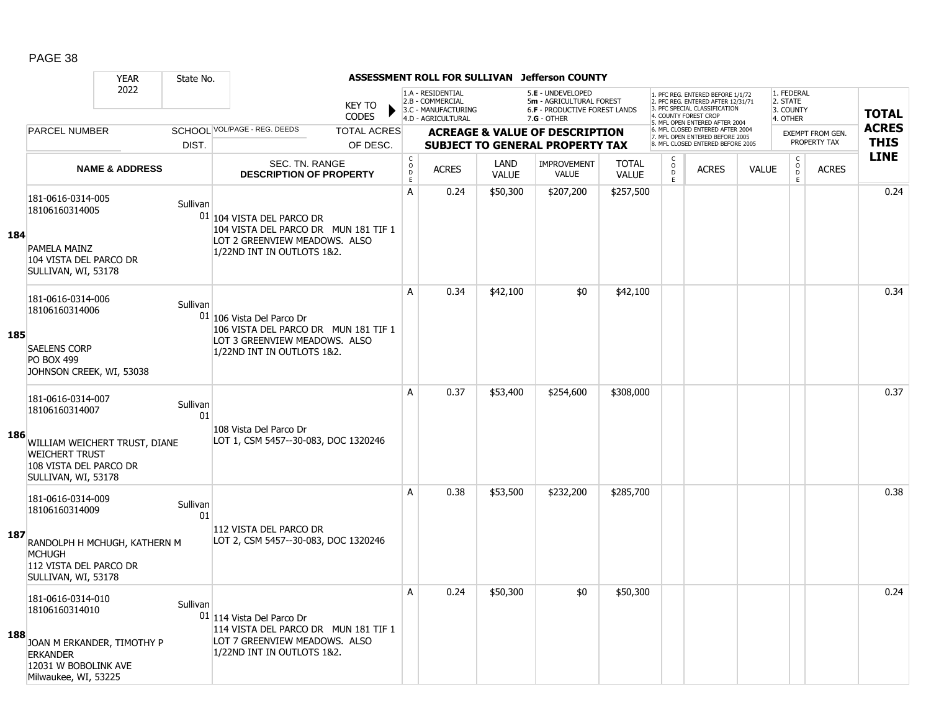|     |                                                                                                                                      | <b>YEAR</b><br>State No.                        |                                                                                                                                    |                                        |                                                                                    |                      | ASSESSMENT ROLL FOR SULLIVAN Jefferson COUNTY                                                          |                              |                                                          |                                                                                                                                  |              |                                                 |                         |              |
|-----|--------------------------------------------------------------------------------------------------------------------------------------|-------------------------------------------------|------------------------------------------------------------------------------------------------------------------------------------|----------------------------------------|------------------------------------------------------------------------------------|----------------------|--------------------------------------------------------------------------------------------------------|------------------------------|----------------------------------------------------------|----------------------------------------------------------------------------------------------------------------------------------|--------------|-------------------------------------------------|-------------------------|--------------|
|     |                                                                                                                                      | 2022                                            | <b>KEY TO</b><br><b>CODES</b>                                                                                                      |                                        | 1.A - RESIDENTIAL<br>2.B - COMMERCIAL<br>3.C - MANUFACTURING<br>4.D - AGRICULTURAL |                      | 5.E - UNDEVELOPED<br>5m - AGRICULTURAL FOREST<br><b>6.F - PRODUCTIVE FOREST LANDS</b><br>$7.G - OTHER$ |                              |                                                          | . PFC REG. ENTERED BEFORE 1/1/72<br>2. PFC REG. ENTERED AFTER 12/31/71<br>3. PFC SPECIAL CLASSIFICATION<br>4. COUNTY FOREST CROP |              | 1. FEDERAL<br>2. STATE<br>3. COUNTY<br>4. OTHER |                         | <b>TOTAL</b> |
|     | <b>PARCEL NUMBER</b>                                                                                                                 |                                                 | SCHOOL VOL/PAGE - REG. DEEDS<br><b>TOTAL ACRES</b>                                                                                 |                                        |                                                                                    |                      | <b>ACREAGE &amp; VALUE OF DESCRIPTION</b>                                                              |                              |                                                          | 5. MFL OPEN ENTERED AFTER 2004<br>6. MFL CLOSED ENTERED AFTER 2004                                                               |              |                                                 | <b>EXEMPT FROM GEN.</b> | <b>ACRES</b> |
|     |                                                                                                                                      | DIST.                                           | OF DESC.                                                                                                                           |                                        |                                                                                    |                      | <b>SUBJECT TO GENERAL PROPERTY TAX</b>                                                                 |                              |                                                          | 7. MFL OPEN ENTERED BEFORE 2005<br>8. MFL CLOSED ENTERED BEFORE 2005                                                             |              |                                                 | PROPERTY TAX            | <b>THIS</b>  |
|     |                                                                                                                                      | <b>NAME &amp; ADDRESS</b>                       | <b>SEC. TN. RANGE</b><br><b>DESCRIPTION OF PROPERTY</b>                                                                            | $_{\rm o}^{\rm c}$<br>D<br>$\mathsf E$ | <b>ACRES</b>                                                                       | LAND<br><b>VALUE</b> | <b>IMPROVEMENT</b><br><b>VALUE</b>                                                                     | <b>TOTAL</b><br><b>VALUE</b> | $\begin{matrix} 0 \\ 0 \\ D \end{matrix}$<br>$\mathsf E$ | <b>ACRES</b>                                                                                                                     | <b>VALUE</b> | $\begin{matrix} C \\ O \\ D \end{matrix}$<br>E  | <b>ACRES</b>            | <b>LINE</b>  |
| 184 | 181-0616-0314-005<br>18106160314005<br>PAMELA MAINZ<br>104 VISTA DEL PARCO DR<br>SULLIVAN, WI, 53178                                 | Sullivan                                        | $01$ 104 VISTA DEL PARCO DR<br>104 VISTA DEL PARCO DR MUN 181 TIF 1<br>LOT 2 GREENVIEW MEADOWS. ALSO<br>1/22ND INT IN OUTLOTS 1&2. | A                                      | 0.24                                                                               | \$50,300             | \$207,200                                                                                              | \$257,500                    |                                                          |                                                                                                                                  |              |                                                 |                         | 0.24         |
| 185 | 181-0616-0314-006<br>18106160314006<br><b>SAELENS CORP</b><br><b>PO BOX 499</b><br>JOHNSON CREEK, WI, 53038                          | Sullivan                                        | 01 106 Vista Del Parco Dr<br>106 VISTA DEL PARCO DR MUN 181 TIF 1<br>LOT 3 GREENVIEW MEADOWS. ALSO<br>1/22ND INT IN OUTLOTS 1&2.   | A                                      | 0.34                                                                               | \$42,100             | \$0                                                                                                    | \$42,100                     |                                                          |                                                                                                                                  |              |                                                 |                         | 0.34         |
| 186 | 181-0616-0314-007<br>18106160314007<br><b>WEICHERT TRUST</b><br>108 VISTA DEL PARCO DR<br>SULLIVAN, WI, 53178                        | Sullivan<br>01<br>WILLIAM WEICHERT TRUST, DIANE | 108 Vista Del Parco Dr<br>LOT 1, CSM 5457--30-083, DOC 1320246                                                                     | $\overline{A}$                         | 0.37                                                                               | \$53,400             | \$254,600                                                                                              | \$308,000                    |                                                          |                                                                                                                                  |              |                                                 |                         | 0.37         |
| 187 | 181-0616-0314-009<br>18106160314009<br><b>MCHUGH</b><br>112 VISTA DEL PARCO DR<br>SULLIVAN, WI, 53178                                | Sullivan<br>01<br>RANDOLPH H MCHUGH, KATHERN M  | 112 VISTA DEL PARCO DR<br>LOT 2, CSM 5457--30-083, DOC 1320246                                                                     | A                                      | 0.38                                                                               | \$53,500             | \$232,200                                                                                              | \$285,700                    |                                                          |                                                                                                                                  |              |                                                 |                         | 0.38         |
| 188 | 181-0616-0314-010<br>18106160314010<br>JOAN M ERKANDER, TIMOTHY P<br><b>ERKANDER</b><br>12031 W BOBOLINK AVE<br>Milwaukee, WI, 53225 | Sullivan                                        | 01 114 Vista Del Parco Dr<br>114 VISTA DEL PARCO DR MUN 181 TIF 1<br>LOT 7 GREENVIEW MEADOWS. ALSO<br>1/22ND INT IN OUTLOTS 1&2.   | Α                                      | 0.24                                                                               | \$50,300             | \$0                                                                                                    | \$50,300                     |                                                          |                                                                                                                                  |              |                                                 |                         | 0.24         |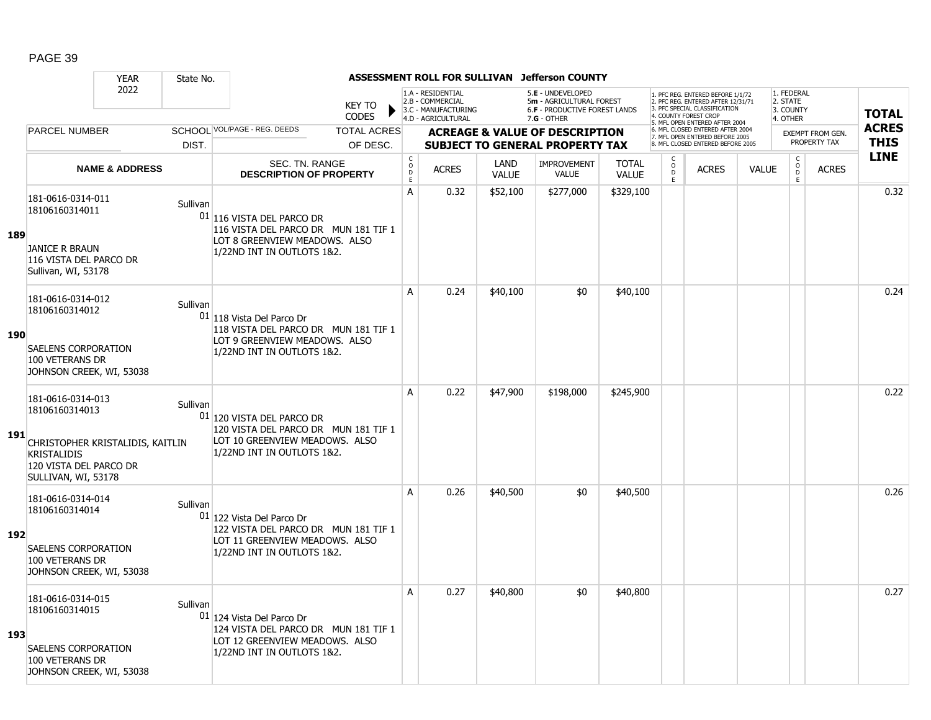|     |                                                                                                                  | <b>YEAR</b>                      | State No. |                                                                                                                                    |                                     |                                                                                    |                      | ASSESSMENT ROLL FOR SULLIVAN Jefferson COUNTY                                                   |                              |                                                |                                                                                                                                  |              |                                                 |                         |              |
|-----|------------------------------------------------------------------------------------------------------------------|----------------------------------|-----------|------------------------------------------------------------------------------------------------------------------------------------|-------------------------------------|------------------------------------------------------------------------------------|----------------------|-------------------------------------------------------------------------------------------------|------------------------------|------------------------------------------------|----------------------------------------------------------------------------------------------------------------------------------|--------------|-------------------------------------------------|-------------------------|--------------|
|     |                                                                                                                  | 2022                             |           | <b>KEY TO</b><br><b>CODES</b>                                                                                                      |                                     | 1.A - RESIDENTIAL<br>2.B - COMMERCIAL<br>3.C - MANUFACTURING<br>4.D - AGRICULTURAL |                      | 5.E - UNDEVELOPED<br>5m - AGRICULTURAL FOREST<br>6.F - PRODUCTIVE FOREST LANDS<br>$7.G - OTHER$ |                              |                                                | 1. PFC REG. ENTERED BEFORE 1/1/72<br>2. PFC REG. ENTERED AFTER 12/31/71<br>3. PFC SPECIAL CLASSIFICATION<br>4 COUNTY FOREST CROP |              | 1. FEDERAL<br>2. STATE<br>3. COUNTY<br>4. OTHER |                         | <b>TOTAL</b> |
|     | <b>PARCEL NUMBER</b>                                                                                             |                                  |           | SCHOOL VOL/PAGE - REG. DEEDS<br><b>TOTAL ACRES</b>                                                                                 |                                     |                                                                                    |                      | <b>ACREAGE &amp; VALUE OF DESCRIPTION</b>                                                       |                              |                                                | 5. MFL OPEN ENTERED AFTER 2004<br>6. MFL CLOSED ENTERED AFTER 2004<br>7. MFL OPEN ENTERED BEFORE 2005                            |              |                                                 | <b>EXEMPT FROM GEN.</b> | <b>ACRES</b> |
|     |                                                                                                                  |                                  | DIST.     | OF DESC.                                                                                                                           |                                     |                                                                                    |                      | <b>SUBJECT TO GENERAL PROPERTY TAX</b>                                                          |                              |                                                | 8. MFL CLOSED ENTERED BEFORE 2005                                                                                                |              |                                                 | PROPERTY TAX            | <b>THIS</b>  |
|     |                                                                                                                  | <b>NAME &amp; ADDRESS</b>        |           | <b>SEC. TN. RANGE</b><br><b>DESCRIPTION OF PROPERTY</b>                                                                            | $_{\rm o}^{\rm c}$<br>$\frac{D}{E}$ | <b>ACRES</b>                                                                       | LAND<br><b>VALUE</b> | <b>IMPROVEMENT</b><br><b>VALUE</b>                                                              | <b>TOTAL</b><br><b>VALUE</b> | $\begin{matrix} 0 \\ 0 \\ 0 \end{matrix}$<br>E | <b>ACRES</b>                                                                                                                     | <b>VALUE</b> | $\begin{matrix} 0 \\ 0 \\ D \end{matrix}$<br>E  | <b>ACRES</b>            | <b>LINE</b>  |
| 189 | 181-0616-0314-011<br>18106160314011<br><b>JANICE R BRAUN</b><br>116 VISTA DEL PARCO DR<br>Sullivan, WI, 53178    |                                  | Sullivan  | $01$ 116 VISTA DEL PARCO DR<br>116 VISTA DEL PARCO DR MUN 181 TIF 1<br>LOT 8 GREENVIEW MEADOWS. ALSO<br>1/22ND INT IN OUTLOTS 1&2. | $\overline{A}$                      | 0.32                                                                               | \$52,100             | \$277,000                                                                                       | \$329,100                    |                                                |                                                                                                                                  |              |                                                 |                         | 0.32         |
| 190 | 181-0616-0314-012<br>18106160314012<br>SAELENS CORPORATION<br>100 VETERANS DR<br>JOHNSON CREEK, WI, 53038        |                                  | Sullivan  | 01 118 Vista Del Parco Dr<br>118 VISTA DEL PARCO DR MUN 181 TIF 1<br>LOT 9 GREENVIEW MEADOWS. ALSO<br>1/22ND INT IN OUTLOTS 1&2.   | A                                   | 0.24                                                                               | \$40,100             | \$0                                                                                             | \$40,100                     |                                                |                                                                                                                                  |              |                                                 |                         | 0.24         |
| 191 | 181-0616-0314-013<br>18106160314013<br><b>KRISTALIDIS</b><br>120 VISTA DEL PARCO DR<br>SULLIVAN, WI, 53178       | CHRISTOPHER KRISTALIDIS, KAITLIN | Sullivan  | 01 120 VISTA DEL PARCO DR<br>120 VISTA DEL PARCO DR MUN 181 TIF 1<br>LOT 10 GREENVIEW MEADOWS. ALSO<br>1/22ND INT IN OUTLOTS 1&2.  | A                                   | 0.22                                                                               | \$47,900             | \$198,000                                                                                       | \$245,900                    |                                                |                                                                                                                                  |              |                                                 |                         | 0.22         |
| 192 | 181-0616-0314-014<br>18106160314014<br>SAELENS CORPORATION<br>100 VETERANS DR<br>JOHNSON CREEK, WI, 53038        |                                  | Sullivan  | 01 122 Vista Del Parco Dr<br>122 VISTA DEL PARCO DR MUN 181 TIF 1<br>LOT 11 GREENVIEW MEADOWS. ALSO<br>1/22ND INT IN OUTLOTS 1&2.  | A                                   | 0.26                                                                               | \$40,500             | \$0                                                                                             | \$40,500                     |                                                |                                                                                                                                  |              |                                                 |                         | 0.26         |
| 193 | 181-0616-0314-015<br>18106160314015<br><b>SAELENS CORPORATION</b><br>100 VETERANS DR<br>JOHNSON CREEK, WI, 53038 |                                  | Sullivan  | 01 124 Vista Del Parco Dr<br>124 VISTA DEL PARCO DR MUN 181 TIF 1<br>LOT 12 GREENVIEW MEADOWS. ALSO<br>1/22ND INT IN OUTLOTS 1&2.  | A                                   | 0.27                                                                               | \$40,800             | \$0                                                                                             | \$40,800                     |                                                |                                                                                                                                  |              |                                                 |                         | 0.27         |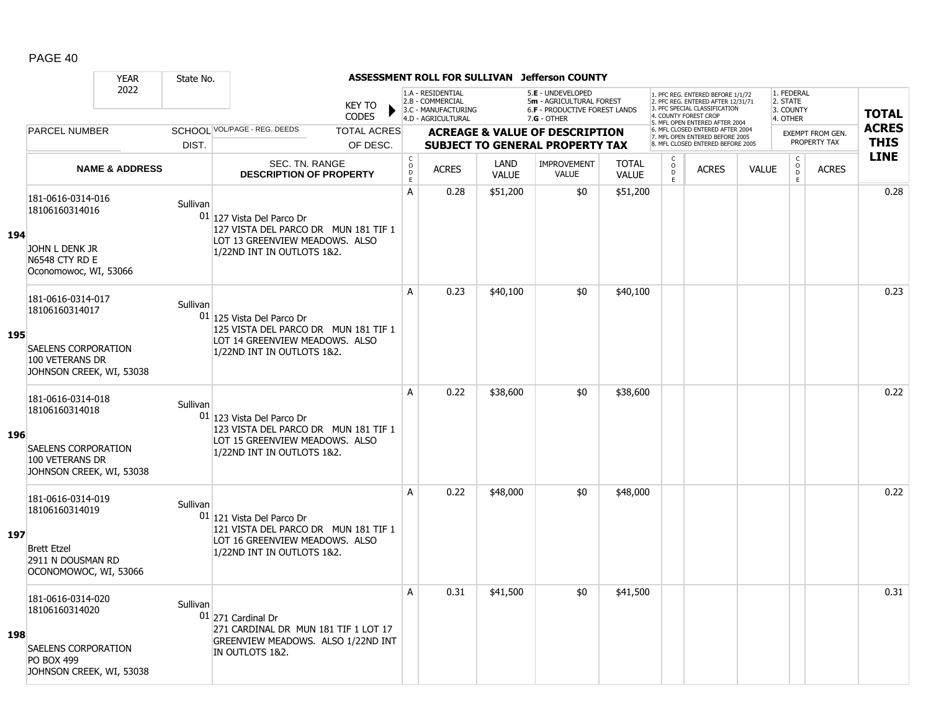|     |                                                                                                             | <b>YEAR</b>               | State No. |                                                                                                                                   |                                        |                                                                                    |                             | ASSESSMENT ROLL FOR SULLIVAN Jefferson COUNTY                                                   |                              |                                                |                                                                                                                                   |              |                                                 |                  |              |
|-----|-------------------------------------------------------------------------------------------------------------|---------------------------|-----------|-----------------------------------------------------------------------------------------------------------------------------------|----------------------------------------|------------------------------------------------------------------------------------|-----------------------------|-------------------------------------------------------------------------------------------------|------------------------------|------------------------------------------------|-----------------------------------------------------------------------------------------------------------------------------------|--------------|-------------------------------------------------|------------------|--------------|
|     |                                                                                                             | 2022                      |           | <b>KEY TO</b><br><b>CODES</b>                                                                                                     |                                        | 1.A - RESIDENTIAL<br>2.B - COMMERCIAL<br>3.C - MANUFACTURING<br>4.D - AGRICULTURAL |                             | 5.E - UNDEVELOPED<br>5m - AGRICULTURAL FOREST<br>6.F - PRODUCTIVE FOREST LANDS<br>$7.G - OTHER$ |                              |                                                | 1. PFC REG. ENTERED BEFORE 1/1/72<br>2. PFC REG. ENTERED AFTER 12/31/71<br>3. PFC SPECIAL CLASSIFICATION<br>4. COUNTY FOREST CROP |              | 1. FEDERAL<br>2. STATE<br>3. COUNTY<br>4. OTHER |                  | <b>TOTAL</b> |
|     | <b>PARCEL NUMBER</b>                                                                                        |                           |           | SCHOOL VOL/PAGE - REG. DEEDS<br><b>TOTAL ACRES</b>                                                                                |                                        |                                                                                    |                             | <b>ACREAGE &amp; VALUE OF DESCRIPTION</b>                                                       |                              |                                                | 5. MFL OPEN ENTERED AFTER 2004<br>6. MFL CLOSED ENTERED AFTER 2004                                                                |              |                                                 | EXEMPT FROM GEN. | <b>ACRES</b> |
|     |                                                                                                             |                           | DIST.     | OF DESC.                                                                                                                          |                                        |                                                                                    |                             | <b>SUBJECT TO GENERAL PROPERTY TAX</b>                                                          |                              |                                                | 7. MFL OPEN ENTERED BEFORE 2005<br>8. MFL CLOSED ENTERED BEFORE 2005                                                              |              |                                                 | PROPERTY TAX     | <b>THIS</b>  |
|     |                                                                                                             | <b>NAME &amp; ADDRESS</b> |           | <b>SEC. TN. RANGE</b><br><b>DESCRIPTION OF PROPERTY</b>                                                                           | $_{\rm o}^{\rm c}$<br>D<br>$\mathsf E$ | <b>ACRES</b>                                                                       | <b>LAND</b><br><b>VALUE</b> | <b>IMPROVEMENT</b><br><b>VALUE</b>                                                              | <b>TOTAL</b><br><b>VALUE</b> | $\begin{matrix} 0 \\ 0 \\ D \end{matrix}$<br>E | <b>ACRES</b>                                                                                                                      | <b>VALUE</b> | $\begin{matrix} 0 \\ 0 \\ 0 \end{matrix}$<br>E  | <b>ACRES</b>     | <b>LINE</b>  |
| 194 | 181-0616-0314-016<br>18106160314016<br>JOHN L DENK JR                                                       |                           | Sullivan  | 01 127 Vista Del Parco Dr<br>127 VISTA DEL PARCO DR MUN 181 TIF 1<br>LOT 13 GREENVIEW MEADOWS. ALSO<br>1/22ND INT IN OUTLOTS 1&2. | A                                      | 0.28                                                                               | \$51,200                    | \$0                                                                                             | \$51,200                     |                                                |                                                                                                                                   |              |                                                 |                  | 0.28         |
|     | N6548 CTY RD E<br>Oconomowoc, WI, 53066                                                                     |                           |           |                                                                                                                                   | A                                      | 0.23                                                                               | \$40,100                    | \$0                                                                                             | \$40,100                     |                                                |                                                                                                                                   |              |                                                 |                  | 0.23         |
| 195 | 181-0616-0314-017<br>18106160314017<br>SAELENS CORPORATION                                                  |                           | Sullivan  | 01 125 Vista Del Parco Dr<br>125 VISTA DEL PARCO DR MUN 181 TIF 1<br>LOT 14 GREENVIEW MEADOWS. ALSO                               |                                        |                                                                                    |                             |                                                                                                 |                              |                                                |                                                                                                                                   |              |                                                 |                  |              |
|     | 100 VETERANS DR<br>JOHNSON CREEK, WI, 53038                                                                 |                           |           | 1/22ND INT IN OUTLOTS 1&2.                                                                                                        |                                        |                                                                                    |                             |                                                                                                 |                              |                                                |                                                                                                                                   |              |                                                 |                  |              |
| 196 | 181-0616-0314-018<br>18106160314018<br>SAELENS CORPORATION<br>100 VETERANS DR<br>JOHNSON CREEK, WI, 53038   |                           | Sullivan  | 01 123 Vista Del Parco Dr<br>123 VISTA DEL PARCO DR MUN 181 TIF 1<br>LOT 15 GREENVIEW MEADOWS. ALSO<br>1/22ND INT IN OUTLOTS 1&2. | A                                      | 0.22                                                                               | \$38,600                    | \$0                                                                                             | \$38,600                     |                                                |                                                                                                                                   |              |                                                 |                  | 0.22         |
| 197 | 181-0616-0314-019<br>18106160314019<br><b>Brett Etzel</b><br>2911 N DOUSMAN RD<br>OCONOMOWOC, WI, 53066     |                           | Sullivan  | 01 121 Vista Del Parco Dr<br>121 VISTA DEL PARCO DR MUN 181 TIF 1<br>LOT 16 GREENVIEW MEADOWS. ALSO<br>1/22ND INT IN OUTLOTS 1&2. | A                                      | 0.22                                                                               | \$48,000                    | \$0                                                                                             | \$48,000                     |                                                |                                                                                                                                   |              |                                                 |                  | 0.22         |
| 198 | 181-0616-0314-020<br>18106160314020<br>SAELENS CORPORATION<br><b>PO BOX 499</b><br>JOHNSON CREEK, WI, 53038 |                           | Sullivan  | $01$ 271 Cardinal Dr<br>271 CARDINAL DR MUN 181 TIF 1 LOT 17<br>GREENVIEW MEADOWS. ALSO 1/22ND INT<br>IN OUTLOTS 1&2.             | A                                      | 0.31                                                                               | \$41,500                    | \$0                                                                                             | \$41,500                     |                                                |                                                                                                                                   |              |                                                 |                  | 0.31         |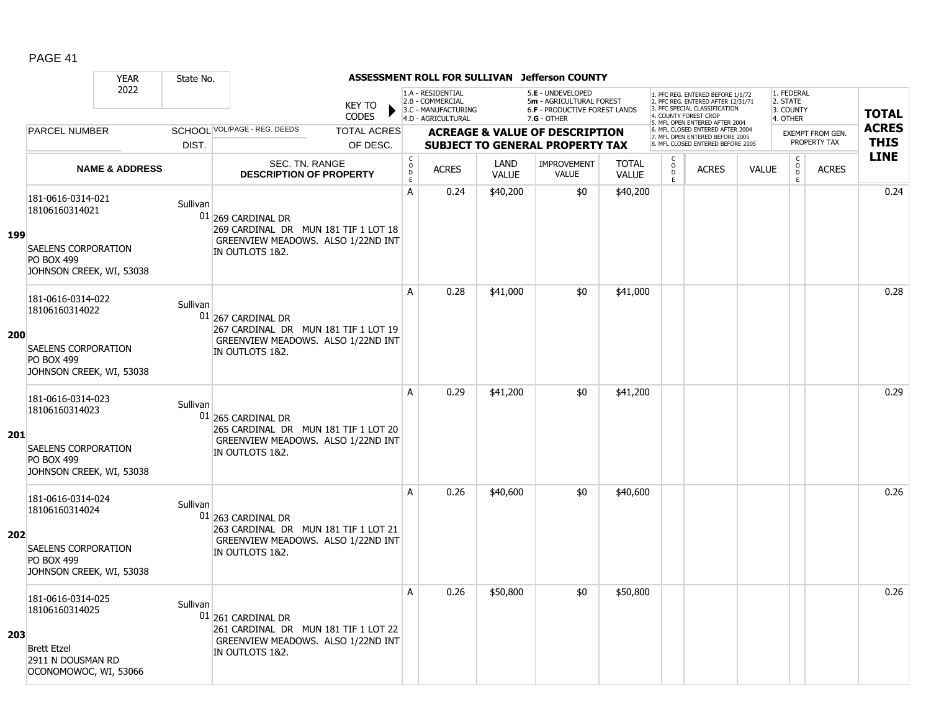|            |                                                                             | <b>YEAR</b>               | State No. |                                                                                                                     |                                            |                                                                                    |                      | ASSESSMENT ROLL FOR SULLIVAN Jefferson COUNTY                                                        |                              |                                                   |                                                                                                                                   |              |                                                 |                         |              |
|------------|-----------------------------------------------------------------------------|---------------------------|-----------|---------------------------------------------------------------------------------------------------------------------|--------------------------------------------|------------------------------------------------------------------------------------|----------------------|------------------------------------------------------------------------------------------------------|------------------------------|---------------------------------------------------|-----------------------------------------------------------------------------------------------------------------------------------|--------------|-------------------------------------------------|-------------------------|--------------|
|            |                                                                             | 2022                      |           | <b>KEY TO</b><br><b>CODES</b>                                                                                       |                                            | 1.A - RESIDENTIAL<br>2.B - COMMERCIAL<br>3.C - MANUFACTURING<br>4.D - AGRICULTURAL |                      | 5.E - UNDEVELOPED<br>5m - AGRICULTURAL FOREST<br><b>6.F - PRODUCTIVE FOREST LANDS</b><br>7.G - OTHER |                              |                                                   | 1. PFC REG. ENTERED BEFORE 1/1/72<br>2. PFC REG. ENTERED AFTER 12/31/71<br>3. PFC SPECIAL CLASSIFICATION<br>4. COUNTY FOREST CROP |              | 1. FEDERAL<br>2. STATE<br>3. COUNTY<br>4. OTHER |                         | <b>TOTAL</b> |
|            | <b>PARCEL NUMBER</b>                                                        |                           |           | SCHOOL VOL/PAGE - REG. DEEDS<br><b>TOTAL ACRES</b>                                                                  |                                            |                                                                                    |                      | <b>ACREAGE &amp; VALUE OF DESCRIPTION</b>                                                            |                              |                                                   | 5. MFL OPEN ENTERED AFTER 2004<br>6. MFL CLOSED ENTERED AFTER 2004<br>7. MFL OPEN ENTERED BEFORE 2005                             |              |                                                 | <b>EXEMPT FROM GEN.</b> | <b>ACRES</b> |
|            |                                                                             |                           | DIST.     | OF DESC.                                                                                                            |                                            |                                                                                    |                      | <b>SUBJECT TO GENERAL PROPERTY TAX</b>                                                               |                              |                                                   | 8. MFL CLOSED ENTERED BEFORE 2005                                                                                                 |              |                                                 | PROPERTY TAX            | <b>THIS</b>  |
|            |                                                                             | <b>NAME &amp; ADDRESS</b> |           | <b>SEC. TN. RANGE</b><br><b>DESCRIPTION OF PROPERTY</b>                                                             | $\begin{array}{c} C \\ 0 \\ E \end{array}$ | <b>ACRES</b>                                                                       | LAND<br><b>VALUE</b> | <b>IMPROVEMENT</b><br><b>VALUE</b>                                                                   | <b>TOTAL</b><br><b>VALUE</b> | $\begin{array}{c}\nC \\ O \\ D \\ E\n\end{array}$ | <b>ACRES</b>                                                                                                                      | <b>VALUE</b> | $\begin{matrix} 0 \\ 0 \\ D \end{matrix}$<br>E  | <b>ACRES</b>            | <b>LINE</b>  |
| 199        | 181-0616-0314-021<br>18106160314021<br>SAELENS CORPORATION                  |                           | Sullivan  | 01 269 CARDINAL DR<br>269 CARDINAL DR MUN 181 TIF 1 LOT 18<br>GREENVIEW MEADOWS. ALSO 1/22ND INT<br>IN OUTLOTS 1&2. | A                                          | 0.24                                                                               | \$40,200             | \$0                                                                                                  | \$40,200                     |                                                   |                                                                                                                                   |              |                                                 |                         | 0.24         |
|            | <b>PO BOX 499</b><br>JOHNSON CREEK, WI, 53038                               |                           |           |                                                                                                                     |                                            |                                                                                    |                      |                                                                                                      |                              |                                                   |                                                                                                                                   |              |                                                 |                         |              |
|            | 181-0616-0314-022<br>18106160314022                                         |                           | Sullivan  | 01 267 CARDINAL DR<br>267 CARDINAL DR MUN 181 TIF 1 LOT 19                                                          | A                                          | 0.28                                                                               | \$41,000             | \$0                                                                                                  | \$41,000                     |                                                   |                                                                                                                                   |              |                                                 |                         | 0.28         |
| <b>200</b> | <b>SAELENS CORPORATION</b><br><b>PO BOX 499</b><br>JOHNSON CREEK, WI, 53038 |                           |           | GREENVIEW MEADOWS. ALSO 1/22ND INT<br>IN OUTLOTS 1&2.                                                               |                                            |                                                                                    |                      |                                                                                                      |                              |                                                   |                                                                                                                                   |              |                                                 |                         |              |
| 201        | 181-0616-0314-023<br>18106160314023                                         |                           | Sullivan  | 01 265 CARDINAL DR<br>265 CARDINAL DR MUN 181 TIF 1 LOT 20<br>GREENVIEW MEADOWS. ALSO 1/22ND INT                    | A                                          | 0.29                                                                               | \$41,200             | \$0                                                                                                  | \$41,200                     |                                                   |                                                                                                                                   |              |                                                 |                         | 0.29         |
|            | SAELENS CORPORATION<br><b>PO BOX 499</b><br>JOHNSON CREEK, WI, 53038        |                           |           | IN OUTLOTS 1&2.                                                                                                     |                                            |                                                                                    |                      |                                                                                                      |                              |                                                   |                                                                                                                                   |              |                                                 |                         |              |
| 202        | 181-0616-0314-024<br>18106160314024                                         |                           | Sullivan  | 01 263 CARDINAL DR<br>263 CARDINAL DR MUN 181 TIF 1 LOT 21                                                          | A                                          | 0.26                                                                               | \$40,600             | \$0                                                                                                  | \$40,600                     |                                                   |                                                                                                                                   |              |                                                 |                         | 0.26         |
|            | SAELENS CORPORATION<br><b>PO BOX 499</b><br>JOHNSON CREEK, WI, 53038        |                           |           | GREENVIEW MEADOWS. ALSO 1/22ND INT<br>IN OUTLOTS 1&2.                                                               |                                            |                                                                                    |                      |                                                                                                      |                              |                                                   |                                                                                                                                   |              |                                                 |                         |              |
| 203        | 181-0616-0314-025<br>18106160314025<br><b>Brett Etzel</b>                   |                           | Sullivan  | 01 261 CARDINAL DR<br>261 CARDINAL DR MUN 181 TIF 1 LOT 22<br>GREENVIEW MEADOWS. ALSO 1/22ND INT<br>IN OUTLOTS 1&2. | A                                          | 0.26                                                                               | \$50,800             | \$0                                                                                                  | \$50,800                     |                                                   |                                                                                                                                   |              |                                                 |                         | 0.26         |
|            | 2911 N DOUSMAN RD<br>OCONOMOWOC, WI, 53066                                  |                           |           |                                                                                                                     |                                            |                                                                                    |                      |                                                                                                      |                              |                                                   |                                                                                                                                   |              |                                                 |                         |              |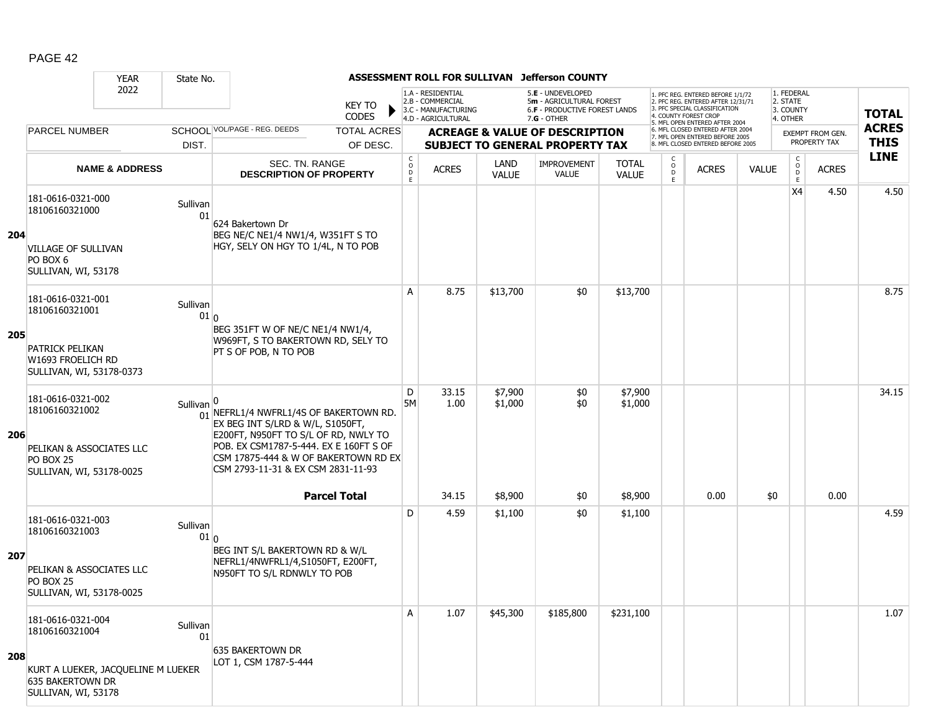|     |                                                                                                                      | <b>YEAR</b>               | State No.                   |                                                                                                                                                                                                                                            |                                                 | ASSESSMENT ROLL FOR SULLIVAN                                 |                      | <b>Jefferson COUNTY</b>                                                             |                              |                              |                                                                                                          |              |                                         |                                         |              |
|-----|----------------------------------------------------------------------------------------------------------------------|---------------------------|-----------------------------|--------------------------------------------------------------------------------------------------------------------------------------------------------------------------------------------------------------------------------------------|-------------------------------------------------|--------------------------------------------------------------|----------------------|-------------------------------------------------------------------------------------|------------------------------|------------------------------|----------------------------------------------------------------------------------------------------------|--------------|-----------------------------------------|-----------------------------------------|--------------|
|     |                                                                                                                      | 2022                      |                             | <b>KEY TO</b>                                                                                                                                                                                                                              |                                                 | 1.A - RESIDENTIAL<br>2.B - COMMERCIAL<br>3.C - MANUFACTURING |                      | 5.E - UNDEVELOPED<br>5m - AGRICULTURAL FOREST<br>6.F - PRODUCTIVE FOREST LANDS      |                              |                              | 1. PFC REG. ENTERED BEFORE 1/1/72<br>2. PFC REG. ENTERED AFTER 12/31/71<br>3. PFC SPECIAL CLASSIFICATION |              | 1. FEDERAL<br>2. STATE<br>3. COUNTY     |                                         | <b>TOTAL</b> |
|     |                                                                                                                      |                           |                             | <b>CODES</b><br>SCHOOL VOL/PAGE - REG. DEEDS                                                                                                                                                                                               |                                                 | 4.D - AGRICULTURAL                                           |                      | $7.G - OTHER$                                                                       |                              |                              | 4. COUNTY FOREST CROF<br>5. MFL OPEN ENTERED AFTER 2004<br>6. MFL CLOSED ENTERED AFTER 2004              |              | 4. OTHER                                |                                         | <b>ACRES</b> |
|     | <b>PARCEL NUMBER</b>                                                                                                 |                           | DIST.                       | <b>TOTAL ACRES</b><br>OF DESC.                                                                                                                                                                                                             |                                                 |                                                              |                      | <b>ACREAGE &amp; VALUE OF DESCRIPTION</b><br><b>SUBJECT TO GENERAL PROPERTY TAX</b> |                              |                              | 7. MFL OPEN ENTERED BEFORE 2005<br>8. MFL CLOSED ENTERED BEFORE 2005                                     |              |                                         | <b>EXEMPT FROM GEN.</b><br>PROPERTY TAX | <b>THIS</b>  |
|     |                                                                                                                      | <b>NAME &amp; ADDRESS</b> |                             | SEC. TN. RANGE<br><b>DESCRIPTION OF PROPERTY</b>                                                                                                                                                                                           | $\begin{matrix} 0 \\ 0 \\ D \end{matrix}$<br>E. | <b>ACRES</b>                                                 | LAND<br><b>VALUE</b> | <b>IMPROVEMENT</b><br><b>VALUE</b>                                                  | <b>TOTAL</b><br><b>VALUE</b> | C<br>$_{\rm D}^{\rm O}$<br>E | <b>ACRES</b>                                                                                             | <b>VALUE</b> | $\mathsf{C}$<br>$_{\rm D}^{\rm O}$<br>E | <b>ACRES</b>                            | <b>LINE</b>  |
| 204 | 181-0616-0321-000<br>18106160321000<br><b>VILLAGE OF SULLIVAN</b><br>PO BOX 6<br>SULLIVAN, WI, 53178                 |                           | Sullivan<br>01              | 624 Bakertown Dr<br>BEG NE/C NE1/4 NW1/4, W351FT S TO<br>HGY, SELY ON HGY TO 1/4L, N TO POB                                                                                                                                                |                                                 |                                                              |                      |                                                                                     |                              |                              |                                                                                                          |              | X4                                      | 4.50                                    | 4.50         |
| 205 | 181-0616-0321-001<br>18106160321001<br><b>PATRICK PELIKAN</b><br>W1693 FROELICH RD<br>SULLIVAN, WI, 53178-0373       |                           | Sullivan<br>01 <sub>0</sub> | BEG 351FT W OF NE/C NE1/4 NW1/4,<br>W969FT, S TO BAKERTOWN RD, SELY TO<br>PT S OF POB, N TO POB                                                                                                                                            | Α                                               | 8.75                                                         | \$13,700             | \$0                                                                                 | \$13,700                     |                              |                                                                                                          |              |                                         |                                         | 8.75         |
| 206 | 181-0616-0321-002<br>18106160321002<br>PELIKAN & ASSOCIATES LLC<br><b>PO BOX 25</b><br>SULLIVAN, WI, 53178-0025      |                           | Sullivan                    | 01 NEFRL1/4 NWFRL1/4S OF BAKERTOWN RD.<br>EX BEG INT S/LRD & W/L, S1050FT,<br>E200FT, N950FT TO S/L OF RD, NWLY TO<br>POB. EX CSM1787-5-444. EX E 160FT S OF<br>CSM 17875-444 & W OF BAKERTOWN RD EX<br>CSM 2793-11-31 & EX CSM 2831-11-93 | D<br>5M                                         | 33.15<br>1.00                                                | \$7,900<br>\$1,000   | \$0<br>\$0                                                                          | \$7,900<br>\$1,000           |                              |                                                                                                          |              |                                         |                                         | 34.15        |
|     |                                                                                                                      |                           |                             | <b>Parcel Total</b>                                                                                                                                                                                                                        |                                                 | 34.15                                                        | \$8,900              | \$0                                                                                 | \$8,900                      |                              | 0.00                                                                                                     | \$0          |                                         | 0.00                                    |              |
| 207 | 181-0616-0321-003<br>18106160321003<br>PELIKAN & ASSOCIATES LLC<br>PO BOX 25<br>SULLIVAN, WI, 53178-0025             |                           | Sullivan<br>01 <sub>0</sub> | BEG INT S/L BAKERTOWN RD & W/L<br>NEFRL1/4NWFRL1/4,S1050FT, E200FT,<br>N950FT TO S/L RDNWLY TO POB                                                                                                                                         | D                                               | 4.59                                                         | \$1,100              | \$0                                                                                 | \$1,100                      |                              |                                                                                                          |              |                                         |                                         | 4.59         |
| 208 | 181-0616-0321-004<br>18106160321004<br>KURT A LUEKER, JACQUELINE M LUEKER<br>635 BAKERTOWN DR<br>SULLIVAN, WI, 53178 |                           | Sullivan<br>01              | 635 BAKERTOWN DR<br>LOT 1, CSM 1787-5-444                                                                                                                                                                                                  | Α                                               | 1.07                                                         | \$45,300             | \$185,800                                                                           | \$231,100                    |                              |                                                                                                          |              |                                         |                                         | 1.07         |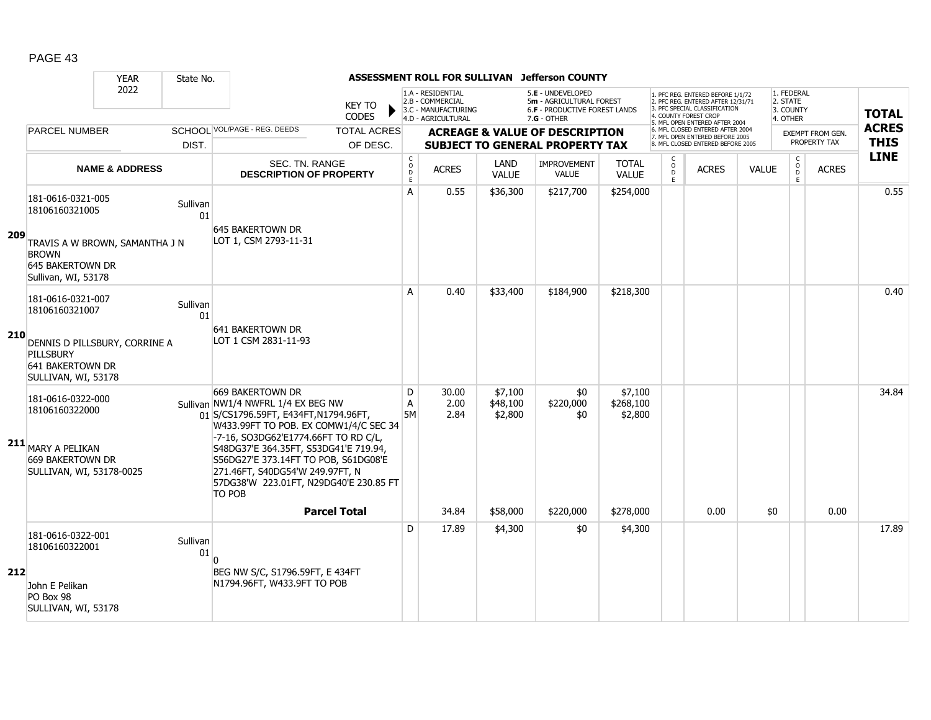|      |                                                                                                                                  | <b>YEAR</b>               | State No.              |                                                                                                                                                                                                                                                                                                                                                          |                                               |                                                                                    |                                | ASSESSMENT ROLL FOR SULLIVAN Jefferson COUNTY                                                   |                                 |                        |                                                                                                                                                                     |              |                                                 |                                      |                             |
|------|----------------------------------------------------------------------------------------------------------------------------------|---------------------------|------------------------|----------------------------------------------------------------------------------------------------------------------------------------------------------------------------------------------------------------------------------------------------------------------------------------------------------------------------------------------------------|-----------------------------------------------|------------------------------------------------------------------------------------|--------------------------------|-------------------------------------------------------------------------------------------------|---------------------------------|------------------------|---------------------------------------------------------------------------------------------------------------------------------------------------------------------|--------------|-------------------------------------------------|--------------------------------------|-----------------------------|
|      |                                                                                                                                  | 2022                      |                        | <b>KEY TO</b><br><b>CODES</b>                                                                                                                                                                                                                                                                                                                            |                                               | 1.A - RESIDENTIAL<br>2.B - COMMERCIAL<br>3.C - MANUFACTURING<br>4.D - AGRICULTURAL |                                | 5.E - UNDEVELOPED<br>5m - AGRICULTURAL FOREST<br>6.F - PRODUCTIVE FOREST LANDS<br>$7.G - OTHER$ |                                 |                        | 1. PFC REG. ENTERED BEFORE 1/1/72<br>2. PFC REG. ENTERED AFTER 12/31/71<br>3. PFC SPECIAL CLASSIFICATION<br>4. COUNTY FOREST CROP<br>5. MFL OPEN ENTERED AFTER 2004 |              | 1. FEDERAL<br>2. STATE<br>3. COUNTY<br>4. OTHER |                                      | <b>TOTAL</b>                |
|      | <b>PARCEL NUMBER</b>                                                                                                             |                           | DIST.                  | SCHOOI VOL/PAGE - REG. DEEDS<br><b>TOTAL ACRES</b><br>OF DESC.                                                                                                                                                                                                                                                                                           |                                               |                                                                                    |                                | <b>ACREAGE &amp; VALUE OF DESCRIPTION</b><br><b>SUBJECT TO GENERAL PROPERTY TAX</b>             |                                 |                        | 6. MFL CLOSED ENTERED AFTER 2004<br>7. MFL OPEN ENTERED BEFORE 2005<br>8. MFL CLOSED ENTERED BEFORE 2005                                                            |              |                                                 | EXEMPT FROM GEN.<br>PROPERTY TAX     | <b>ACRES</b><br><b>THIS</b> |
|      |                                                                                                                                  | <b>NAME &amp; ADDRESS</b> |                        | <b>SEC. TN. RANGE</b><br><b>DESCRIPTION OF PROPERTY</b>                                                                                                                                                                                                                                                                                                  | C<br>$\circ$<br>$\overline{D}$<br>$\mathsf E$ | <b>ACRES</b>                                                                       | LAND<br><b>VALUE</b>           | <b>IMPROVEMENT</b><br><b>VALUE</b>                                                              | <b>TOTAL</b><br><b>VALUE</b>    | C<br>$\circ$<br>D<br>E | <b>ACRES</b>                                                                                                                                                        | <b>VALUE</b> | $\mathsf{C}$<br>$\mathsf{O}$                    | <b>ACRES</b><br>$\overline{D}$<br>E. | <b>LINE</b>                 |
| -209 | 181-0616-0321-005<br>18106160321005<br>TRAVIS A W BROWN, SAMANTHA J N<br><b>BROWN</b><br>645 BAKERTOWN DR<br>Sullivan, WI, 53178 |                           | Sullivan<br>01         | 645 BAKERTOWN DR<br>LOT 1, CSM 2793-11-31                                                                                                                                                                                                                                                                                                                | A                                             | 0.55                                                                               | \$36,300                       | \$217,700                                                                                       | \$254,000                       |                        |                                                                                                                                                                     |              |                                                 |                                      | 0.55                        |
| 210  | 181-0616-0321-007<br>18106160321007<br>DENNIS D PILLSBURY, CORRINE A<br>PILLSBURY<br>641 BAKERTOWN DR<br>SULLIVAN, WI, 53178     |                           | Sullivan<br>01         | 641 BAKERTOWN DR<br>LOT 1 CSM 2831-11-93                                                                                                                                                                                                                                                                                                                 | A                                             | 0.40                                                                               | \$33,400                       | \$184,900                                                                                       | \$218,300                       |                        |                                                                                                                                                                     |              |                                                 |                                      | 0.40                        |
|      | 181-0616-0322-000<br>18106160322000<br>211 MARY A PELIKAN<br>669 BAKERTOWN DR<br>SULLIVAN, WI, 53178-0025                        |                           |                        | 669 BAKERTOWN DR<br>Sullivan NW1/4 NWFRL 1/4 EX BEG NW<br>01 S/CS1796.59FT, E434FT, N1794.96FT,<br>W433.99FT TO POB. EX COMW1/4/C SEC 34<br>-7-16, SO3DG62'E1774.66FT TO RD C/L,<br>S48DG37'E 364.35FT, S53DG41'E 719.94,<br>S56DG27'E 373.14FT TO POB, S61DG08'E<br>271.46FT, S40DG54'W 249.97FT, N<br>57DG38'W 223.01FT, N29DG40'E 230.85 FT<br>TO POB | D<br>Α<br><b>5M</b>                           | 30.00<br>2.00<br>2.84                                                              | \$7,100<br>\$48,100<br>\$2,800 | \$0<br>\$220,000<br>\$0                                                                         | \$7,100<br>\$268,100<br>\$2,800 |                        |                                                                                                                                                                     |              |                                                 |                                      | 34.84                       |
|      |                                                                                                                                  |                           |                        | <b>Parcel Total</b>                                                                                                                                                                                                                                                                                                                                      | D                                             | 34.84<br>17.89                                                                     | \$58,000<br>\$4,300            | \$220,000<br>\$0                                                                                | \$278,000<br>\$4,300            |                        | 0.00                                                                                                                                                                |              | \$0                                             | 0.00                                 | 17.89                       |
| 212  | 181-0616-0322-001<br>18106160322001<br>John E Pelikan<br>PO Box 98<br>SULLIVAN, WI, 53178                                        |                           | Sullivan<br>${\bf 01}$ | $\Omega$<br>BEG NW S/C, S1796.59FT, E 434FT<br>N1794.96FT, W433.9FT TO POB                                                                                                                                                                                                                                                                               |                                               |                                                                                    |                                |                                                                                                 |                                 |                        |                                                                                                                                                                     |              |                                                 |                                      |                             |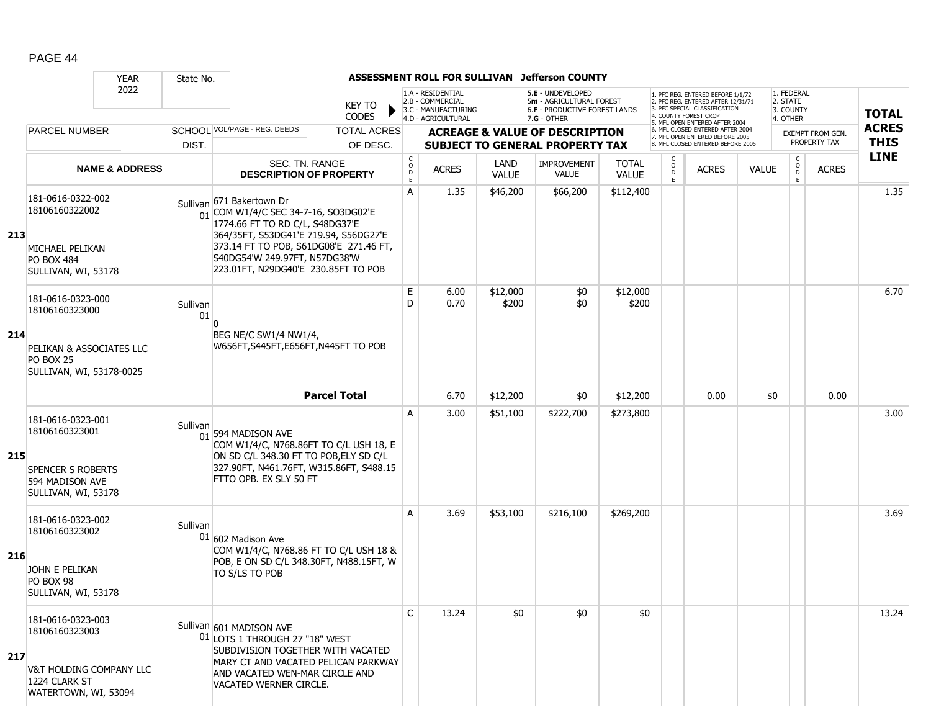|     |                                                                                                           | <b>YEAR</b>               | State No.      |                                                                                                                                                                                                                                                                             |                                                         | ASSESSMENT ROLL FOR SULLIVAN                                 |                             | Jefferson COUNTY                                                                    |                              |                                     |                                                                                                                                   |              |                                     |                                  |              |
|-----|-----------------------------------------------------------------------------------------------------------|---------------------------|----------------|-----------------------------------------------------------------------------------------------------------------------------------------------------------------------------------------------------------------------------------------------------------------------------|---------------------------------------------------------|--------------------------------------------------------------|-----------------------------|-------------------------------------------------------------------------------------|------------------------------|-------------------------------------|-----------------------------------------------------------------------------------------------------------------------------------|--------------|-------------------------------------|----------------------------------|--------------|
|     |                                                                                                           | 2022                      |                | KEY TO                                                                                                                                                                                                                                                                      |                                                         | 1.A - RESIDENTIAL<br>2.B - COMMERCIAL<br>3.C - MANUFACTURING |                             | 5.E - UNDEVELOPED<br>5m - AGRICULTURAL FOREST<br>6.F - PRODUCTIVE FOREST LANDS      |                              |                                     | 1. PFC REG. ENTERED BEFORE 1/1/72<br>2. PFC REG. ENTERED AFTER 12/31/71<br>3. PFC SPECIAL CLASSIFICATION<br>4. COUNTY FOREST CROP |              | 1. FEDERAL<br>2. STATE<br>3. COUNTY |                                  | <b>TOTAL</b> |
|     |                                                                                                           |                           |                | <b>CODES</b>                                                                                                                                                                                                                                                                |                                                         | 4.D - AGRICULTURAL                                           |                             | $7.G - OTHER$                                                                       |                              |                                     | 5. MFL OPEN ENTERED AFTER 2004                                                                                                    |              | 4. OTHER                            |                                  | <b>ACRES</b> |
|     | <b>PARCEL NUMBER</b>                                                                                      |                           | DIST.          | SCHOOL VOL/PAGE - REG. DEEDS<br><b>TOTAL ACRES</b><br>OF DESC.                                                                                                                                                                                                              |                                                         |                                                              |                             | <b>ACREAGE &amp; VALUE OF DESCRIPTION</b><br><b>SUBJECT TO GENERAL PROPERTY TAX</b> |                              |                                     | 6. MFL CLOSED ENTERED AFTER 2004<br>7. MFL OPEN ENTERED BEFORE 2005<br>8. MFL CLOSED ENTERED BEFORE 2005                          |              |                                     | EXEMPT FROM GEN.<br>PROPERTY TAX | <b>THIS</b>  |
|     |                                                                                                           | <b>NAME &amp; ADDRESS</b> |                | SEC. TN. RANGE<br><b>DESCRIPTION OF PROPERTY</b>                                                                                                                                                                                                                            | $\begin{smallmatrix} C\\O\\O\\D \end{smallmatrix}$<br>E | <b>ACRES</b>                                                 | <b>LAND</b><br><b>VALUE</b> | <b>IMPROVEMENT</b><br><b>VALUE</b>                                                  | <b>TOTAL</b><br><b>VALUE</b> | C<br>$_\mathrm{D}^\mathrm{O}$<br>E. | <b>ACRES</b>                                                                                                                      | <b>VALUE</b> | $\mathsf{C}$<br>$\overline{0}$<br>E | <b>ACRES</b>                     | <b>LINE</b>  |
| 213 | 181-0616-0322-002<br>18106160322002<br>MICHAEL PELIKAN<br><b>PO BOX 484</b><br>SULLIVAN, WI, 53178        |                           |                | Sullivan 671 Bakertown Dr<br>$\frac{1}{01}$ COM W1/4/C SEC 34-7-16, SO3DG02'E<br>1774.66 FT TO RD C/L, S48DG37'E<br>364/35FT, S53DG41'E 719.94, S56DG27'E<br>373.14 FT TO POB, S61DG08'E 271.46 FT,<br>S40DG54'W 249.97FT, N57DG38'W<br>223.01FT, N29DG40'E 230.85FT TO POB | A                                                       | 1.35                                                         | \$46,200                    | \$66,200                                                                            | \$112,400                    |                                     |                                                                                                                                   |              |                                     |                                  | 1.35         |
|     | 181-0616-0323-000<br>18106160323000                                                                       |                           | Sullivan<br>01 |                                                                                                                                                                                                                                                                             | Е<br>D                                                  | 6.00<br>0.70                                                 | \$12,000<br>\$200           | \$0<br>\$0                                                                          | \$12,000<br>\$200            |                                     |                                                                                                                                   |              |                                     |                                  | 6.70         |
| 214 | PELIKAN & ASSOCIATES LLC<br><b>PO BOX 25</b><br>SULLIVAN, WI, 53178-0025                                  |                           |                | BEG NE/C SW1/4 NW1/4,<br>W656FT, S445FT, E656FT, N445FT TO POB                                                                                                                                                                                                              |                                                         |                                                              |                             |                                                                                     |                              |                                     |                                                                                                                                   |              |                                     |                                  |              |
|     |                                                                                                           |                           |                | <b>Parcel Total</b>                                                                                                                                                                                                                                                         |                                                         | 6.70                                                         | \$12,200                    | \$0                                                                                 | \$12,200                     |                                     | 0.00                                                                                                                              | \$0          |                                     | 0.00                             |              |
| 215 | 181-0616-0323-001<br>18106160323001<br><b>SPENCER S ROBERTS</b><br>594 MADISON AVE<br>SULLIVAN, WI, 53178 |                           | Sullivan       | 01 594 MADISON AVE<br>COM W1/4/C, N768.86FT TO C/L USH 18, E<br>ON SD C/L 348.30 FT TO POB, ELY SD C/L<br>327.90FT, N461.76FT, W315.86FT, S488.15<br>FTTO OPB. EX SLY 50 FT                                                                                                 | A                                                       | 3.00                                                         | \$51,100                    | \$222,700                                                                           | \$273,800                    |                                     |                                                                                                                                   |              |                                     |                                  | 3.00         |
| 216 | 181-0616-0323-002<br>18106160323002<br>JOHN E PELIKAN<br>PO BOX 98<br>SULLIVAN, WI, 53178                 |                           | Sullivan       | $01 602$ Madison Ave<br>COM W1/4/C, N768.86 FT TO C/L USH 18 &<br>POB, E ON SD C/L 348.30FT, N488.15FT, W<br>TO S/LS TO POB                                                                                                                                                 | A                                                       | 3.69                                                         | \$53,100                    | \$216,100                                                                           | \$269,200                    |                                     |                                                                                                                                   |              |                                     |                                  | 3.69         |
| 217 | 181-0616-0323-003<br>18106160323003<br>V&T HOLDING COMPANY LLC<br>1224 CLARK ST<br>WATERTOWN, WI, 53094   |                           |                | Sullivan 601 MADISON AVE<br>01 LOTS 1 THROUGH 27 "18" WEST<br>SUBDIVISION TOGETHER WITH VACATED<br>MARY CT AND VACATED PELICAN PARKWAY<br>AND VACATED WEN-MAR CIRCLE AND<br>VACATED WERNER CIRCLE.                                                                          | $\mathsf{C}$                                            | 13.24                                                        | \$0                         | \$0                                                                                 | \$0                          |                                     |                                                                                                                                   |              |                                     |                                  | 13.24        |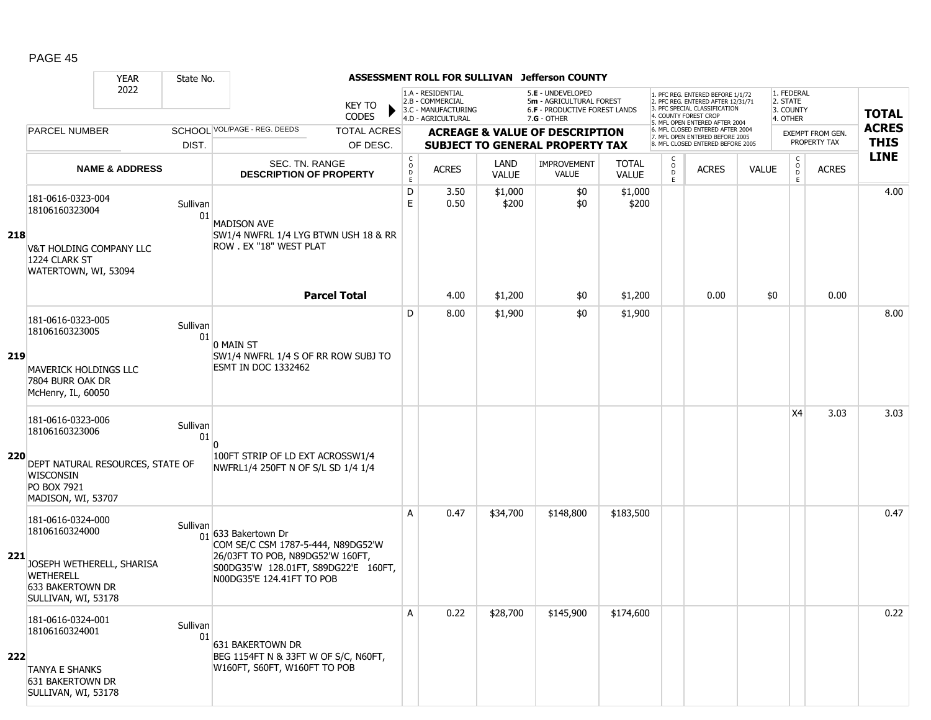|            |                                                                                                                                 | <b>YEAR</b>               | State No.      |                                                                                                                                                                    |                                                | ASSESSMENT ROLL FOR SULLIVAN                                 |                             | <b>Jefferson COUNTY</b>                                                             |                              |                                     |                                                                                                          |              |                                                    |                                  |              |
|------------|---------------------------------------------------------------------------------------------------------------------------------|---------------------------|----------------|--------------------------------------------------------------------------------------------------------------------------------------------------------------------|------------------------------------------------|--------------------------------------------------------------|-----------------------------|-------------------------------------------------------------------------------------|------------------------------|-------------------------------------|----------------------------------------------------------------------------------------------------------|--------------|----------------------------------------------------|----------------------------------|--------------|
|            |                                                                                                                                 | 2022                      |                | KEY TO                                                                                                                                                             |                                                | 1.A - RESIDENTIAL<br>2.B - COMMERCIAL<br>3.C - MANUFACTURING |                             | 5.E - UNDEVELOPED<br>5m - AGRICULTURAL FOREST<br>6.F - PRODUCTIVE FOREST LANDS      |                              |                                     | 1. PFC REG. ENTERED BEFORE 1/1/72<br>2. PFC REG. ENTERED AFTER 12/31/71<br>3. PFC SPECIAL CLASSIFICATION |              | 1. FEDERAL<br>2. STATE<br>3. COUNTY                |                                  | <b>TOTAL</b> |
|            |                                                                                                                                 |                           |                | <b>CODES</b>                                                                                                                                                       |                                                | 4.D - AGRICULTURAL                                           |                             | $7.G - OTHER$                                                                       |                              |                                     | 4. COUNTY FOREST CROP<br>5. MFL OPEN ENTERED AFTER 2004                                                  |              | 4. OTHER                                           |                                  | <b>ACRES</b> |
|            | <b>PARCEL NUMBER</b>                                                                                                            |                           | DIST.          | SCHOOL VOL/PAGE - REG. DEEDS<br><b>TOTAL ACRES</b><br>OF DESC.                                                                                                     |                                                |                                                              |                             | <b>ACREAGE &amp; VALUE OF DESCRIPTION</b><br><b>SUBJECT TO GENERAL PROPERTY TAX</b> |                              |                                     | 6. MFL CLOSED ENTERED AFTER 2004<br>7. MFL OPEN ENTERED BEFORE 2005<br>8. MFL CLOSED ENTERED BEFORE 2005 |              |                                                    | EXEMPT FROM GEN.<br>PROPERTY TAX | <b>THIS</b>  |
|            |                                                                                                                                 | <b>NAME &amp; ADDRESS</b> |                | SEC. TN. RANGE<br><b>DESCRIPTION OF PROPERTY</b>                                                                                                                   | $\begin{matrix} 0 \\ 0 \\ D \end{matrix}$<br>E | <b>ACRES</b>                                                 | <b>LAND</b><br><b>VALUE</b> | <b>IMPROVEMENT</b><br><b>VALUE</b>                                                  | <b>TOTAL</b><br><b>VALUE</b> | C<br>$_\mathrm{D}^\mathrm{O}$<br>E. | <b>ACRES</b>                                                                                             | <b>VALUE</b> | $\mathsf{C}$<br>$\overset{\circ}{\mathsf{D}}$<br>E | <b>ACRES</b>                     | <b>LINE</b>  |
| 218        | 181-0616-0323-004<br>18106160323004<br>V&T HOLDING COMPANY LLC<br>1224 CLARK ST<br>WATERTOWN, WI, 53094                         |                           | Sullivan<br>01 | <b>MADISON AVE</b><br>SW1/4 NWFRL 1/4 LYG BTWN USH 18 & RR<br>ROW . EX "18" WEST PLAT                                                                              | D<br>E                                         | 3.50<br>0.50                                                 | \$1,000<br>\$200            | \$0<br>\$0                                                                          | \$1,000<br>\$200             |                                     |                                                                                                          |              |                                                    |                                  | 4.00         |
|            |                                                                                                                                 |                           |                | <b>Parcel Total</b>                                                                                                                                                |                                                | 4.00                                                         | \$1,200                     | \$0                                                                                 | \$1,200                      |                                     | 0.00                                                                                                     | \$0          |                                                    | 0.00                             |              |
| 219        | 181-0616-0323-005<br>18106160323005<br><b>MAVERICK HOLDINGS LLC</b><br>7804 BURR OAK DR<br>McHenry, IL, 60050                   |                           | Sullivan<br>01 | 0 MAIN ST<br>SW1/4 NWFRL 1/4 S OF RR ROW SUBJ TO<br><b>ESMT IN DOC 1332462</b>                                                                                     | D                                              | 8.00                                                         | \$1,900                     | \$0                                                                                 | \$1,900                      |                                     |                                                                                                          |              |                                                    |                                  | 8.00         |
|            | 181-0616-0323-006<br>18106160323006                                                                                             |                           | Sullivan<br>01 | n                                                                                                                                                                  |                                                |                                                              |                             |                                                                                     |                              |                                     |                                                                                                          |              | X4                                                 | 3.03                             | 3.03         |
| <b>220</b> | DEPT NATURAL RESOURCES, STATE OF<br><b>WISCONSIN</b><br>PO BOX 7921<br>MADISON, WI, 53707                                       |                           |                | 100FT STRIP OF LD EXT ACROSSW1/4<br>NWFRL1/4 250FT N OF S/L SD 1/4 1/4                                                                                             |                                                |                                                              |                             |                                                                                     |                              |                                     |                                                                                                          |              |                                                    |                                  |              |
| 221        | 181-0616-0324-000<br>18106160324000<br>JOSEPH WETHERELL, SHARISA<br>WETHERELL<br><b>633 BAKERTOWN DR</b><br>SULLIVAN, WI, 53178 |                           | Sullivan       | 01 633 Bakertown Dr<br>COM SE/C CSM 1787-5-444, N89DG52'W<br>26/03FT TO POB, N89DG52'W 160FT,<br>S00DG35'W 128.01FT, S89DG22'E 160FT,<br>N00DG35'E 124.41FT TO POB | A                                              | 0.47                                                         | \$34,700                    | \$148,800                                                                           | \$183,500                    |                                     |                                                                                                          |              |                                                    |                                  | 0.47         |
| 222        | 181-0616-0324-001<br>18106160324001<br><b>TANYA E SHANKS</b><br>631 BAKERTOWN DR<br>SULLIVAN, WI, 53178                         |                           | Sullivan<br>01 | 631 BAKERTOWN DR<br>BEG 1154FT N & 33FT W OF S/C, N60FT,<br>W160FT, S60FT, W160FT TO POB                                                                           | Α                                              | 0.22                                                         | \$28,700                    | \$145,900                                                                           | \$174,600                    |                                     |                                                                                                          |              |                                                    |                                  | 0.22         |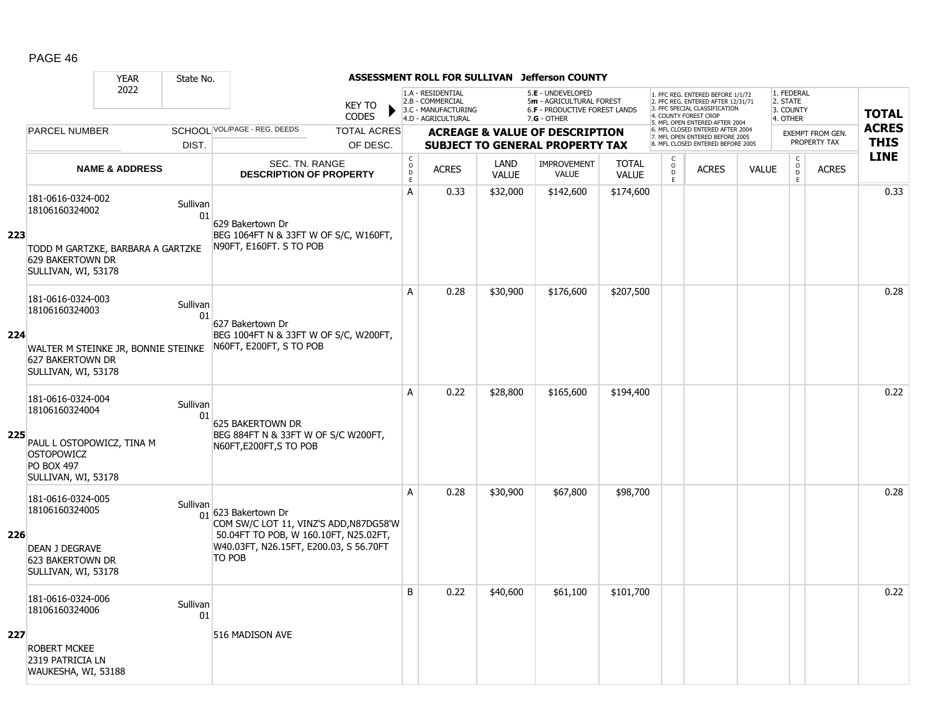|     |                                                                                                            | <b>YEAR</b>               | State No.      |                                                                                                                                                  |                                        |                                                                                    |                             | ASSESSMENT ROLL FOR SULLIVAN Jefferson COUNTY                                                   |                              |                          |                                                                                                                                   |              |                                                 |                  |              |
|-----|------------------------------------------------------------------------------------------------------------|---------------------------|----------------|--------------------------------------------------------------------------------------------------------------------------------------------------|----------------------------------------|------------------------------------------------------------------------------------|-----------------------------|-------------------------------------------------------------------------------------------------|------------------------------|--------------------------|-----------------------------------------------------------------------------------------------------------------------------------|--------------|-------------------------------------------------|------------------|--------------|
|     |                                                                                                            | 2022                      |                | <b>KEY TO</b><br><b>CODES</b>                                                                                                                    |                                        | 1.A - RESIDENTIAL<br>2.B - COMMERCIAL<br>3.C - MANUFACTURING<br>4.D - AGRICULTURAL |                             | 5.E - UNDEVELOPED<br>5m - AGRICULTURAL FOREST<br>6.F - PRODUCTIVE FOREST LANDS<br>$7.G - OTHER$ |                              |                          | 1. PFC REG. ENTERED BEFORE 1/1/72<br>2. PFC REG. ENTERED AFTER 12/31/71<br>3. PFC SPECIAL CLASSIFICATION<br>4. COUNTY FOREST CROP |              | 1. FEDERAL<br>2. STATE<br>3. COUNTY<br>4. OTHER |                  | <b>TOTAL</b> |
|     | <b>PARCEL NUMBER</b>                                                                                       |                           |                | SCHOOL VOL/PAGE - REG. DEEDS<br><b>TOTAL ACRES</b>                                                                                               |                                        |                                                                                    |                             | <b>ACREAGE &amp; VALUE OF DESCRIPTION</b>                                                       |                              |                          | 5. MFL OPEN ENTERED AFTER 2004<br>6. MFL CLOSED ENTERED AFTER 2004                                                                |              |                                                 | EXEMPT FROM GEN. | <b>ACRES</b> |
|     |                                                                                                            |                           | DIST.          | OF DESC.                                                                                                                                         |                                        |                                                                                    |                             | <b>SUBJECT TO GENERAL PROPERTY TAX</b>                                                          |                              |                          | 7. MFL OPEN ENTERED BEFORE 2005<br>8. MFL CLOSED ENTERED BEFORE 2005                                                              |              |                                                 | PROPERTY TAX     | <b>THIS</b>  |
|     |                                                                                                            | <b>NAME &amp; ADDRESS</b> |                | <b>SEC. TN. RANGE</b><br><b>DESCRIPTION OF PROPERTY</b>                                                                                          | $_{\rm o}^{\rm c}$<br>D<br>$\mathsf E$ | <b>ACRES</b>                                                                       | <b>LAND</b><br><b>VALUE</b> | <b>IMPROVEMENT</b><br><b>VALUE</b>                                                              | <b>TOTAL</b><br><b>VALUE</b> | C<br>$\overline{0}$<br>E | <b>ACRES</b>                                                                                                                      | <b>VALUE</b> | $\begin{matrix} 0 \\ 0 \\ 0 \end{matrix}$<br>E  | <b>ACRES</b>     | <b>LINE</b>  |
|     | 181-0616-0324-002<br>18106160324002                                                                        |                           | Sullivan<br>01 | 629 Bakertown Dr                                                                                                                                 | A                                      | 0.33                                                                               | \$32,000                    | \$142,600                                                                                       | \$174,600                    |                          |                                                                                                                                   |              |                                                 |                  | 0.33         |
| 223 | TODD M GARTZKE, BARBARA A GARTZKE<br>629 BAKERTOWN DR<br>SULLIVAN, WI, 53178                               |                           |                | BEG 1064FT N & 33FT W OF S/C, W160FT,<br>N90FT, E160FT. S TO POB                                                                                 |                                        |                                                                                    |                             |                                                                                                 |                              |                          |                                                                                                                                   |              |                                                 |                  |              |
|     | 181-0616-0324-003<br>18106160324003                                                                        |                           | Sullivan<br>01 | 627 Bakertown Dr                                                                                                                                 | A                                      | 0.28                                                                               | \$30,900                    | \$176,600                                                                                       | \$207,500                    |                          |                                                                                                                                   |              |                                                 |                  | 0.28         |
| 224 | WALTER M STEINKE JR, BONNIE STEINKE<br>627 BAKERTOWN DR<br>SULLIVAN, WI, 53178                             |                           |                | BEG 1004FT N & 33FT W OF S/C, W200FT,<br>N60FT, E200FT, S TO POB                                                                                 |                                        |                                                                                    |                             |                                                                                                 |                              |                          |                                                                                                                                   |              |                                                 |                  |              |
| 225 | 181-0616-0324-004<br>18106160324004<br>PAUL L OSTOPOWICZ, TINA M<br><b>OSTOPOWICZ</b><br><b>PO BOX 497</b> |                           | Sullivan<br>01 | 625 BAKERTOWN DR<br>BEG 884FT N & 33FT W OF S/C W200FT,<br>N60FT, E200FT, STO POB                                                                | A                                      | 0.22                                                                               | \$28,800                    | \$165,600                                                                                       | \$194,400                    |                          |                                                                                                                                   |              |                                                 |                  | 0.22         |
|     | SULLIVAN, WI, 53178                                                                                        |                           |                |                                                                                                                                                  |                                        |                                                                                    |                             |                                                                                                 |                              |                          |                                                                                                                                   |              |                                                 |                  |              |
| 226 | 181-0616-0324-005<br>18106160324005<br><b>DEAN J DEGRAVE</b>                                               |                           | Sullivan       | 01 623 Bakertown Dr<br>COM SW/C LOT 11, VINZ'S ADD, N87DG58'W<br>50.04FT TO POB, W 160.10FT, N25.02FT,<br>W40.03FT, N26.15FT, E200.03, S 56.70FT | A                                      | 0.28                                                                               | \$30,900                    | \$67,800                                                                                        | \$98,700                     |                          |                                                                                                                                   |              |                                                 |                  | 0.28         |
|     | 623 BAKERTOWN DR<br>SULLIVAN, WI, 53178                                                                    |                           |                | TO POB                                                                                                                                           |                                        |                                                                                    |                             |                                                                                                 |                              |                          |                                                                                                                                   |              |                                                 |                  |              |
|     | 181-0616-0324-006<br>18106160324006                                                                        |                           | Sullivan<br>01 |                                                                                                                                                  | B                                      | 0.22                                                                               | \$40,600                    | \$61,100                                                                                        | \$101,700                    |                          |                                                                                                                                   |              |                                                 |                  | 0.22         |
| 227 | <b>ROBERT MCKEE</b><br>2319 PATRICIA LN<br>WAUKESHA, WI, 53188                                             |                           |                | 516 MADISON AVE                                                                                                                                  |                                        |                                                                                    |                             |                                                                                                 |                              |                          |                                                                                                                                   |              |                                                 |                  |              |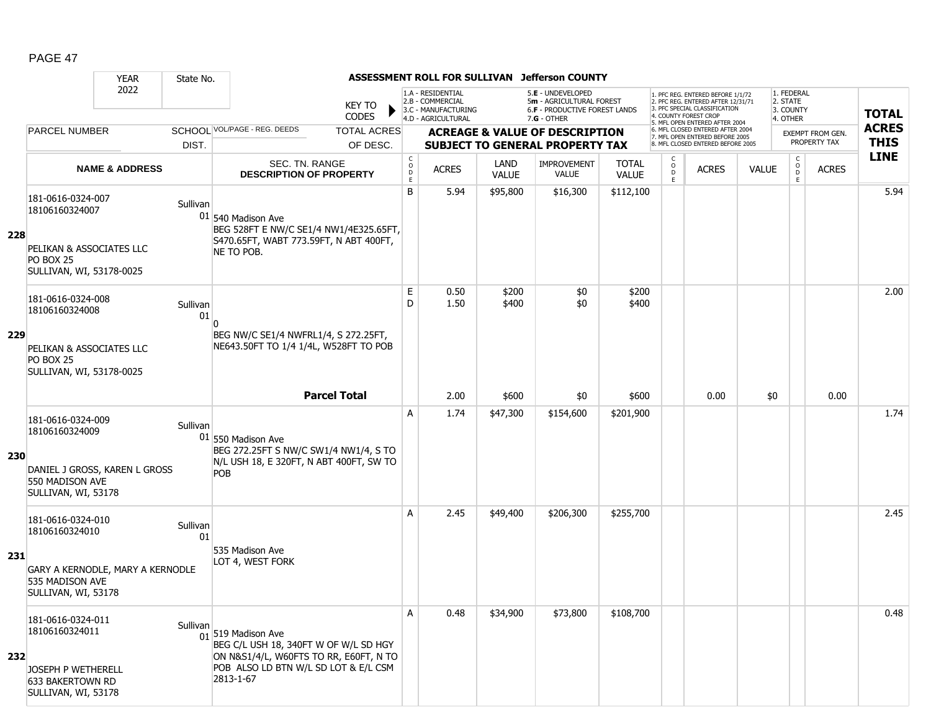|     |                                                                                                          | <b>YEAR</b>                      | State No.      |                                                                                                                                                                        |                                |                                                | ASSESSMENT ROLL FOR SULLIVAN                                 |                      | <b>Jefferson COUNTY</b>                                                             |                              |                              |                                                                                                                                   |              |                                     |                                  |              |
|-----|----------------------------------------------------------------------------------------------------------|----------------------------------|----------------|------------------------------------------------------------------------------------------------------------------------------------------------------------------------|--------------------------------|------------------------------------------------|--------------------------------------------------------------|----------------------|-------------------------------------------------------------------------------------|------------------------------|------------------------------|-----------------------------------------------------------------------------------------------------------------------------------|--------------|-------------------------------------|----------------------------------|--------------|
|     |                                                                                                          | 2022                             |                |                                                                                                                                                                        | <b>KEY TO</b>                  |                                                | 1.A - RESIDENTIAL<br>2.B - COMMERCIAL<br>3.C - MANUFACTURING |                      | 5.E - UNDEVELOPED<br>5m - AGRICULTURAL FOREST<br>6.F - PRODUCTIVE FOREST LANDS      |                              |                              | 1. PFC REG. ENTERED BEFORE 1/1/72<br>2. PFC REG. ENTERED AFTER 12/31/71<br>3. PFC SPECIAL CLASSIFICATION<br>4. COUNTY FOREST CROP |              | 1. FEDERAL<br>2. STATE<br>3. COUNTY |                                  | <b>TOTAL</b> |
|     |                                                                                                          |                                  |                | SCHOOL VOL/PAGE - REG. DEEDS                                                                                                                                           | <b>CODES</b>                   |                                                | 4.D - AGRICULTURAL                                           |                      | $7.G - OTHER$                                                                       |                              |                              | 5. MFL OPEN ENTERED AFTER 2004<br>6. MFL CLOSED ENTERED AFTER 2004                                                                |              | 4. OTHER                            |                                  | <b>ACRES</b> |
|     | <b>PARCEL NUMBER</b>                                                                                     |                                  | DIST.          |                                                                                                                                                                        | <b>TOTAL ACRES</b><br>OF DESC. |                                                |                                                              |                      | <b>ACREAGE &amp; VALUE OF DESCRIPTION</b><br><b>SUBJECT TO GENERAL PROPERTY TAX</b> |                              |                              | 7. MFL OPEN ENTERED BEFORE 2005<br>8. MFL CLOSED ENTERED BEFORE 2005                                                              |              |                                     | EXEMPT FROM GEN.<br>PROPERTY TAX | <b>THIS</b>  |
|     |                                                                                                          | <b>NAME &amp; ADDRESS</b>        |                | SEC. TN. RANGE<br><b>DESCRIPTION OF PROPERTY</b>                                                                                                                       |                                | $\begin{matrix} 0 \\ 0 \\ 0 \end{matrix}$<br>E | <b>ACRES</b>                                                 | LAND<br><b>VALUE</b> | <b>IMPROVEMENT</b><br><b>VALUE</b>                                                  | <b>TOTAL</b><br><b>VALUE</b> | C<br>$_{\rm D}^{\rm O}$<br>E | <b>ACRES</b>                                                                                                                      | <b>VALUE</b> | $\mathsf{C}$<br>$\circ$<br>D<br>E.  | <b>ACRES</b>                     | <b>LINE</b>  |
| 228 | 181-0616-0324-007<br>18106160324007<br>PELIKAN & ASSOCIATES LLC<br>PO BOX 25<br>SULLIVAN, WI, 53178-0025 |                                  | Sullivan       | $01$ 540 Madison Ave<br>BEG 528FT E NW/C SE1/4 NW1/4E325.65FT,<br>S470.65FT, WABT 773.59FT, N ABT 400FT,<br>NE TO POB.                                                 |                                | B                                              | 5.94                                                         | \$95,800             | \$16,300                                                                            | \$112,100                    |                              |                                                                                                                                   |              |                                     |                                  | 5.94         |
| 229 | 181-0616-0324-008<br>18106160324008                                                                      |                                  | Sullivan<br>01 | BEG NW/C SE1/4 NWFRL1/4, S 272.25FT,                                                                                                                                   |                                | E<br>D                                         | 0.50<br>1.50                                                 | \$200<br>\$400       | \$0<br>\$0                                                                          | \$200<br>\$400               |                              |                                                                                                                                   |              |                                     |                                  | 2.00         |
|     | PELIKAN & ASSOCIATES LLC<br><b>PO BOX 25</b><br>SULLIVAN, WI, 53178-0025                                 |                                  |                | NE643.50FT TO 1/4 1/4L, W528FT TO POB                                                                                                                                  | <b>Parcel Total</b>            |                                                | 2.00                                                         | \$600                | \$0                                                                                 | \$600                        |                              | 0.00                                                                                                                              | \$0          |                                     | 0.00                             |              |
| 230 | 181-0616-0324-009<br>18106160324009<br>550 MADISON AVE<br>SULLIVAN, WI, 53178                            | DANIEL J GROSS, KAREN L GROSS    | Sullivan       | $01$ 550 Madison Ave<br>BEG 272.25FT S NW/C SW1/4 NW1/4, S TO<br>N/L USH 18, E 320FT, N ABT 400FT, SW TO<br>POB                                                        |                                | A                                              | 1.74                                                         | \$47,300             | \$154,600                                                                           | \$201,900                    |                              |                                                                                                                                   |              |                                     |                                  | 1.74         |
| 231 | 181-0616-0324-010<br>18106160324010<br>535 MADISON AVE<br>SULLIVAN, WI, 53178                            | GARY A KERNODLE, MARY A KERNODLE | Sullivan<br>01 | 535 Madison Ave<br>LOT 4, WEST FORK                                                                                                                                    |                                | Α                                              | 2.45                                                         | \$49,400             | \$206,300                                                                           | \$255,700                    |                              |                                                                                                                                   |              |                                     |                                  | 2.45         |
| 232 | 181-0616-0324-011<br>18106160324011<br>JOSEPH P WETHERELL<br>633 BAKERTOWN RD<br>SULLIVAN, WI, 53178     |                                  | Sullivan       | $\frac{1}{01}$ 519 Madison Ave<br>BEG C/L USH 18, 340FT W OF W/L SD HGY<br>ON N&S1/4/L, W60FTS TO RR, E60FT, N TO<br>POB ALSO LD BTN W/L SD LOT & E/L CSM<br>2813-1-67 |                                | Α                                              | 0.48                                                         | \$34,900             | \$73,800                                                                            | \$108,700                    |                              |                                                                                                                                   |              |                                     |                                  | 0.48         |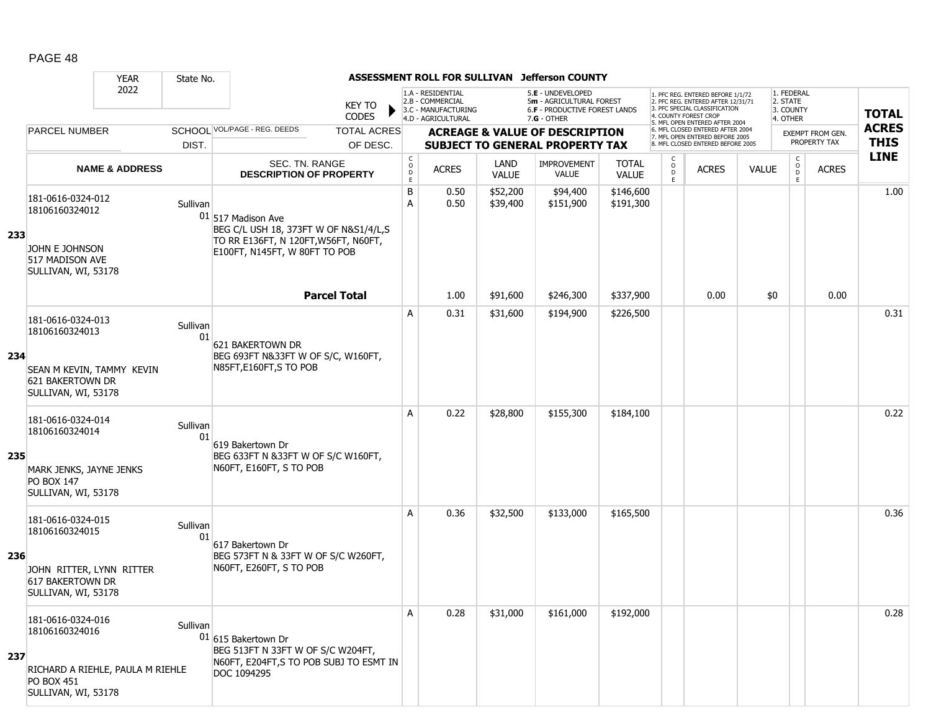|     |                                                                                                                     | <b>YEAR</b>               | State No.      |                                                                                                                                        |                                                         | ASSESSMENT ROLL FOR SULLIVAN                                 |                             | Jefferson COUNTY                                                                    |                              |                                     |                                                                                                          |              |                                         |                                  |              |
|-----|---------------------------------------------------------------------------------------------------------------------|---------------------------|----------------|----------------------------------------------------------------------------------------------------------------------------------------|---------------------------------------------------------|--------------------------------------------------------------|-----------------------------|-------------------------------------------------------------------------------------|------------------------------|-------------------------------------|----------------------------------------------------------------------------------------------------------|--------------|-----------------------------------------|----------------------------------|--------------|
|     |                                                                                                                     | 2022                      |                | KEY TO                                                                                                                                 |                                                         | 1.A - RESIDENTIAL<br>2.B - COMMERCIAL<br>3.C - MANUFACTURING |                             | 5.E - UNDEVELOPED<br>5m - AGRICULTURAL FOREST<br>6.F - PRODUCTIVE FOREST LANDS      |                              |                                     | 1. PFC REG. ENTERED BEFORE 1/1/72<br>2. PFC REG. ENTERED AFTER 12/31/71<br>3. PFC SPECIAL CLASSIFICATION |              | 1. FEDERAL<br>2. STATE<br>3. COUNTY     |                                  | <b>TOTAL</b> |
|     |                                                                                                                     |                           |                | <b>CODES</b>                                                                                                                           |                                                         | 4.D - AGRICULTURAL                                           |                             | $7.G - OTHER$                                                                       |                              |                                     | 4. COUNTY FOREST CROP<br>5. MFL OPEN ENTERED AFTER 2004                                                  |              | 4. OTHER                                |                                  | <b>ACRES</b> |
|     | <b>PARCEL NUMBER</b>                                                                                                |                           | DIST.          | SCHOOL VOL/PAGE - REG. DEEDS<br><b>TOTAL ACRES</b><br>OF DESC.                                                                         |                                                         |                                                              |                             | <b>ACREAGE &amp; VALUE OF DESCRIPTION</b><br><b>SUBJECT TO GENERAL PROPERTY TAX</b> |                              |                                     | 6. MFL CLOSED ENTERED AFTER 2004<br>7. MFL OPEN ENTERED BEFORE 2005<br>8. MFL CLOSED ENTERED BEFORE 2005 |              |                                         | EXEMPT FROM GEN.<br>PROPERTY TAX | <b>THIS</b>  |
|     |                                                                                                                     | <b>NAME &amp; ADDRESS</b> |                | SEC. TN. RANGE<br><b>DESCRIPTION OF PROPERTY</b>                                                                                       | $\begin{smallmatrix} C\\O\\O\\D \end{smallmatrix}$<br>E | <b>ACRES</b>                                                 | <b>LAND</b><br><b>VALUE</b> | <b>IMPROVEMENT</b><br>VALUE                                                         | <b>TOTAL</b><br><b>VALUE</b> | C<br>$_\mathrm{D}^\mathrm{O}$<br>E. | <b>ACRES</b>                                                                                             | <b>VALUE</b> | $\mathsf{C}$<br>$_{\rm D}^{\rm O}$<br>E | <b>ACRES</b>                     | <b>LINE</b>  |
| 233 | 181-0616-0324-012<br>18106160324012<br>JOHN E JOHNSON<br>517 MADISON AVE<br>SULLIVAN, WI, 53178                     |                           | Sullivan       | $01$ 517 Madison Ave<br>BEG C/L USH 18, 373FT W OF N&S1/4/L,S<br>TO RR E136FT, N 120FT, W56FT, N60FT,<br>E100FT, N145FT, W 80FT TO POB | В<br>A                                                  | 0.50<br>0.50                                                 | \$52,200<br>\$39,400        | \$94,400<br>\$151,900                                                               | \$146,600<br>\$191,300       |                                     |                                                                                                          |              |                                         |                                  | 1.00         |
|     |                                                                                                                     |                           |                | <b>Parcel Total</b>                                                                                                                    |                                                         | 1.00                                                         | \$91,600                    | \$246,300                                                                           | \$337,900                    |                                     | 0.00                                                                                                     | \$0          |                                         | 0.00                             |              |
| 234 | 181-0616-0324-013<br>18106160324013<br>SEAN M KEVIN, TAMMY KEVIN<br>621 BAKERTOWN DR<br>SULLIVAN, WI, 53178         |                           | Sullivan<br>01 | 621 BAKERTOWN DR<br>BEG 693FT N&33FT W OF S/C, W160FT,<br>N85FT, E160FT, S TO POB                                                      | Α                                                       | 0.31                                                         | \$31,600                    | \$194,900                                                                           | \$226,500                    |                                     |                                                                                                          |              |                                         |                                  | 0.31         |
| 235 | 181-0616-0324-014<br>18106160324014<br>MARK JENKS, JAYNE JENKS<br><b>PO BOX 147</b><br>SULLIVAN, WI, 53178          |                           | Sullivan<br>01 | 619 Bakertown Dr<br>BEG 633FT N &33FT W OF S/C W160FT,<br>N60FT, E160FT, S TO POB                                                      | A                                                       | 0.22                                                         | \$28,800                    | \$155,300                                                                           | \$184,100                    |                                     |                                                                                                          |              |                                         |                                  | 0.22         |
| 236 | 181-0616-0324-015<br>18106160324015<br>JOHN RITTER, LYNN RITTER<br>617 BAKERTOWN DR<br>SULLIVAN, WI, 53178          |                           | Sullivan<br>01 | 617 Bakertown Dr<br>BEG 573FT N & 33FT W OF S/C W260FT,<br>N60FT, E260FT, S TO POB                                                     | A                                                       | 0.36                                                         | \$32,500                    | \$133,000                                                                           | \$165,500                    |                                     |                                                                                                          |              |                                         |                                  | 0.36         |
| 237 | 181-0616-0324-016<br>18106160324016<br>RICHARD A RIEHLE, PAULA M RIEHLE<br><b>PO BOX 451</b><br>SULLIVAN, WI, 53178 |                           | Sullivan       | 01 615 Bakertown Dr<br>BEG 513FT N 33FT W OF S/C W204FT,<br>N60FT, E204FT, S TO POB SUBJ TO ESMT IN<br>DOC 1094295                     | Α                                                       | 0.28                                                         | \$31,000                    | \$161,000                                                                           | \$192,000                    |                                     |                                                                                                          |              |                                         |                                  | 0.28         |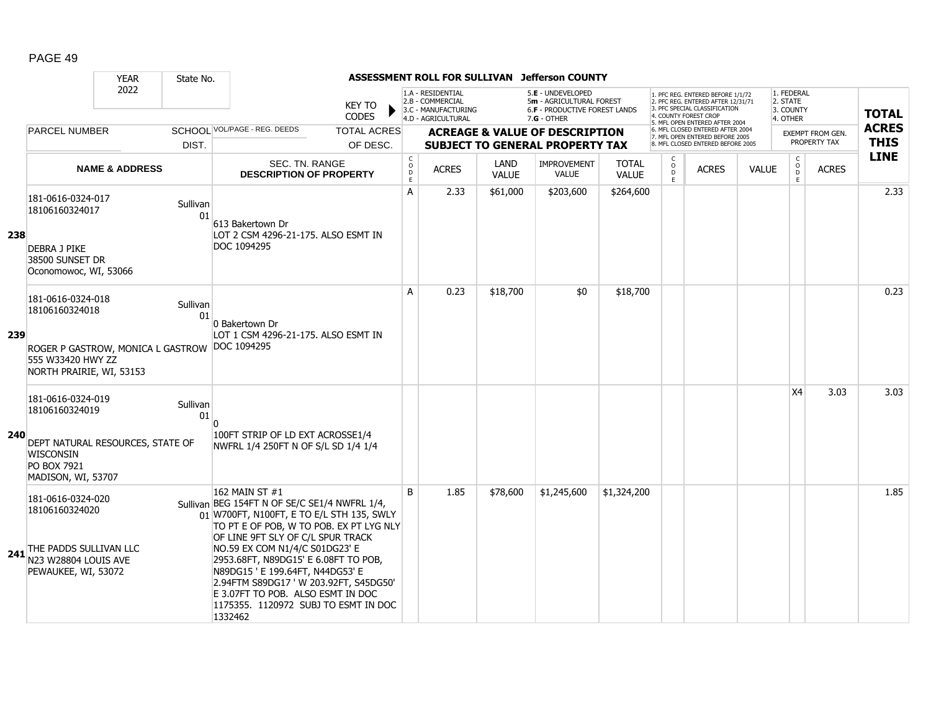|     |                                                                                                                                  | <b>YEAR</b>               | State No.      |                                                                                                                                                                                                                                                                                                                                                                                                                                             |                                |                                            |                                                                                    |                             | ASSESSMENT ROLL FOR SULLIVAN Jefferson COUNTY                                                   |                              |                           |                                                                                                                                                                     |              |                                                 |                                         |                             |
|-----|----------------------------------------------------------------------------------------------------------------------------------|---------------------------|----------------|---------------------------------------------------------------------------------------------------------------------------------------------------------------------------------------------------------------------------------------------------------------------------------------------------------------------------------------------------------------------------------------------------------------------------------------------|--------------------------------|--------------------------------------------|------------------------------------------------------------------------------------|-----------------------------|-------------------------------------------------------------------------------------------------|------------------------------|---------------------------|---------------------------------------------------------------------------------------------------------------------------------------------------------------------|--------------|-------------------------------------------------|-----------------------------------------|-----------------------------|
|     |                                                                                                                                  | 2022                      |                |                                                                                                                                                                                                                                                                                                                                                                                                                                             | <b>KEY TO</b><br>CODES         |                                            | 1.A - RESIDENTIAL<br>2.B - COMMERCIAL<br>3.C - MANUFACTURING<br>4.D - AGRICULTURAL |                             | 5.E - UNDEVELOPED<br>5m - AGRICULTURAL FOREST<br>6.F - PRODUCTIVE FOREST LANDS<br>$7.G - OTHER$ |                              |                           | 1. PFC REG. ENTERED BEFORE 1/1/72<br>2. PFC REG. ENTERED AFTER 12/31/71<br>3. PFC SPECIAL CLASSIFICATION<br>4. COUNTY FOREST CROP<br>5. MFL OPEN ENTERED AFTER 2004 |              | 1. FEDERAL<br>2. STATE<br>3. COUNTY<br>4. OTHER |                                         | <b>TOTAL</b>                |
|     | <b>PARCEL NUMBER</b>                                                                                                             |                           | DIST.          | SCHOOL VOL/PAGE - REG. DEEDS                                                                                                                                                                                                                                                                                                                                                                                                                | <b>TOTAL ACRES</b><br>OF DESC. |                                            |                                                                                    |                             | <b>ACREAGE &amp; VALUE OF DESCRIPTION</b><br><b>SUBJECT TO GENERAL PROPERTY TAX</b>             |                              |                           | 6. MFL CLOSED ENTERED AFTER 2004<br>7. MFL OPEN ENTERED BEFORE 2005<br>8. MFL CLOSED ENTERED BEFORE 2005                                                            |              |                                                 | <b>EXEMPT FROM GEN.</b><br>PROPERTY TAX | <b>ACRES</b><br><b>THIS</b> |
|     |                                                                                                                                  | <b>NAME &amp; ADDRESS</b> |                | SEC. TN. RANGE<br><b>DESCRIPTION OF PROPERTY</b>                                                                                                                                                                                                                                                                                                                                                                                            |                                | $\mathsf C$<br>$\circ$<br>$\mathsf D$<br>E | <b>ACRES</b>                                                                       | <b>LAND</b><br><b>VALUE</b> | <b>IMPROVEMENT</b><br><b>VALUE</b>                                                              | <b>TOTAL</b><br><b>VALUE</b> | C<br>$\overline{0}$<br>E. | <b>ACRES</b>                                                                                                                                                        | <b>VALUE</b> | $\mathsf{C}$<br>$_{\rm D}^{\rm O}$<br>E         | <b>ACRES</b>                            | <b>LINE</b>                 |
| 238 | 181-0616-0324-017<br>18106160324017<br><b>DEBRA J PIKE</b><br>38500 SUNSET DR<br>Oconomowoc, WI, 53066                           |                           | Sullivan<br>01 | 613 Bakertown Dr<br>LOT 2 CSM 4296-21-175. ALSO ESMT IN<br>DOC 1094295                                                                                                                                                                                                                                                                                                                                                                      |                                | A                                          | 2.33                                                                               | \$61,000                    | \$203,600                                                                                       | \$264,600                    |                           |                                                                                                                                                                     |              |                                                 |                                         | 2.33                        |
| 239 | 181-0616-0324-018<br>18106160324018<br>ROGER P GASTROW, MONICA L GASTROW<br>555 W33420 HWY ZZ<br>NORTH PRAIRIE, WI, 53153        |                           | Sullivan<br>01 | 0 Bakertown Dr<br>LOT 1 CSM 4296-21-175. ALSO ESMT IN<br>DOC 1094295                                                                                                                                                                                                                                                                                                                                                                        |                                | A                                          | 0.23                                                                               | \$18,700                    | \$0                                                                                             | \$18,700                     |                           |                                                                                                                                                                     |              |                                                 |                                         | 0.23                        |
| 240 | 181-0616-0324-019<br>18106160324019<br>DEPT NATURAL RESOURCES, STATE OF<br><b>WISCONSIN</b><br>PO BOX 7921<br>MADISON, WI, 53707 |                           | Sullivan<br>01 | 100FT STRIP OF LD EXT ACROSSE1/4<br>NWFRL 1/4 250FT N OF S/L SD 1/4 1/4                                                                                                                                                                                                                                                                                                                                                                     |                                |                                            |                                                                                    |                             |                                                                                                 |                              |                           |                                                                                                                                                                     |              | X <sub>4</sub>                                  | 3.03                                    | 3.03                        |
|     | 181-0616-0324-020<br>18106160324020<br>241 THE PADDS SULLIVAN LLC<br>N23 W28804 LOUIS AVE<br>PEWAUKEE, WI, 53072                 |                           |                | 162 MAIN ST #1<br>Sullivan BEG 154FT N OF SE/C SE1/4 NWFRL 1/4,<br>01 W700FT, N100FT, E TO E/L STH 135, SWLY<br>TO PT E OF POB, W TO POB. EX PT LYG NLY<br>OF LINE 9FT SLY OF C/L SPUR TRACK<br>NO.59 EX COM N1/4/C S01DG23' E<br>2953.68FT, N89DG15' E 6.08FT TO POB,<br>N89DG15 ' E 199.64FT, N44DG53' E<br>2.94FTM S89DG17 'W 203.92FT, S45DG50'<br>E 3.07FT TO POB. ALSO ESMT IN DOC<br>1175355, 1120972 SUBJ TO ESMT IN DOC<br>1332462 |                                | B                                          | 1.85                                                                               | \$78,600                    | \$1,245,600                                                                                     | \$1,324,200                  |                           |                                                                                                                                                                     |              |                                                 |                                         | 1.85                        |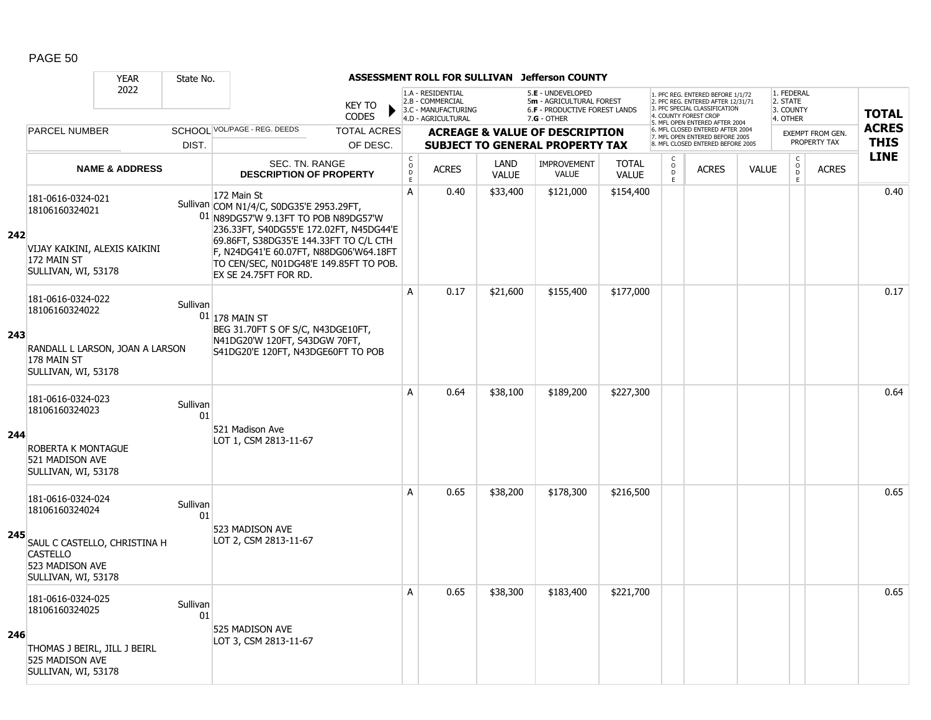|     |                                                                                           | <b>YEAR</b>               | State No.      |                                                                                                                                                                                                                                |                               |                                        |                                                                                    |                      | ASSESSMENT ROLL FOR SULLIVAN Jefferson COUNTY                                                          |                              |                                    |                                                                                                                                            |              |                                                 |                                         |                             |
|-----|-------------------------------------------------------------------------------------------|---------------------------|----------------|--------------------------------------------------------------------------------------------------------------------------------------------------------------------------------------------------------------------------------|-------------------------------|----------------------------------------|------------------------------------------------------------------------------------|----------------------|--------------------------------------------------------------------------------------------------------|------------------------------|------------------------------------|--------------------------------------------------------------------------------------------------------------------------------------------|--------------|-------------------------------------------------|-----------------------------------------|-----------------------------|
|     |                                                                                           | 2022                      |                |                                                                                                                                                                                                                                | <b>KEY TO</b><br><b>CODES</b> |                                        | 1.A - RESIDENTIAL<br>2.B - COMMERCIAL<br>3.C - MANUFACTURING<br>4.D - AGRICULTURAL |                      | 5.E - UNDEVELOPED<br>5m - AGRICULTURAL FOREST<br><b>6.F - PRODUCTIVE FOREST LANDS</b><br>$7.G - OTHER$ |                              |                                    | 1. PFC REG. ENTERED BEFORE 1/1/72<br>2. PFC REG. ENTERED AFTER 12/31/71<br>3. PFC SPECIAL CLASSIFICATION<br>4. COUNTY FOREST CROP          |              | 1. FEDERAL<br>2. STATE<br>3. COUNTY<br>4. OTHER |                                         | <b>TOTAL</b>                |
|     | <b>PARCEL NUMBER</b>                                                                      |                           |                | SCHOOL VOL/PAGE - REG. DEEDS                                                                                                                                                                                                   | <b>TOTAL ACRES</b>            |                                        |                                                                                    |                      | <b>ACREAGE &amp; VALUE OF DESCRIPTION</b>                                                              |                              |                                    | 5. MFL OPEN ENTERED AFTER 2004<br>6. MFL CLOSED ENTERED AFTER 2004<br>7. MFL OPEN ENTERED BEFORE 2005<br>8. MFL CLOSED ENTERED BEFORE 2005 |              |                                                 | <b>EXEMPT FROM GEN.</b><br>PROPERTY TAX | <b>ACRES</b><br><b>THIS</b> |
|     |                                                                                           |                           | DIST.          |                                                                                                                                                                                                                                | OF DESC.                      |                                        |                                                                                    |                      | <b>SUBJECT TO GENERAL PROPERTY TAX</b>                                                                 |                              | C                                  |                                                                                                                                            |              |                                                 |                                         | <b>LINE</b>                 |
|     |                                                                                           | <b>NAME &amp; ADDRESS</b> |                | SEC. TN. RANGE<br><b>DESCRIPTION OF PROPERTY</b>                                                                                                                                                                               |                               | $_{\rm o}^{\rm c}$<br>$\mathsf D$<br>E | <b>ACRES</b>                                                                       | LAND<br><b>VALUE</b> | IMPROVEMENT<br>VALUE                                                                                   | <b>TOTAL</b><br><b>VALUE</b> | $\overset{\circ}{\mathsf{D}}$<br>E | <b>ACRES</b>                                                                                                                               | <b>VALUE</b> | $\begin{array}{c}\nC \\ D \\ E\n\end{array}$    | <b>ACRES</b>                            |                             |
| 242 | 181-0616-0324-021<br>18106160324021<br>VIJAY KAIKINI, ALEXIS KAIKINI                      |                           |                | 172 Main St<br>Sullivan COM N1/4/C, S0DG35'E 2953.29FT,<br>01 N89DG57'W 9.13FT TO POB N89DG57'W<br>236.33FT, S40DG55'E 172.02FT, N45DG44'E<br>69.86FT, S38DG35'E 144.33FT TO C/L CTH<br>F, N24DG41'E 60.07FT, N88DG06'W64.18FT |                               | A                                      | 0.40                                                                               | \$33,400             | \$121,000                                                                                              | \$154,400                    |                                    |                                                                                                                                            |              |                                                 |                                         | 0.40                        |
|     | 172 MAIN ST<br>SULLIVAN, WI, 53178                                                        |                           |                | TO CEN/SEC, N01DG48'E 149.85FT TO POB.<br>EX SE 24.75FT FOR RD.                                                                                                                                                                |                               |                                        |                                                                                    |                      |                                                                                                        |                              |                                    |                                                                                                                                            |              |                                                 |                                         |                             |
|     | 181-0616-0324-022<br>18106160324022                                                       |                           | Sullivan       | $01$ 178 MAIN ST<br>BEG 31.70FT S OF S/C, N43DGE10FT,                                                                                                                                                                          |                               | Α                                      | 0.17                                                                               | \$21,600             | \$155,400                                                                                              | \$177,000                    |                                    |                                                                                                                                            |              |                                                 |                                         | 0.17                        |
| 243 | RANDALL L LARSON, JOAN A LARSON<br>178 MAIN ST<br>SULLIVAN, WI, 53178                     |                           |                | N41DG20'W 120FT, S43DGW 70FT,<br>S41DG20'E 120FT, N43DGE60FT TO POB                                                                                                                                                            |                               |                                        |                                                                                    |                      |                                                                                                        |                              |                                    |                                                                                                                                            |              |                                                 |                                         |                             |
|     | 181-0616-0324-023<br>18106160324023                                                       |                           | Sullivan<br>01 | 521 Madison Ave                                                                                                                                                                                                                |                               | $\mathsf{A}$                           | 0.64                                                                               | \$38,100             | \$189,200                                                                                              | \$227,300                    |                                    |                                                                                                                                            |              |                                                 |                                         | 0.64                        |
| 244 | ROBERTA K MONTAGUE<br>521 MADISON AVE<br>SULLIVAN, WI, 53178                              |                           |                | LOT 1, CSM 2813-11-67                                                                                                                                                                                                          |                               |                                        |                                                                                    |                      |                                                                                                        |                              |                                    |                                                                                                                                            |              |                                                 |                                         |                             |
|     | 181-0616-0324-024<br>18106160324024                                                       |                           | Sullivan<br>01 |                                                                                                                                                                                                                                |                               | Α                                      | 0.65                                                                               | \$38,200             | \$178,300                                                                                              | \$216,500                    |                                    |                                                                                                                                            |              |                                                 |                                         | 0.65                        |
| 245 | SAUL C CASTELLO, CHRISTINA H<br><b>CASTELLO</b><br>523 MADISON AVE<br>SULLIVAN, WI, 53178 |                           |                | 523 MADISON AVE<br>LOT 2, CSM 2813-11-67                                                                                                                                                                                       |                               |                                        |                                                                                    |                      |                                                                                                        |                              |                                    |                                                                                                                                            |              |                                                 |                                         |                             |
| 246 | 181-0616-0324-025<br>18106160324025                                                       |                           | Sullivan<br>01 | 525 MADISON AVE<br>LOT 3, CSM 2813-11-67                                                                                                                                                                                       |                               | A                                      | 0.65                                                                               | \$38,300             | \$183,400                                                                                              | \$221,700                    |                                    |                                                                                                                                            |              |                                                 |                                         | 0.65                        |
|     | THOMAS J BEIRL, JILL J BEIRL<br>525 MADISON AVE<br>SULLIVAN, WI, 53178                    |                           |                |                                                                                                                                                                                                                                |                               |                                        |                                                                                    |                      |                                                                                                        |                              |                                    |                                                                                                                                            |              |                                                 |                                         |                             |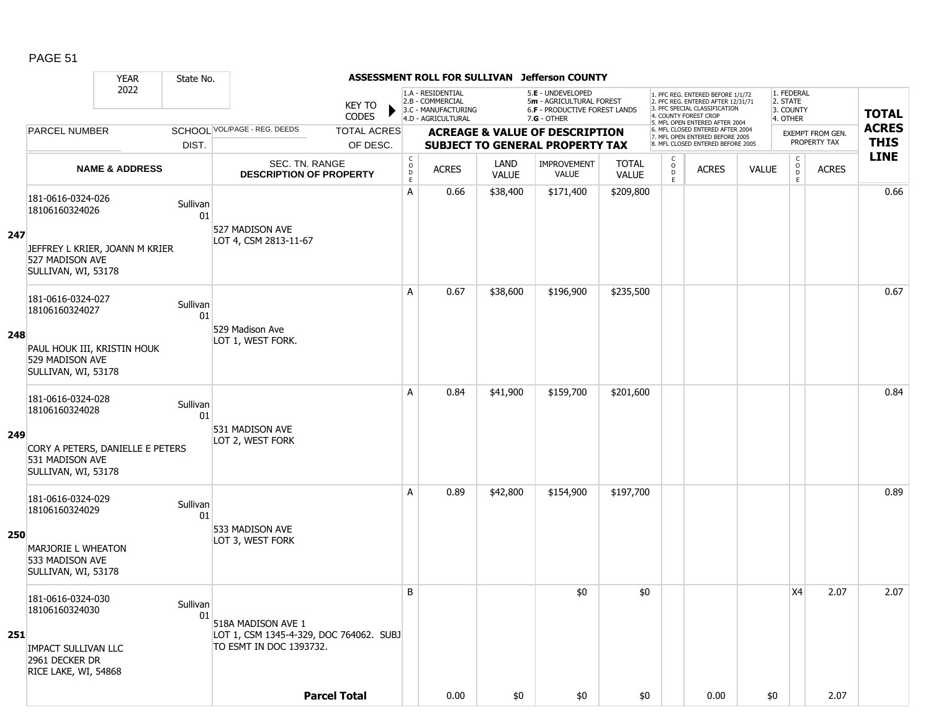|     |                                                                                                              | <b>YEAR</b>                      | State No.      |                                                                                          |                     |                                                          |                                                              |                      | ASSESSMENT ROLL FOR SULLIVAN Jefferson COUNTY                                  |                              |                                          |                                                                                                          |              |                                          |                                  |              |
|-----|--------------------------------------------------------------------------------------------------------------|----------------------------------|----------------|------------------------------------------------------------------------------------------|---------------------|----------------------------------------------------------|--------------------------------------------------------------|----------------------|--------------------------------------------------------------------------------|------------------------------|------------------------------------------|----------------------------------------------------------------------------------------------------------|--------------|------------------------------------------|----------------------------------|--------------|
|     |                                                                                                              | 2022                             |                |                                                                                          | <b>KEY TO</b>       |                                                          | 1.A - RESIDENTIAL<br>2.B - COMMERCIAL<br>3.C - MANUFACTURING |                      | 5.E - UNDEVELOPED<br>5m - AGRICULTURAL FOREST<br>6.F - PRODUCTIVE FOREST LANDS |                              |                                          | 1. PFC REG. ENTERED BEFORE 1/1/72<br>2. PFC REG. ENTERED AFTER 12/31/71<br>3. PFC SPECIAL CLASSIFICATION |              | 1. FEDERAL<br>2. STATE<br>3. COUNTY      |                                  | <b>TOTAL</b> |
|     |                                                                                                              |                                  |                |                                                                                          | <b>CODES</b>        |                                                          | 4.D - AGRICULTURAL                                           |                      | $7.G - OTHER$                                                                  |                              |                                          | 4. COUNTY FOREST CROP<br>5. MFL OPEN ENTERED AFTER 2004                                                  |              | 4. OTHER                                 |                                  | <b>ACRES</b> |
|     | <b>PARCEL NUMBER</b>                                                                                         |                                  |                | SCHOOL VOL/PAGE - REG. DEEDS                                                             | <b>TOTAL ACRES</b>  |                                                          |                                                              |                      | <b>ACREAGE &amp; VALUE OF DESCRIPTION</b>                                      |                              |                                          | 6. MFL CLOSED ENTERED AFTER 2004<br>7. MFL OPEN ENTERED BEFORE 2005<br>8. MFL CLOSED ENTERED BEFORE 2005 |              |                                          | EXEMPT FROM GEN.<br>PROPERTY TAX | <b>THIS</b>  |
|     |                                                                                                              |                                  | DIST.          |                                                                                          | OF DESC.            |                                                          |                                                              |                      | <b>SUBJECT TO GENERAL PROPERTY TAX</b>                                         |                              |                                          |                                                                                                          |              |                                          |                                  | <b>LINE</b>  |
|     |                                                                                                              | <b>NAME &amp; ADDRESS</b>        |                | SEC. TN. RANGE<br><b>DESCRIPTION OF PROPERTY</b>                                         |                     | $\begin{matrix} 0 \\ 0 \\ D \end{matrix}$<br>$\mathsf E$ | <b>ACRES</b>                                                 | LAND<br><b>VALUE</b> | IMPROVEMENT<br><b>VALUE</b>                                                    | <b>TOTAL</b><br><b>VALUE</b> | $\mathsf{C}$<br>$_{\rm D}^{\rm O}$<br>E. | <b>ACRES</b>                                                                                             | <b>VALUE</b> | $\mathsf{C}$<br>$_{\rm D}^{\rm O}$<br>E. | <b>ACRES</b>                     |              |
| 247 | 181-0616-0324-026<br>18106160324026<br>527 MADISON AVE<br>SULLIVAN, WI, 53178                                | JEFFREY L KRIER, JOANN M KRIER   | Sullivan<br>01 | 527 MADISON AVE<br>LOT 4, CSM 2813-11-67                                                 |                     | Α                                                        | 0.66                                                         | \$38,400             | \$171,400                                                                      | \$209,800                    |                                          |                                                                                                          |              |                                          |                                  | 0.66         |
| 248 | 181-0616-0324-027<br>18106160324027<br>PAUL HOUK III, KRISTIN HOUK<br>529 MADISON AVE<br>SULLIVAN, WI, 53178 |                                  | Sullivan<br>01 | 529 Madison Ave<br>LOT 1, WEST FORK.                                                     |                     | Α                                                        | 0.67                                                         | \$38,600             | \$196,900                                                                      | \$235,500                    |                                          |                                                                                                          |              |                                          |                                  | 0.67         |
| 249 | 181-0616-0324-028<br>18106160324028<br>531 MADISON AVE<br>SULLIVAN, WI, 53178                                | CORY A PETERS, DANIELLE E PETERS | Sullivan<br>01 | 531 MADISON AVE<br>LOT 2, WEST FORK                                                      |                     | A                                                        | 0.84                                                         | \$41,900             | \$159,700                                                                      | \$201,600                    |                                          |                                                                                                          |              |                                          |                                  | 0.84         |
| 250 | 181-0616-0324-029<br>18106160324029<br>MARJORIE L WHEATON<br>533 MADISON AVE<br>SULLIVAN, WI, 53178          |                                  | Sullivan<br>01 | 533 MADISON AVE<br>LOT 3, WEST FORK                                                      |                     | Α                                                        | 0.89                                                         | \$42,800             | \$154,900                                                                      | \$197,700                    |                                          |                                                                                                          |              |                                          |                                  | 0.89         |
| 251 | 181-0616-0324-030<br>18106160324030<br><b>IMPACT SULLIVAN LLC</b><br>2961 DECKER DR<br>RICE LAKE, WI, 54868  |                                  | Sullivan<br>01 | 518A MADISON AVE 1<br>LOT 1, CSM 1345-4-329, DOC 764062. SUBJ<br>TO ESMT IN DOC 1393732. |                     | B                                                        |                                                              |                      | \$0                                                                            | \$0                          |                                          |                                                                                                          |              | X4                                       | 2.07                             | 2.07         |
|     |                                                                                                              |                                  |                |                                                                                          | <b>Parcel Total</b> |                                                          | 0.00                                                         | \$0                  | \$0                                                                            | \$0                          |                                          | 0.00                                                                                                     | \$0          |                                          | 2.07                             |              |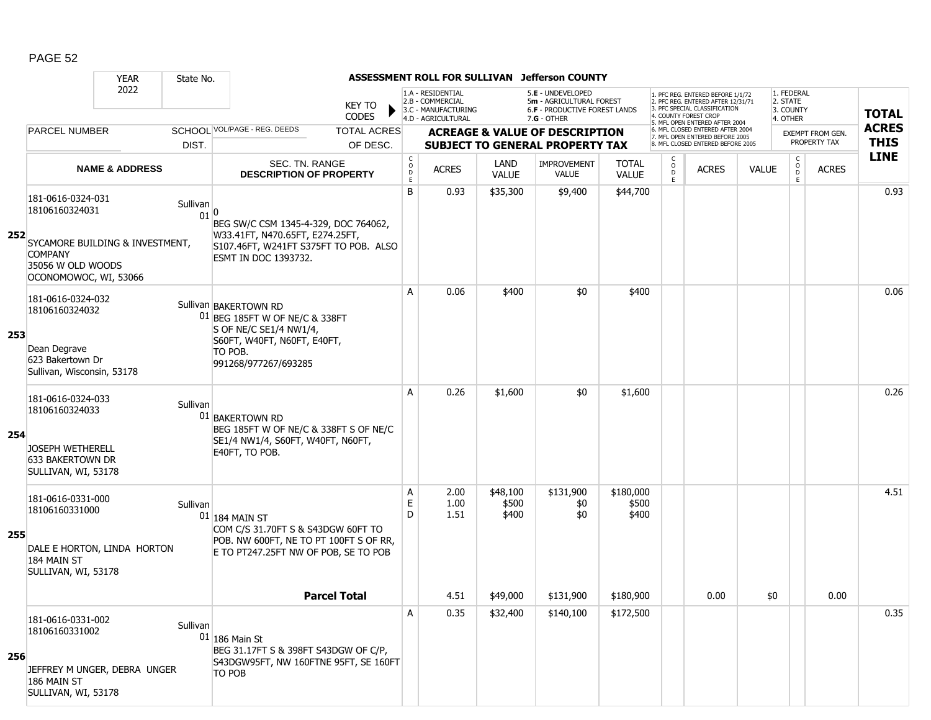|     |                                                                                                       | <b>YEAR</b>                     | State No.        |                                                                                                                                                     |                                |                                                          | ASSESSMENT ROLL FOR SULLIVAN                                 |                            | <b>Jefferson COUNTY</b>                                                             |                              |                              |                                                                                                                                  |              |                                                  |                                  |              |
|-----|-------------------------------------------------------------------------------------------------------|---------------------------------|------------------|-----------------------------------------------------------------------------------------------------------------------------------------------------|--------------------------------|----------------------------------------------------------|--------------------------------------------------------------|----------------------------|-------------------------------------------------------------------------------------|------------------------------|------------------------------|----------------------------------------------------------------------------------------------------------------------------------|--------------|--------------------------------------------------|----------------------------------|--------------|
|     |                                                                                                       | 2022                            |                  |                                                                                                                                                     | KEY TO<br><b>CODES</b>         |                                                          | 1.A - RESIDENTIAL<br>2.B - COMMERCIAL<br>3.C - MANUFACTURING |                            | 5.E - UNDEVELOPED<br>5m - AGRICULTURAL FOREST<br>6.F - PRODUCTIVE FOREST LANDS      |                              |                              | 1. PFC REG. ENTERED BEFORE 1/1/72<br>2. PFC REG. ENTERED AFTER 12/31/71<br>3. PFC SPECIAL CLASSIFICATION<br>. COUNTY FOREST CROF |              | 1. FEDERAL<br>2. STATE<br>3. COUNTY              |                                  | <b>TOTAL</b> |
|     |                                                                                                       |                                 |                  | SCHOOL VOL/PAGE - REG. DEEDS                                                                                                                        |                                |                                                          | 4.D - AGRICULTURAL                                           |                            | $7.G - OTHER$                                                                       |                              |                              | 5. MFL OPEN ENTERED AFTER 2004<br>6. MFL CLOSED ENTERED AFTER 2004                                                               |              | 4. OTHER                                         |                                  | <b>ACRES</b> |
|     | <b>PARCEL NUMBER</b>                                                                                  |                                 | DIST.            |                                                                                                                                                     | <b>TOTAL ACRES</b><br>OF DESC. |                                                          |                                                              |                            | <b>ACREAGE &amp; VALUE OF DESCRIPTION</b><br><b>SUBJECT TO GENERAL PROPERTY TAX</b> |                              |                              | 7. MFL OPEN ENTERED BEFORE 2005<br>8. MFL CLOSED ENTERED BEFORE 2005                                                             |              |                                                  | EXEMPT FROM GEN.<br>PROPERTY TAX | <b>THIS</b>  |
|     |                                                                                                       | <b>NAME &amp; ADDRESS</b>       |                  | SEC. TN. RANGE<br><b>DESCRIPTION OF PROPERTY</b>                                                                                                    |                                | $\begin{matrix} 0 \\ 0 \\ D \end{matrix}$<br>$\mathsf E$ | <b>ACRES</b>                                                 | LAND<br><b>VALUE</b>       | <b>IMPROVEMENT</b><br><b>VALUE</b>                                                  | <b>TOTAL</b><br><b>VALUE</b> | C<br>$_{\rm D}^{\rm O}$<br>E | <b>ACRES</b>                                                                                                                     | <b>VALUE</b> | $\mathsf{C}$<br>$\mathsf O$<br>$\mathsf D$<br>E. | <b>ACRES</b>                     | <b>LINE</b>  |
| 252 | 181-0616-0324-031<br>18106160324031<br><b>COMPANY</b><br>35056 W OLD WOODS<br>OCONOMOWOC, WI, 53066   | SYCAMORE BUILDING & INVESTMENT, | Sullivan<br>01 0 | BEG SW/C CSM 1345-4-329, DOC 764062,<br>W33.41FT, N470.65FT, E274.25FT,<br>S107.46FT, W241FT S375FT TO POB. ALSO<br><b>ESMT IN DOC 1393732.</b>     |                                | B                                                        | 0.93                                                         | \$35,300                   | \$9,400                                                                             | \$44,700                     |                              |                                                                                                                                  |              |                                                  |                                  | 0.93         |
| 253 | 181-0616-0324-032<br>18106160324032<br>Dean Degrave<br>623 Bakertown Dr<br>Sullivan, Wisconsin, 53178 |                                 |                  | Sullivan BAKERTOWN RD<br>01 BEG 185FT W OF NE/C & 338FT<br>S OF NE/C SE1/4 NW1/4,<br>S60FT, W40FT, N60FT, E40FT,<br>TO POB.<br>991268/977267/693285 |                                | A                                                        | 0.06                                                         | \$400                      | \$0                                                                                 | \$400                        |                              |                                                                                                                                  |              |                                                  |                                  | 0.06         |
| 254 | 181-0616-0324-033<br>18106160324033<br>JOSEPH WETHERELL<br>633 BAKERTOWN DR<br>SULLIVAN, WI, 53178    |                                 | Sullivan         | 01 BAKERTOWN RD<br>BEG 185FT W OF NE/C & 338FT S OF NE/C<br>SE1/4 NW1/4, S60FT, W40FT, N60FT,<br>E40FT, TO POB.                                     |                                | A                                                        | 0.26                                                         | \$1,600                    | \$0                                                                                 | \$1,600                      |                              |                                                                                                                                  |              |                                                  |                                  | 0.26         |
| 255 | 181-0616-0331-000<br>18106160331000<br>184 MAIN ST<br>SULLIVAN, WI, 53178                             | DALE E HORTON, LINDA HORTON     | Sullivan         | $01$ 184 MAIN ST<br>COM C/S 31.70FT S & S43DGW 60FT TO<br>POB. NW 600FT, NE TO PT 100FT S OF RR,<br>E TO PT247.25FT NW OF POB, SE TO POB            |                                | Α<br>Е<br>D                                              | 2.00<br>1.00<br>1.51                                         | \$48,100<br>\$500<br>\$400 | \$131,900<br>\$0<br>\$0                                                             | \$180,000<br>\$500<br>\$400  |                              |                                                                                                                                  |              |                                                  |                                  | 4.51         |
|     |                                                                                                       |                                 |                  | <b>Parcel Total</b>                                                                                                                                 |                                |                                                          | 4.51                                                         | \$49,000                   | \$131,900                                                                           | \$180,900                    |                              | 0.00                                                                                                                             | \$0          |                                                  | 0.00                             |              |
| 256 | 181-0616-0331-002<br>18106160331002<br>186 MAIN ST<br>SULLIVAN, WI, 53178                             | JEFFREY M UNGER, DEBRA UNGER    | Sullivan         | $01$ 186 Main St<br>BEG 31.17FT S & 398FT S43DGW OF C/P,<br>S43DGW95FT, NW 160FTNE 95FT, SE 160FT<br>TO POB                                         |                                | Α                                                        | 0.35                                                         | \$32,400                   | \$140,100                                                                           | \$172,500                    |                              |                                                                                                                                  |              |                                                  |                                  | 0.35         |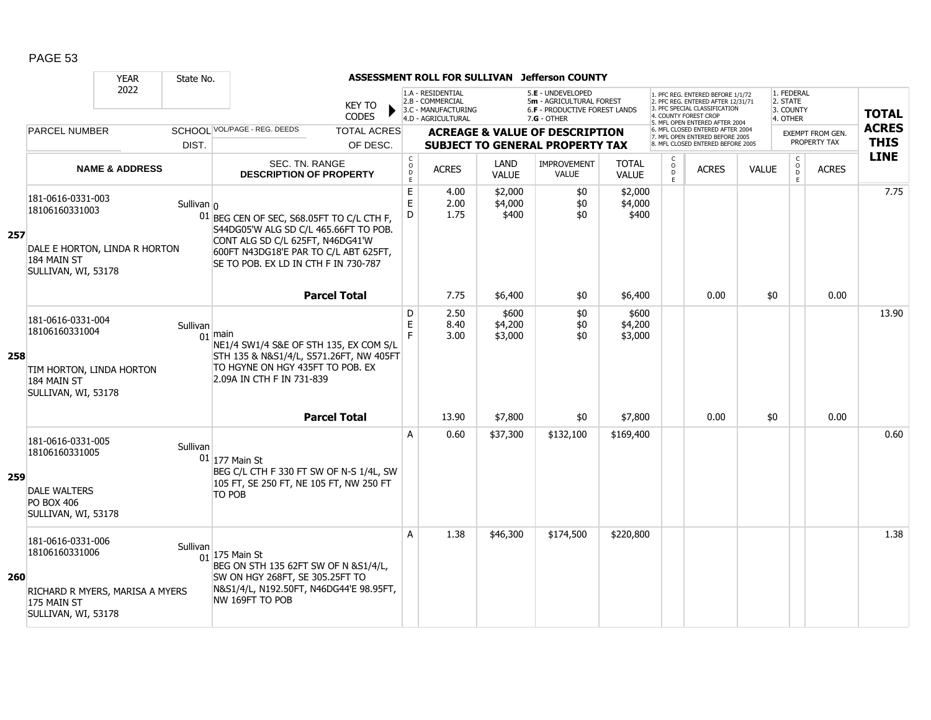|     |                                                                                                              | <b>YEAR</b>               | State No.      |                                                                                                                                                                                                         |                                   |                                                                                    |                             | ASSESSMENT ROLL FOR SULLIVAN Jefferson COUNTY                                                   |                              |                        |                                                                                                                                                                     |              |                                                 |                                  |                             |
|-----|--------------------------------------------------------------------------------------------------------------|---------------------------|----------------|---------------------------------------------------------------------------------------------------------------------------------------------------------------------------------------------------------|-----------------------------------|------------------------------------------------------------------------------------|-----------------------------|-------------------------------------------------------------------------------------------------|------------------------------|------------------------|---------------------------------------------------------------------------------------------------------------------------------------------------------------------|--------------|-------------------------------------------------|----------------------------------|-----------------------------|
|     |                                                                                                              | 2022                      |                | <b>KEY TO</b><br><b>CODES</b>                                                                                                                                                                           |                                   | 1.A - RESIDENTIAL<br>2.B - COMMERCIAL<br>3.C - MANUFACTURING<br>4.D - AGRICULTURAL |                             | 5.E - UNDEVELOPED<br>5m - AGRICULTURAL FOREST<br>6.F - PRODUCTIVE FOREST LANDS<br>$7.G - OTHER$ |                              |                        | 1. PFC REG. ENTERED BEFORE 1/1/72<br>2. PFC REG. ENTERED AFTER 12/31/71<br>3. PFC SPECIAL CLASSIFICATION<br>4. COUNTY FOREST CROP<br>5. MFL OPEN ENTERED AFTER 2004 |              | 1. FEDERAL<br>2. STATE<br>3. COUNTY<br>4. OTHER |                                  | <b>TOTAL</b>                |
|     | <b>PARCEL NUMBER</b>                                                                                         |                           | DIST.          | SCHOOL VOL/PAGE - REG. DEEDS<br><b>TOTAL ACRES</b><br>OF DESC.                                                                                                                                          |                                   |                                                                                    |                             | <b>ACREAGE &amp; VALUE OF DESCRIPTION</b><br><b>SUBJECT TO GENERAL PROPERTY TAX</b>             |                              |                        | 6. MFL CLOSED ENTERED AFTER 2004<br>7. MFL OPEN ENTERED BEFORE 2005<br>8. MFL CLOSED ENTERED BEFORE 2005                                                            |              |                                                 | EXEMPT FROM GEN.<br>PROPERTY TAX | <b>ACRES</b><br><b>THIS</b> |
|     |                                                                                                              | <b>NAME &amp; ADDRESS</b> |                | SEC. TN. RANGE<br><b>DESCRIPTION OF PROPERTY</b>                                                                                                                                                        | $\mathsf{C}$<br>$\circ$<br>D<br>E | <b>ACRES</b>                                                                       | LAND<br><b>VALUE</b>        | <b>IMPROVEMENT</b><br><b>VALUE</b>                                                              | <b>TOTAL</b><br><b>VALUE</b> | C<br>$\circ$<br>D<br>E | <b>ACRES</b>                                                                                                                                                        | <b>VALUE</b> | $\mathsf{C}$<br>$\mathsf{O}$<br>D               | <b>ACRES</b>                     | <b>LINE</b>                 |
| 257 | 181-0616-0331-003<br>18106160331003<br>DALE E HORTON, LINDA R HORTON<br>184 MAIN ST<br>SULLIVAN, WI, 53178   |                           | Sullivan $ _0$ | 01 BEG CEN OF SEC, S68.05FT TO C/L CTH F,<br>S44DG05'W ALG SD C/L 465.66FT TO POB.<br>CONT ALG SD C/L 625FT, N46DG41'W<br>600FT N43DG18'E PAR TO C/L ABT 625FT,<br>SE TO POB. EX LD IN CTH F IN 730-787 | $\mathsf E$<br>E<br>D             | 4.00<br>2.00<br>1.75                                                               | \$2,000<br>\$4,000<br>\$400 | \$0<br>\$0<br>\$0                                                                               | \$2,000<br>\$4,000<br>\$400  |                        |                                                                                                                                                                     |              |                                                 |                                  | 7.75                        |
|     |                                                                                                              |                           |                | <b>Parcel Total</b>                                                                                                                                                                                     |                                   | 7.75                                                                               | \$6,400                     | \$0                                                                                             | \$6,400                      |                        | 0.00                                                                                                                                                                |              | \$0                                             | 0.00                             |                             |
| 258 | 181-0616-0331-004<br>18106160331004<br>TIM HORTON, LINDA HORTON<br>184 MAIN ST<br>SULLIVAN, WI, 53178        |                           | Sullivan       | $01$ main<br>NE1/4 SW1/4 S&E OF STH 135, EX COM S/L<br>STH 135 & N&S1/4/L, S571.26FT, NW 405FT<br>TO HGYNE ON HGY 435FT TO POB. EX<br>2.09A IN CTH F IN 731-839                                         | D<br>E<br>F.                      | 2.50<br>8.40<br>3.00                                                               | \$600<br>\$4,200<br>\$3,000 | \$0<br>\$0<br>\$0                                                                               | \$600<br>\$4,200<br>\$3,000  |                        |                                                                                                                                                                     |              |                                                 |                                  | 13.90                       |
|     |                                                                                                              |                           |                | <b>Parcel Total</b>                                                                                                                                                                                     |                                   | 13.90                                                                              | \$7,800                     | \$0                                                                                             | \$7,800                      |                        | 0.00                                                                                                                                                                |              | \$0                                             | 0.00                             |                             |
| 259 | 181-0616-0331-005<br>18106160331005<br><b>DALE WALTERS</b><br><b>PO BOX 406</b><br>SULLIVAN, WI, 53178       |                           | Sullivan       | $01$ 177 Main St<br>BEG C/L CTH F 330 FT SW OF N-S 1/4L, SW<br>105 FT, SE 250 FT, NE 105 FT, NW 250 FT<br><b>TO POB</b>                                                                                 | A                                 | 0.60                                                                               | \$37,300                    | \$132,100                                                                                       | \$169,400                    |                        |                                                                                                                                                                     |              |                                                 |                                  | 0.60                        |
| 260 | 181-0616-0331-006<br>18106160331006<br>RICHARD R MYERS, MARISA A MYERS<br>175 MAIN ST<br>SULLIVAN, WI, 53178 |                           | Sullivan       | $01$ 175 Main St<br>BEG ON STH 135 62FT SW OF N &S1/4/L,<br>SW ON HGY 268FT, SE 305.25FT TO<br>N&S1/4/L, N192.50FT, N46DG44'E 98.95FT,<br>NW 169FT TO POB                                               | A                                 | 1.38                                                                               | \$46,300                    | \$174,500                                                                                       | \$220,800                    |                        |                                                                                                                                                                     |              |                                                 |                                  | 1.38                        |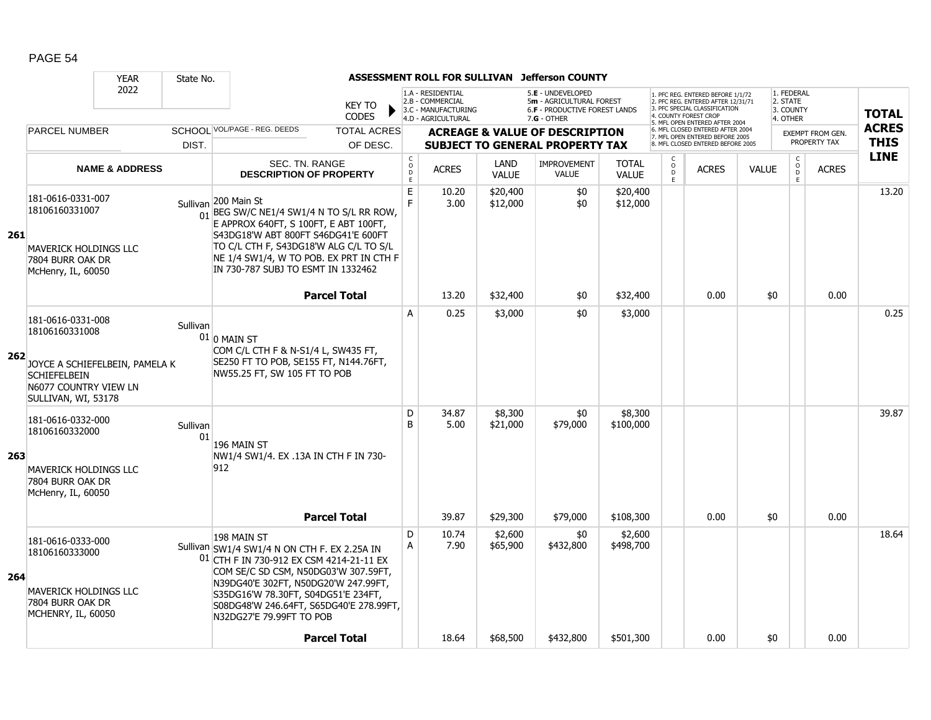|     |                                                                                                               | <b>YEAR</b>                    | State No.      |                                                                                                                                                                                                                                                                                                       |                                                     |                                                                                    |                      | ASSESSMENT ROLL FOR SULLIVAN Jefferson COUNTY                                                 |                              |                                            |                                                                                                                                   |              |                                                 |                                         |                             |
|-----|---------------------------------------------------------------------------------------------------------------|--------------------------------|----------------|-------------------------------------------------------------------------------------------------------------------------------------------------------------------------------------------------------------------------------------------------------------------------------------------------------|-----------------------------------------------------|------------------------------------------------------------------------------------|----------------------|-----------------------------------------------------------------------------------------------|------------------------------|--------------------------------------------|-----------------------------------------------------------------------------------------------------------------------------------|--------------|-------------------------------------------------|-----------------------------------------|-----------------------------|
|     |                                                                                                               | 2022                           |                | <b>KEY TO</b><br><b>CODES</b>                                                                                                                                                                                                                                                                         |                                                     | 1.A - RESIDENTIAL<br>2.B - COMMERCIAL<br>3.C - MANUFACTURING<br>4.D - AGRICULTURAL |                      | 5.E - UNDEVELOPED<br>5m - AGRICULTURAL FOREST<br>6.F - PRODUCTIVE FOREST LANDS<br>7.G - OTHER |                              |                                            | 1. PFC REG. ENTERED BEFORE 1/1/72<br>2. PFC REG. ENTERED AFTER 12/31/71<br>3. PFC SPECIAL CLASSIFICATION<br>4. COUNTY FOREST CROP |              | 1. FEDERAL<br>2. STATE<br>3. COUNTY<br>4. OTHER |                                         | <b>TOTAL</b>                |
|     | <b>PARCEL NUMBER</b>                                                                                          |                                |                | SCHOOL VOL/PAGE - REG. DEEDS<br><b>TOTAL ACRES</b>                                                                                                                                                                                                                                                    |                                                     |                                                                                    |                      | <b>ACREAGE &amp; VALUE OF DESCRIPTION</b>                                                     |                              |                                            | 5. MFL OPEN ENTERED AFTER 2004<br>6. MFL CLOSED ENTERED AFTER 2004<br>7. MFL OPEN ENTERED BEFORE 2005                             |              |                                                 | <b>EXEMPT FROM GEN.</b><br>PROPERTY TAX | <b>ACRES</b><br><b>THIS</b> |
|     |                                                                                                               |                                | DIST.          | OF DESC.                                                                                                                                                                                                                                                                                              |                                                     |                                                                                    |                      | <b>SUBJECT TO GENERAL PROPERTY TAX</b>                                                        |                              |                                            | 8. MFL CLOSED ENTERED BEFORE 2005                                                                                                 |              |                                                 |                                         | <b>LINE</b>                 |
|     |                                                                                                               | <b>NAME &amp; ADDRESS</b>      |                | SEC. TN. RANGE<br><b>DESCRIPTION OF PROPERTY</b>                                                                                                                                                                                                                                                      | $_{\rm o}^{\rm c}$<br>$\overline{D}$<br>$\mathsf E$ | <b>ACRES</b>                                                                       | LAND<br><b>VALUE</b> | <b>IMPROVEMENT</b><br><b>VALUE</b>                                                            | <b>TOTAL</b><br><b>VALUE</b> | $_{\rm o}^{\rm c}$<br>$\overline{D}$<br>F. | <b>ACRES</b>                                                                                                                      | <b>VALUE</b> | $\mathsf{C}$<br>$\circ$<br>D<br>F.              | <b>ACRES</b>                            |                             |
| 261 | 181-0616-0331-007<br>18106160331007<br>MAVERICK HOLDINGS LLC<br>7804 BURR OAK DR<br>McHenry, IL, 60050        |                                | Sullivan       | 200 Main St<br>$\frac{1}{01}$ BEG SW/C NE1/4 SW1/4 N TO S/L RR ROW,<br>E APPROX 640FT, S 100FT, E ABT 100FT,<br>S43DG18'W ABT 800FT S46DG41'E 600FT<br>TO C/L CTH F, S43DG18'W ALG C/L TO S/L<br>NE 1/4 SW1/4, W TO POB. EX PRT IN CTH F<br>IN 730-787 SUBJ TO ESMT IN 1332462                        | $\mathsf E$<br>F                                    | 10.20<br>3.00                                                                      | \$20,400<br>\$12,000 | \$0<br>\$0                                                                                    | \$20,400<br>\$12,000         |                                            |                                                                                                                                   |              |                                                 |                                         | 13.20                       |
|     |                                                                                                               |                                |                | <b>Parcel Total</b>                                                                                                                                                                                                                                                                                   |                                                     | 13.20                                                                              | \$32,400             | \$0                                                                                           | \$32,400                     |                                            | 0.00                                                                                                                              | \$0          |                                                 | 0.00                                    |                             |
| 262 | 181-0616-0331-008<br>18106160331008<br><b>SCHIEFELBEIN</b><br>N6077 COUNTRY VIEW LN<br>SULLIVAN, WI, 53178    | JOYCE A SCHIEFELBEIN, PAMELA K | Sullivan       | $01$ 0 MAIN ST<br>COM C/L CTH F & N-S1/4 L, SW435 FT,<br>SE250 FT TO POB, SE155 FT, N144.76FT,<br>NW55.25 FT, SW 105 FT TO POB                                                                                                                                                                        | A                                                   | 0.25                                                                               | \$3,000              | \$0                                                                                           | \$3,000                      |                                            |                                                                                                                                   |              |                                                 |                                         | 0.25                        |
| 263 | 181-0616-0332-000<br>18106160332000<br><b>MAVERICK HOLDINGS LLC</b><br>7804 BURR OAK DR<br>McHenry, IL, 60050 |                                | Sullivan<br>01 | 196 MAIN ST<br>NW1/4 SW1/4. EX .13A IN CTH F IN 730-<br>912                                                                                                                                                                                                                                           | D<br>B                                              | 34.87<br>5.00                                                                      | \$8,300<br>\$21,000  | \$0<br>\$79,000                                                                               | \$8,300<br>\$100,000         |                                            |                                                                                                                                   |              |                                                 |                                         | 39.87                       |
|     |                                                                                                               |                                |                | <b>Parcel Total</b>                                                                                                                                                                                                                                                                                   |                                                     | 39.87                                                                              | \$29,300             | \$79,000                                                                                      | \$108,300                    |                                            | 0.00                                                                                                                              | \$0          |                                                 | 0.00                                    |                             |
| 264 | 181-0616-0333-000<br>18106160333000<br><b>MAVERICK HOLDINGS LLC</b><br>7804 BURR OAK DR<br>MCHENRY, IL, 60050 |                                |                | 198 MAIN ST<br>Sullivan SW1/4 SW1/4 N ON CTH F. EX 2.25A IN<br>01 CTH F IN 730-912 EX CSM 4214-21-11 EX<br>COM SE/C SD CSM, N50DG03'W 307.59FT,<br>N39DG40'E 302FT, N50DG20'W 247.99FT,<br>S35DG16'W 78.30FT, S04DG51'E 234FT,<br>S08DG48'W 246.64FT, S65DG40'E 278.99FT,<br>N32DG27'E 79.99FT TO POB | D<br>A                                              | 10.74<br>7.90                                                                      | \$2,600<br>\$65,900  | \$0<br>\$432,800                                                                              | \$2,600<br>\$498,700         |                                            |                                                                                                                                   |              |                                                 |                                         | 18.64                       |
|     |                                                                                                               |                                |                | <b>Parcel Total</b>                                                                                                                                                                                                                                                                                   |                                                     | 18.64                                                                              | \$68,500             | \$432,800                                                                                     | \$501,300                    |                                            | 0.00                                                                                                                              | \$0          |                                                 | 0.00                                    |                             |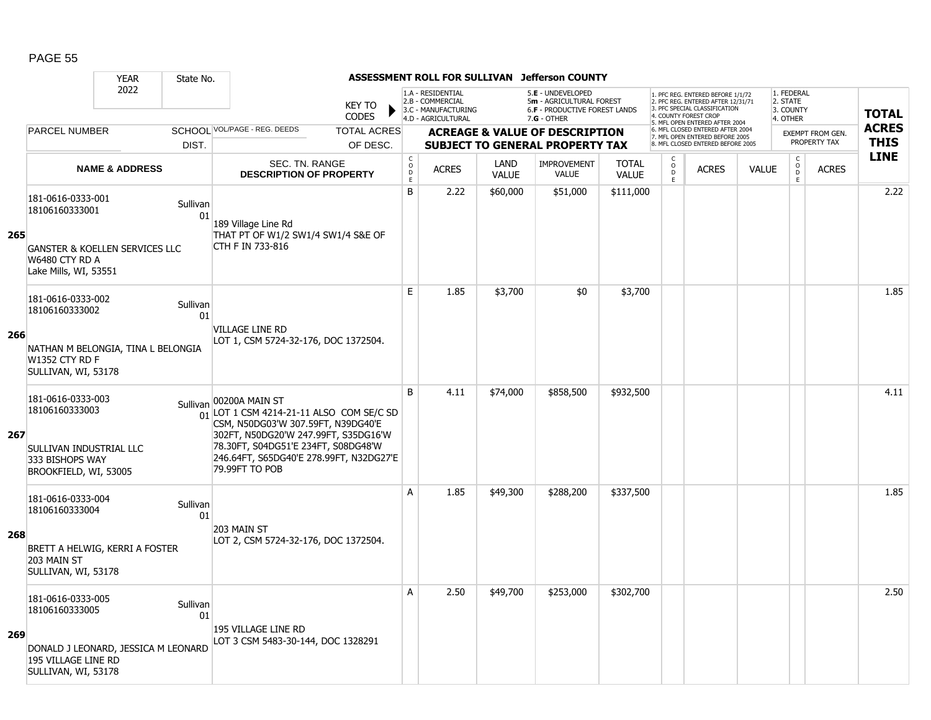|     |                                                                                                            | <b>YEAR</b>               | State No.      |                                                                                                                                                                                                                                                         |                                        |                                                                                    |                      | ASSESSMENT ROLL FOR SULLIVAN Jefferson COUNTY                                                          |                              |                                                |                                                                                                                                                                     |              |                                                 |                         |              |
|-----|------------------------------------------------------------------------------------------------------------|---------------------------|----------------|---------------------------------------------------------------------------------------------------------------------------------------------------------------------------------------------------------------------------------------------------------|----------------------------------------|------------------------------------------------------------------------------------|----------------------|--------------------------------------------------------------------------------------------------------|------------------------------|------------------------------------------------|---------------------------------------------------------------------------------------------------------------------------------------------------------------------|--------------|-------------------------------------------------|-------------------------|--------------|
|     |                                                                                                            | 2022                      |                | <b>KEY TO</b><br><b>CODES</b>                                                                                                                                                                                                                           |                                        | 1.A - RESIDENTIAL<br>2.B - COMMERCIAL<br>3.C - MANUFACTURING<br>4.D - AGRICULTURAL |                      | 5.E - UNDEVELOPED<br>5m - AGRICULTURAL FOREST<br><b>6.F - PRODUCTIVE FOREST LANDS</b><br>$7.G - OTHER$ |                              |                                                | 1. PFC REG. ENTERED BEFORE 1/1/72<br>2. PFC REG. ENTERED AFTER 12/31/71<br>3. PFC SPECIAL CLASSIFICATION<br>4. COUNTY FOREST CROP<br>5. MFL OPEN ENTERED AFTER 2004 |              | 1. FEDERAL<br>2. STATE<br>3. COUNTY<br>4. OTHER |                         | <b>TOTAL</b> |
|     | <b>PARCEL NUMBER</b>                                                                                       |                           |                | SCHOOL VOL/PAGE - REG. DEEDS<br><b>TOTAL ACRES</b>                                                                                                                                                                                                      |                                        |                                                                                    |                      | <b>ACREAGE &amp; VALUE OF DESCRIPTION</b>                                                              |                              |                                                | 6. MFL CLOSED ENTERED AFTER 2004<br>7. MFL OPEN ENTERED BEFORE 2005                                                                                                 |              |                                                 | <b>EXEMPT FROM GEN.</b> | <b>ACRES</b> |
|     |                                                                                                            |                           | DIST.          | OF DESC.                                                                                                                                                                                                                                                |                                        |                                                                                    |                      | <b>SUBJECT TO GENERAL PROPERTY TAX</b>                                                                 |                              |                                                | 8. MFL CLOSED ENTERED BEFORE 2005                                                                                                                                   |              |                                                 | PROPERTY TAX            | <b>THIS</b>  |
|     |                                                                                                            | <b>NAME &amp; ADDRESS</b> |                | <b>SEC. TN. RANGE</b><br><b>DESCRIPTION OF PROPERTY</b>                                                                                                                                                                                                 | $_{\rm o}^{\rm c}$<br>$\mathsf D$<br>E | <b>ACRES</b>                                                                       | LAND<br><b>VALUE</b> | <b>IMPROVEMENT</b><br>VALUE                                                                            | <b>TOTAL</b><br><b>VALUE</b> | $\begin{matrix} 0 \\ 0 \\ 0 \end{matrix}$<br>E | <b>ACRES</b>                                                                                                                                                        | <b>VALUE</b> | $\begin{matrix} 0 \\ 0 \\ D \end{matrix}$<br>E  | <b>ACRES</b>            | <b>LINE</b>  |
|     | 181-0616-0333-001<br>18106160333001                                                                        |                           | Sullivan<br>01 | 189 Village Line Rd                                                                                                                                                                                                                                     | B                                      | 2.22                                                                               | \$60,000             | \$51,000                                                                                               | \$111,000                    |                                                |                                                                                                                                                                     |              |                                                 |                         | 2.22         |
| 265 | <b>GANSTER &amp; KOELLEN SERVICES LLC</b><br>W6480 CTY RD A<br>Lake Mills, WI, 53551                       |                           |                | THAT PT OF W1/2 SW1/4 SW1/4 S&E OF<br>CTH F IN 733-816                                                                                                                                                                                                  |                                        |                                                                                    |                      |                                                                                                        |                              |                                                |                                                                                                                                                                     |              |                                                 |                         |              |
|     | 181-0616-0333-002<br>18106160333002                                                                        |                           | Sullivan<br>01 |                                                                                                                                                                                                                                                         | E                                      | 1.85                                                                               | \$3,700              | \$0                                                                                                    | \$3,700                      |                                                |                                                                                                                                                                     |              |                                                 |                         | 1.85         |
| 266 | NATHAN M BELONGIA, TINA L BELONGIA<br><b>W1352 CTY RD F</b><br>SULLIVAN, WI, 53178                         |                           |                | VILLAGE LINE RD<br>LOT 1, CSM 5724-32-176, DOC 1372504.                                                                                                                                                                                                 |                                        |                                                                                    |                      |                                                                                                        |                              |                                                |                                                                                                                                                                     |              |                                                 |                         |              |
| 267 | 181-0616-0333-003<br>18106160333003<br>SULLIVAN INDUSTRIAL LLC<br>333 BISHOPS WAY<br>BROOKFIELD, WI, 53005 |                           |                | Sullivan 00200A MAIN ST<br>$01$ LOT 1 CSM 4214-21-11 ALSO COM SE/C SD<br>CSM, N50DG03'W 307.59FT, N39DG40'E<br>302FT, N50DG20'W 247.99FT, S35DG16'W<br>78.30FT, S04DG51'E 234FT, S08DG48'W<br>246.64FT, S65DG40'E 278.99FT, N32DG27'E<br>79,99FT TO POB | B                                      | 4.11                                                                               | \$74,000             | \$858,500                                                                                              | \$932,500                    |                                                |                                                                                                                                                                     |              |                                                 |                         | 4.11         |
|     | 181-0616-0333-004<br>18106160333004                                                                        |                           | Sullivan<br>01 |                                                                                                                                                                                                                                                         | A                                      | 1.85                                                                               | \$49,300             | \$288,200                                                                                              | \$337,500                    |                                                |                                                                                                                                                                     |              |                                                 |                         | 1.85         |
| 268 | BRETT A HELWIG, KERRI A FOSTER<br>203 MAIN ST<br>SULLIVAN, WI, 53178                                       |                           |                | 203 MAIN ST<br>LOT 2, CSM 5724-32-176, DOC 1372504.                                                                                                                                                                                                     |                                        |                                                                                    |                      |                                                                                                        |                              |                                                |                                                                                                                                                                     |              |                                                 |                         |              |
| 269 | 181-0616-0333-005<br>18106160333005                                                                        |                           | Sullivan<br>01 | 195 VILLAGE LINE RD                                                                                                                                                                                                                                     | A                                      | 2.50                                                                               | \$49,700             | \$253,000                                                                                              | \$302,700                    |                                                |                                                                                                                                                                     |              |                                                 |                         | 2.50         |
|     | DONALD J LEONARD, JESSICA M LEONARD<br>195 VILLAGE LINE RD<br>SULLIVAN, WI, 53178                          |                           |                | LOT 3 CSM 5483-30-144, DOC 1328291                                                                                                                                                                                                                      |                                        |                                                                                    |                      |                                                                                                        |                              |                                                |                                                                                                                                                                     |              |                                                 |                         |              |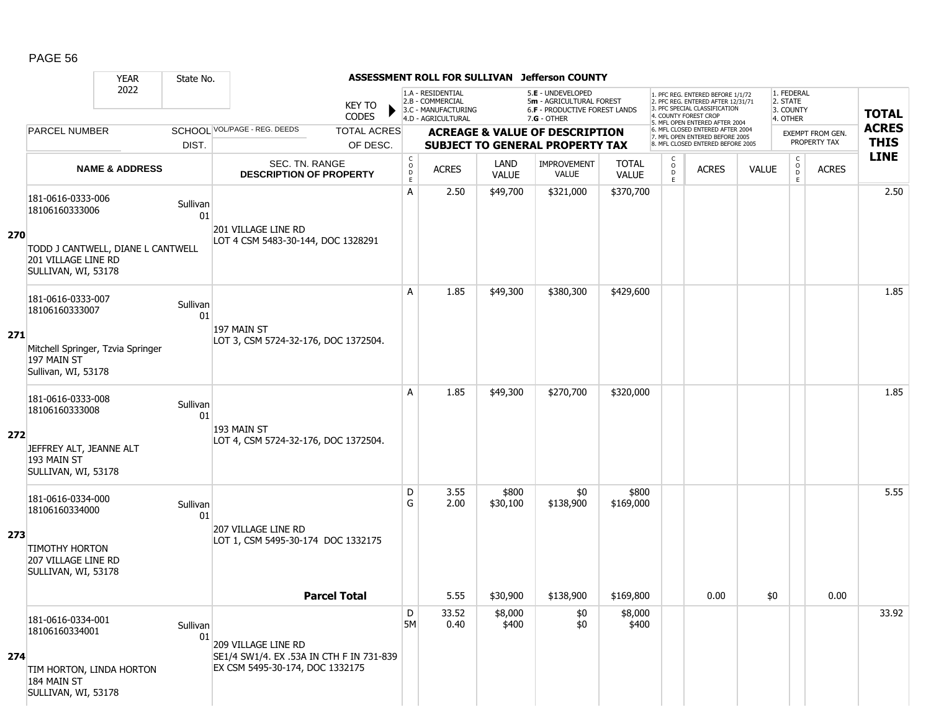|     |                                                                            | <b>YEAR</b>                       | State No.      |                                                                             |                                |                                              |                                                                                    |                      | ASSESSMENT ROLL FOR SULLIVAN Jefferson COUNTY                                                        |                              |                         |                                                                                                                                                                     |              |                                                 |                                         |                             |
|-----|----------------------------------------------------------------------------|-----------------------------------|----------------|-----------------------------------------------------------------------------|--------------------------------|----------------------------------------------|------------------------------------------------------------------------------------|----------------------|------------------------------------------------------------------------------------------------------|------------------------------|-------------------------|---------------------------------------------------------------------------------------------------------------------------------------------------------------------|--------------|-------------------------------------------------|-----------------------------------------|-----------------------------|
|     |                                                                            | 2022                              |                |                                                                             | <b>KEY TO</b><br><b>CODES</b>  |                                              | 1.A - RESIDENTIAL<br>2.B - COMMERCIAL<br>3.C - MANUFACTURING<br>4.D - AGRICULTURAL |                      | 5.E - UNDEVELOPED<br>5m - AGRICULTURAL FOREST<br><b>6.F - PRODUCTIVE FOREST LANDS</b><br>7.G - OTHER |                              |                         | 1. PFC REG. ENTERED BEFORE 1/1/72<br>2. PFC REG. ENTERED AFTER 12/31/71<br>3. PFC SPECIAL CLASSIFICATION<br>4. COUNTY FOREST CROP<br>5. MFL OPEN ENTERED AFTER 2004 |              | 1. FEDERAL<br>2. STATE<br>3. COUNTY<br>4. OTHER |                                         | <b>TOTAL</b>                |
|     | <b>PARCEL NUMBER</b>                                                       |                                   | DIST.          | SCHOOL VOL/PAGE - REG. DEEDS                                                | <b>TOTAL ACRES</b><br>OF DESC. |                                              |                                                                                    |                      | <b>ACREAGE &amp; VALUE OF DESCRIPTION</b><br><b>SUBJECT TO GENERAL PROPERTY TAX</b>                  |                              |                         | 6. MFL CLOSED ENTERED AFTER 2004<br>7. MFL OPEN ENTERED BEFORE 2005<br>8. MFL CLOSED ENTERED BEFORE 2005                                                            |              |                                                 | <b>EXEMPT FROM GEN.</b><br>PROPERTY TAX | <b>ACRES</b><br><b>THIS</b> |
|     |                                                                            | <b>NAME &amp; ADDRESS</b>         |                | SEC. TN. RANGE<br><b>DESCRIPTION OF PROPERTY</b>                            |                                | $\mathsf{C}$<br>$\circ$<br>$\mathsf{D}$<br>E | <b>ACRES</b>                                                                       | LAND<br><b>VALUE</b> | <b>IMPROVEMENT</b><br><b>VALUE</b>                                                                   | <b>TOTAL</b><br><b>VALUE</b> | $\frac{c}{0}$<br>D<br>E | <b>ACRES</b>                                                                                                                                                        | <b>VALUE</b> | $\mathsf C$<br>$_{\rm D}^{\rm O}$<br>E          | <b>ACRES</b>                            | <b>LINE</b>                 |
|     | 181-0616-0333-006<br>18106160333006                                        |                                   | Sullivan<br>01 |                                                                             |                                | A                                            | 2.50                                                                               | \$49,700             | \$321,000                                                                                            | \$370,700                    |                         |                                                                                                                                                                     |              |                                                 |                                         | 2.50                        |
| 270 | 201 VILLAGE LINE RD<br>SULLIVAN, WI, 53178                                 | TODD J CANTWELL, DIANE L CANTWELL |                | 201 VILLAGE LINE RD<br>LOT 4 CSM 5483-30-144, DOC 1328291                   |                                |                                              |                                                                                    |                      |                                                                                                      |                              |                         |                                                                                                                                                                     |              |                                                 |                                         |                             |
|     | 181-0616-0333-007<br>18106160333007                                        |                                   | Sullivan<br>01 |                                                                             |                                | A                                            | 1.85                                                                               | \$49,300             | \$380,300                                                                                            | \$429,600                    |                         |                                                                                                                                                                     |              |                                                 |                                         | 1.85                        |
| 271 | 197 MAIN ST<br>Sullivan, WI, 53178                                         | Mitchell Springer, Tzvia Springer |                | 197 MAIN ST<br>LOT 3, CSM 5724-32-176, DOC 1372504.                         |                                |                                              |                                                                                    |                      |                                                                                                      |                              |                         |                                                                                                                                                                     |              |                                                 |                                         |                             |
|     | 181-0616-0333-008<br>18106160333008                                        |                                   | Sullivan<br>01 |                                                                             |                                | A                                            | 1.85                                                                               | \$49,300             | \$270,700                                                                                            | \$320,000                    |                         |                                                                                                                                                                     |              |                                                 |                                         | 1.85                        |
| 272 | JEFFREY ALT, JEANNE ALT<br>193 MAIN ST<br>SULLIVAN, WI, 53178              |                                   |                | 193 MAIN ST<br>LOT 4, CSM 5724-32-176, DOC 1372504.                         |                                |                                              |                                                                                    |                      |                                                                                                      |                              |                         |                                                                                                                                                                     |              |                                                 |                                         |                             |
|     | 181-0616-0334-000<br>18106160334000                                        |                                   | Sullivan<br>01 |                                                                             |                                | D<br>G                                       | 3.55<br>2.00                                                                       | \$800<br>\$30,100    | \$0<br>\$138,900                                                                                     | \$800<br>\$169,000           |                         |                                                                                                                                                                     |              |                                                 |                                         | 5.55                        |
| 273 | <b>TIMOTHY HORTON</b><br><b>207 VILLAGE LINE RD</b><br>SULLIVAN, WI, 53178 |                                   |                | <b>207 VILLAGE LINE RD</b><br>LOT 1, CSM 5495-30-174 DOC 1332175            |                                |                                              |                                                                                    |                      |                                                                                                      |                              |                         |                                                                                                                                                                     |              |                                                 |                                         |                             |
|     |                                                                            |                                   |                | <b>Parcel Total</b>                                                         |                                |                                              | 5.55                                                                               | \$30,900             | \$138,900                                                                                            | \$169,800                    |                         | 0.00                                                                                                                                                                | $$0$$        |                                                 | 0.00                                    |                             |
|     | 181-0616-0334-001<br>18106160334001                                        |                                   | Sullivan<br>01 | 209 VILLAGE LINE RD                                                         |                                | D<br><b>5M</b>                               | 33.52<br>0.40                                                                      | \$8,000<br>\$400     | \$0<br>\$0                                                                                           | \$8,000<br>\$400             |                         |                                                                                                                                                                     |              |                                                 |                                         | 33.92                       |
| 274 | TIM HORTON, LINDA HORTON<br>184 MAIN ST<br>SULLIVAN, WI, 53178             |                                   |                | SE1/4 SW1/4. EX .53A IN CTH F IN 731-839<br>EX CSM 5495-30-174, DOC 1332175 |                                |                                              |                                                                                    |                      |                                                                                                      |                              |                         |                                                                                                                                                                     |              |                                                 |                                         |                             |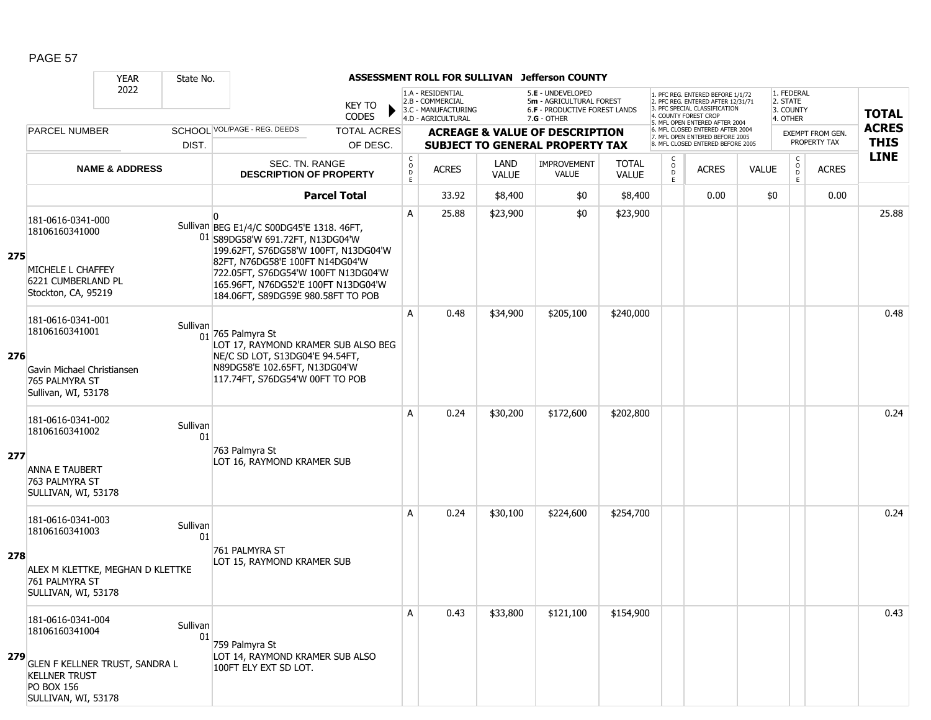|     |                                                                                                            | <b>YEAR</b>                      | State No.      |                                                                                                                                                                                                                                                                              |                               |                                                | ASSESSMENT ROLL FOR SULLIVAN                                 |                      | <b>Jefferson COUNTY</b>                                                        |                              |                                                |                                                                                                                                   |              |                                     |                                  |              |
|-----|------------------------------------------------------------------------------------------------------------|----------------------------------|----------------|------------------------------------------------------------------------------------------------------------------------------------------------------------------------------------------------------------------------------------------------------------------------------|-------------------------------|------------------------------------------------|--------------------------------------------------------------|----------------------|--------------------------------------------------------------------------------|------------------------------|------------------------------------------------|-----------------------------------------------------------------------------------------------------------------------------------|--------------|-------------------------------------|----------------------------------|--------------|
|     |                                                                                                            | 2022                             |                |                                                                                                                                                                                                                                                                              | <b>KEY TO</b><br><b>CODES</b> |                                                | 1.A - RESIDENTIAL<br>2.B - COMMERCIAL<br>3.C - MANUFACTURING |                      | 5.E - UNDEVELOPED<br>5m - AGRICULTURAL FOREST<br>6.F - PRODUCTIVE FOREST LANDS |                              |                                                | 1. PFC REG. ENTERED BEFORE 1/1/72<br>2. PFC REG. ENTERED AFTER 12/31/71<br>3. PFC SPECIAL CLASSIFICATION<br>4. COUNTY FOREST CROF |              | 1. FEDERAL<br>2. STATE<br>3. COUNTY |                                  | <b>TOTAL</b> |
|     | <b>PARCEL NUMBER</b>                                                                                       |                                  |                | SCHOOL VOL/PAGE - REG. DEEDS                                                                                                                                                                                                                                                 | <b>TOTAL ACRES</b>            |                                                | 4.D - AGRICULTURAL                                           |                      | $7.G - OTHER$<br><b>ACREAGE &amp; VALUE OF DESCRIPTION</b>                     |                              |                                                | 5. MFL OPEN ENTERED AFTER 2004<br>6. MFL CLOSED ENTERED AFTER 2004                                                                |              | 4. OTHER                            |                                  | <b>ACRES</b> |
|     |                                                                                                            |                                  | DIST.          |                                                                                                                                                                                                                                                                              | OF DESC.                      |                                                |                                                              |                      | <b>SUBJECT TO GENERAL PROPERTY TAX</b>                                         |                              |                                                | 7. MFL OPEN ENTERED BEFORE 2005<br>8. MFL CLOSED ENTERED BEFORE 2005                                                              |              |                                     | EXEMPT FROM GEN.<br>PROPERTY TAX | <b>THIS</b>  |
|     |                                                                                                            | <b>NAME &amp; ADDRESS</b>        |                | SEC. TN. RANGE<br><b>DESCRIPTION OF PROPERTY</b>                                                                                                                                                                                                                             |                               | $\begin{matrix} 0 \\ 0 \\ 0 \end{matrix}$<br>E | <b>ACRES</b>                                                 | LAND<br><b>VALUE</b> | <b>IMPROVEMENT</b><br><b>VALUE</b>                                             | <b>TOTAL</b><br><b>VALUE</b> | $\begin{matrix} 0 \\ 0 \\ 0 \end{matrix}$<br>E | <b>ACRES</b>                                                                                                                      | <b>VALUE</b> | $\mathsf{C}$<br>$\circ$<br>D<br>E.  | <b>ACRES</b>                     | <b>LINE</b>  |
|     |                                                                                                            |                                  |                |                                                                                                                                                                                                                                                                              | <b>Parcel Total</b>           |                                                | 33.92                                                        | \$8,400              | \$0                                                                            | \$8,400                      |                                                | 0.00                                                                                                                              | \$0          |                                     | 0.00                             |              |
| 275 | 181-0616-0341-000<br>18106160341000<br>MICHELE L CHAFFEY<br>6221 CUMBERLAND PL<br>Stockton, CA, 95219      |                                  |                | Sullivan BEG E1/4/C S00DG45'E 1318. 46FT,<br>01 S89DG58'W 691.72FT, N13DG04'W<br>199.62FT, S76DG58'W 100FT, N13DG04'W<br>82FT, N76DG58'E 100FT N14DG04'W<br>722.05FT, S76DG54'W 100FT N13DG04'W<br>165.96FT, N76DG52'E 100FT N13DG04'W<br>184.06FT, S89DG59E 980.58FT TO POB |                               | A                                              | 25.88                                                        | \$23,900             | \$0                                                                            | \$23,900                     |                                                |                                                                                                                                   |              |                                     |                                  | 25.88        |
| 276 | 181-0616-0341-001<br>18106160341001<br>Gavin Michael Christiansen<br>765 PALMYRA ST<br>Sullivan, WI, 53178 |                                  | Sullivan       | $01$ 765 Palmyra St<br>LOT 17, RAYMOND KRAMER SUB ALSO BEG<br>NE/C SD LOT, S13DG04'E 94.54FT,<br>N89DG58'E 102.65FT, N13DG04'W<br>117.74FT, S76DG54'W 00FT TO POB                                                                                                            |                               | Α                                              | 0.48                                                         | \$34,900             | \$205,100                                                                      | \$240,000                    |                                                |                                                                                                                                   |              |                                     |                                  | 0.48         |
| 277 | 181-0616-0341-002<br>18106160341002<br><b>ANNA E TAUBERT</b><br>763 PALMYRA ST<br>SULLIVAN, WI, 53178      |                                  | Sullivan<br>01 | 763 Palmyra St<br>LOT 16, RAYMOND KRAMER SUB                                                                                                                                                                                                                                 |                               | A                                              | 0.24                                                         | \$30,200             | \$172,600                                                                      | \$202,800                    |                                                |                                                                                                                                   |              |                                     |                                  | 0.24         |
| 278 | 181-0616-0341-003<br>18106160341003<br>761 PALMYRA ST<br>SULLIVAN, WI, 53178                               | ALEX M KLETTKE, MEGHAN D KLETTKE | Sullivan<br>01 | 761 PALMYRA ST<br>LOT 15, RAYMOND KRAMER SUB                                                                                                                                                                                                                                 |                               | A                                              | 0.24                                                         | \$30,100             | \$224,600                                                                      | \$254,700                    |                                                |                                                                                                                                   |              |                                     |                                  | 0.24         |
| 279 | 181-0616-0341-004<br>18106160341004<br><b>KELLNER TRUST</b><br><b>PO BOX 156</b><br>SULLIVAN, WI, 53178    | GLEN F KELLNER TRUST, SANDRA L   | Sullivan<br>01 | 759 Palmyra St<br>LOT 14, RAYMOND KRAMER SUB ALSO<br>100FT ELY EXT SD LOT.                                                                                                                                                                                                   |                               | Α                                              | 0.43                                                         | \$33,800             | \$121,100                                                                      | \$154,900                    |                                                |                                                                                                                                   |              |                                     |                                  | 0.43         |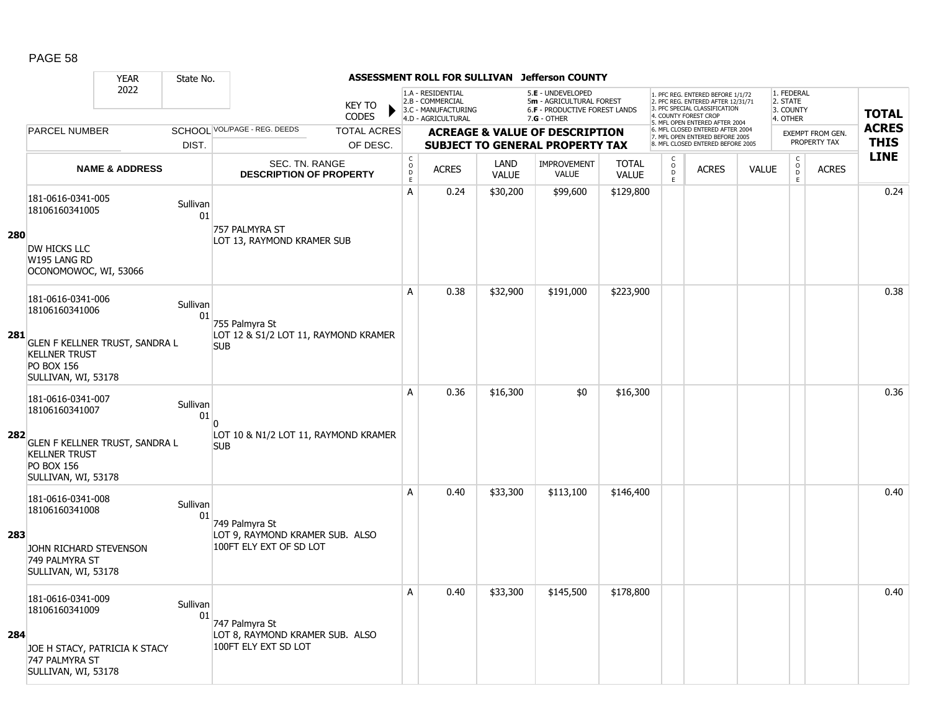|     |                                                                                                    | <b>YEAR</b>               | State No.      |                                                            |                                        | ASSESSMENT ROLL FOR SULLIVAN                                                       |                      | <b>Jefferson COUNTY</b>                                                                         |                              |                                                 |                                                                                                                                   |              |                                                 |                         |              |
|-----|----------------------------------------------------------------------------------------------------|---------------------------|----------------|------------------------------------------------------------|----------------------------------------|------------------------------------------------------------------------------------|----------------------|-------------------------------------------------------------------------------------------------|------------------------------|-------------------------------------------------|-----------------------------------------------------------------------------------------------------------------------------------|--------------|-------------------------------------------------|-------------------------|--------------|
|     |                                                                                                    | 2022                      |                | <b>KEY TO</b><br><b>CODES</b>                              |                                        | 1.A - RESIDENTIAL<br>2.B - COMMERCIAL<br>3.C - MANUFACTURING<br>4.D - AGRICULTURAL |                      | 5.E - UNDEVELOPED<br>5m - AGRICULTURAL FOREST<br>6.F - PRODUCTIVE FOREST LANDS<br>$7.G - OTHER$ |                              |                                                 | 1. PFC REG. ENTERED BEFORE 1/1/72<br>2. PFC REG. ENTERED AFTER 12/31/71<br>3. PFC SPECIAL CLASSIFICATION<br>4. COUNTY FOREST CROP |              | 1. FEDERAL<br>2. STATE<br>3. COUNTY<br>4. OTHER |                         | <b>TOTAL</b> |
|     | <b>PARCEL NUMBER</b>                                                                               |                           |                | SCHOOL VOL/PAGE - REG. DEEDS<br><b>TOTAL ACRES</b>         |                                        |                                                                                    |                      | <b>ACREAGE &amp; VALUE OF DESCRIPTION</b>                                                       |                              |                                                 | 5. MFL OPEN ENTERED AFTER 2004<br>6. MFL CLOSED ENTERED AFTER 2004<br>7. MFL OPEN ENTERED BEFORE 2005                             |              |                                                 | <b>EXEMPT FROM GEN.</b> | <b>ACRES</b> |
|     |                                                                                                    |                           | DIST.          | OF DESC.                                                   |                                        |                                                                                    |                      | <b>SUBJECT TO GENERAL PROPERTY TAX</b>                                                          |                              |                                                 | 8. MFL CLOSED ENTERED BEFORE 2005                                                                                                 |              |                                                 | PROPERTY TAX            | <b>THIS</b>  |
|     |                                                                                                    | <b>NAME &amp; ADDRESS</b> |                | SEC. TN. RANGE<br><b>DESCRIPTION OF PROPERTY</b>           | $_{\rm o}^{\rm c}$<br>$\mathsf D$<br>E | <b>ACRES</b>                                                                       | LAND<br><b>VALUE</b> | <b>IMPROVEMENT</b><br><b>VALUE</b>                                                              | <b>TOTAL</b><br><b>VALUE</b> | $\begin{matrix} 0 \\ 0 \\ D \end{matrix}$<br>E. | <b>ACRES</b>                                                                                                                      | <b>VALUE</b> | $\begin{matrix} 0 \\ 0 \\ 0 \end{matrix}$<br>E  | <b>ACRES</b>            | <b>LINE</b>  |
|     | 181-0616-0341-005<br>18106160341005                                                                |                           | Sullivan<br>01 | 757 PALMYRA ST                                             | Α                                      | 0.24                                                                               | \$30,200             | \$99,600                                                                                        | \$129,800                    |                                                 |                                                                                                                                   |              |                                                 |                         | 0.24         |
| 280 | DW HICKS LLC<br>W195 LANG RD<br>OCONOMOWOC, WI, 53066                                              |                           |                | LOT 13, RAYMOND KRAMER SUB                                 |                                        |                                                                                    |                      |                                                                                                 |                              |                                                 |                                                                                                                                   |              |                                                 |                         |              |
|     | 181-0616-0341-006<br>18106160341006                                                                |                           | Sullivan<br>01 | 755 Palmyra St                                             | A                                      | 0.38                                                                               | \$32,900             | \$191,000                                                                                       | \$223,900                    |                                                 |                                                                                                                                   |              |                                                 |                         | 0.38         |
| 281 | GLEN F KELLNER TRUST, SANDRA L<br><b>KELLNER TRUST</b><br><b>PO BOX 156</b><br>SULLIVAN, WI, 53178 |                           |                | LOT 12 & S1/2 LOT 11, RAYMOND KRAMER<br><b>SUB</b>         |                                        |                                                                                    |                      |                                                                                                 |                              |                                                 |                                                                                                                                   |              |                                                 |                         |              |
|     | 181-0616-0341-007<br>18106160341007                                                                |                           | Sullivan<br>01 | $\Omega$                                                   | A                                      | 0.36                                                                               | \$16,300             | \$0                                                                                             | \$16,300                     |                                                 |                                                                                                                                   |              |                                                 |                         | 0.36         |
| 282 | GLEN F KELLNER TRUST, SANDRA L<br><b>KELLNER TRUST</b><br><b>PO BOX 156</b><br>SULLIVAN, WI, 53178 |                           |                | LOT 10 & N1/2 LOT 11, RAYMOND KRAMER<br><b>SUB</b>         |                                        |                                                                                    |                      |                                                                                                 |                              |                                                 |                                                                                                                                   |              |                                                 |                         |              |
|     | 181-0616-0341-008<br>18106160341008                                                                |                           | Sullivan<br>01 | 749 Palmyra St                                             | A                                      | 0.40                                                                               | \$33,300             | \$113,100                                                                                       | \$146,400                    |                                                 |                                                                                                                                   |              |                                                 |                         | 0.40         |
| 283 | JOHN RICHARD STEVENSON<br>749 PALMYRA ST<br>SULLIVAN, WI, 53178                                    |                           |                | LOT 9, RAYMOND KRAMER SUB. ALSO<br>100FT ELY EXT OF SD LOT |                                        |                                                                                    |                      |                                                                                                 |                              |                                                 |                                                                                                                                   |              |                                                 |                         |              |
|     | 181-0616-0341-009<br>18106160341009                                                                |                           | Sullivan<br>01 | 747 Palmyra St                                             | A                                      | 0.40                                                                               | \$33,300             | \$145,500                                                                                       | \$178,800                    |                                                 |                                                                                                                                   |              |                                                 |                         | 0.40         |
| 284 | JOE H STACY, PATRICIA K STACY<br>747 PALMYRA ST<br>SULLIVAN, WI, 53178                             |                           |                | LOT 8, RAYMOND KRAMER SUB. ALSO<br>100FT ELY EXT SD LOT    |                                        |                                                                                    |                      |                                                                                                 |                              |                                                 |                                                                                                                                   |              |                                                 |                         |              |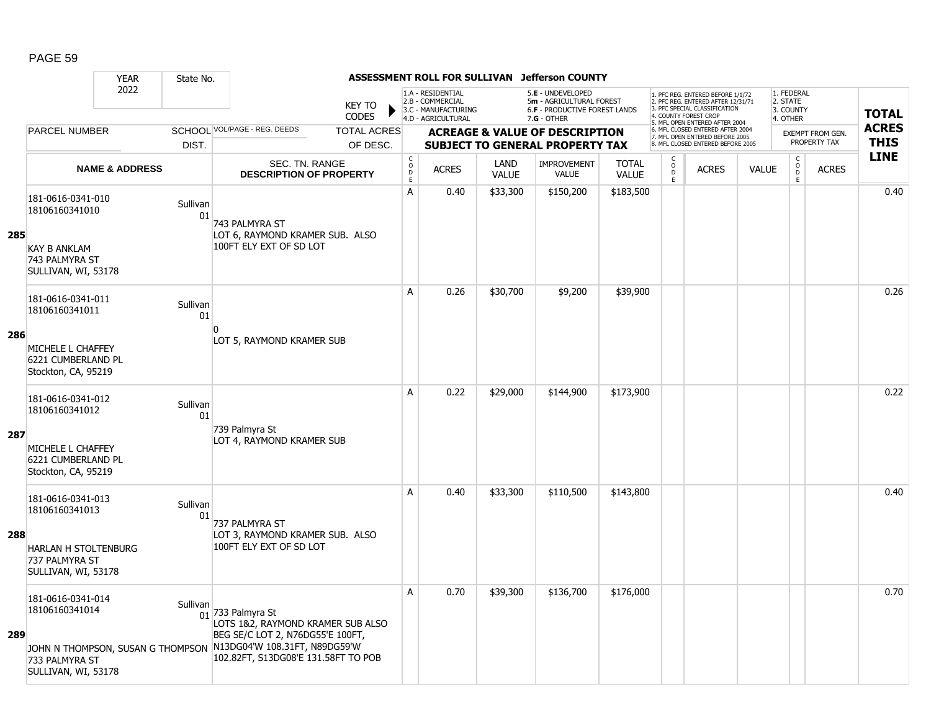|     |                                                                                            | <b>YEAR</b>               | State No.      |                                                                                                                                                                      |                               |                                        |                                                                                    |                      | ASSESSMENT ROLL FOR SULLIVAN Jefferson COUNTY                                                          |                              |                                                |                                                                                                                                                                     |              |                                                 |                                         |                             |
|-----|--------------------------------------------------------------------------------------------|---------------------------|----------------|----------------------------------------------------------------------------------------------------------------------------------------------------------------------|-------------------------------|----------------------------------------|------------------------------------------------------------------------------------|----------------------|--------------------------------------------------------------------------------------------------------|------------------------------|------------------------------------------------|---------------------------------------------------------------------------------------------------------------------------------------------------------------------|--------------|-------------------------------------------------|-----------------------------------------|-----------------------------|
|     |                                                                                            | 2022                      |                |                                                                                                                                                                      | <b>KEY TO</b><br><b>CODES</b> |                                        | 1.A - RESIDENTIAL<br>2.B - COMMERCIAL<br>3.C - MANUFACTURING<br>4.D - AGRICULTURAL |                      | 5.E - UNDEVELOPED<br>5m - AGRICULTURAL FOREST<br><b>6.F - PRODUCTIVE FOREST LANDS</b><br>$7.G - OTHER$ |                              |                                                | 1. PFC REG. ENTERED BEFORE 1/1/72<br>2. PFC REG. ENTERED AFTER 12/31/71<br>3. PFC SPECIAL CLASSIFICATION<br>4. COUNTY FOREST CROP<br>5. MFL OPEN ENTERED AFTER 2004 |              | 1. FEDERAL<br>2. STATE<br>3. COUNTY<br>4. OTHER |                                         | <b>TOTAL</b>                |
|     | <b>PARCEL NUMBER</b>                                                                       |                           |                | SCHOOL VOL/PAGE - REG. DEEDS                                                                                                                                         | <b>TOTAL ACRES</b>            |                                        |                                                                                    |                      | <b>ACREAGE &amp; VALUE OF DESCRIPTION</b>                                                              |                              |                                                | 6. MFL CLOSED ENTERED AFTER 2004<br>7. MFL OPEN ENTERED BEFORE 2005                                                                                                 |              |                                                 | <b>EXEMPT FROM GEN.</b><br>PROPERTY TAX | <b>ACRES</b><br><b>THIS</b> |
|     |                                                                                            |                           | DIST.          |                                                                                                                                                                      | OF DESC.                      |                                        |                                                                                    |                      | <b>SUBJECT TO GENERAL PROPERTY TAX</b>                                                                 |                              |                                                | 8. MFL CLOSED ENTERED BEFORE 2005                                                                                                                                   |              |                                                 |                                         | <b>LINE</b>                 |
|     |                                                                                            | <b>NAME &amp; ADDRESS</b> |                | SEC. TN. RANGE<br><b>DESCRIPTION OF PROPERTY</b>                                                                                                                     |                               | $_{\rm o}^{\rm c}$<br>$\mathsf D$<br>E | <b>ACRES</b>                                                                       | LAND<br><b>VALUE</b> | <b>IMPROVEMENT</b><br><b>VALUE</b>                                                                     | <b>TOTAL</b><br><b>VALUE</b> | $\begin{matrix} 0 \\ 0 \\ D \end{matrix}$<br>E | <b>ACRES</b>                                                                                                                                                        | <b>VALUE</b> | $\begin{matrix} 0 \\ 0 \\ 0 \end{matrix}$<br>E. | <b>ACRES</b>                            |                             |
| 285 | 181-0616-0341-010<br>18106160341010                                                        |                           | Sullivan<br>01 | 743 PALMYRA ST<br>LOT 6, RAYMOND KRAMER SUB. ALSO                                                                                                                    |                               | A                                      | 0.40                                                                               | \$33,300             | \$150,200                                                                                              | \$183,500                    |                                                |                                                                                                                                                                     |              |                                                 |                                         | 0.40                        |
|     | <b>KAY B ANKLAM</b><br>743 PALMYRA ST<br>SULLIVAN, WI, 53178                               |                           |                | 100FT ELY EXT OF SD LOT                                                                                                                                              |                               |                                        |                                                                                    |                      |                                                                                                        |                              |                                                |                                                                                                                                                                     |              |                                                 |                                         |                             |
|     | 181-0616-0341-011<br>18106160341011                                                        |                           | Sullivan<br>01 |                                                                                                                                                                      |                               | A                                      | 0.26                                                                               | \$30,700             | \$9,200                                                                                                | \$39,900                     |                                                |                                                                                                                                                                     |              |                                                 |                                         | 0.26                        |
| 286 | MICHELE L CHAFFEY<br>6221 CUMBERLAND PL<br>Stockton, CA, 95219                             |                           |                | $\Omega$<br>LOT 5, RAYMOND KRAMER SUB                                                                                                                                |                               |                                        |                                                                                    |                      |                                                                                                        |                              |                                                |                                                                                                                                                                     |              |                                                 |                                         |                             |
|     | 181-0616-0341-012<br>18106160341012                                                        |                           | Sullivan<br>01 |                                                                                                                                                                      |                               | A                                      | 0.22                                                                               | \$29,000             | \$144,900                                                                                              | \$173,900                    |                                                |                                                                                                                                                                     |              |                                                 |                                         | 0.22                        |
| 287 | MICHELE L CHAFFEY<br>6221 CUMBERLAND PL<br>Stockton, CA, 95219                             |                           |                | 739 Palmyra St<br>LOT 4, RAYMOND KRAMER SUB                                                                                                                          |                               |                                        |                                                                                    |                      |                                                                                                        |                              |                                                |                                                                                                                                                                     |              |                                                 |                                         |                             |
|     | 181-0616-0341-013<br>18106160341013                                                        |                           | Sullivan<br>01 | 737 PALMYRA ST                                                                                                                                                       |                               | A                                      | 0.40                                                                               | \$33,300             | \$110,500                                                                                              | \$143,800                    |                                                |                                                                                                                                                                     |              |                                                 |                                         | 0.40                        |
| 288 | <b>HARLAN H STOLTENBURG</b><br>737 PALMYRA ST<br>SULLIVAN, WI, 53178                       |                           |                | LOT 3, RAYMOND KRAMER SUB. ALSO<br>100FT ELY EXT OF SD LOT                                                                                                           |                               |                                        |                                                                                    |                      |                                                                                                        |                              |                                                |                                                                                                                                                                     |              |                                                 |                                         |                             |
| 289 | 181-0616-0341-014<br>18106160341014<br>JOHN N THOMPSON, SUSAN G THOMPSON<br>733 PALMYRA ST |                           | Sullivan       | $01$ 733 Palmyra St<br>LOTS 1&2, RAYMOND KRAMER SUB ALSO<br>BEG SE/C LOT 2, N76DG55'E 100FT,<br>N13DG04'W 108.31FT, N89DG59'W<br>102.82FT, S13DG08'E 131.58FT TO POB |                               | A                                      | 0.70                                                                               | \$39,300             | \$136,700                                                                                              | \$176,000                    |                                                |                                                                                                                                                                     |              |                                                 |                                         | 0.70                        |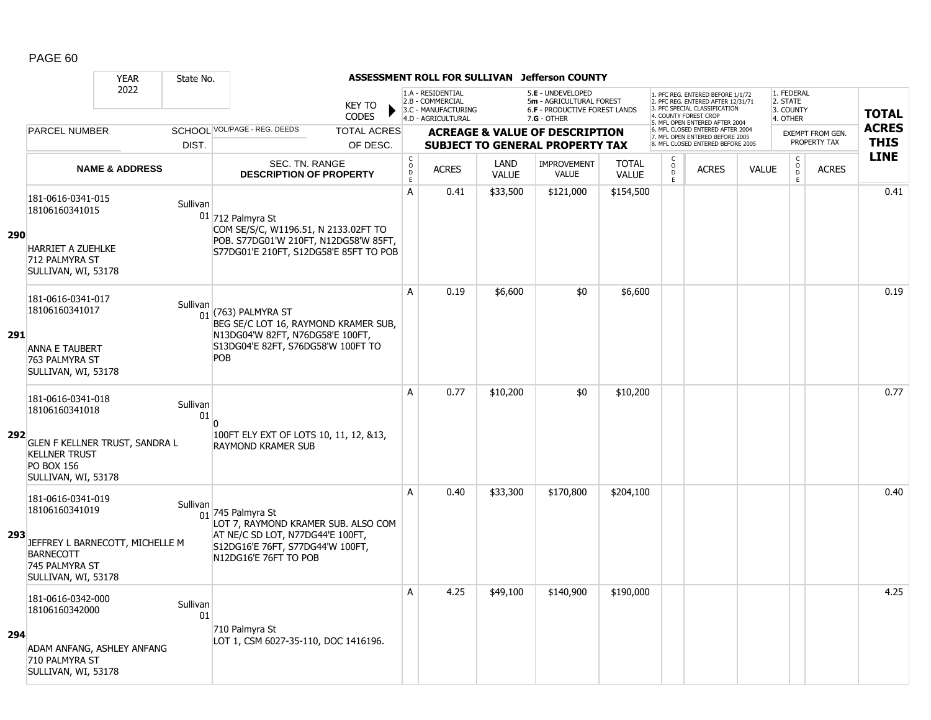|            |                                                                                                          | <b>YEAR</b>                     | State No.      |                                                                                                                                                                |                               |                                     |                                                                                    |                      | ASSESSMENT ROLL FOR SULLIVAN Jefferson COUNTY                                                        |                              |                                                 |                                                                                                                                                                     |              |                                                 |                         |                             |
|------------|----------------------------------------------------------------------------------------------------------|---------------------------------|----------------|----------------------------------------------------------------------------------------------------------------------------------------------------------------|-------------------------------|-------------------------------------|------------------------------------------------------------------------------------|----------------------|------------------------------------------------------------------------------------------------------|------------------------------|-------------------------------------------------|---------------------------------------------------------------------------------------------------------------------------------------------------------------------|--------------|-------------------------------------------------|-------------------------|-----------------------------|
|            |                                                                                                          | 2022                            |                |                                                                                                                                                                | <b>KEY TO</b><br><b>CODES</b> |                                     | 1.A - RESIDENTIAL<br>2.B - COMMERCIAL<br>3.C - MANUFACTURING<br>4.D - AGRICULTURAL |                      | 5.E - UNDEVELOPED<br>5m - AGRICULTURAL FOREST<br><b>6.F - PRODUCTIVE FOREST LANDS</b><br>7.G - OTHER |                              |                                                 | 1. PFC REG. ENTERED BEFORE 1/1/72<br>2. PFC REG. ENTERED AFTER 12/31/71<br>3. PFC SPECIAL CLASSIFICATION<br>4. COUNTY FOREST CROP<br>5. MFL OPEN ENTERED AFTER 2004 |              | 1. FEDERAL<br>2. STATE<br>3. COUNTY<br>4. OTHER |                         | <b>TOTAL</b>                |
|            | <b>PARCEL NUMBER</b>                                                                                     |                                 |                | SCHOOL VOL/PAGE - REG. DEEDS                                                                                                                                   | <b>TOTAL ACRES</b>            |                                     |                                                                                    |                      | <b>ACREAGE &amp; VALUE OF DESCRIPTION</b>                                                            |                              |                                                 | 6. MFL CLOSED ENTERED AFTER 2004<br>7. MFL OPEN ENTERED BEFORE 2005                                                                                                 |              |                                                 | <b>EXEMPT FROM GEN.</b> | <b>ACRES</b><br><b>THIS</b> |
|            |                                                                                                          |                                 | DIST.          |                                                                                                                                                                | OF DESC.                      |                                     |                                                                                    |                      | <b>SUBJECT TO GENERAL PROPERTY TAX</b>                                                               |                              |                                                 | 8. MFL CLOSED ENTERED BEFORE 2005                                                                                                                                   |              |                                                 | PROPERTY TAX            | <b>LINE</b>                 |
|            |                                                                                                          | <b>NAME &amp; ADDRESS</b>       |                | <b>SEC. TN. RANGE</b><br><b>DESCRIPTION OF PROPERTY</b>                                                                                                        |                               | $_{\rm o}^{\rm c}$<br>$\frac{D}{E}$ | <b>ACRES</b>                                                                       | LAND<br><b>VALUE</b> | <b>IMPROVEMENT</b><br><b>VALUE</b>                                                                   | <b>TOTAL</b><br><b>VALUE</b> | $\begin{matrix} 0 \\ 0 \\ D \end{matrix}$<br>E. | <b>ACRES</b>                                                                                                                                                        | <b>VALUE</b> | $\begin{matrix} 0 \\ 0 \\ 0 \end{matrix}$<br>E  | <b>ACRES</b>            |                             |
| <b>290</b> | 181-0616-0341-015<br>18106160341015<br><b>HARRIET A ZUEHLKE</b><br>712 PALMYRA ST<br>SULLIVAN, WI, 53178 |                                 | Sullivan       | $01$ 712 Palmyra St<br>COM SE/S/C, W1196.51, N 2133.02FT TO<br>POB. S77DG01'W 210FT, N12DG58'W 85FT,<br>S77DG01'E 210FT, S12DG58'E 85FT TO POB                 |                               | A                                   | 0.41                                                                               | \$33,500             | \$121,000                                                                                            | \$154,500                    |                                                 |                                                                                                                                                                     |              |                                                 |                         | 0.41                        |
| 291        | 181-0616-0341-017<br>18106160341017<br><b>ANNA E TAUBERT</b><br>763 PALMYRA ST<br>SULLIVAN, WI, 53178    |                                 | Sullivan       | $01$ (763) PALMYRA ST<br>BEG SE/C LOT 16, RAYMOND KRAMER SUB,<br>N13DG04'W 82FT, N76DG58'E 100FT,<br>S13DG04'E 82FT, S76DG58'W 100FT TO<br>POB                 |                               | A                                   | 0.19                                                                               | \$6,600              | \$0                                                                                                  | \$6,600                      |                                                 |                                                                                                                                                                     |              |                                                 |                         | 0.19                        |
| 292        | 181-0616-0341-018<br>18106160341018<br><b>KELLNER TRUST</b><br><b>PO BOX 156</b><br>SULLIVAN, WI, 53178  | GLEN F KELLNER TRUST, SANDRA L  | Sullivan<br>01 | $\Omega$<br>100FT ELY EXT OF LOTS 10, 11, 12, &13,<br><b>RAYMOND KRAMER SUB</b>                                                                                |                               | A                                   | 0.77                                                                               | \$10,200             | \$0                                                                                                  | \$10,200                     |                                                 |                                                                                                                                                                     |              |                                                 |                         | 0.77                        |
| 293        | 181-0616-0341-019<br>18106160341019<br><b>BARNECOTT</b><br>745 PALMYRA ST<br>SULLIVAN, WI, 53178         | JEFFREY L BARNECOTT, MICHELLE M | Sullivan       | $_{01}$ 745 Palmyra St<br>LOT 7, RAYMOND KRAMER SUB. ALSO COM<br>AT NE/C SD LOT, N77DG44'E 100FT,<br>S12DG16'E 76FT, S77DG44'W 100FT,<br>N12DG16'E 76FT TO POB |                               | A                                   | 0.40                                                                               | \$33,300             | \$170,800                                                                                            | \$204,100                    |                                                 |                                                                                                                                                                     |              |                                                 |                         | 0.40                        |
| 294        | 181-0616-0342-000<br>18106160342000<br>710 PALMYRA ST<br>SULLIVAN, WI, 53178                             | ADAM ANFANG, ASHLEY ANFANG      | Sullivan<br>01 | 710 Palmyra St<br>LOT 1, CSM 6027-35-110, DOC 1416196.                                                                                                         |                               | A                                   | 4.25                                                                               | \$49,100             | \$140,900                                                                                            | \$190,000                    |                                                 |                                                                                                                                                                     |              |                                                 |                         | 4.25                        |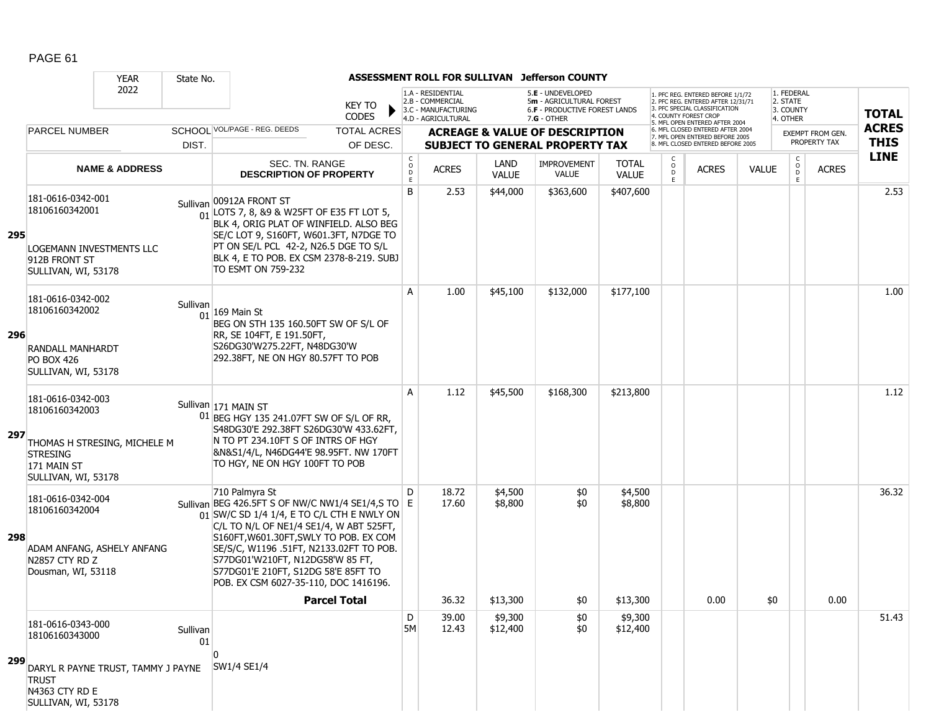|     |                                                                                                            | <b>YEAR</b>                        | State No.      |                                                                                                                                                                                                                                                                                                                                                                       |                                                |                                                                                    |                      | ASSESSMENT ROLL FOR SULLIVAN Jefferson COUNTY                                                   |                              |                              |                                                                                                                                   |              |                                                 |                         |              |
|-----|------------------------------------------------------------------------------------------------------------|------------------------------------|----------------|-----------------------------------------------------------------------------------------------------------------------------------------------------------------------------------------------------------------------------------------------------------------------------------------------------------------------------------------------------------------------|------------------------------------------------|------------------------------------------------------------------------------------|----------------------|-------------------------------------------------------------------------------------------------|------------------------------|------------------------------|-----------------------------------------------------------------------------------------------------------------------------------|--------------|-------------------------------------------------|-------------------------|--------------|
|     |                                                                                                            | 2022                               |                | KEY TO<br><b>CODES</b>                                                                                                                                                                                                                                                                                                                                                |                                                | 1.A - RESIDENTIAL<br>2.B - COMMERCIAL<br>3.C - MANUFACTURING<br>4.D - AGRICULTURAL |                      | 5.E - UNDEVELOPED<br>5m - AGRICULTURAL FOREST<br>6.F - PRODUCTIVE FOREST LANDS<br>$7.G - OTHER$ |                              |                              | 1. PFC REG. ENTERED BEFORE 1/1/72<br>2. PFC REG. ENTERED AFTER 12/31/71<br>3. PFC SPECIAL CLASSIFICATION<br>4. COUNTY FOREST CROP |              | 1. FEDERAL<br>2. STATE<br>3. COUNTY<br>4. OTHER |                         | <b>TOTAL</b> |
|     | <b>PARCEL NUMBER</b>                                                                                       |                                    |                | SCHOOL VOL/PAGE - REG. DEEDS<br><b>TOTAL ACRES</b>                                                                                                                                                                                                                                                                                                                    |                                                |                                                                                    |                      | <b>ACREAGE &amp; VALUE OF DESCRIPTION</b>                                                       |                              |                              | 5. MFL OPEN ENTERED AFTER 2004<br>6. MFL CLOSED ENTERED AFTER 2004                                                                |              |                                                 | <b>EXEMPT FROM GEN.</b> | <b>ACRES</b> |
|     |                                                                                                            |                                    | DIST.          | OF DESC.                                                                                                                                                                                                                                                                                                                                                              |                                                |                                                                                    |                      | <b>SUBJECT TO GENERAL PROPERTY TAX</b>                                                          |                              |                              | 7. MFL OPEN ENTERED BEFORE 2005<br>8 MFL CLOSED ENTERED BEFORE 2005                                                               |              |                                                 | PROPERTY TAX            | <b>THIS</b>  |
|     |                                                                                                            | <b>NAME &amp; ADDRESS</b>          |                | SEC. TN. RANGE<br><b>DESCRIPTION OF PROPERTY</b>                                                                                                                                                                                                                                                                                                                      | $\begin{matrix} 0 \\ 0 \\ 0 \end{matrix}$<br>E | <b>ACRES</b>                                                                       | LAND<br><b>VALUE</b> | <b>IMPROVEMENT</b><br><b>VALUE</b>                                                              | <b>TOTAL</b><br><b>VALUE</b> | C<br>$_{\rm D}^{\rm O}$<br>E | <b>ACRES</b>                                                                                                                      | <b>VALUE</b> | $\mathsf{C}$<br>$\overline{0}$<br>E             | <b>ACRES</b>            | <b>LINE</b>  |
| 295 | 181-0616-0342-001<br>18106160342001<br>LOGEMANN INVESTMENTS LLC<br>912B FRONT ST<br>SULLIVAN, WI, 53178    |                                    |                | Sullivan 00912A FRONT ST<br>$\frac{1}{01}$ LOTS 7, 8, 89 & W25FT OF E35 FT LOT 5,<br>BLK 4, ORIG PLAT OF WINFIELD. ALSO BEG<br>SE/C LOT 9, S160FT, W601.3FT, N7DGE TO<br>PT ON SE/L PCL 42-2, N26.5 DGE TO S/L<br>BLK 4, E TO POB. EX CSM 2378-8-219. SUBJ<br>TO ESMT ON 759-232                                                                                      | B                                              | 2.53                                                                               | \$44,000             | \$363,600                                                                                       | \$407,600                    |                              |                                                                                                                                   |              |                                                 |                         | 2.53         |
| 296 | 181-0616-0342-002<br>18106160342002<br><b>RANDALL MANHARDT</b><br><b>PO BOX 426</b><br>SULLIVAN, WI, 53178 |                                    | Sullivan<br>01 | $ 169 \text{ Main St} $<br>BEG ON STH 135 160.50FT SW OF S/L OF<br>RR, SE 104FT, E 191.50FT,<br>S26DG30'W275.22FT, N48DG30'W<br>292.38FT, NE ON HGY 80.57FT TO POB                                                                                                                                                                                                    | A                                              | 1.00                                                                               | \$45,100             | \$132,000                                                                                       | \$177,100                    |                              |                                                                                                                                   |              |                                                 |                         | 1.00         |
| 297 | 181-0616-0342-003<br>18106160342003<br><b>STRESING</b><br>171 MAIN ST<br>SULLIVAN, WI, 53178               | THOMAS H STRESING, MICHELE M       |                | Sullivan 171 MAIN ST<br>01 BEG HGY 135 241.07FT SW OF S/L OF RR,<br>S48DG30'E 292.38FT S26DG30'W 433.62FT,<br>N TO PT 234.10FT S OF INTRS OF HGY<br>&N&S1/4/L, N46DG44'E 98.95FT. NW 170FT<br>TO HGY, NE ON HGY 100FT TO POB                                                                                                                                          | A                                              | 1.12                                                                               | \$45,500             | \$168,300                                                                                       | \$213,800                    |                              |                                                                                                                                   |              |                                                 |                         | 1.12         |
| 298 | 181-0616-0342-004<br>18106160342004<br>ADAM ANFANG, ASHELY ANFANG<br>N2857 CTY RD Z<br>Dousman, WI, 53118  |                                    |                | 710 Palmyra St<br>Sullivan BEG 426.5FT S OF NW/C NW1/4 SE1/4,S TO E<br>01 SW/C SD 1/4 1/4, E TO C/L CTH E NWLY ON<br>C/L TO N/L OF NE1/4 SE1/4, W ABT 525FT,<br>S160FT, W601.30FT, SWLY TO POB. EX COM<br>SE/S/C, W1196 .51FT, N2133.02FT TO POB.<br>S77DG01'W210FT, N12DG58'W 85 FT,<br>S77DG01'E 210FT, S12DG 58'E 85FT TO<br>POB. EX CSM 6027-35-110, DOC 1416196. | D                                              | 18.72<br>17.60                                                                     | \$4,500<br>\$8,800   | \$0<br>\$0                                                                                      | \$4,500<br>\$8,800           |                              |                                                                                                                                   |              |                                                 |                         | 36.32        |
|     |                                                                                                            |                                    |                | <b>Parcel Total</b>                                                                                                                                                                                                                                                                                                                                                   |                                                | 36.32                                                                              | \$13,300             | \$0                                                                                             | \$13,300                     |                              | 0.00                                                                                                                              |              | \$0                                             | 0.00                    |              |
|     | 181-0616-0343-000<br>18106160343000                                                                        |                                    | Sullivan<br>01 | ŋ                                                                                                                                                                                                                                                                                                                                                                     | D<br><b>5M</b>                                 | 39.00<br>12.43                                                                     | \$9,300<br>\$12,400  | \$0<br>\$0                                                                                      | \$9,300<br>\$12,400          |                              |                                                                                                                                   |              |                                                 |                         | 51.43        |
| 299 | <b>TRUST</b><br>N4363 CTY RD E<br>SULLIVAN, WI, 53178                                                      | DARYL R PAYNE TRUST, TAMMY J PAYNE |                | SW1/4 SE1/4                                                                                                                                                                                                                                                                                                                                                           |                                                |                                                                                    |                      |                                                                                                 |                              |                              |                                                                                                                                   |              |                                                 |                         |              |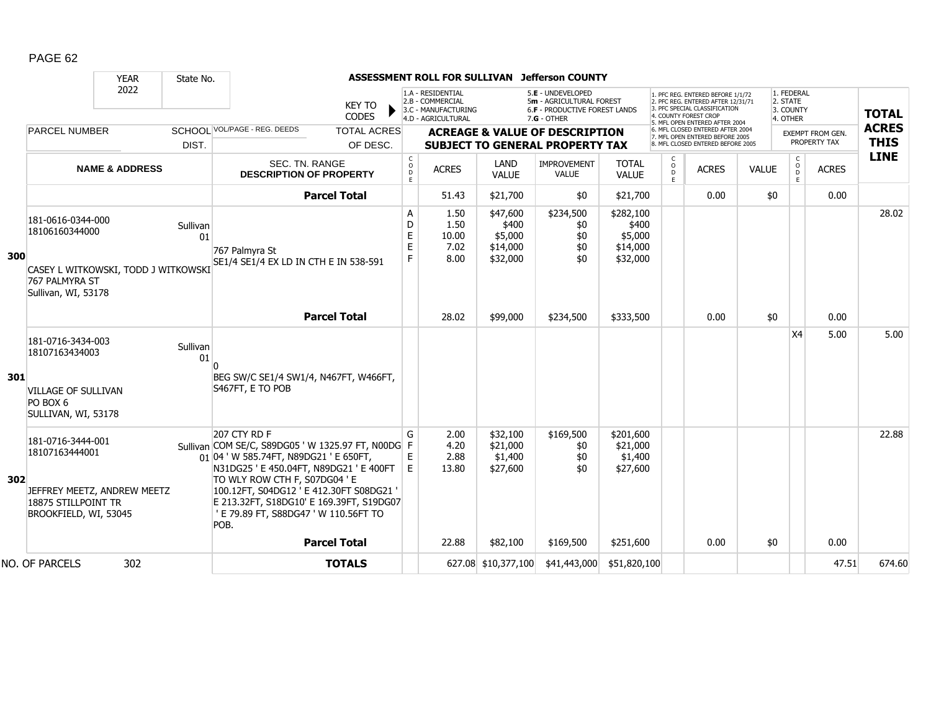|     |                                                                                                                     | <b>YEAR</b>               | State No.      |                                                                                                                                                                                                                                                                                                                              |                       |                                                                                    |                                                      | ASSESSMENT ROLL FOR SULLIVAN Jefferson COUNTY                                                   |                                                       |                                                                                                                                                                     |                                   |                                                 |                                         |              |              |  |
|-----|---------------------------------------------------------------------------------------------------------------------|---------------------------|----------------|------------------------------------------------------------------------------------------------------------------------------------------------------------------------------------------------------------------------------------------------------------------------------------------------------------------------------|-----------------------|------------------------------------------------------------------------------------|------------------------------------------------------|-------------------------------------------------------------------------------------------------|-------------------------------------------------------|---------------------------------------------------------------------------------------------------------------------------------------------------------------------|-----------------------------------|-------------------------------------------------|-----------------------------------------|--------------|--------------|--|
|     |                                                                                                                     | 2022                      |                | <b>KEY TO</b><br><b>CODES</b>                                                                                                                                                                                                                                                                                                |                       | 1.A - RESIDENTIAL<br>2.B - COMMERCIAL<br>3.C - MANUFACTURING<br>4.D - AGRICULTURAL |                                                      | 5.E - UNDEVELOPED<br>5m - AGRICULTURAL FOREST<br>6.F - PRODUCTIVE FOREST LANDS<br>$7.G - OTHER$ |                                                       | 1. PFC REG. ENTERED BEFORE 1/1/72<br>2. PFC REG. ENTERED AFTER 12/31/71<br>3. PFC SPECIAL CLASSIFICATION<br>4. COUNTY FOREST CROP<br>5. MFL OPEN ENTERED AFTER 2004 |                                   | 1. FEDERAL<br>2. STATE<br>3. COUNTY<br>4. OTHER |                                         |              | <b>TOTAL</b> |  |
|     | <b>PARCEL NUMBER</b>                                                                                                |                           |                | SCHOOL VOL/PAGE - REG. DEEDS<br><b>TOTAL ACRES</b>                                                                                                                                                                                                                                                                           |                       |                                                                                    |                                                      | <b>ACREAGE &amp; VALUE OF DESCRIPTION</b>                                                       |                                                       | 6. MFL CLOSED ENTERED AFTER 2004<br><b>EXEMPT FROM GEN.</b><br>7. MFL OPEN ENTERED BEFORE 2005                                                                      |                                   |                                                 |                                         | <b>ACRES</b> |              |  |
|     |                                                                                                                     |                           | DIST.          | OF DESC.                                                                                                                                                                                                                                                                                                                     |                       | <b>SUBJECT TO GENERAL PROPERTY TAX</b>                                             |                                                      |                                                                                                 |                                                       |                                                                                                                                                                     | 8. MFL CLOSED ENTERED BEFORE 2005 |                                                 | PROPERTY TAX                            |              | <b>THIS</b>  |  |
|     |                                                                                                                     | <b>NAME &amp; ADDRESS</b> |                | <b>SEC. TN. RANGE</b><br><b>DESCRIPTION OF PROPERTY</b>                                                                                                                                                                                                                                                                      |                       | <b>ACRES</b>                                                                       | LAND<br><b>VALUE</b>                                 | <b>IMPROVEMENT</b><br><b>VALUE</b>                                                              | <b>TOTAL</b><br><b>VALUE</b>                          | C<br>$\circ$<br>D<br>E                                                                                                                                              | <b>ACRES</b>                      | <b>VALUE</b>                                    | $\mathsf{C}$<br>$\mathsf{O}$<br>D.<br>E | <b>ACRES</b> | <b>LINE</b>  |  |
|     |                                                                                                                     |                           |                | <b>Parcel Total</b>                                                                                                                                                                                                                                                                                                          |                       | 51.43                                                                              | \$21,700                                             | \$0                                                                                             | \$21,700                                              |                                                                                                                                                                     | 0.00                              | \$0                                             |                                         | 0.00         |              |  |
| 300 | 181-0616-0344-000<br>18106160344000<br>CASEY L WITKOWSKI, TODD J WITKOWSKI<br>767 PALMYRA ST<br>Sullivan, WI, 53178 |                           | Sullivan<br>01 | 767 Palmyra St<br>SE1/4 SE1/4 EX LD IN CTH E IN 538-591                                                                                                                                                                                                                                                                      | Α<br>D<br>E<br>E<br>F | 1.50<br>1.50<br>10.00<br>7.02<br>8.00                                              | \$47,600<br>\$400<br>\$5,000<br>\$14,000<br>\$32,000 | \$234,500<br>\$0<br>\$0<br>\$0<br>\$0                                                           | \$282,100<br>\$400<br>\$5,000<br>\$14,000<br>\$32,000 |                                                                                                                                                                     |                                   |                                                 |                                         |              | 28.02        |  |
|     |                                                                                                                     |                           |                | <b>Parcel Total</b>                                                                                                                                                                                                                                                                                                          |                       | 28.02                                                                              | \$99,000                                             | \$234,500                                                                                       | \$333,500                                             |                                                                                                                                                                     | 0.00                              | \$0                                             |                                         | 0.00         |              |  |
|     | 181-0716-3434-003<br>18107163434003                                                                                 |                           | Sullivan<br>01 |                                                                                                                                                                                                                                                                                                                              |                       |                                                                                    |                                                      |                                                                                                 |                                                       |                                                                                                                                                                     |                                   |                                                 | X4                                      | 5.00         | 5.00         |  |
| 301 | <b>VILLAGE OF SULLIVAN</b><br>PO BOX 6<br>SULLIVAN, WI, 53178                                                       |                           |                | BEG SW/C SE1/4 SW1/4, N467FT, W466FT,<br>S467FT, E TO POB                                                                                                                                                                                                                                                                    |                       |                                                                                    |                                                      |                                                                                                 |                                                       |                                                                                                                                                                     |                                   |                                                 |                                         |              |              |  |
| 302 | 181-0716-3444-001<br>18107163444001<br>JEFFREY MEETZ, ANDREW MEETZ<br>18875 STILLPOINT TR<br>BROOKFIELD, WI, 53045  |                           |                | 207 CTY RD F<br>Sullivan COM SE/C, S89DG05 'W 1325.97 FT, N00DG F<br>01 04 'W 585.74FT, N89DG21 'E 650FT,<br>N31DG25 ' E 450.04FT, N89DG21 ' E 400FT<br>TO WLY ROW CTH F, S07DG04 ' E<br>100.12FT, S04DG12 ' E 412.30FT S08DG21<br>E 213.32FT, S18DG10' E 169.39FT, S19DG07<br>' E 79.89 FT, S88DG47 ' W 110.56FT TO<br>POB. | G<br>E<br>E           | 2.00<br>4.20<br>2.88<br>13.80                                                      | \$32,100<br>\$21,000<br>\$1,400<br>\$27,600          | \$169,500<br>\$0<br>\$0<br>\$0                                                                  | \$201,600<br>\$21,000<br>\$1,400<br>\$27,600          |                                                                                                                                                                     |                                   |                                                 |                                         |              | 22.88        |  |
|     |                                                                                                                     |                           |                |                                                                                                                                                                                                                                                                                                                              |                       | 22.88                                                                              |                                                      |                                                                                                 |                                                       |                                                                                                                                                                     |                                   |                                                 |                                         | 0.00         |              |  |
|     |                                                                                                                     |                           |                | <b>Parcel Total</b>                                                                                                                                                                                                                                                                                                          |                       |                                                                                    | \$82,100                                             | \$169,500                                                                                       | \$251,600                                             |                                                                                                                                                                     | 0.00                              | \$0                                             |                                         |              |              |  |
|     | NO. OF PARCELS                                                                                                      | 302                       |                | <b>TOTALS</b>                                                                                                                                                                                                                                                                                                                |                       |                                                                                    | 627.08 \$10,377,100                                  | \$41,443,000                                                                                    | \$51,820,100                                          |                                                                                                                                                                     |                                   |                                                 |                                         | 47.51        | 674.60       |  |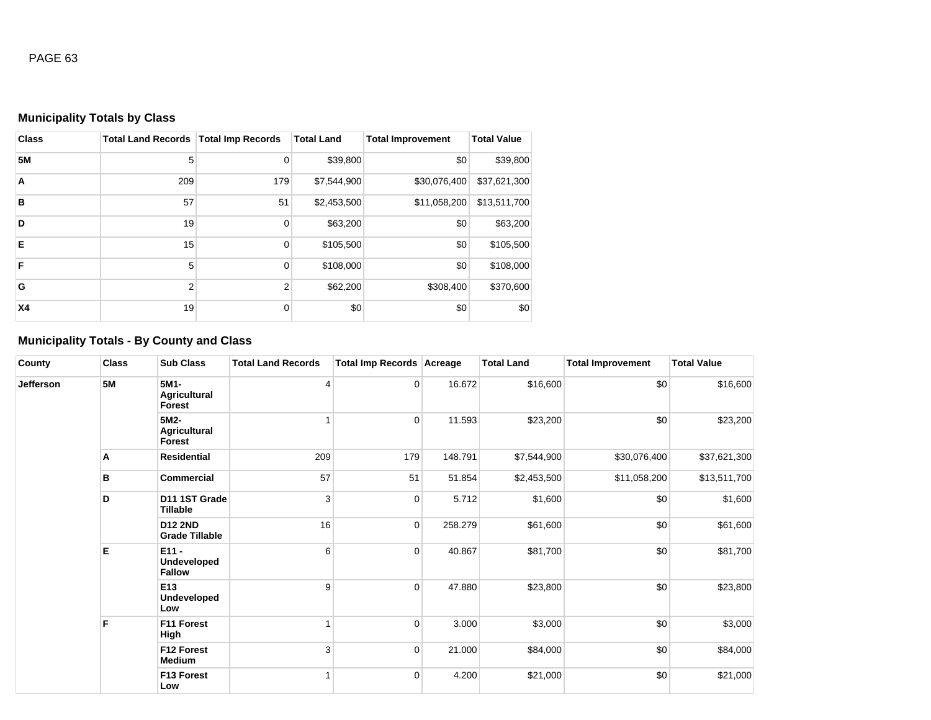# **Municipality Totals by Class**

| <b>Class</b>   | <b>Total Land Records</b> | <b>Total Imp Records</b> | <b>Total Land</b> | <b>Total Improvement</b> | <b>Total Value</b> |
|----------------|---------------------------|--------------------------|-------------------|--------------------------|--------------------|
| <b>5M</b>      | 5                         | $\mathbf 0$              | \$39,800          | \$0                      | \$39,800           |
| $\overline{A}$ | 209                       | 179                      | \$7,544,900       | \$30,076,400             | \$37,621,300       |
| B              | 57                        | 51                       | \$2,453,500       | \$11,058,200             | \$13,511,700       |
| D              | 19                        | $\mathbf 0$              | \$63,200          | \$0                      | \$63,200           |
| E              | 15                        | $\mathbf 0$              | \$105,500         | \$0                      | \$105,500          |
| F              | 5                         | $\mathbf 0$              | \$108,000         | \$0                      | \$108,000          |
| G              | $\overline{2}$            | 2                        | \$62,200          | \$308,400                | \$370,600          |
| <b>X4</b>      | 19                        | 0                        | \$0               | \$0                      | \$0                |

# **Municipality Totals - By County and Class**

| County    | <b>Class</b> | <b>Sub Class</b>                             | <b>Total Land Records</b>             | Total Imp Records Acreage |                | <b>Total Land</b> | <b>Total Improvement</b> | <b>Total Value</b> |          |
|-----------|--------------|----------------------------------------------|---------------------------------------|---------------------------|----------------|-------------------|--------------------------|--------------------|----------|
| Jefferson | <b>5M</b>    |                                              | 5M1-<br><b>Agricultural</b><br>Forest | 4                         | $\overline{0}$ | 16.672            | \$16,600                 | \$0                | \$16,600 |
|           |              | 5M2-<br><b>Agricultural</b><br>Forest        | ۸                                     | $\overline{0}$            | 11.593         | \$23,200          | \$0                      | \$23,200           |          |
|           | Α            | <b>Residential</b>                           | 209                                   | 179                       | 148.791        | \$7,544,900       | \$30,076,400             | \$37,621,300       |          |
|           | в            | <b>Commercial</b>                            | 57                                    | 51                        | 51.854         | \$2,453,500       | \$11,058,200             | \$13,511,700       |          |
|           | D            | D11 1ST Grade<br>Tillable                    | 3                                     | $\overline{0}$            | 5.712          | \$1,600           | \$0                      | \$1,600            |          |
|           |              | <b>D12 2ND</b><br><b>Grade Tillable</b>      | 16                                    | $\overline{0}$            | 258.279        | \$61,600          | \$0                      | \$61,600           |          |
|           | Е            | $E11 -$<br>Undeveloped<br><b>Fallow</b>      | 6                                     | $\overline{0}$            | 40.867         | \$81,700          | \$0                      | \$81,700           |          |
|           |              | E <sub>13</sub><br><b>Undeveloped</b><br>Low | 9                                     | $\overline{0}$            | 47.880         | \$23,800          | \$0                      | \$23,800           |          |
|           | F            | F11 Forest<br>High                           |                                       | $\overline{0}$            | 3.000          | \$3,000           | \$0                      | \$3,000            |          |
|           |              | F12 Forest<br>Medium                         | 3                                     | $\overline{0}$            | 21.000         | \$84,000          | \$0                      | \$84,000           |          |
|           |              | F13 Forest<br>Low                            |                                       | $\overline{0}$            | 4.200          | \$21,000          | \$0                      | \$21,000           |          |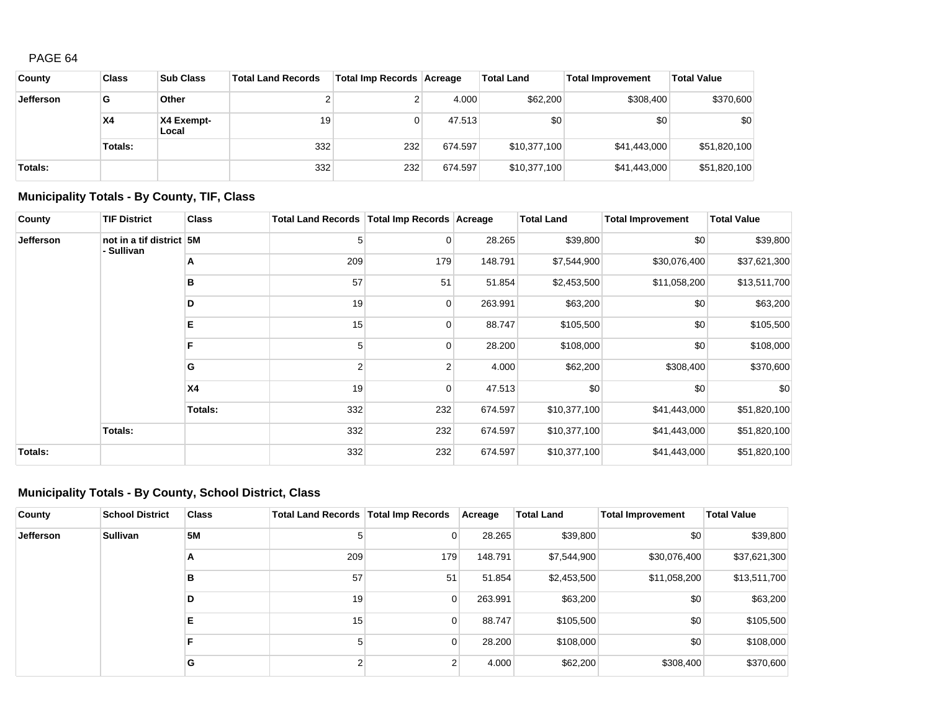| County           | <b>Class</b> | <b>Sub Class</b>    | <b>Total Land Records</b> | Total Imp Records Acreage |         | <b>Total Land</b> | <b>Total Improvement</b> | <b>Total Value</b> |
|------------------|--------------|---------------------|---------------------------|---------------------------|---------|-------------------|--------------------------|--------------------|
| <b>Jefferson</b> | G            | Other               |                           |                           | 4.000   | \$62,200          | \$308,400                | \$370,600          |
|                  | <b>X4</b>    | X4 Exempt-<br>Local | 19                        |                           | 47.513  | \$0               | \$0                      | \$0                |
|                  | Totals:      |                     | 332                       | 232                       | 674.597 | \$10,377,100      | \$41,443,000             | \$51,820,100       |
| Totals:          |              |                     | 332                       | 232                       | 674.597 | \$10,377,100      | \$41,443,000             | \$51,820,100       |

# **Municipality Totals - By County, TIF, Class**

| County           | <b>TIF District</b>                    | <b>Class</b>   | Total Land Records   Total Imp Records   Acreage |          |         | <b>Total Land</b> | <b>Total Improvement</b> | <b>Total Value</b> |
|------------------|----------------------------------------|----------------|--------------------------------------------------|----------|---------|-------------------|--------------------------|--------------------|
| <b>Jefferson</b> | not in a tif district 5M<br>- Sullivan |                | 5                                                | 0        | 28.265  | \$39,800          | \$0                      | \$39,800           |
|                  |                                        | A              | 209                                              | 179      | 148.791 | \$7,544,900       | \$30,076,400             | \$37,621,300       |
|                  |                                        | в              | 57                                               | 51       | 51.854  | \$2,453,500       | \$11,058,200             | \$13,511,700       |
|                  |                                        | D              | 19                                               | $\Omega$ | 263.991 | \$63,200          | \$0                      | \$63,200           |
|                  |                                        | Е              | 15                                               | 0        | 88.747  | \$105,500         | \$0                      | \$105,500          |
|                  |                                        | F              | 5                                                | $\Omega$ | 28.200  | \$108,000         | \$0                      | \$108,000          |
|                  |                                        | G              | 2                                                | 2        | 4.000   | \$62,200          | \$308,400                | \$370,600          |
|                  |                                        | X <sub>4</sub> | 19                                               | $\Omega$ | 47.513  | \$0               | \$0                      | \$0                |
|                  |                                        | <b>Totals:</b> | 332                                              | 232      | 674.597 | \$10,377,100      | \$41,443,000             | \$51,820,100       |
|                  | Totals:                                |                | 332                                              | 232      | 674.597 | \$10,377,100      | \$41,443,000             | \$51,820,100       |
| Totals:          |                                        |                | 332                                              | 232      | 674.597 | \$10,377,100      | \$41,443,000             | \$51,820,100       |

# **Municipality Totals - By County, School District, Class**

| County           | <b>School District</b> | <b>Class</b> | Total Land Records   Total Imp Records |                | Acreage | <b>Total Land</b> | Total Improvement | <b>Total Value</b> |
|------------------|------------------------|--------------|----------------------------------------|----------------|---------|-------------------|-------------------|--------------------|
| <b>Jefferson</b> | <b>Sullivan</b>        | <b>5M</b>    |                                        | $\overline{0}$ | 28.265  | \$39,800          | \$0               | \$39,800           |
|                  |                        | A            | 209                                    | 179            | 148.791 | \$7,544,900       | \$30,076,400      | \$37,621,300       |
|                  |                        | в            | 57                                     | 51             | 51.854  | \$2,453,500       | \$11,058,200      | \$13,511,700       |
|                  |                        | D            | 19                                     | $\overline{0}$ | 263.991 | \$63,200          | \$0               | \$63,200           |
|                  |                        | Е            | 15                                     | $\overline{0}$ | 88.747  | \$105,500         | \$0               | \$105,500          |
|                  |                        | F            |                                        | $\overline{0}$ | 28,200  | \$108,000         | \$0               | \$108,000          |
|                  |                        | G            |                                        | 2              | 4.000   | \$62,200          | \$308,400         | \$370,600          |